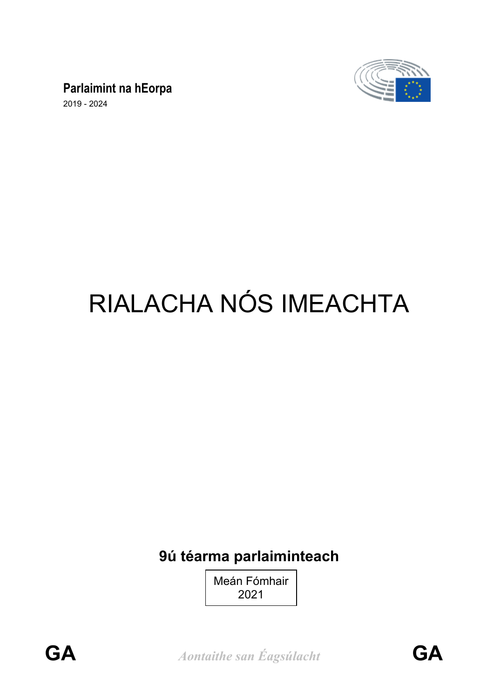

**Parlaimint na hEorpa**

2019 - 2024

# RIALACHA NÓS IMEACHTA

# **9ú téarma parlaiminteach**

Meán Fómhair 2021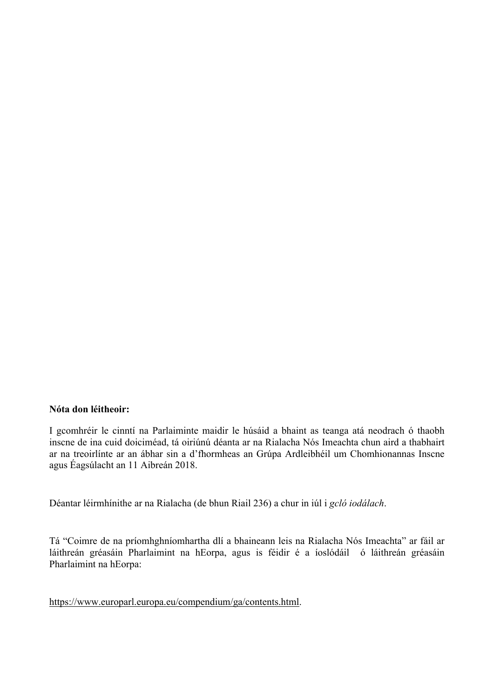#### **Nóta don léitheoir:**

I gcomhréir le cinntí na Parlaiminte maidir le húsáid a bhaint as teanga atá neodrach ó thaobh inscne de ina cuid doiciméad, tá oiriúnú déanta ar na Rialacha Nós Imeachta chun aird a thabhairt ar na treoirlínte ar an ábhar sin a d'fhormheas an Grúpa Ardleibhéil um Chomhionannas Inscne agus Éagsúlacht an 11 Aibreán 2018.

Déantar léirmhínithe ar na Rialacha (de bhun Riail 236) a chur in iúl i *gcló iodálach*.

Tá "Coimre de na príomhghníomhartha dlí a bhaineann leis na Rialacha Nós Imeachta" ar fáil ar láithreán gréasáin Pharlaimint na hEorpa, agus is féidir é a íoslódáil ó láithreán gréasáin Pharlaimint na hEorpa:

https://www.europarl.europa.eu/compendium/ga/contents.html.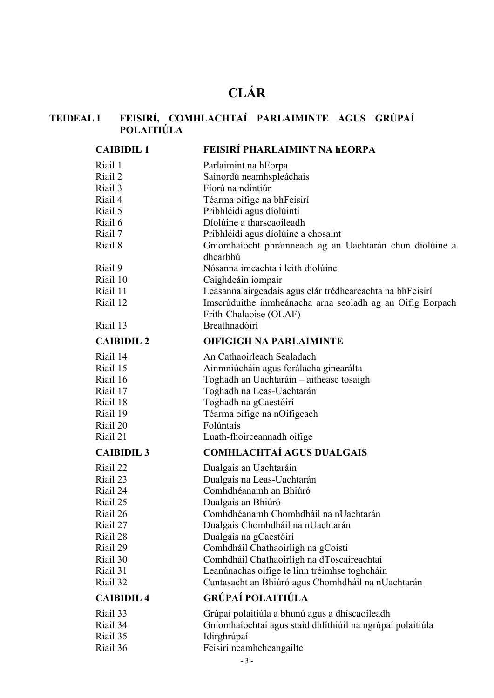# **CLÁR**

#### **TEIDEAL I [FEISIRÍ, COMHLACHTAÍ PARLAIMINTE AGUS GRÚPAÍ](#page-11-0)  [POLAITIÚLA](#page-11-0)**

| <b>CAIBIDIL1</b>  | FEISIRÍ PHARLAIMINT NA hEORPA                                                       |
|-------------------|-------------------------------------------------------------------------------------|
| Riail 1           | Parlaimint na hEorpa                                                                |
| Riail 2           | Sainordú neamhspleáchais                                                            |
| Riail 3           | Fíorú na ndintiúr                                                                   |
| Riail 4           | Téarma oifige na bhFeisirí                                                          |
| Riail 5           | Pribhléidí agus díolúintí                                                           |
| Riail 6           | Díolúine a tharscaoileadh                                                           |
| Riail 7           | Pribhléidí agus díolúine a chosaint                                                 |
| Riail 8           | Gníomhaíocht phráinneach ag an Uachtarán chun díolúine a<br>dhearbhú                |
| Riail 9           | Nósanna imeachta i leith díolúine                                                   |
| Riail 10          | Caighdeáin iompair                                                                  |
| Riail 11          | Leasanna airgeadais agus clár trédhearcachta na bhFeisirí                           |
| Riail 12          | Imscrúduithe inmheánacha arna seoladh ag an Oifig Eorpach<br>Frith-Chalaoise (OLAF) |
| Riail 13          | Breathnadóirí                                                                       |
| <b>CAIBIDIL 2</b> | <b>OIFIGIGH NA PARLAIMINTE</b>                                                      |
| Riail 14          | An Cathaoirleach Sealadach                                                          |
| Riail 15          | Ainmniúcháin agus forálacha ginearálta                                              |
| Riail 16          | Toghadh an Uachtaráin - aitheasc tosaigh                                            |
| Riail 17          | Toghadh na Leas-Uachtarán                                                           |
| Riail 18          | Toghadh na gCaestóirí                                                               |
| Riail 19          | Téarma oifige na nOifigeach                                                         |
| Riail 20          | Folúntais                                                                           |
| Riail 21          | Luath-fhoirceannadh oifige                                                          |
| <b>CAIBIDIL 3</b> | <b>COMHLACHTAÍ AGUS DUALGAIS</b>                                                    |
| Riail 22          | Dualgais an Uachtaráin                                                              |
| Riail 23          | Dualgais na Leas-Uachtarán                                                          |
| Riail 24          | Comhdhéanamh an Bhiúró                                                              |
| Riail 25          | Dualgais an Bhiúró                                                                  |
| Riail 26          | Comhdhéanamh Chomhdháil na nUachtarán                                               |
| Riail 27          | Dualgais Chomhdháil na nUachtarán                                                   |
| Riail 28          | Dualgais na gCaestóirí                                                              |
| Riail 29          | Comhdháil Chathaoirligh na gCoistí                                                  |
| Riail 30          | Comhdháil Chathaoirligh na dToscaireachtaí                                          |
| Riail 31          | Leanúnachas oifige le linn tréimhse toghcháin                                       |
| Riail 32          | Cuntasacht an Bhiúró agus Chomhdháil na nUachtarán                                  |
| <b>CAIBIDIL4</b>  | <b>GRÚPAÍ POLAITIÚLA</b>                                                            |
| Riail 33          | Grúpaí polaitiúla a bhunú agus a dhíscaoileadh                                      |
| Riail 34          | Gníomhaíochtaí agus staid dhlíthiúil na ngrúpaí polaitiúla                          |
| Riail 35          | Idirghrúpaí                                                                         |
| Riail 36          | Feisirí neamhcheangailte                                                            |
|                   | $-3-$                                                                               |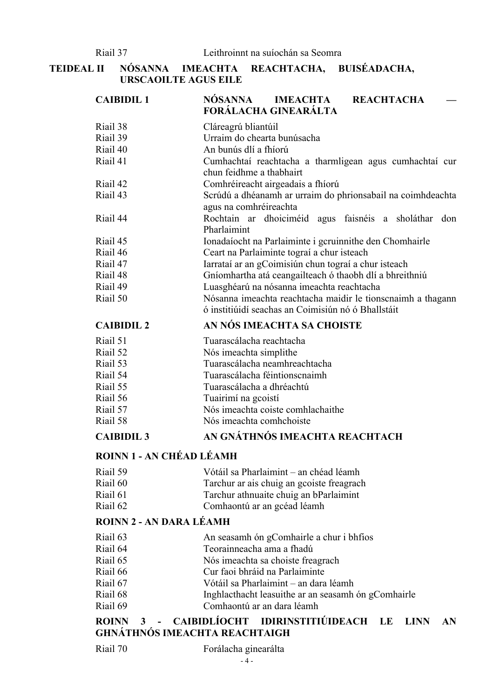**CAIBIDIL 1 [NÓSANNA IMEACHTA REACHTACHA —](#page-32-1)** 

#### **TEIDEAL II [NÓSANNA IMEACHTA REACHTACHA, BUISÉADACHA,](#page-32-0)  [URSCAOILTE AGUS EILE](#page-32-0)**

| FORÁLACHA GINEARÁLTA                                                                                              |
|-------------------------------------------------------------------------------------------------------------------|
| Cláreagrú bliantúil                                                                                               |
| Urraim do chearta bunúsacha                                                                                       |
| An bunús dlí a fhíorú                                                                                             |
| Cumhachtaí reachtacha a tharmligean agus cumhachtaí cur<br>chun feidhme a thabhairt                               |
| Comhréireacht airgeadais a fhíorú                                                                                 |
| Scrúdú a dhéanamh ar urraim do phrionsabail na coimhdeachta<br>agus na comhréireachta                             |
| Rochtain ar dhoiciméid agus faisnéis a sholáthar don<br>Pharlaimint                                               |
| Ionadaíocht na Parlaiminte i gcruinnithe den Chomhairle                                                           |
| Ceart na Parlaiminte tograí a chur isteach                                                                        |
| Iarrataí ar an gCoimisiún chun tograí a chur isteach                                                              |
| Gníomhartha atá ceangailteach ó thaobh dlí a bhreithniú                                                           |
| Luasghéarú na nósanna imeachta reachtacha                                                                         |
| Nósanna imeachta reachtacha maidir le tionscnaimh a thagann<br>ó institiúidí seachas an Coimisiún nó ó Bhallstáit |
| AN NÓS IMEACHTA SA CHOISTE                                                                                        |
| Tuarascálacha reachtacha                                                                                          |
| Nós imeachta simplithe                                                                                            |
| Tuarascálacha neamhreachtacha                                                                                     |
| Tuarascálacha féintionscnaimh                                                                                     |
| Tuarascálacha a dhréachtú                                                                                         |
| Tuairimí na gcoistí                                                                                               |
| Nós imeachta coiste comhlachaithe                                                                                 |
| Nós imeachta comhchoiste                                                                                          |
| AN GNÁTHNÓS IMEACHTA REACHTACH                                                                                    |
|                                                                                                                   |

#### **[ROINN 1 - AN CHÉAD LÉAMH](#page-43-1)**

| Riail 59 |  |  |  | Vótáil sa Pharlaimint – an chéad léamh |  |
|----------|--|--|--|----------------------------------------|--|
| _.       |  |  |  |                                        |  |

- Riail 60 [Tarchur ar ais chuig an gcoiste freagrach](#page-45-0)
- Riail 61 [Tarchur athnuaite chuig an bParlaimint](#page-45-1)
- Riail 62 [Comhaontú ar an gcéad léamh](#page-46-0)

# **[ROINN 2 - AN DARA LÉAMH](#page-46-1)**

- Riail 63 [An seasamh ón gComhairle a chur i bhfios](#page-46-2)
- Riail 64 [Teorainneacha ama a fhadú](#page-46-3)
- Riail 65 [Nós imeachta sa choiste freagrach](#page-46-4)
- Riail 66 [Cur faoi bhráid na Parlaiminte](#page-47-0)
- Riail 67 [Vótáil sa Pharlaimint an dara léamh](#page-47-1)
- Riail 68 [Inghlacthacht leasuithe ar an seasamh ón gComhairle](#page-48-0)
- Riail 69 [Comhaontú ar an dara léamh](#page-49-0)

## **[ROINN 3 - CAIBIDLÍOCHT IDIRINSTITIÚIDEACH LE LINN AN](#page-49-1)  [GHNÁTHNÓS IMEACHTA REACHTAIGH](#page-49-1)**

Riail 70 [Forálacha ginearálta](#page-49-2)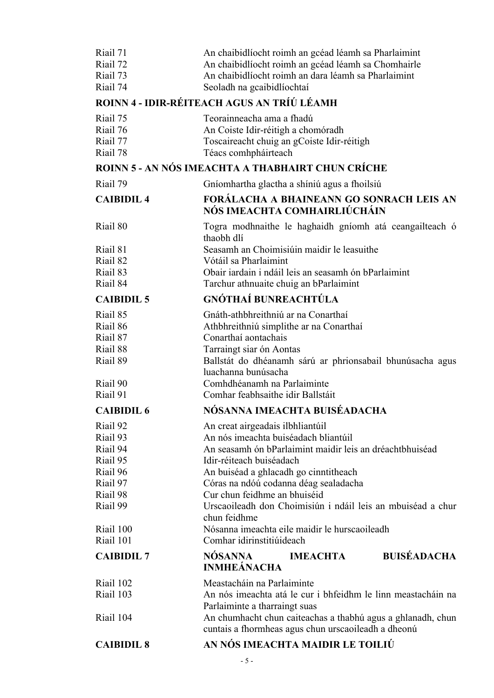| Riail 71          | An chaibidlíocht roimh an gcéad léamh sa Pharlaimint                                                               |
|-------------------|--------------------------------------------------------------------------------------------------------------------|
| Riail 72          | An chaibidlíocht roimh an gcéad léamh sa Chomhairle                                                                |
| Riail 73          | An chaibidlíocht roimh an dara léamh sa Pharlaimint                                                                |
| Riail 74          | Seoladh na gcaibidlíochtaí                                                                                         |
|                   | ROINN 4 - IDIR-RÉITEACH AGUS AN TRÍÚ LÉAMH                                                                         |
| Riail 75          | Teorainneacha ama a fhadú                                                                                          |
| Riail 76          | An Coiste Idir-réitigh a chomóradh                                                                                 |
| Riail 77          | Toscaireacht chuig an gCoiste Idir-réitigh                                                                         |
| Riail 78          | Téacs comhpháirteach                                                                                               |
|                   | ROINN 5 - AN NÓS IMEACHTA A THABHAIRT CHUN CRÍCHE                                                                  |
| Riail 79          | Gníomhartha glactha a shíniú agus a fhoilsiú                                                                       |
| <b>CAIBIDIL4</b>  | FORÁLACHA A BHAINEANN GO SONRACH LEIS AN<br><b>NÓS IMEACHTA COMHAIRLIÚCHÁIN</b>                                    |
| Riail 80          | Togra modhnaithe le haghaidh gníomh atá ceangailteach ó<br>thaobh dlí                                              |
| Riail 81          | Seasamh an Choimisiúin maidir le leasuithe                                                                         |
| Riail 82          | Vótáil sa Pharlaimint                                                                                              |
| Riail 83          | Obair iardain i ndáil leis an seasamh ón bParlaimint                                                               |
| Riail 84          | Tarchur athnuaite chuig an bParlaimint                                                                             |
| <b>CAIBIDIL5</b>  | GNÓTHAÍ BUNREACHTÚLA                                                                                               |
| Riail 85          | Gnáth-athbhreithniú ar na Conarthaí                                                                                |
| Riail 86          | Athbhreithniú simplithe ar na Conarthaí                                                                            |
| Riail 87          | Conarthaí aontachais                                                                                               |
| Riail 88          | Tarraingt siar ón Aontas                                                                                           |
| Riail 89          | Ballstát do dhéanamh sárú ar phrionsabail bhunúsacha agus<br>luachanna bunúsacha                                   |
| Riail 90          | Comhdhéanamh na Parlaiminte                                                                                        |
| Riail 91          | Comhar feabhsaithe idir Ballstáit                                                                                  |
| <b>CAIBIDIL 6</b> | NÓSANNA IMEACHTA BUISÉADACHA                                                                                       |
| Riail 92          | An creat airgeadais ilbhliantúil                                                                                   |
| Riail 93          | An nós imeachta buiséadach bliantúil                                                                               |
| Riail 94          | An seasamh ón bParlaimint maidir leis an dréachtbhuiséad                                                           |
| Riail 95          | Idir-réiteach buiséadach                                                                                           |
| Riail 96          | An buiséad a ghlacadh go cinntitheach                                                                              |
| Riail 97          | Córas na ndóú codanna déag sealadacha                                                                              |
| Riail 98          | Cur chun feidhme an bhuiséid                                                                                       |
| Riail 99          | Urscaoileadh don Choimisiún i ndáil leis an mbuiséad a chur<br>chun feidhme                                        |
| Riail 100         | Nósanna imeachta eile maidir le hurscaoileadh                                                                      |
| Riail 101         | Comhar idirinstitiúideach                                                                                          |
| <b>CAIBIDIL 7</b> | <b>NÓSANNA</b><br><b>BUISÉADACHA</b><br><b>IMEACHTA</b><br><b>INMHEÁNACHA</b>                                      |
| Riail 102         | Meastacháin na Parlaiminte                                                                                         |
| Riail 103         | An nós imeachta atá le cur i bhfeidhm le linn meastacháin na                                                       |
|                   | Parlaiminte a tharraingt suas                                                                                      |
| Riail 104         | An chumhacht chun caiteachas a thabhú agus a ghlanadh, chun<br>cuntais a fhormheas agus chun urscaoileadh a dheonú |
| <b>CAIBIDIL 8</b> | AN NÓS IMEACHTA MAIDIR LE TOILIÚ                                                                                   |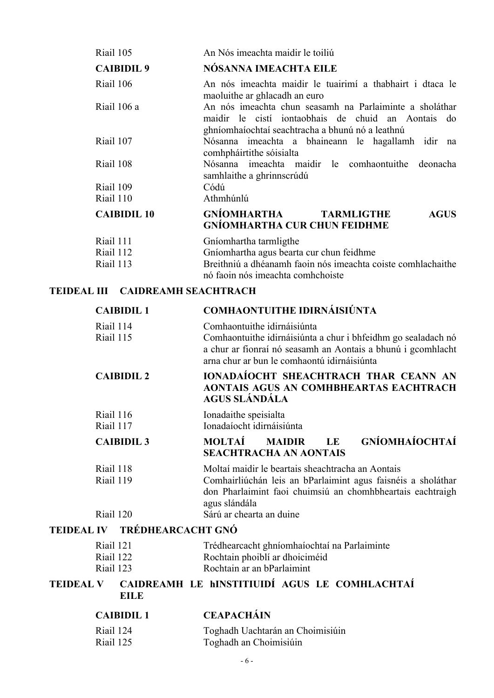| Riail 105          | An Nós imeachta maidir le toiliú                                                                                                                                  |
|--------------------|-------------------------------------------------------------------------------------------------------------------------------------------------------------------|
| <b>CAIBIDIL9</b>   | <b>NÓSANNA IMEACHTA EILE</b>                                                                                                                                      |
| Riail 106          | An nós imeachta maidir le tuairimí a thabhairt i dtaca le<br>maoluithe ar ghlacadh an euro                                                                        |
| Riail 106 a        | An nós imeachta chun seasamh na Parlaiminte a sholáthar<br>maidir le cistí iontaobhais de chuid an Aontais do<br>ghníomhaíochtaí seachtracha a bhunú nó a leathnú |
| Riail 107          | Nósanna imeachta a bhaineann le hagallamh idir na<br>comhpháirtithe sóisialta                                                                                     |
| Riail 108          | Nósanna imeachta maidir le comhaontuithe deonacha<br>samhlaithe a ghrinnscrúdú                                                                                    |
| Riail 109          | Códú                                                                                                                                                              |
| Riail 110          | Athmhúnlú                                                                                                                                                         |
| <b>CAIBIDIL 10</b> | GNÍOMHARTHA TARMLIGTHE<br><b>AGUS</b><br><b>GNÍOMHARTHA CUR CHUN FEIDHME</b>                                                                                      |
| Riail 111          | Gníomhartha tarmligthe                                                                                                                                            |
| Riail 112          | Gníomhartha agus bearta cur chun feidhme                                                                                                                          |
| Riail 113          | Breithniú a dhéanamh faoin nós imeachta coiste comhlachaithe<br>nó faoin nós imeachta comhchoiste                                                                 |

#### **TEIDEAL III [CAIDREAMH SEACHTRACH](#page-70-0)**

|                  | <b>CAIBIDIL1</b>                    | <b>COMHAONTUITHE IDIRNÁISIÚNTA</b>                                                                                                                                                                          |
|------------------|-------------------------------------|-------------------------------------------------------------------------------------------------------------------------------------------------------------------------------------------------------------|
|                  | Riail 114<br>Riail 115              | Comhaontuithe idirnáisiúnta<br>Comhaontuithe idirnáisiúnta a chur i bhfeidhm go sealadach nó<br>a chur ar fionraí nó seasamh an Aontais a bhunú i gcomhlacht<br>arna chur ar bun le comhaontú idirnáisiúnta |
|                  | <b>CAIBIDIL 2</b>                   | IONADAÍOCHT SHEACHTRACH THAR CEANN AN<br>AONTAIS AGUS AN COMHBHEARTAS EACHTRACH<br>AGUS SLÁNDÁLA                                                                                                            |
|                  | Riail 116                           | Ionadaithe speisialta                                                                                                                                                                                       |
|                  | Riail 117                           | Ionadaíocht idirnáisiúnta                                                                                                                                                                                   |
|                  | <b>CAIBIDIL 3</b>                   | <b>GNÍOMHAÍOCHTAÍ</b><br><b>MOLTAÍ</b><br><b>MAIDIR</b><br>LE<br><b>SEACHTRACHA AN AONTAIS</b>                                                                                                              |
|                  | Riail 118<br>Riail 119              | Moltaí maidir le beartais sheachtracha an Aontais<br>Comhairliúchán leis an bParlaimint agus faisnéis a sholáthar<br>don Pharlaimint faoi chuimsiú an chomhbheartais eachtraigh<br>agus slándála            |
|                  | Riail 120                           | Sárú ar chearta an duine                                                                                                                                                                                    |
|                  | TEIDEAL IV TRÉDHEARCACHT GNÓ        |                                                                                                                                                                                                             |
|                  | Riail 121<br>Riail 122<br>Riail 123 | Trédhearcacht ghníomhaíochtaí na Parlaiminte<br>Rochtain phoiblí ar dhoiciméid<br>Rochtain ar an bParlaimint                                                                                                |
| <b>TEIDEAL V</b> | <b>EILE</b>                         | CAIDREAMH LE HINSTITIUIDÍ AGUS LE COMHLACHTAÍ                                                                                                                                                               |
|                  | <b>CAIBIDIL1</b>                    | <b>CEAPACHÁIN</b>                                                                                                                                                                                           |

| -         | - . - - . - -                    |
|-----------|----------------------------------|
| Riail 124 | Toghadh Uachtarán an Choimisiúin |
| Riail 125 | Toghadh an Choimisiúin           |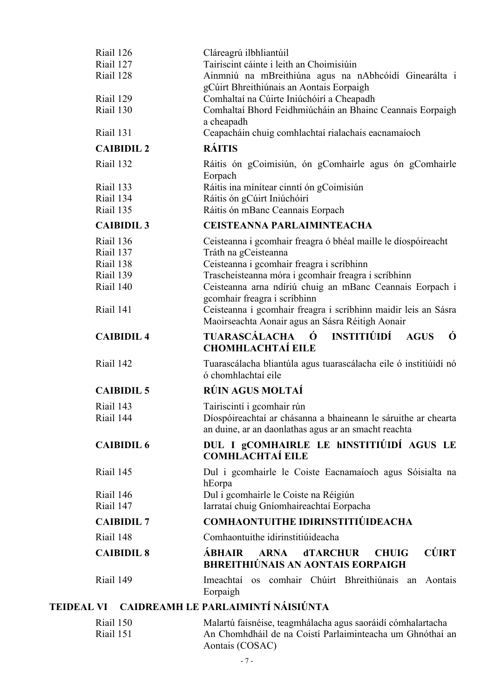| Riail 126              | Cláreagrú ilbhliantúil                                                                                                 |
|------------------------|------------------------------------------------------------------------------------------------------------------------|
| Riail 127              | Tairiscint cáinte i leith an Choimisiúin                                                                               |
| Riail 128              | Ainmniú na mBreithiúna agus na nAbhcóidí Ginearálta i<br>gCúirt Bhreithiúnais an Aontais Eorpaigh                      |
| Riail 129              | Comhaltaí na Cúirte Iniúchóirí a Cheapadh                                                                              |
| Riail 130              | Comhaltaí Bhord Feidhmiúcháin an Bhainc Ceannais Eorpaigh<br>a cheapadh                                                |
| Riail 131              | Ceapacháin chuig comhlachtaí rialachais eacnamaíoch                                                                    |
| <b>CAIBIDIL2</b>       | <b>RÁITIS</b>                                                                                                          |
| Riail 132              | Ráitis ón gCoimisiún, ón gComhairle agus ón gComhairle<br>Eorpach                                                      |
| Riail 133              | Ráitis ina mínítear cinntí ón gCoimisiún                                                                               |
| Riail 134              | Ráitis ón gCúirt Iniúchóirí                                                                                            |
| Riail 135              | Ráitis ón mBanc Ceannais Eorpach                                                                                       |
| <b>CAIBIDIL 3</b>      | <b>CEISTEANNA PARLAIMINTEACHA</b>                                                                                      |
| Riail 136              | Ceisteanna i gcomhair freagra ó bhéal maille le díospóireacht                                                          |
| Riail 137              | Tráth na gCeisteanna                                                                                                   |
| Riail 138<br>Riail 139 | Ceisteanna i gcomhair freagra i scríbhinn<br>Trascheisteanna móra i gcomhair freagra i scríbhinn                       |
| Riail 140              | Ceisteanna arna ndíriú chuig an mBanc Ceannais Eorpach i                                                               |
|                        | gcomhair freagra i scríbhinn                                                                                           |
| Riail 141              | Ceisteanna i gcomhair freagra i scríbhinn maidir leis an Sásra                                                         |
|                        | Maoirseachta Aonair agus an Sásra Réitigh Aonair                                                                       |
|                        |                                                                                                                        |
| <b>CAIBIDIL4</b>       | INSTITIÚIDÍ<br>TUARASCÁLACHA<br>Ó<br>Ó<br><b>AGUS</b><br><b>CHOMHLACHTAÍ EILE</b>                                      |
| Riail 142              | Tuarascálacha bliantúla agus tuarascálacha eile ó institiúidí nó<br>ó chomhlachtaí eile                                |
| <b>CAIBIDIL 5</b>      | <b>RÚIN AGUS MOLTAÍ</b>                                                                                                |
| Riail 143              | Tairiscintí i gcomhair rún                                                                                             |
| Riail 144              | Díospóireachtaí ar chásanna a bhaineann le sáruithe ar chearta<br>an duine, ar an daonlathas agus ar an smacht reachta |
| <b>CAIBIDIL 6</b>      | DUL I gCOMHAIRLE LE hINSTITIÚIDÍ AGUS LE<br><b>COMHLACHTAÍ EILE</b>                                                    |
| Riail 145              | Dul i gcomhairle le Coiste Eacnamaíoch agus Sóisialta na<br>hEorpa                                                     |
| Riail 146              | Dul i gcomhairle le Coiste na Réigiún                                                                                  |
| Riail 147              | Iarrataí chuig Gníomhaireachtaí Eorpacha                                                                               |
| <b>CAIBIDIL 7</b>      | <b>COMHAONTUITHE IDIRINSTITIÚIDEACHA</b>                                                                               |
| Riail 148              | Comhaontuithe idirinstitiúideacha                                                                                      |
| <b>CAIBIDIL 8</b>      | <b>CÚIRT</b><br>ÁBHAIR<br><b>ARNA</b><br><b>dTARCHUR</b><br><b>CHUIG</b><br><b>BHREITHIÚNAIS AN AONTAIS EORPAIGH</b>   |

# **TEIDEAL VI [CAIDREAMH LE PARLAIMINTÍ NÁISIÚNTA](#page-92-0)**

| Riail 150 | Malartú faisnéise, teagmhálacha agus saoráidí cómhalartacha |
|-----------|-------------------------------------------------------------|
| Riail 151 | An Chomhdháil de na Coistí Parlaiminteacha um Ghnóthaí an   |
|           | Aontais (COSAC)                                             |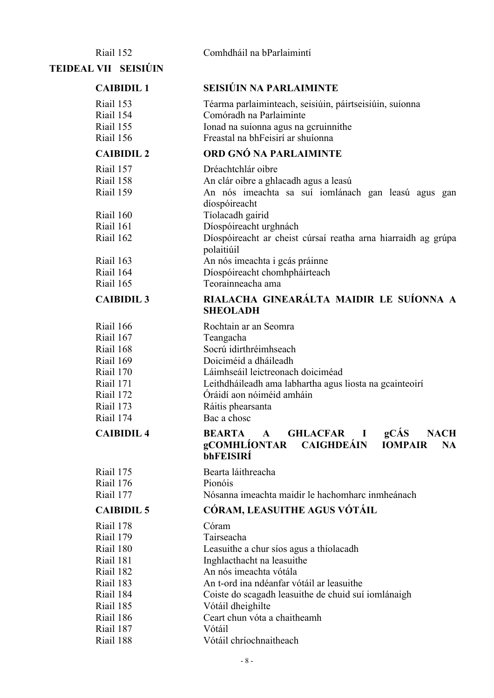| Riail 152              | Comhdháil na bParlaimintí                                                                                                                                  |
|------------------------|------------------------------------------------------------------------------------------------------------------------------------------------------------|
| TEIDEAL VII - SEISIÚIN |                                                                                                                                                            |
| <b>CAIBIDIL1</b>       | <b>SEISIÚIN NA PARLAIMINTE</b>                                                                                                                             |
| Riail 153              | Téarma parlaiminteach, seisiúin, páirtseisiúin, suíonna                                                                                                    |
| Riail 154              | Comóradh na Parlaiminte                                                                                                                                    |
| Riail 155              | Ionad na suíonna agus na gcruinnithe                                                                                                                       |
| Riail 156              | Freastal na bhFeisirí ar shuíonna                                                                                                                          |
| <b>CAIBIDIL 2</b>      | ORD GNÓ NA PARLAIMINTE                                                                                                                                     |
| Riail 157              | Dréachtchlár oibre                                                                                                                                         |
| Riail 158              | An clár oibre a ghlacadh agus a leasú                                                                                                                      |
| Riail 159              | An nós imeachta sa suí iomlánach gan leasú agus gan                                                                                                        |
|                        | díospóireacht                                                                                                                                              |
| Riail 160<br>Riail 161 | Tíolacadh gairid                                                                                                                                           |
| Riail 162              | Díospóireacht urghnách<br>Díospóireacht ar cheist cúrsaí reatha arna hiarraidh ag grúpa                                                                    |
|                        | polaitiúil                                                                                                                                                 |
| Riail 163              | An nós imeachta i gcás práinne                                                                                                                             |
| Riail 164              | Díospóireacht chomhpháirteach                                                                                                                              |
| Riail 165              | Teorainneacha ama                                                                                                                                          |
| <b>CAIBIDIL 3</b>      | RIALACHA GINEARÁLTA MAIDIR LE SUÍONNA A<br><b>SHEOLADH</b>                                                                                                 |
| Riail 166              | Rochtain ar an Seomra                                                                                                                                      |
| Riail 167              | Teangacha                                                                                                                                                  |
| Riail 168              | Socrú idirthréimhseach                                                                                                                                     |
| Riail 169              | Doiciméid a dháileadh                                                                                                                                      |
| Riail 170              | Láimhseáil leictreonach doiciméad                                                                                                                          |
| Riail 171              | Leithdháileadh ama labhartha agus liosta na gcainteoirí                                                                                                    |
| Riail 172              | Óráidí aon nóiméid amháin                                                                                                                                  |
| Riail 173              | Ráitis phearsanta                                                                                                                                          |
| Riail 174              | Bac a chose                                                                                                                                                |
| <b>CAIBIDIL4</b>       | gCAS<br><b>BEARTA</b><br><b>GHLACFAR</b> I<br><b>NACH</b><br>$\mathbf{A}$<br><b>gCOMHLÍONTAR</b><br><b>CAIGHDEÁIN</b><br><b>IOMPAIR</b><br>NA<br>bhFEISIRÍ |
| Riail 175              | Bearta láithreacha                                                                                                                                         |
| Riail 176              | Pionóis                                                                                                                                                    |
| Riail 177              | Nósanna imeachta maidir le hachomharc inmheánach                                                                                                           |
| <b>CAIBIDIL 5</b>      | CÓRAM, LEASUITHE AGUS VÓTÁIL                                                                                                                               |
| Riail 178              | Córam                                                                                                                                                      |
| Riail 179              | Tairseacha                                                                                                                                                 |
| Riail 180              | Leasuithe a chur síos agus a thíolacadh                                                                                                                    |
| Riail 181              | Inghlacthacht na leasuithe                                                                                                                                 |
| Riail 182              | An nós imeachta vótála                                                                                                                                     |
| Riail 183              | An t-ord ina ndéanfar vótáil ar leasuithe                                                                                                                  |
| Riail 184<br>Riail 185 | Coiste do scagadh leasuithe de chuid suí iomlánaigh<br>Vótáil dheighilte                                                                                   |
| Riail 186              | Ceart chun vóta a chaitheamh                                                                                                                               |
| Riail 187              | Vótáil                                                                                                                                                     |
| Riail 188              | Vótáil chríochnaitheach                                                                                                                                    |
|                        |                                                                                                                                                            |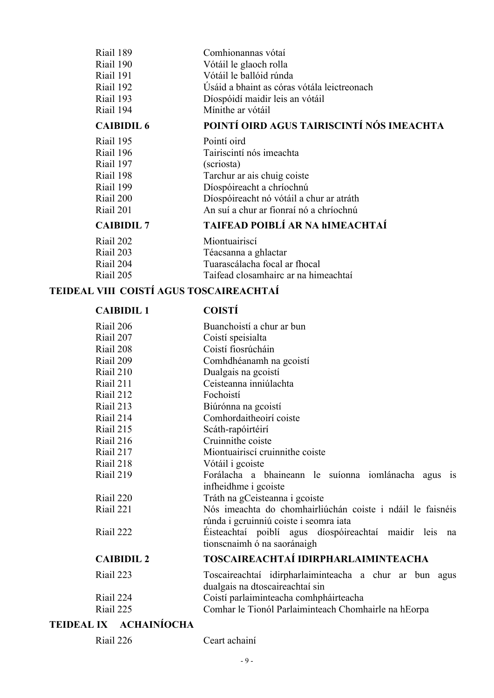| Riail 189         | Comhionannas vótaí                          |
|-------------------|---------------------------------------------|
| Riail 190         | Vótáil le glaoch rolla                      |
| Riail 191         | Vótáil le ballóid rúnda                     |
| Riail 192         | Úsáid a bhaint as córas vótála leictreonach |
| Riail 193         | Díospóidí maidir leis an vótáil             |
| Riail 194         | Mínithe ar vótáil                           |
| <b>CAIBIDIL 6</b> | POINTÍ OIRD AGUS TAIRISCINTÍ NÓS IMEACHTA   |
| Riail 195         | Pointí oird                                 |
| Riail 196         | Tairiscintí nós imeachta                    |
| Riail 197         | (scriosta)                                  |
| Riail 198         | Tarchur ar ais chuig coiste                 |
| Riail 199         | Díospóireacht a chríochnú                   |
| Riail 200         | Díospóireacht nó vótáil a chur ar atráth    |
| Riail 201         | An suí a chur ar fionraí nó a chríochnú     |
| <b>CAIBIDIL 7</b> | <b>TAIFEAD POIBLÍ AR NA hIMEACHTAÍ</b>      |
| Riail 202         | Miontuairiscí                               |
| Riail 203         | Téacsanna a ghlactar                        |

[Taifead closamhairc ar na himeachtaí](#page-118-0)

# **TEIDEAL VIII [COISTÍ AGUS TOSCAIREACHTAÍ](#page-119-0)**

Riail 204 [Tuarascálacha focal ar fhocal](#page-117-1)<br>Riail 205 Taifead closamhairc ar na hin

| <b>CAIBIDIL1</b>  | <b>COISTÍ</b>                                                                                        |
|-------------------|------------------------------------------------------------------------------------------------------|
| Riail 206         | Buanchoistí a chur ar bun                                                                            |
| Riail 207         | Coistí speisialta                                                                                    |
| Riail 208         | Coistí fiosrúcháin                                                                                   |
| Riail 209         | Comhdhéanamh na gcoistí                                                                              |
| Riail 210         | Dualgais na gcoistí                                                                                  |
| Riail 211         | Ceisteanna inniúlachta                                                                               |
| Riail 212         | Fochoistí                                                                                            |
| Riail 213         | Biúrónna na gcoistí                                                                                  |
| Riail 214         | Comhordaitheoirí coiste                                                                              |
| Riail 215         | Scáth-rapóirtéirí                                                                                    |
| Riail 216         | Cruinnithe coiste                                                                                    |
| Riail 217         | Miontuairiscí cruinnithe coiste                                                                      |
| Riail 218         | Vótáil i gcoiste                                                                                     |
| Riail 219         | Forálacha a bhaineann le suíonna iomlánacha agus is<br>infheidhme i gcoiste                          |
| Riail 220         | Tráth na gCeisteanna i gcoiste                                                                       |
| Riail 221         | Nós imeachta do chomhairliúchán coiste i ndáil le faisnéis<br>rúnda i gcruinniú coiste i seomra iata |
| Riail 222         | Eisteachtaí poiblí agus díospóireachtaí maidir leis na<br>tionscnaimh ó na saoránaigh                |
| <b>CAIBIDIL 2</b> | TOSCAIREACHTAÍ IDIRPHARLAIMINTEACHA                                                                  |
| Riail 223         | Toscaireachtaí idirpharlaiminteacha a chur ar bun agus<br>dualgais na dtoscaireachtaí sin            |

Riail 224 [Coistí parlaiminteacha comhpháirteacha](#page-129-2) Riail 225 [Comhar le Tionól Parlaiminteach Chomhairle na hEorpa](#page-130-0)

# **TEIDEAL IX [ACHAINÍOCHA](#page-131-0)**

|  | Riail 226 |  |  |
|--|-----------|--|--|
|--|-----------|--|--|

[Ceart achainí](#page-131-1)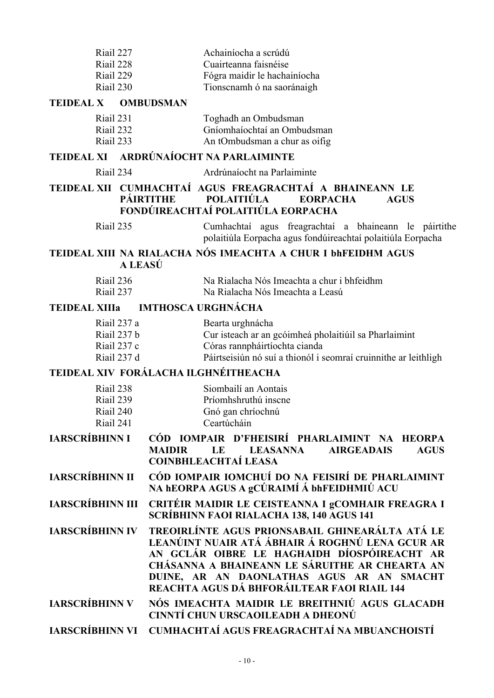| Riail 227 | Achainíocha a scrúdú         |
|-----------|------------------------------|
| Riail 228 | Cuairteanna faisnéise        |
| Riail 229 | Fógra maidir le hachainíocha |
| Riail 230 | Tionscnamh ó na saoránaigh   |

#### **TEIDEAL X [OMBUDSMAN](#page-135-0)**

| Riail 231 | Toghadh an Ombudsman          |
|-----------|-------------------------------|
| Riail 232 | Gníomhaíochtaí an Ombudsman   |
| Riail 233 | An tOmbudsman a chur as oifig |

#### **TEIDEAL XI [ARDRÚNAÍOCHT NA PARLAIMINTE](#page-137-0)**

#### Riail 234 [Ardrúnaíocht na Parlaiminte](#page-137-1)

#### **TEIDEAL XII [CUMHACHTAÍ AGUS FREAGRACHTAÍ A BHAINEANN LE](#page-138-0)  [PÁIRTITHE POLAITIÚLA EORPACHA AGUS](#page-138-0)  [FONDÚIREACHTAÍ POLAITIÚLA EORPACHA](#page-138-0)**

| Riail 235 |  | Cumhachtaí agus freagrachtaí a bhaineann le páirtithe       |  |  |
|-----------|--|-------------------------------------------------------------|--|--|
|           |  | polaitiúla Eorpacha agus fondúireachtaí polaitiúla Eorpacha |  |  |

#### **TEIDEAL XIII [NA RIALACHA NÓS IMEACHTA A CHUR I bhFEIDHM AGUS](#page-140-0)  [A LEASÚ](#page-140-0)**

| Riail 236 | Na Rialacha Nós Imeachta a chur i bhfeidhm |
|-----------|--------------------------------------------|
| Riail 237 | Na Rialacha Nós Imeachta a Leasú           |

#### **TEIDEAL XIIIa [IMTHOSCA URGHNÁCHA](#page-142-0)**

| Riail 237 a | Bearta urghnácha                                                |
|-------------|-----------------------------------------------------------------|
| Riail 237 b | Cur isteach ar an gcóimheá pholaitiúil sa Pharlaimint           |
| Riail 237 c | Córas rannpháirtíochta cianda                                   |
| Riail 237 d | Páirtseisiún nó suí a thionól i seomraí cruinnithe ar leithligh |

#### **TEIDEAL XIV [FORÁLACHA ILGHNÉITHEACHA](#page-142-0)**

| Riail 238 | Siombailí an Aontais |
|-----------|----------------------|
| Riail 239 | Príomhshruthú inscne |
| Riail 240 | Gnó gan chríochnú    |
| Riail 241 | Ceartúcháin          |

- **IARSCRÍBHINN I [CÓD IOMPAIR D'FHEISIRÍ PHARLAIMINT NA HEORPA](#page-149-0)  [MAIDIR LE LEASANNA AIRGEADAIS AGUS](#page-149-0)  [COINBHLEACHTAÍ LEASA](#page-149-0)**
- **IARSCRÍBHINN II [CÓD IOMPAIR IOMCHUÍ DO NA FEISIRÍ DE PHARLAIMINT](#page-155-0)  [NA hEORPA AGUS A gCÚRAIMÍ Á bhFEIDHMIÚ ACU](#page-155-0)**
- **IARSCRÍBHINN III [CRITÉIR MAIDIR LE CEISTEANNA I gCOMHAIR FREAGRA I](#page-156-0)  [SCRÍBHINN FAOI RIALACHA 138, 140 AGUS 141](#page-156-0)**
- **IARSCRÍBHINN IV [TREOIRLÍNTE AGUS PRIONSABAIL GHINEARÁLTA ATÁ LE](#page-157-0)  [LEANÚINT NUAIR ATÁ ÁBHAIR Á ROGHNÚ LENA GCUR AR](#page-157-0)  [AN GCLÁR OIBRE LE HAGHAIDH DÍOSPÓIREACHT AR](#page-157-0)  [CHÁSANNA A BHAINEANN LE SÁRUITHE AR CHEARTA AN](#page-157-0)  [DUINE, AR AN DAONLATHAS AGUS AR AN SMACHT](#page-157-0)  [REACHTA AGUS DÁ BHFORÁILTEAR FAOI RIAIL 144](#page-157-0)**

**IARSCRÍBHINN V [NÓS IMEACHTA MAIDIR LE BREITHNIÚ AGUS GLACADH](#page-158-0)  [CINNTÍ CHUN URSCAOILEADH A DHEONÚ](#page-158-0)**

**IARSCRÍBHINN VI [CUMHACHTAÍ AGUS FREAGRACHTAÍ NA MBUANCHOISTÍ](#page-161-0)**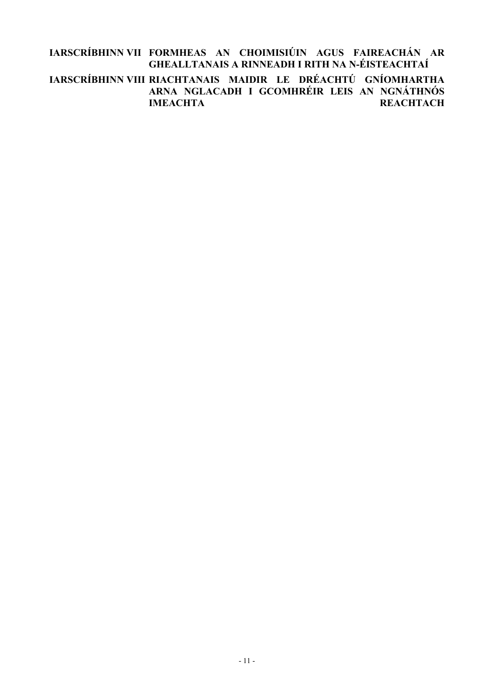# **IARSCRÍBHINN VII [FORMHEAS AN CHOIMISIÚIN AGUS FAIREACHÁN AR](#page-173-0)  [GHEALLTANAIS A RINNEADH I RITH NA N-ÉISTEACHTAÍ](#page-173-0) IARSCRÍBHINN VIII [RIACHTANAIS MAIDIR LE DRÉACHTÚ GNÍOMHARTHA](#page-179-0)  [ARNA NGLACADH I GCOMHRÉIR LEIS AN NGNÁTHNÓS](#page-179-0)  IMEACHTA** REACHTACH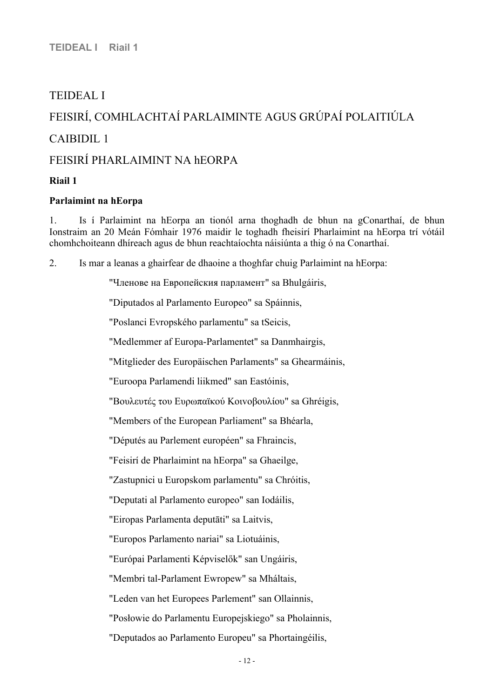# TEIDEAL I

# <span id="page-11-0"></span>FEISIRÍ, COMHLACHTAÍ PARLAIMINTE AGUS GRÚPAÍ POLAITIÚLA CAIBIDIL 1

# <span id="page-11-1"></span>FEISIRÍ PHARLAIMINT NA hEORPA

#### **Riail 1**

#### <span id="page-11-2"></span>**Parlaimint na hEorpa**

1. Is í Parlaimint na hEorpa an tionól arna thoghadh de bhun na gConarthaí, de bhun Ionstraim an 20 Meán Fómhair 1976 maidir le toghadh fheisirí Pharlaimint na hEorpa trí vótáil chomhchoiteann dhíreach agus de bhun reachtaíochta náisiúnta a thig ó na Conarthaí.

2. Is mar a leanas a ghairfear de dhaoine a thoghfar chuig Parlaimint na hEorpa:

"Членове на Европейския парламент" sa Bhulgáiris,

"Diputados al Parlamento Europeo" sa Spáinnis,

"Poslanci Evropského parlamentu" sa tSeicis,

"Medlemmer af Europa-Parlamentet" sa Danmhairgis,

"Mitglieder des Europäischen Parlaments" sa Ghearmáinis,

"Euroopa Parlamendi liikmed" san Eastóinis,

"Βoυλευτές τoυ Ευρωπαϊκoύ Κoιvoβoυλίoυ" sa Ghréigis,

"Members of the European Parliament" sa Bhéarla,

"Députés au Parlement européen" sa Fhraincis,

"Feisirí de Pharlaimint na hEorpa" sa Ghaeilge,

"Zastupnici u Europskom parlamentu" sa Chróitis,

"Deputati al Parlamento europeo" san Iodáilis,

"Eiropas Parlamenta deputāti" sa Laitvis,

"Europos Parlamento nariai" sa Liotuáinis,

"Európai Parlamenti Képviselők" san Ungáiris,

"Membri tal-Parlament Ewropew" sa Mháltais,

"Leden van het Europees Parlement" san Ollainnis,

"Posłowie do Parlamentu Europejskiego" sa Pholainnis,

"Deputados ao Parlamento Europeu" sa Phortaingéilis,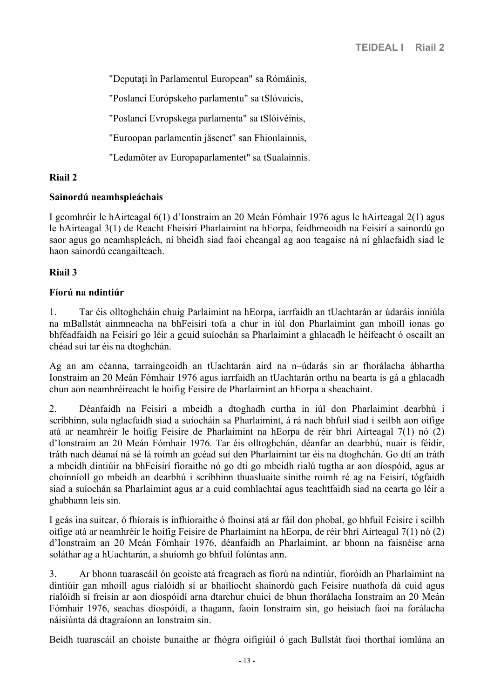"Deputaţi în Parlamentul European" sa Rómáinis,

"Poslanci Európskeho parlamentu" sa tSlóvaicis,

"Poslanci Evropskega parlamenta" sa tSlóivéinis,

"Euroopan parlamentin jäsenet" san Fhionlainnis,

"Ledamöter av Europaparlamentet" sa tSualainnis.

#### **Riail 2**

#### <span id="page-12-0"></span>**Sainordú neamhspleáchais**

I gcomhréir le hAirteagal 6(1) d'Ionstraim an 20 Meán Fómhair 1976 agus le hAirteagal 2(1) agus le hAirteagal 3(1) de Reacht Fheisirí Pharlaimint na hEorpa, feidhmeoidh na Feisirí a sainordú go saor agus go neamhspleách, ní bheidh siad faoi cheangal ag aon teagaisc ná ní ghlacfaidh siad le haon sainordú ceangailteach.

#### **Riail 3**

#### <span id="page-12-1"></span>**Fíorú na ndintiúr**

1. Tar éis olltoghcháin chuig Parlaimint na hEorpa, iarrfaidh an tUachtarán ar údaráis inniúla na mBallstát ainmneacha na bhFeisirí tofa a chur in iúl don Pharlaimint gan mhoill ionas go bhféadfaidh na Feisirí go léir a gcuid suíochán sa Pharlaimint a ghlacadh le héifeacht ó oscailt an chéad suí tar éis na dtoghchán.

Ag an am céanna, tarraingeoidh an tUachtarán aird na n–údarás sin ar fhorálacha ábhartha Ionstraim an 20 Meán Fómhair 1976 agus iarrfaidh an tUachtarán orthu na bearta is gá a ghlacadh chun aon neamhréireacht le hoifig Feisire de Pharlaimint an hEorpa a sheachaint.

2. Déanfaidh na Feisirí a mbeidh a dtoghadh curtha in iúl don Pharlaimint dearbhú i scríbhinn, sula nglacfaidh siad a suíocháin sa Pharlaimint, á rá nach bhfuil siad i seilbh aon oifige atá ar neamhréir le hoifig Feisire de Pharlaimint na hEorpa de réir bhrí Airteagal 7(1) nó (2) d'Ionstraim an 20 Meán Fómhair 1976. Tar éis olltoghchán, déanfar an dearbhú, nuair is féidir, tráth nach déanaí ná sé lá roimh an gcéad suí den Pharlaimint tar éis na dtoghchán. Go dtí an tráth a mbeidh dintiúir na bhFeisirí fíoraithe nó go dtí go mbeidh rialú tugtha ar aon díospóid, agus ar choinníoll go mbeidh an dearbhú i scríbhinn thuasluaite sínithe roimh ré ag na Feisirí, tógfaidh siad a suíochán sa Pharlaimint agus ar a cuid comhlachtaí agus teachtfaidh siad na cearta go léir a ghabhann leis sin.

I gcás ina suitear, ó fhíorais is infhíoraithe ó fhoinsí atá ar fáil don phobal, go bhfuil Feisire i seilbh oifige atá ar neamhréir le hoifig Feisire de Pharlaimint na hEorpa, de réir bhrí Airteagal 7(1) nó (2) d'Ionstraim an 20 Meán Fómhair 1976, déanfaidh an Pharlaimint, ar bhonn na faisnéise arna soláthar ag a hUachtarán, a shuíomh go bhfuil folúntas ann.

3. Ar bhonn tuarascáil ón gcoiste atá freagrach as fíorú na ndintiúr, fíoróidh an Pharlaimint na dintiúir gan mhoill agus rialóidh sí ar bhailíocht shainordú gach Feisire nuathofa dá cuid agus rialóidh sí freisin ar aon díospóidí arna dtarchur chuici de bhun fhorálacha Ionstraim an 20 Meán Fómhair 1976, seachas díospóidí, a thagann, faoin Ionstraim sin, go heisiach faoi na forálacha náisiúnta dá dtagraíonn an Ionstraim sin.

Beidh tuarascáil an choiste bunaithe ar fhógra oifigiúil ó gach Ballstát faoi thorthaí iomlána an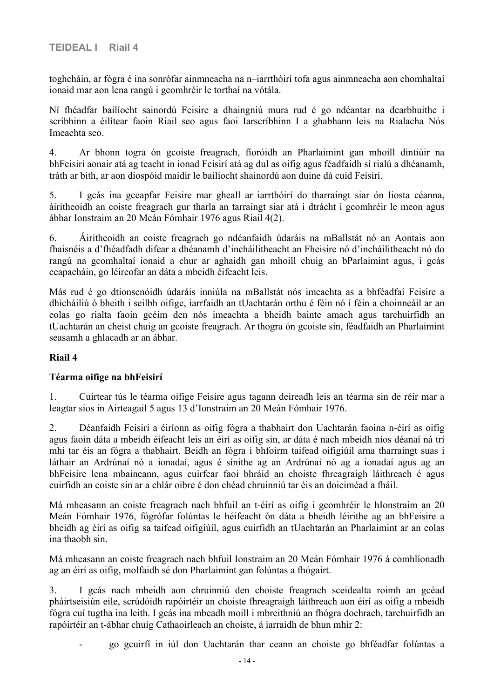toghcháin, ar fógra é ina sonrófar ainmneacha na n–iarrthóirí tofa agus ainmneacha aon chomhaltaí ionaid mar aon lena rangú i gcomhréir le torthaí na vótála.

Ní fhéadfar bailíocht sainordú Feisire a dhaingniú mura rud é go ndéantar na dearbhuithe i scríbhinn a éilítear faoin Riail seo agus faoi Iarscríbhinn I a ghabhann leis na Rialacha Nós Imeachta seo.

4. Ar bhonn togra ón gcoiste freagrach, fíoróidh an Pharlaimint gan mhoill dintiúir na bhFeisirí aonair atá ag teacht in ionad Feisirí atá ag dul as oifig agus féadfaidh sí rialú a dhéanamh, tráth ar bith, ar aon díospóid maidir le bailíocht shainordú aon duine dá cuid Feisirí.

5. I gcás ina gceapfar Feisire mar gheall ar iarrthóirí do tharraingt siar ón liosta céanna, áiritheoidh an coiste freagrach gur tharla an tarraingt siar atá i dtrácht i gcomhréir le meon agus ábhar Ionstraim an 20 Meán Fómhair 1976 agus Riail 4(2).

6. Áiritheoidh an coiste freagrach go ndéanfaidh údaráis na mBallstát nó an Aontais aon fhaisnéis a d'fhéadfadh difear a dhéanamh d'incháilitheacht an Fheisire nó d'incháilitheacht nó do rangú na gcomhaltaí ionaid a chur ar aghaidh gan mhoill chuig an bParlaimint agus, i gcás ceapacháin, go léireofar an dáta a mbeidh éifeacht leis.

Más rud é go dtionscnóidh údaráis inniúla na mBallstát nós imeachta as a bhféadfaí Feisire a dhícháiliú ó bheith i seilbh oifige, iarrfaidh an tUachtarán orthu é féin nó í féin a choinneáil ar an eolas go rialta faoin gcéim den nós imeachta a bheidh bainte amach agus tarchuirfidh an tUachtarán an cheist chuig an gcoiste freagrach. Ar thogra ón gcoiste sin, féadfaidh an Pharlaimint seasamh a ghlacadh ar an ábhar.

#### **Riail 4**

#### <span id="page-13-0"></span>**Téarma oifige na bhFeisirí**

1. Cuirtear tús le téarma oifige Feisire agus tagann deireadh leis an téarma sin de réir mar a leagtar síos in Airteagail 5 agus 13 d'Ionstraim an 20 Meán Fómhair 1976.

2. Déanfaidh Feisirí a éiríonn as oifig fógra a thabhairt don Uachtarán faoina n-éirí as oifig agus faoin dáta a mbeidh éifeacht leis an éirí as oifig sin, ar dáta é nach mbeidh níos déanaí ná trí mhí tar éis an fógra a thabhairt. Beidh an fógra i bhfoirm taifead oifigiúil arna tharraingt suas i láthair an Ardrúnaí nó a ionadaí, agus é sínithe ag an Ardrúnaí nó ag a ionadaí agus ag an bhFeisire lena mbaineann, agus cuirfear faoi bhráid an choiste fhreagraigh láithreach é agus cuirfidh an coiste sin ar a chlár oibre é don chéad chruinniú tar éis an doiciméad a fháil.

Má mheasann an coiste freagrach nach bhfuil an t-éirí as oifig i gcomhréir le hIonstraim an 20 Meán Fómhair 1976, fógrófar folúntas le héifeacht ón dáta a bheidh léirithe ag an bhFeisire a bheidh ag éirí as oifig sa taifead oifigiúil, agus cuirfidh an tUachtarán an Pharlaimint ar an eolas ina thaobh sin.

Má mheasann an coiste freagrach nach bhfuil Ionstraim an 20 Meán Fómhair 1976 á comhlíonadh ag an éirí as oifig, molfaidh sé don Pharlaimint gan folúntas a fhógairt.

3. I gcás nach mbeidh aon chruinniú den choiste freagrach sceidealta roimh an gcéad pháirtseisiún eile, scrúdóidh rapóirtéir an choiste fhreagraigh láithreach aon éirí as oifig a mbeidh fógra cuí tugtha ina leith. I gcás ina mbeadh moill i mbreithniú an fhógra dochrach, tarchuirfidh an rapóirtéir an t-ábhar chuig Cathaoirleach an choiste, á iarraidh de bhun mhír 2:

- go gcuirfí in iúl don Uachtarán thar ceann an choiste go bhféadfar folúntas a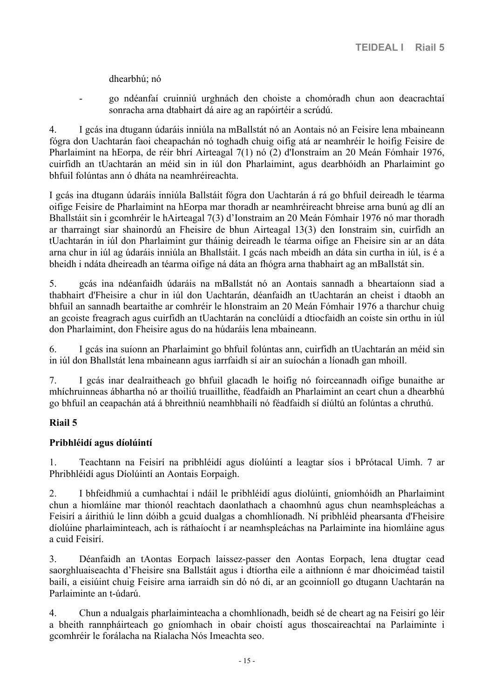dhearbhú; nó

- go ndéanfaí cruinniú urghnách den choiste a chomóradh chun aon deacrachtaí sonracha arna dtabhairt dá aire ag an rapóirtéir a scrúdú.

4. I gcás ina dtugann údaráis inniúla na mBallstát nó an Aontais nó an Feisire lena mbaineann fógra don Uachtarán faoi cheapachán nó toghadh chuig oifig atá ar neamhréir le hoifig Feisire de Pharlaimint na hEorpa, de réir bhrí Airteagal 7(1) nó (2) d'Ionstraim an 20 Meán Fómhair 1976, cuirfidh an tUachtarán an méid sin in iúl don Pharlaimint, agus dearbhóidh an Pharlaimint go bhfuil folúntas ann ó dháta na neamhréireachta.

I gcás ina dtugann údaráis inniúla Ballstáit fógra don Uachtarán á rá go bhfuil deireadh le téarma oifige Feisire de Pharlaimint na hEorpa mar thoradh ar neamhréireacht bhreise arna bunú ag dlí an Bhallstáit sin i gcomhréir le hAirteagal 7(3) d'Ionstraim an 20 Meán Fómhair 1976 nó mar thoradh ar tharraingt siar shainordú an Fheisire de bhun Airteagal 13(3) den Ionstraim sin, cuirfidh an tUachtarán in iúl don Pharlaimint gur tháinig deireadh le téarma oifige an Fheisire sin ar an dáta arna chur in iúl ag údaráis inniúla an Bhallstáit. I gcás nach mbeidh an dáta sin curtha in iúl, is é a bheidh i ndáta dheireadh an téarma oifige ná dáta an fhógra arna thabhairt ag an mBallstát sin.

5. gcás ina ndéanfaidh údaráis na mBallstát nó an Aontais sannadh a bheartaíonn siad a thabhairt d'Fheisire a chur in iúl don Uachtarán, déanfaidh an tUachtarán an cheist i dtaobh an bhfuil an sannadh beartaithe ar comhréir le hIonstraim an 20 Meán Fómhair 1976 a tharchur chuig an gcoiste freagrach agus cuirfidh an tUachtarán na conclúidí a dtiocfaidh an coiste sin orthu in iúl don Pharlaimint, don Fheisire agus do na húdaráis lena mbaineann.

6. I gcás ina suíonn an Pharlaimint go bhfuil folúntas ann, cuirfidh an tUachtarán an méid sin in iúl don Bhallstát lena mbaineann agus iarrfaidh sí air an suíochán a líonadh gan mhoill.

7. I gcás inar dealraitheach go bhfuil glacadh le hoifig nó foirceannadh oifige bunaithe ar mhíchruinneas ábhartha nó ar thoiliú truaillithe, féadfaidh an Pharlaimint an ceart chun a dhearbhú go bhfuil an ceapachán atá á bhreithniú neamhbhailí nó féadfaidh sí diúltú an folúntas a chruthú.

#### **Riail 5**

#### <span id="page-14-0"></span>**Pribhléidí agus díolúintí**

1. Teachtann na Feisirí na pribhléidí agus díolúintí a leagtar síos i bPrótacal Uimh. 7 ar Phribhléidí agus Díolúintí an Aontais Eorpaigh.

2. I bhfeidhmiú a cumhachtaí i ndáil le pribhléidí agus díolúintí, gníomhóidh an Pharlaimint chun a hiomláine mar thionól reachtach daonlathach a chaomhnú agus chun neamhspleáchas a Feisirí a áirithiú le linn dóibh a gcuid dualgas a chomhlíonadh. Ní pribhléid phearsanta d'Fheisire díolúine pharlaiminteach, ach is ráthaíocht í ar neamhspleáchas na Parlaiminte ina hiomláine agus a cuid Feisirí.

3. Déanfaidh an tAontas Eorpach laissez-passer den Aontas Eorpach, lena dtugtar cead saorghluaiseachta d'Fheisire sna Ballstáit agus i dtíortha eile a aithníonn é mar dhoiciméad taistil bailí, a eisiúint chuig Feisire arna iarraidh sin dó nó di, ar an gcoinníoll go dtugann Uachtarán na Parlaiminte an t-údarú.

4. Chun a ndualgais pharlaiminteacha a chomhlíonadh, beidh sé de cheart ag na Feisirí go léir a bheith rannpháirteach go gníomhach in obair choistí agus thoscaireachtaí na Parlaiminte i gcomhréir le forálacha na Rialacha Nós Imeachta seo.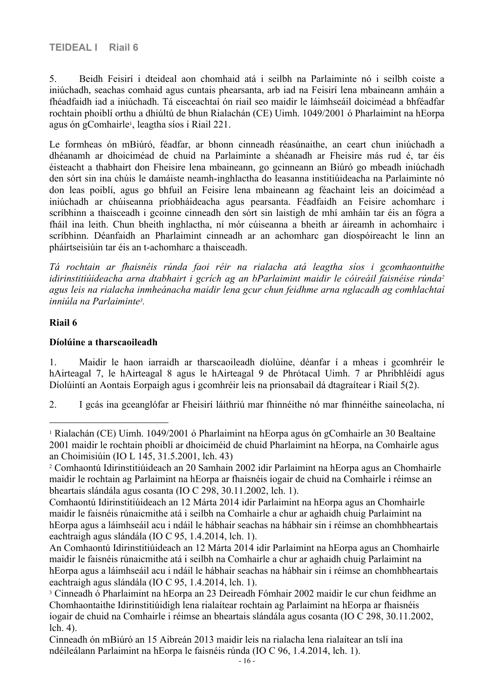#### **TEIDEAL I Riail 6**

5. Beidh Feisirí i dteideal aon chomhaid atá i seilbh na Parlaiminte nó i seilbh coiste a iniúchadh, seachas comhaid agus cuntais phearsanta, arb iad na Feisirí lena mbaineann amháin a fhéadfaidh iad a iniúchadh. Tá eisceachtaí ón riail seo maidir le láimhseáil doiciméad a bhféadfar rochtain phoiblí orthu a dhiúltú de bhun Rialachán (CE) Uimh. 1049/2001 ó Pharlaimint na hEorpa agus ón gComhairle<sup>1</sup> , leagtha síos i Riail 221.

Le formheas ón mBiúró, féadfar, ar bhonn cinneadh réasúnaithe, an ceart chun iniúchadh a dhéanamh ar dhoiciméad de chuid na Parlaiminte a shéanadh ar Fheisire más rud é, tar éis éisteacht a thabhairt don Fheisire lena mbaineann, go gcinneann an Biúró go mbeadh iniúchadh den sórt sin ina chúis le damáiste neamh-inghlactha do leasanna institiúideacha na Parlaiminte nó don leas poiblí, agus go bhfuil an Feisire lena mbaineann ag féachaint leis an doiciméad a iniúchadh ar chúiseanna príobháideacha agus pearsanta. Féadfaidh an Feisire achomharc i scríbhinn a thaisceadh i gcoinne cinneadh den sórt sin laistigh de mhí amháin tar éis an fógra a fháil ina leith. Chun bheith inghlactha, ní mór cúiseanna a bheith ar áireamh in achomhairc i scríbhinn. Déanfaidh an Pharlaimint cinneadh ar an achomharc gan díospóireacht le linn an pháirtseisiúin tar éis an t-achomharc a thaisceadh.

*Tá rochtain ar fhaisnéis rúnda faoi réir na rialacha atá leagtha síos i gcomhaontuithe idirinstitiúideacha arna dtabhairt i gcrích ag an bParlaimint maidir le cóireáil faisnéise rúnda<sup>2</sup> agus leis na rialacha inmheánacha maidir lena gcur chun feidhme arna nglacadh ag comhlachtaí inniúla na Parlaiminte<sup>3</sup> .*

#### **Riail 6**

#### <span id="page-15-0"></span>**Díolúine a tharscaoileadh**

1. Maidir le haon iarraidh ar tharscaoileadh díolúine, déanfar í a mheas i gcomhréir le hAirteagal 7, le hAirteagal 8 agus le hAirteagal 9 de Phrótacal Uimh. 7 ar Phribhléidí agus Díolúintí an Aontais Eorpaigh agus i gcomhréir leis na prionsabail dá dtagraítear i Riail 5(2).

2. I gcás ina gceanglófar ar Fheisirí láithriú mar fhinnéithe nó mar fhinnéithe saineolacha, ní

<sup>1</sup> Rialachán (CE) Uimh. 1049/2001 ó Pharlaimint na hEorpa agus ón gComhairle an 30 Bealtaine 2001 maidir le rochtain phoiblí ar dhoiciméid de chuid Pharlaimint na hEorpa, na Comhairle agus an Choimisiúin (IO L 145, 31.5.2001, lch. 43)

<sup>2</sup> Comhaontú Idirinstitiúideach an 20 Samhain 2002 idir Parlaimint na hEorpa agus an Chomhairle maidir le rochtain ag Parlaimint na hEorpa ar fhaisnéis íogair de chuid na Comhairle i réimse an bheartais slándála agus cosanta (IO C 298, 30.11.2002, lch. 1).

Comhaontú Idirinstitiúideach an 12 Márta 2014 idir Parlaimint na hEorpa agus an Chomhairle maidir le faisnéis rúnaicmithe atá i seilbh na Comhairle a chur ar aghaidh chuig Parlaimint na hEorpa agus a láimhseáil acu i ndáil le hábhair seachas na hábhair sin i réimse an chomhbheartais eachtraigh agus slándála (IO C 95, 1.4.2014, lch. 1).

An Comhaontú Idirinstitiúideach an 12 Márta 2014 idir Parlaimint na hEorpa agus an Chomhairle maidir le faisnéis rúnaicmithe atá i seilbh na Comhairle a chur ar aghaidh chuig Parlaimint na hEorpa agus a láimhseáil acu i ndáil le hábhair seachas na hábhair sin i réimse an chomhbheartais eachtraigh agus slándála (IO C 95, 1.4.2014, lch. 1).

<sup>3</sup> Cinneadh ó Pharlaimint na hEorpa an 23 Deireadh Fómhair 2002 maidir le cur chun feidhme an Chomhaontaithe Idirinstitiúidigh lena rialaítear rochtain ag Parlaimint na hEorpa ar fhaisnéis íogair de chuid na Comhairle i réimse an bheartais slándála agus cosanta (IO C 298, 30.11.2002, lch. 4).

Cinneadh ón mBiúró an 15 Aibreán 2013 maidir leis na rialacha lena rialaítear an tslí ina ndéileálann Parlaimint na hEorpa le faisnéis rúnda (IO C 96, 1.4.2014, lch. 1).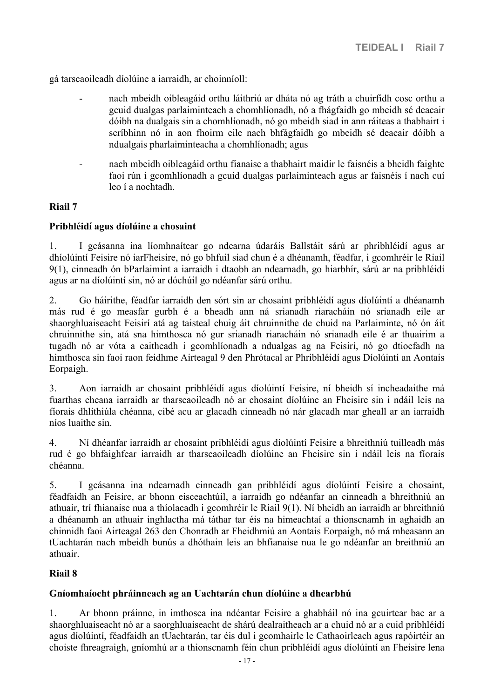gá tarscaoileadh díolúine a iarraidh, ar choinníoll:

- nach mbeidh oibleagáid orthu láithriú ar dháta nó ag tráth a chuirfidh cosc orthu a gcuid dualgas parlaiminteach a chomhlíonadh, nó a fhágfaidh go mbeidh sé deacair dóibh na dualgais sin a chomhlíonadh, nó go mbeidh siad in ann ráiteas a thabhairt i scríbhinn nó in aon fhoirm eile nach bhfágfaidh go mbeidh sé deacair dóibh a ndualgais pharlaiminteacha a chomhlíonadh; agus
- nach mbeidh oibleagáid orthu fianaise a thabhairt maidir le faisnéis a bheidh faighte faoi rún i gcomhlíonadh a gcuid dualgas parlaiminteach agus ar faisnéis í nach cuí leo í a nochtadh.

#### **Riail 7**

#### <span id="page-16-0"></span>**Pribhléidí agus díolúine a chosaint**

1. I gcásanna ina líomhnaítear go ndearna údaráis Ballstáit sárú ar phribhléidí agus ar dhíolúintí Feisire nó iarFheisire, nó go bhfuil siad chun é a dhéanamh, féadfar, i gcomhréir le Riail 9(1), cinneadh ón bParlaimint a iarraidh i dtaobh an ndearnadh, go hiarbhír, sárú ar na pribhléidí agus ar na díolúintí sin, nó ar dóchúil go ndéanfar sárú orthu.

2. Go háirithe, féadfar iarraidh den sórt sin ar chosaint pribhléidí agus díolúintí a dhéanamh más rud é go measfar gurbh é a bheadh ann ná srianadh riaracháin nó srianadh eile ar shaorghluaiseacht Feisirí atá ag taisteal chuig áit chruinnithe de chuid na Parlaiminte, nó ón áit chruinnithe sin, atá sna himthosca nó gur srianadh riaracháin nó srianadh eile é ar thuairim a tugadh nó ar vóta a caitheadh i gcomhlíonadh a ndualgas ag na Feisirí, nó go dtiocfadh na himthosca sin faoi raon feidhme Airteagal 9 den Phrótacal ar Phribhléidí agus Díolúintí an Aontais Eorpaigh.

3. Aon iarraidh ar chosaint pribhléidí agus díolúintí Feisire, ní bheidh sí incheadaithe má fuarthas cheana iarraidh ar tharscaoileadh nó ar chosaint díolúine an Fheisire sin i ndáil leis na fíorais dhlíthiúla chéanna, cibé acu ar glacadh cinneadh nó nár glacadh mar gheall ar an iarraidh níos luaithe sin.

4. Ní dhéanfar iarraidh ar chosaint pribhléidí agus díolúintí Feisire a bhreithniú tuilleadh más rud é go bhfaighfear iarraidh ar tharscaoileadh díolúine an Fheisire sin i ndáil leis na fíorais chéanna.

5. I gcásanna ina ndearnadh cinneadh gan pribhléidí agus díolúintí Feisire a chosaint, féadfaidh an Feisire, ar bhonn eisceachtúil, a iarraidh go ndéanfar an cinneadh a bhreithniú an athuair, trí fhianaise nua a thíolacadh i gcomhréir le Riail 9(1). Ní bheidh an iarraidh ar bhreithniú a dhéanamh an athuair inghlactha má táthar tar éis na himeachtaí a thionscnamh in aghaidh an chinnidh faoi Airteagal 263 den Chonradh ar Fheidhmiú an Aontais Eorpaigh, nó má mheasann an tUachtarán nach mbeidh bunús a dhóthain leis an bhfianaise nua le go ndéanfar an breithniú an athuair.

#### **Riail 8**

#### <span id="page-16-1"></span>**Gníomhaíocht phráinneach ag an Uachtarán chun díolúine a dhearbhú**

1. Ar bhonn práinne, in imthosca ina ndéantar Feisire a ghabháil nó ina gcuirtear bac ar a shaorghluaiseacht nó ar a saorghluaiseacht de shárú dealraitheach ar a chuid nó ar a cuid pribhléidí agus díolúintí, féadfaidh an tUachtarán, tar éis dul i gcomhairle le Cathaoirleach agus rapóirtéir an choiste fhreagraigh, gníomhú ar a thionscnamh féin chun pribhléidí agus díolúintí an Fheisire lena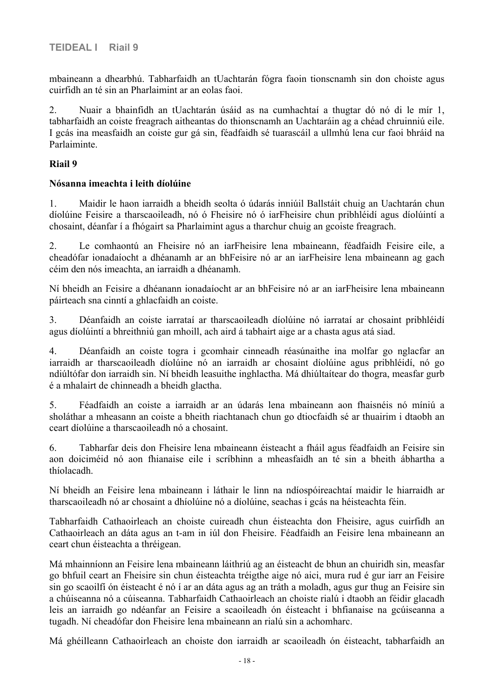mbaineann a dhearbhú. Tabharfaidh an tUachtarán fógra faoin tionscnamh sin don choiste agus cuirfidh an té sin an Pharlaimint ar an eolas faoi.

2. Nuair a bhainfidh an tUachtarán úsáid as na cumhachtaí a thugtar dó nó di le mír 1, tabharfaidh an coiste freagrach aitheantas do thionscnamh an Uachtaráin ag a chéad chruinniú eile. I gcás ina measfaidh an coiste gur gá sin, féadfaidh sé tuarascáil a ullmhú lena cur faoi bhráid na Parlaiminte.

#### **Riail 9**

#### <span id="page-17-0"></span>**Nósanna imeachta i leith díolúine**

1. Maidir le haon iarraidh a bheidh seolta ó údarás inniúil Ballstáit chuig an Uachtarán chun díolúine Feisire a tharscaoileadh, nó ó Fheisire nó ó iarFheisire chun pribhléidí agus díolúintí a chosaint, déanfar í a fhógairt sa Pharlaimint agus a tharchur chuig an gcoiste freagrach.

2. Le comhaontú an Fheisire nó an iarFheisire lena mbaineann, féadfaidh Feisire eile, a cheadófar ionadaíocht a dhéanamh ar an bhFeisire nó ar an iarFheisire lena mbaineann ag gach céim den nós imeachta, an iarraidh a dhéanamh.

Ní bheidh an Feisire a dhéanann ionadaíocht ar an bhFeisire nó ar an iarFheisire lena mbaineann páirteach sna cinntí a ghlacfaidh an coiste.

3. Déanfaidh an coiste iarrataí ar tharscaoileadh díolúine nó iarrataí ar chosaint pribhléidí agus díolúintí a bhreithniú gan mhoill, ach aird á tabhairt aige ar a chasta agus atá siad.

4. Déanfaidh an coiste togra i gcomhair cinneadh réasúnaithe ina molfar go nglacfar an iarraidh ar tharscaoileadh díolúine nó an iarraidh ar chosaint díolúine agus pribhléidí, nó go ndiúltófar don iarraidh sin. Ní bheidh leasuithe inghlactha. Má dhiúltaítear do thogra, measfar gurb é a mhalairt de chinneadh a bheidh glactha.

5. Féadfaidh an coiste a iarraidh ar an údarás lena mbaineann aon fhaisnéis nó míniú a sholáthar a mheasann an coiste a bheith riachtanach chun go dtiocfaidh sé ar thuairim i dtaobh an ceart díolúine a tharscaoileadh nó a chosaint.

6. Tabharfar deis don Fheisire lena mbaineann éisteacht a fháil agus féadfaidh an Feisire sin aon doiciméid nó aon fhianaise eile i scríbhinn a mheasfaidh an té sin a bheith ábhartha a thíolacadh.

Ní bheidh an Feisire lena mbaineann i láthair le linn na ndíospóireachtaí maidir le hiarraidh ar tharscaoileadh nó ar chosaint a dhíolúine nó a díolúine, seachas i gcás na héisteachta féin.

Tabharfaidh Cathaoirleach an choiste cuireadh chun éisteachta don Fheisire, agus cuirfidh an Cathaoirleach an dáta agus an t-am in iúl don Fheisire. Féadfaidh an Feisire lena mbaineann an ceart chun éisteachta a thréigean.

Má mhainníonn an Feisire lena mbaineann láithriú ag an éisteacht de bhun an chuiridh sin, measfar go bhfuil ceart an Fheisire sin chun éisteachta tréigthe aige nó aici, mura rud é gur iarr an Feisire sin go scaoilfí ón éisteacht é nó í ar an dáta agus ag an tráth a moladh, agus gur thug an Feisire sin a chúiseanna nó a cúiseanna. Tabharfaidh Cathaoirleach an choiste rialú i dtaobh an féidir glacadh leis an iarraidh go ndéanfar an Feisire a scaoileadh ón éisteacht i bhfianaise na gcúiseanna a tugadh. Ní cheadófar don Fheisire lena mbaineann an rialú sin a achomharc.

Má ghéilleann Cathaoirleach an choiste don iarraidh ar scaoileadh ón éisteacht, tabharfaidh an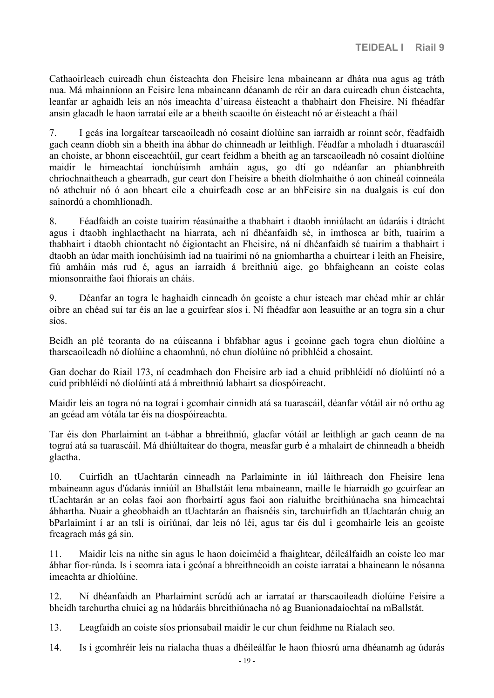Cathaoirleach cuireadh chun éisteachta don Fheisire lena mbaineann ar dháta nua agus ag tráth nua. Má mhainníonn an Feisire lena mbaineann déanamh de réir an dara cuireadh chun éisteachta, leanfar ar aghaidh leis an nós imeachta d'uireasa éisteacht a thabhairt don Fheisire. Ní fhéadfar ansin glacadh le haon iarrataí eile ar a bheith scaoilte ón éisteacht nó ar éisteacht a fháil

7. I gcás ina lorgaítear tarscaoileadh nó cosaint díolúine san iarraidh ar roinnt scór, féadfaidh gach ceann díobh sin a bheith ina ábhar do chinneadh ar leithligh. Féadfar a mholadh i dtuarascáil an choiste, ar bhonn eisceachtúil, gur ceart feidhm a bheith ag an tarscaoileadh nó cosaint díolúine maidir le himeachtaí ionchúisimh amháin agus, go dtí go ndéanfar an phianbhreith chríochnaitheach a ghearradh, gur ceart don Fheisire a bheith díolmhaithe ó aon chineál coinneála nó athchuir nó ó aon bheart eile a chuirfeadh cosc ar an bhFeisire sin na dualgais is cuí don sainordú a chomhlíonadh.

8. Féadfaidh an coiste tuairim réasúnaithe a thabhairt i dtaobh inniúlacht an údaráis i dtrácht agus i dtaobh inghlacthacht na hiarrata, ach ní dhéanfaidh sé, in imthosca ar bith, tuairim a thabhairt i dtaobh chiontacht nó éigiontacht an Fheisire, ná ní dhéanfaidh sé tuairim a thabhairt i dtaobh an údar maith ionchúisimh iad na tuairimí nó na gníomhartha a chuirtear i leith an Fheisire, fiú amháin más rud é, agus an iarraidh á breithniú aige, go bhfaigheann an coiste eolas mionsonraithe faoi fhíorais an cháis.

9. Déanfar an togra le haghaidh cinneadh ón gcoiste a chur isteach mar chéad mhír ar chlár oibre an chéad suí tar éis an lae a gcuirfear síos í. Ní fhéadfar aon leasuithe ar an togra sin a chur síos.

Beidh an plé teoranta do na cúiseanna i bhfabhar agus i gcoinne gach togra chun díolúine a tharscaoileadh nó díolúine a chaomhnú, nó chun díolúine nó pribhléid a chosaint.

Gan dochar do Riail 173, ní ceadmhach don Fheisire arb iad a chuid pribhléidí nó díolúintí nó a cuid pribhléidí nó díolúintí atá á mbreithniú labhairt sa díospóireacht.

Maidir leis an togra nó na tograí i gcomhair cinnidh atá sa tuarascáil, déanfar vótáil air nó orthu ag an gcéad am vótála tar éis na díospóireachta.

Tar éis don Pharlaimint an t-ábhar a bhreithniú, glacfar vótáil ar leithligh ar gach ceann de na tograí atá sa tuarascáil. Má dhiúltaítear do thogra, measfar gurb é a mhalairt de chinneadh a bheidh glactha.

10. Cuirfidh an tUachtarán cinneadh na Parlaiminte in iúl láithreach don Fheisire lena mbaineann agus d'údarás inniúil an Bhallstáit lena mbaineann, maille le hiarraidh go gcuirfear an tUachtarán ar an eolas faoi aon fhorbairtí agus faoi aon rialuithe breithiúnacha sna himeachtaí ábhartha. Nuair a gheobhaidh an tUachtarán an fhaisnéis sin, tarchuirfidh an tUachtarán chuig an bParlaimint í ar an tslí is oiriúnaí, dar leis nó léi, agus tar éis dul i gcomhairle leis an gcoiste freagrach más gá sin.

11. Maidir leis na nithe sin agus le haon doiciméid a fhaightear, déileálfaidh an coiste leo mar ábhar fíor-rúnda. Is i seomra iata i gcónaí a bhreithneoidh an coiste iarrataí a bhaineann le nósanna imeachta ar dhíolúine.

12. Ní dhéanfaidh an Pharlaimint scrúdú ach ar iarrataí ar tharscaoileadh díolúine Feisire a bheidh tarchurtha chuici ag na húdaráis bhreithiúnacha nó ag Buanionadaíochtaí na mBallstát.

13. Leagfaidh an coiste síos prionsabail maidir le cur chun feidhme na Rialach seo.

14. Is i gcomhréir leis na rialacha thuas a dhéileálfar le haon fhiosrú arna dhéanamh ag údarás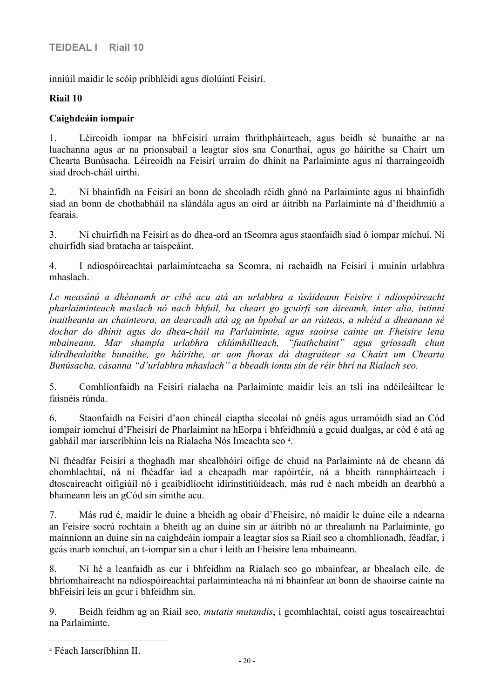inniúil maidir le scóip pribhléidí agus díolúintí Feisirí.

#### **Riail 10**

#### <span id="page-19-0"></span>**Caighdeáin iompair**

1. Léireoidh iompar na bhFeisirí urraim fhrithpháirteach, agus beidh sé bunaithe ar na luachanna agus ar na prionsabail a leagtar síos sna Conarthaí, agus go háirithe sa Chairt um Chearta Bunúsacha. Léireoidh na Feisirí urraim do dhínit na Parlaiminte agus ní tharraingeoidh siad droch-cháil uirthi.

2. Ní bhainfidh na Feisirí an bonn de sheoladh réidh ghnó na Parlaiminte agus ní bhainfidh siad an bonn de chothabháil na slándála agus an oird ar áitribh na Parlaiminte ná d'fheidhmiú a fearais.

3. Ní chuirfidh na Feisirí as do dhea-ord an tSeomra agus staonfaidh siad ó iompar míchuí. Ní chuirfidh siad bratacha ar taispeáint.

4. I ndíospóireachtaí parlaiminteacha sa Seomra, ní rachaidh na Feisirí i muinín urlabhra mhaslach.

*Le measúnú a dhéanamh ar cibé acu atá an urlabhra a úsáideann Feisire i ndíospóireacht pharlaiminteach maslach nó nach bhfuil, ba cheart go gcuirfí san áireamh, inter alia, intinní inaitheanta an chainteora, an dearcadh atá ag an bpobal ar an ráiteas, a mhéid a dheanann sé dochar do dhínit agus do dhea-cháil na Parlaiminte, agus saoirse cainte an Fheisire lena mbaineann. Mar shampla urlabhra chlúmhillteach, "fuathchaint" agus gríosadh chun idirdhealaithe bunaithe, go háirithe, ar aon fhoras dá dtagraítear sa Chairt um Chearta Bunúsacha, cásanna "d'urlabhra mhaslach" a bheadh iontu sin de réir bhrí na Rialach seo.*

5. Comhlíonfaidh na Feisirí rialacha na Parlaiminte maidir leis an tslí ina ndéileáiltear le faisnéis rúnda.

6. Staonfaidh na Feisirí d'aon chineál ciaptha síceolaí nó gnéis agus urramóidh siad an Cód iompair iomchuí d'Fheisirí de Pharlaimint na hEorpa i bhfeidhmiú a gcuid dualgas, ar cód é atá ag gabháil mar iarscríbhinn leis na Rialacha Nós Imeachta seo <sup>4</sup> .

Ní fhéadfar Feisirí a thoghadh mar shealbhóirí oifige de chuid na Parlaiminte ná de cheann dá chomhlachtaí, ná ní fhéadfar iad a cheapadh mar rapóirtéir, ná a bheith rannpháirteach i dtoscaireacht oifigiúil nó i gcaibidlíocht idirinstitiúideach, más rud é nach mbeidh an dearbhú a bhaineann leis an gCód sin sínithe acu.

7. Más rud é, maidir le duine a bheidh ag obair d'Fheisire, nó maidir le duine eile a ndearna an Feisire socrú rochtain a bheith ag an duine sin ar áitribh nó ar threalamh na Parlaiminte, go mainníonn an duine sin na caighdeáin iompair a leagtar síos sa Riail seo a chomhlíonadh, féadfar, i gcás inarb iomchuí, an t-iompar sin a chur i leith an Fheisire lena mbaineann.

8. Ní hé a leanfaidh as cur i bhfeidhm na Rialach seo go mbainfear, ar bhealach eile, de bhríomhaireacht na ndíospóireachtaí parlaiminteacha ná ní bhainfear an bonn de shaoirse cainte na bhFeisirí leis an gcur i bhfeidhm sin.

9. Beidh feidhm ag an Riail seo, *mutatis mutandis*, i gcomhlachtaí, coistí agus toscaireachtaí na Parlaiminte.

<sup>4</sup> Féach Iarscríbhinn II.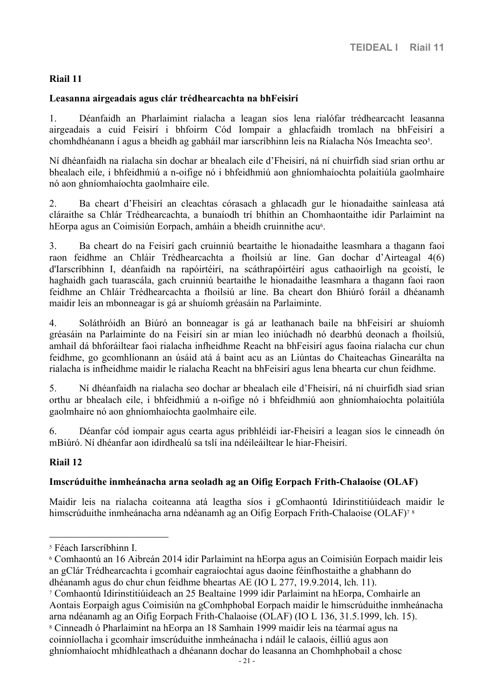#### **Riail 11**

#### <span id="page-20-0"></span>**Leasanna airgeadais agus clár trédhearcachta na bhFeisirí**

1. Déanfaidh an Pharlaimint rialacha a leagan síos lena rialófar trédhearcacht leasanna airgeadais a cuid Feisirí i bhfoirm Cód Iompair a ghlacfaidh tromlach na bhFeisirí a chomhdhéanann í agus a bheidh ag gabháil mar iarscríbhinn leis na Rialacha Nós Imeachta seo<sup>5</sup>.

Ní dhéanfaidh na rialacha sin dochar ar bhealach eile d'Fheisirí, ná ní chuirfidh siad srian orthu ar bhealach eile, i bhfeidhmiú a n-oifige nó i bhfeidhmiú aon ghníomhaíochta polaitiúla gaolmhaire nó aon ghníomhaíochta gaolmhaire eile.

2. Ba cheart d'Fheisirí an cleachtas córasach a ghlacadh gur le hionadaithe sainleasa atá cláraithe sa Chlár Trédhearcachta, a bunaíodh trí bhíthin an Chomhaontaithe idir Parlaimint na hEorpa agus an Coimisiún Eorpach, amháin a bheidh cruinnithe acu<sup>6</sup>.

3. Ba cheart do na Feisirí gach cruinniú beartaithe le hionadaithe leasmhara a thagann faoi raon feidhme an Chláir Trédhearcachta a fhoilsiú ar líne. Gan dochar d'Airteagal 4(6) d'Iarscríbhinn I, déanfaidh na rapóirtéirí, na scáthrapóirtéirí agus cathaoirligh na gcoistí, le haghaidh gach tuarascála, gach cruinniú beartaithe le hionadaithe leasmhara a thagann faoi raon feidhme an Chláir Trédhearcachta a fhoilsiú ar líne. Ba cheart don Bhiúró foráil a dhéanamh maidir leis an mbonneagar is gá ar shuíomh gréasáin na Parlaiminte.

4. Soláthróidh an Biúró an bonneagar is gá ar leathanach baile na bhFeisirí ar shuíomh gréasáin na Parlaiminte do na Feisirí sin ar mian leo iniúchadh nó dearbhú deonach a fhoilsiú, amhail dá bhforáiltear faoi rialacha infheidhme Reacht na bhFeisirí agus faoina rialacha cur chun feidhme, go gcomhlíonann an úsáid atá á baint acu as an Liúntas do Chaiteachas Ginearálta na rialacha is infheidhme maidir le rialacha Reacht na bhFeisirí agus lena bhearta cur chun feidhme.

5. Ní dhéanfaidh na rialacha seo dochar ar bhealach eile d'Fheisirí, ná ní chuirfidh siad srian orthu ar bhealach eile, i bhfeidhmiú a n-oifige nó i bhfeidhmiú aon ghníomhaíochta polaitiúla gaolmhaire nó aon ghníomhaíochta gaolmhaire eile.

6. Déanfar cód iompair agus cearta agus pribhléidí iar-Fheisirí a leagan síos le cinneadh ón mBiúró. Ní dhéanfar aon idirdhealú sa tslí ina ndéileáiltear le hiar-Fheisirí.

#### **Riail 12**

#### <span id="page-20-1"></span>**Imscrúduithe inmheánacha arna seoladh ag an Oifig Eorpach Frith-Chalaoise (OLAF)**

Maidir leis na rialacha coiteanna atá leagtha síos i gComhaontú Idirinstitiúideach maidir le himscrúduithe inmheánacha arna ndéanamh ag an Oifig Eorpach Frith-Chalaoise (OLAF)<sup>78</sup>

<sup>5</sup> Féach Iarscríbhinn I.

<sup>6</sup> Comhaontú an 16 Aibreán 2014 idir Parlaimint na hEorpa agus an Coimisiún Eorpach maidir leis an gClár Trédhearcachta i gcomhair eagraíochtaí agus daoine féinfhostaithe a ghabhann do dhéanamh agus do chur chun feidhme bheartas AE (IO L 277, 19.9.2014, lch. 11).

<sup>7</sup> Comhaontú Idirinstitiúideach an 25 Bealtaine 1999 idir Parlaimint na hEorpa, Comhairle an Aontais Eorpaigh agus Coimisiún na gComhphobal Eorpach maidir le himscrúduithe inmheánacha arna ndéanamh ag an Oifig Eorpach Frith-Chalaoise (OLAF) (IO L 136, 31.5.1999, lch. 15).

<sup>8</sup> Cinneadh ó Pharlaimint na hEorpa an 18 Samhain 1999 maidir leis na téarmaí agus na coinníollacha i gcomhair imscrúduithe inmheánacha i ndáil le calaois, éilliú agus aon ghníomhaíocht mhídhleathach a dhéanann dochar do leasanna an Chomhphobail a chosc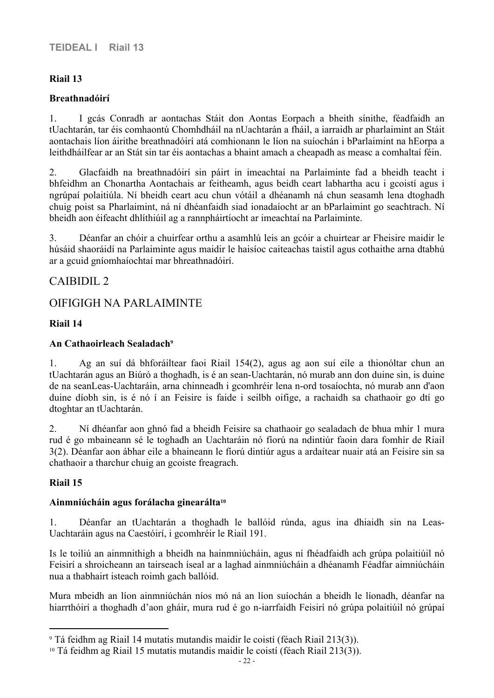#### **Riail 13**

#### <span id="page-21-0"></span>**Breathnadóirí**

1. I gcás Conradh ar aontachas Stáit don Aontas Eorpach a bheith sínithe, féadfaidh an tUachtarán, tar éis comhaontú Chomhdháil na nUachtarán a fháil, a iarraidh ar pharlaimint an Stáit aontachais líon áirithe breathnadóirí atá comhionann le líon na suíochán i bParlaimint na hEorpa a leithdháilfear ar an Stát sin tar éis aontachas a bhaint amach a cheapadh as measc a comhaltaí féin.

2. Glacfaidh na breathnadóirí sin páirt in imeachtaí na Parlaiminte fad a bheidh teacht i bhfeidhm an Chonartha Aontachais ar feitheamh, agus beidh ceart labhartha acu i gcoistí agus i ngrúpaí polaitiúla. Ní bheidh ceart acu chun vótáil a dhéanamh ná chun seasamh lena dtoghadh chuig poist sa Pharlaimint, ná ní dhéanfaidh siad ionadaíocht ar an bParlaimint go seachtrach. Ní bheidh aon éifeacht dhlíthiúil ag a rannpháirtíocht ar imeachtaí na Parlaiminte.

3. Déanfar an chóir a chuirfear orthu a asamhlú leis an gcóir a chuirtear ar Fheisire maidir le húsáid shaoráidí na Parlaiminte agus maidir le haisíoc caiteachas taistil agus cothaithe arna dtabhú ar a gcuid gníomhaíochtaí mar bhreathnadóirí.

## CAIBIDIL 2

## <span id="page-21-1"></span>OIFIGIGH NA PARLAIMINTE

#### **Riail 14**

#### <span id="page-21-2"></span>**An Cathaoirleach Sealadach<sup>9</sup>**

1. Ag an suí dá bhforáiltear faoi Riail 154(2), agus ag aon suí eile a thionóltar chun an tUachtarán agus an Biúró a thoghadh, is é an sean-Uachtarán, nó murab ann don duine sin, is duine de na seanLeas-Uachtaráin, arna chinneadh i gcomhréir lena n-ord tosaíochta, nó murab ann d'aon duine díobh sin, is é nó í an Feisire is faide i seilbh oifige, a rachaidh sa chathaoir go dtí go dtoghtar an tUachtarán.

2. Ní dhéanfar aon ghnó fad a bheidh Feisire sa chathaoir go sealadach de bhua mhír 1 mura rud é go mbaineann sé le toghadh an Uachtaráin nó fíorú na ndintiúr faoin dara fomhír de Riail 3(2). Déanfar aon ábhar eile a bhaineann le fíorú dintiúr agus a ardaítear nuair atá an Feisire sin sa chathaoir a tharchur chuig an gcoiste freagrach.

#### **Riail 15**

#### <span id="page-21-3"></span>**Ainmniúcháin agus forálacha ginearálta<sup>10</sup>**

1. Déanfar an tUachtarán a thoghadh le ballóid rúnda, agus ina dhiaidh sin na Leas-Uachtaráin agus na Caestóirí, i gcomhréir le Riail 191.

Is le toiliú an ainmnithigh a bheidh na hainmniúcháin, agus ní fhéadfaidh ach grúpa polaitiúil nó Feisirí a shroicheann an tairseach íseal ar a laghad ainmniúcháin a dhéanamh Féadfar aimniúcháin nua a thabhairt isteach roimh gach ballóid.

Mura mbeidh an líon ainmniúchán níos mó ná an líon suíochán a bheidh le líonadh, déanfar na hiarrthóirí a thoghadh d'aon gháir, mura rud é go n-iarrfaidh Feisirí nó grúpa polaitiúil nó grúpaí

<sup>9</sup> Tá feidhm ag Riail 14 mutatis mutandis maidir le coistí (féach Riail 213(3)).

<sup>10</sup> Tá feidhm ag Riail 15 mutatis mutandis maidir le coistí (féach Riail 213(3)).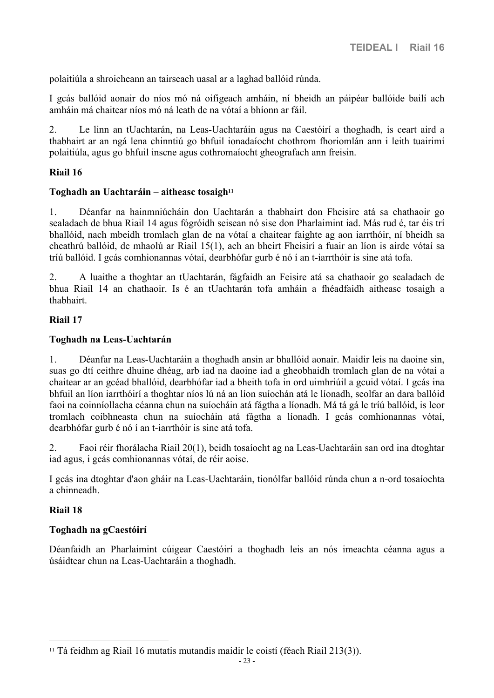polaitiúla a shroicheann an tairseach uasal ar a laghad ballóid rúnda.

I gcás ballóid aonair do níos mó ná oifigeach amháin, ní bheidh an páipéar ballóide bailí ach amháin má chaitear níos mó ná leath de na vótaí a bhíonn ar fáil.

2. Le linn an tUachtarán, na Leas-Uachtaráin agus na Caestóirí a thoghadh, is ceart aird a thabhairt ar an ngá lena chinntiú go bhfuil ionadaíocht chothrom fhoriomlán ann i leith tuairimí polaitiúla, agus go bhfuil inscne agus cothromaíocht gheografach ann freisin.

#### **Riail 16**

#### <span id="page-22-0"></span>**Toghadh an Uachtaráin – aitheasc tosaigh<sup>11</sup>**

1. Déanfar na hainmniúcháin don Uachtarán a thabhairt don Fheisire atá sa chathaoir go sealadach de bhua Riail 14 agus fógróidh seisean nó sise don Pharlaimint iad. Más rud é, tar éis trí bhallóid, nach mbeidh tromlach glan de na vótaí a chaitear faighte ag aon iarrthóir, ní bheidh sa cheathrú ballóid, de mhaolú ar Riail 15(1), ach an bheirt Fheisirí a fuair an líon is airde vótaí sa tríú ballóid. I gcás comhionannas vótaí, dearbhófar gurb é nó í an t-iarrthóir is sine atá tofa.

2. A luaithe a thoghtar an tUachtarán, fágfaidh an Feisire atá sa chathaoir go sealadach de bhua Riail 14 an chathaoir. Is é an tUachtarán tofa amháin a fhéadfaidh aitheasc tosaigh a thabhairt.

#### **Riail 17**

#### <span id="page-22-1"></span>**Toghadh na Leas-Uachtarán**

1. Déanfar na Leas-Uachtaráin a thoghadh ansin ar bhallóid aonair. Maidir leis na daoine sin, suas go dtí ceithre dhuine dhéag, arb iad na daoine iad a gheobhaidh tromlach glan de na vótaí a chaitear ar an gcéad bhallóid, dearbhófar iad a bheith tofa in ord uimhriúil a gcuid vótaí. I gcás ina bhfuil an líon iarrthóirí a thoghtar níos lú ná an líon suíochán atá le líonadh, seolfar an dara ballóid faoi na coinníollacha céanna chun na suíocháin atá fágtha a líonadh. Má tá gá le tríú ballóid, is leor tromlach coibhneasta chun na suíocháin atá fágtha a líonadh. I gcás comhionannas vótaí, dearbhófar gurb é nó í an t-iarrthóir is sine atá tofa.

2. Faoi réir fhorálacha Riail 20(1), beidh tosaíocht ag na Leas-Uachtaráin san ord ina dtoghtar iad agus, i gcás comhionannas vótaí, de réir aoise.

I gcás ina dtoghtar d'aon gháir na Leas-Uachtaráin, tionólfar ballóid rúnda chun a n-ord tosaíochta a chinneadh.

#### **Riail 18**

#### <span id="page-22-2"></span>**Toghadh na gCaestóirí**

Déanfaidh an Pharlaimint cúigear Caestóirí a thoghadh leis an nós imeachta céanna agus a úsáidtear chun na Leas-Uachtaráin a thoghadh.

<sup>11</sup> Tá feidhm ag Riail 16 mutatis mutandis maidir le coistí (féach Riail 213(3)).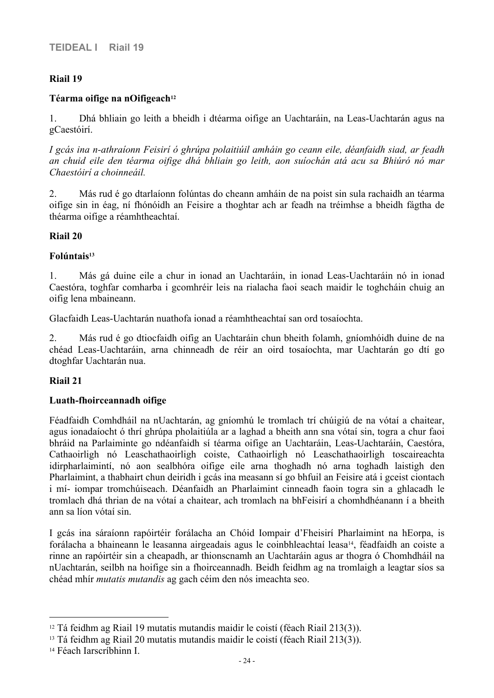#### **Riail 19**

#### <span id="page-23-0"></span>**Téarma oifige na nOifigeach<sup>12</sup>**

1. Dhá bhliain go leith a bheidh i dtéarma oifige an Uachtaráin, na Leas-Uachtarán agus na gCaestóirí.

*I gcás ina n-athraíonn Feisirí ó ghrúpa polaitiúil amháin go ceann eile, déanfaidh siad, ar feadh an chuid eile den téarma oifige dhá bhliain go leith, aon suíochán atá acu sa Bhiúró nó mar Chaestóirí a choinneáil.*

2. Más rud é go dtarlaíonn folúntas do cheann amháin de na poist sin sula rachaidh an téarma oifige sin in éag, ní fhónóidh an Feisire a thoghtar ach ar feadh na tréimhse a bheidh fágtha de théarma oifige a réamhtheachtaí.

#### **Riail 20**

#### <span id="page-23-1"></span>**Folúntais<sup>13</sup>**

1. Más gá duine eile a chur in ionad an Uachtaráin, in ionad Leas-Uachtaráin nó in ionad Caestóra, toghfar comharba i gcomhréir leis na rialacha faoi seach maidir le toghcháin chuig an oifig lena mbaineann.

Glacfaidh Leas-Uachtarán nuathofa ionad a réamhtheachtaí san ord tosaíochta.

2. Más rud é go dtiocfaidh oifig an Uachtaráin chun bheith folamh, gníomhóidh duine de na chéad Leas-Uachtaráin, arna chinneadh de réir an oird tosaíochta, mar Uachtarán go dtí go dtoghfar Uachtarán nua.

#### **Riail 21**

#### <span id="page-23-2"></span>**Luath-fhoirceannadh oifige**

Féadfaidh Comhdháil na nUachtarán, ag gníomhú le tromlach trí chúigiú de na vótaí a chaitear, agus ionadaíocht ó thrí ghrúpa pholaitiúla ar a laghad a bheith ann sna vótaí sin, togra a chur faoi bhráid na Parlaiminte go ndéanfaidh sí téarma oifige an Uachtaráin, Leas-Uachtaráin, Caestóra, Cathaoirligh nó Leaschathaoirligh coiste, Cathaoirligh nó Leaschathaoirligh toscaireachta idirpharlaimintí, nó aon sealbhóra oifige eile arna thoghadh nó arna toghadh laistigh den Pharlaimint, a thabhairt chun deiridh i gcás ina measann sí go bhfuil an Feisire atá i gceist ciontach i mí- iompar tromchúiseach. Déanfaidh an Pharlaimint cinneadh faoin togra sin a ghlacadh le tromlach dhá thrian de na vótaí a chaitear, ach tromlach na bhFeisirí a chomhdhéanann í a bheith ann sa líon vótaí sin.

I gcás ina sáraíonn rapóirtéir forálacha an Chóid Iompair d'Fheisirí Pharlaimint na hEorpa, is forálacha a bhaineann le leasanna airgeadais agus le coinbhleachtaí leasa<sup>14</sup>, féadfaidh an coiste a rinne an rapóirtéir sin a cheapadh, ar thionscnamh an Uachtaráin agus ar thogra ó Chomhdháil na nUachtarán, seilbh na hoifige sin a fhoirceannadh. Beidh feidhm ag na tromlaigh a leagtar síos sa chéad mhír *mutatis mutandis* ag gach céim den nós imeachta seo.

<sup>12</sup> Tá feidhm ag Riail 19 mutatis mutandis maidir le coistí (féach Riail 213(3)).

<sup>13</sup> Tá feidhm ag Riail 20 mutatis mutandis maidir le coistí (féach Riail 213(3)).

<sup>14</sup> Féach Iarscríbhinn I.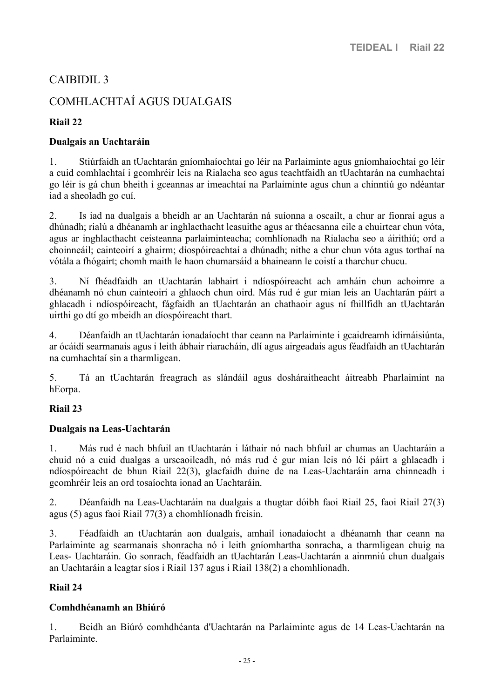# CAIBIDIL 3

# <span id="page-24-0"></span>COMHLACHTAÍ AGUS DUALGAIS

#### **Riail 22**

#### <span id="page-24-1"></span>**Dualgais an Uachtaráin**

1. Stiúrfaidh an tUachtarán gníomhaíochtaí go léir na Parlaiminte agus gníomhaíochtaí go léir a cuid comhlachtaí i gcomhréir leis na Rialacha seo agus teachtfaidh an tUachtarán na cumhachtaí go léir is gá chun bheith i gceannas ar imeachtaí na Parlaiminte agus chun a chinntiú go ndéantar iad a sheoladh go cuí.

2. Is iad na dualgais a bheidh ar an Uachtarán ná suíonna a oscailt, a chur ar fionraí agus a dhúnadh; rialú a dhéanamh ar inghlacthacht leasuithe agus ar théacsanna eile a chuirtear chun vóta, agus ar inghlacthacht ceisteanna parlaiminteacha; comhlíonadh na Rialacha seo a áirithiú; ord a choinneáil; cainteoirí a ghairm; díospóireachtaí a dhúnadh; nithe a chur chun vóta agus torthaí na vótála a fhógairt; chomh maith le haon chumarsáid a bhaineann le coistí a tharchur chucu.

3. Ní fhéadfaidh an tUachtarán labhairt i ndíospóireacht ach amháin chun achoimre a dhéanamh nó chun cainteoirí a ghlaoch chun oird. Más rud é gur mian leis an Uachtarán páirt a ghlacadh i ndíospóireacht, fágfaidh an tUachtarán an chathaoir agus ní fhillfidh an tUachtarán uirthi go dtí go mbeidh an díospóireacht thart.

4. Déanfaidh an tUachtarán ionadaíocht thar ceann na Parlaiminte i gcaidreamh idirnáisiúnta, ar ócáidí searmanais agus i leith ábhair riaracháin, dlí agus airgeadais agus féadfaidh an tUachtarán na cumhachtaí sin a tharmligean.

5. Tá an tUachtarán freagrach as slándáil agus dosháraitheacht áitreabh Pharlaimint na hEorpa.

#### **Riail 23**

#### <span id="page-24-2"></span>**Dualgais na Leas-Uachtarán**

1. Más rud é nach bhfuil an tUachtarán i láthair nó nach bhfuil ar chumas an Uachtaráin a chuid nó a cuid dualgas a urscaoileadh, nó más rud é gur mian leis nó léi páirt a ghlacadh i ndíospóireacht de bhun Riail 22(3), glacfaidh duine de na Leas-Uachtaráin arna chinneadh i gcomhréir leis an ord tosaíochta ionad an Uachtaráin.

2. Déanfaidh na Leas-Uachtaráin na dualgais a thugtar dóibh faoi Riail 25, faoi Riail 27(3) agus (5) agus faoi Riail 77(3) a chomhlíonadh freisin.

3. Féadfaidh an tUachtarán aon dualgais, amhail ionadaíocht a dhéanamh thar ceann na Parlaiminte ag searmanais shonracha nó i leith gníomhartha sonracha, a tharmligean chuig na Leas- Uachtaráin. Go sonrach, féadfaidh an tUachtarán Leas-Uachtarán a ainmniú chun dualgais an Uachtaráin a leagtar síos i Riail 137 agus i Riail 138(2) a chomhlíonadh.

#### **Riail 24**

#### <span id="page-24-3"></span>**Comhdhéanamh an Bhiúró**

1. Beidh an Biúró comhdhéanta d'Uachtarán na Parlaiminte agus de 14 Leas-Uachtarán na Parlaiminte.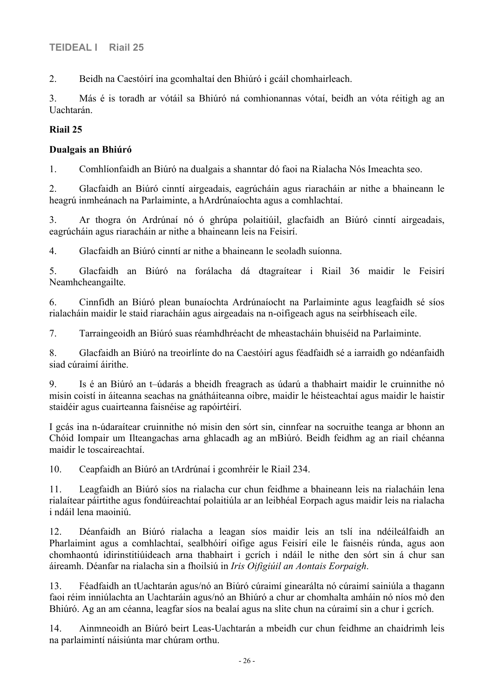2. Beidh na Caestóirí ina gcomhaltaí den Bhiúró i gcáil chomhairleach.

3. Más é is toradh ar vótáil sa Bhiúró ná comhionannas vótaí, beidh an vóta réitigh ag an Uachtarán.

#### **Riail 25**

#### <span id="page-25-0"></span>**Dualgais an Bhiúró**

1. Comhlíonfaidh an Biúró na dualgais a shanntar dó faoi na Rialacha Nós Imeachta seo.

2. Glacfaidh an Biúró cinntí airgeadais, eagrúcháin agus riaracháin ar nithe a bhaineann le heagrú inmheánach na Parlaiminte, a hArdrúnaíochta agus a comhlachtaí.

3. Ar thogra ón Ardrúnaí nó ó ghrúpa polaitiúil, glacfaidh an Biúró cinntí airgeadais, eagrúcháin agus riaracháin ar nithe a bhaineann leis na Feisirí.

4. Glacfaidh an Biúró cinntí ar nithe a bhaineann le seoladh suíonna.

5. Glacfaidh an Biúró na forálacha dá dtagraítear i Riail 36 maidir le Feisirí Neamhcheangailte.

6. Cinnfidh an Biúró plean bunaíochta Ardrúnaíocht na Parlaiminte agus leagfaidh sé síos rialacháin maidir le staid riaracháin agus airgeadais na n-oifigeach agus na seirbhíseach eile.

7. Tarraingeoidh an Biúró suas réamhdhréacht de mheastacháin bhuiséid na Parlaiminte.

8. Glacfaidh an Biúró na treoirlínte do na Caestóirí agus féadfaidh sé a iarraidh go ndéanfaidh siad cúraimí áirithe.

9. Is é an Biúró an t–údarás a bheidh freagrach as údarú a thabhairt maidir le cruinnithe nó misin coistí in áiteanna seachas na gnátháiteanna oibre, maidir le héisteachtaí agus maidir le haistir staidéir agus cuairteanna faisnéise ag rapóirtéirí.

I gcás ina n-údaraítear cruinnithe nó misin den sórt sin, cinnfear na socruithe teanga ar bhonn an Chóid Iompair um Ilteangachas arna ghlacadh ag an mBiúró. Beidh feidhm ag an riail chéanna maidir le toscaireachtaí.

10. Ceapfaidh an Biúró an tArdrúnaí i gcomhréir le Riail 234.

11. Leagfaidh an Biúró síos na rialacha cur chun feidhme a bhaineann leis na rialacháin lena rialaítear páirtithe agus fondúireachtaí polaitiúla ar an leibhéal Eorpach agus maidir leis na rialacha i ndáil lena maoiniú.

12. Déanfaidh an Biúró rialacha a leagan síos maidir leis an tslí ina ndéileálfaidh an Pharlaimint agus a comhlachtaí, sealbhóirí oifige agus Feisirí eile le faisnéis rúnda, agus aon chomhaontú idirinstitiúideach arna thabhairt i gcrích i ndáil le nithe den sórt sin á chur san áireamh. Déanfar na rialacha sin a fhoilsiú in *Iris Oifigiúil an Aontais Eorpaigh*.

13. Féadfaidh an tUachtarán agus/nó an Biúró cúraimí ginearálta nó cúraimí sainiúla a thagann faoi réim inniúlachta an Uachtaráin agus/nó an Bhiúró a chur ar chomhalta amháin nó níos mó den Bhiúró. Ag an am céanna, leagfar síos na bealaí agus na slite chun na cúraimí sin a chur i gcrích.

14. Ainmneoidh an Biúró beirt Leas-Uachtarán a mbeidh cur chun feidhme an chaidrimh leis na parlaimintí náisiúnta mar chúram orthu.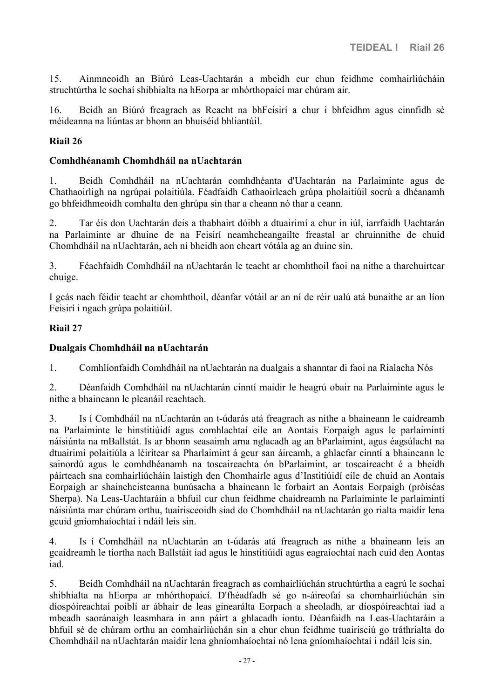15. Ainmneoidh an Biúró Leas-Uachtarán a mbeidh cur chun feidhme comhairliúcháin struchtúrtha le sochaí shibhialta na hEorpa ar mhórthopaicí mar chúram air.

16. Beidh an Biúró freagrach as Reacht na bhFeisirí a chur i bhfeidhm agus cinnfidh sé méideanna na liúntas ar bhonn an bhuiséid bhliantúil.

#### **Riail 26**

#### <span id="page-26-0"></span>**Comhdhéanamh Chomhdháil na nUachtarán**

1. Beidh Comhdháil na nUachtarán comhdhéanta d'Uachtarán na Parlaiminte agus de Chathaoirligh na ngrúpaí polaitiúla. Féadfaidh Cathaoirleach grúpa pholaitiúil socrú a dhéanamh go bhfeidhmeoidh comhalta den ghrúpa sin thar a cheann nó thar a ceann.

2. Tar éis don Uachtarán deis a thabhairt dóibh a dtuairimí a chur in iúl, iarrfaidh Uachtarán na Parlaiminte ar dhuine de na Feisirí neamhcheangailte freastal ar chruinnithe de chuid Chomhdháil na nUachtarán, ach ní bheidh aon cheart vótála ag an duine sin.

3. Féachfaidh Comhdháil na nUachtarán le teacht ar chomhthoil faoi na nithe a tharchuirtear chuige.

I gcás nach féidir teacht ar chomhthoil, déanfar vótáil ar an ní de réir ualú atá bunaithe ar an líon Feisirí i ngach grúpa polaitiúil.

#### **Riail 27**

#### <span id="page-26-1"></span>**Dualgais Chomhdháil na nUachtarán**

1. Comhlíonfaidh Comhdháil na nUachtarán na dualgais a shanntar di faoi na Rialacha Nós

2. Déanfaidh Comhdháil na nUachtarán cinntí maidir le heagrú obair na Parlaiminte agus le nithe a bhaineann le pleanáil reachtach.

3. Is í Comhdháil na nUachtarán an t-údarás atá freagrach as nithe a bhaineann le caidreamh na Parlaiminte le hinstitiúidí agus comhlachtaí eile an Aontais Eorpaigh agus le parlaimintí náisiúnta na mBallstát. Is ar bhonn seasaimh arna nglacadh ag an bParlaimint, agus éagsúlacht na dtuairimí polaitiúla a léirítear sa Pharlaimint á gcur san áireamh, a ghlacfar cinntí a bhaineann le sainordú agus le comhdhéanamh na toscaireachta ón bParlaimint, ar toscaireacht é a bheidh páirteach sna comhairliúcháin laistigh den Chomhairle agus d'Institiúidí eile de chuid an Aontais Eorpaigh ar shaincheisteanna bunúsacha a bhaineann le forbairt an Aontais Eorpaigh (próiséas Sherpa). Na Leas-Uachtaráin a bhfuil cur chun feidhme chaidreamh na Parlaiminte le parlaimintí náisiúnta mar chúram orthu, tuairisceoidh siad do Chomhdháil na nUachtarán go rialta maidir lena gcuid gníomhaíochtaí i ndáil leis sin.

4. Is í Comhdháil na nUachtarán an t-údarás atá freagrach as nithe a bhaineann leis an gcaidreamh le tíortha nach Ballstáit iad agus le hinstitiúidí agus eagraíochtaí nach cuid den Aontas iad.

5. Beidh Comhdháil na nUachtarán freagrach as comhairliúchán struchtúrtha a eagrú le sochaí shibhialta na hEorpa ar mhórthopaicí. D'fhéadfadh sé go n-áireofaí sa chomhairliúchán sin díospóireachtaí poiblí ar ábhair de leas ginearálta Eorpach a sheoladh, ar díospóireachtaí iad a mbeadh saoránaigh leasmhara in ann páirt a ghlacadh iontu. Déanfaidh na Leas-Uachtaráin a bhfuil sé de chúram orthu an comhairliúchán sin a chur chun feidhme tuairisciú go tráthrialta do Chomhdháil na nUachtarán maidir lena ghníomhaíochtaí nó lena gníomhaíochtaí i ndáil leis sin.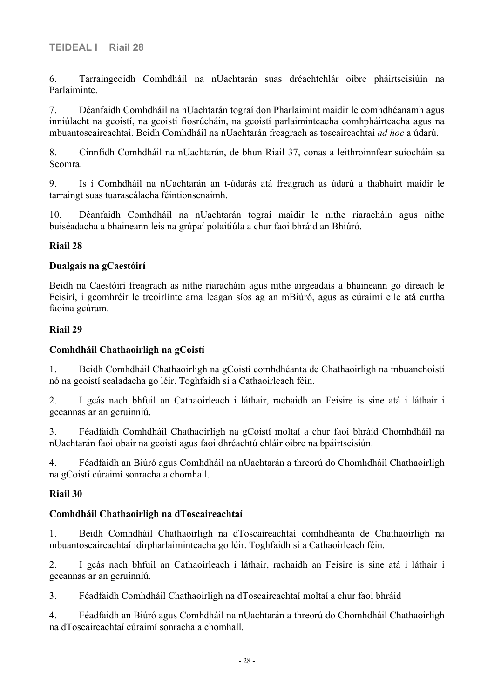6. Tarraingeoidh Comhdháil na nUachtarán suas dréachtchlár oibre pháirtseisiúin na Parlaiminte.

7. Déanfaidh Comhdháil na nUachtarán tograí don Pharlaimint maidir le comhdhéanamh agus inniúlacht na gcoistí, na gcoistí fiosrúcháin, na gcoistí parlaiminteacha comhpháirteacha agus na mbuantoscaireachtaí. Beidh Comhdháil na nUachtarán freagrach as toscaireachtaí *ad hoc* a údarú.

8. Cinnfidh Comhdháil na nUachtarán, de bhun Riail 37, conas a leithroinnfear suíocháin sa Seomra.

9. Is í Comhdháil na nUachtarán an t-údarás atá freagrach as údarú a thabhairt maidir le tarraingt suas tuarascálacha féintionscnaimh.

10. Déanfaidh Comhdháil na nUachtarán tograí maidir le nithe riaracháin agus nithe buiséadacha a bhaineann leis na grúpaí polaitiúla a chur faoi bhráid an Bhiúró.

#### **Riail 28**

#### <span id="page-27-0"></span>**Dualgais na gCaestóirí**

Beidh na Caestóirí freagrach as nithe riaracháin agus nithe airgeadais a bhaineann go díreach le Feisirí, i gcomhréir le treoirlínte arna leagan síos ag an mBiúró, agus as cúraimí eile atá curtha faoina gcúram.

#### **Riail 29**

#### <span id="page-27-1"></span>**Comhdháil Chathaoirligh na gCoistí**

1. Beidh Comhdháil Chathaoirligh na gCoistí comhdhéanta de Chathaoirligh na mbuanchoistí nó na gcoistí sealadacha go léir. Toghfaidh sí a Cathaoirleach féin.

2. I gcás nach bhfuil an Cathaoirleach i láthair, rachaidh an Feisire is sine atá i láthair i gceannas ar an gcruinniú.

3. Féadfaidh Comhdháil Chathaoirligh na gCoistí moltaí a chur faoi bhráid Chomhdháil na nUachtarán faoi obair na gcoistí agus faoi dhréachtú chláir oibre na bpáirtseisiún.

4. Féadfaidh an Biúró agus Comhdháil na nUachtarán a threorú do Chomhdháil Chathaoirligh na gCoistí cúraimí sonracha a chomhall.

#### **Riail 30**

#### <span id="page-27-2"></span>**Comhdháil Chathaoirligh na dToscaireachtaí**

1. Beidh Comhdháil Chathaoirligh na dToscaireachtaí comhdhéanta de Chathaoirligh na mbuantoscaireachtaí idirpharlaiminteacha go léir. Toghfaidh sí a Cathaoirleach féin.

2. I gcás nach bhfuil an Cathaoirleach i láthair, rachaidh an Feisire is sine atá i láthair i gceannas ar an gcruinniú.

3. Féadfaidh Comhdháil Chathaoirligh na dToscaireachtaí moltaí a chur faoi bhráid

4. Féadfaidh an Biúró agus Comhdháil na nUachtarán a threorú do Chomhdháil Chathaoirligh na dToscaireachtaí cúraimí sonracha a chomhall.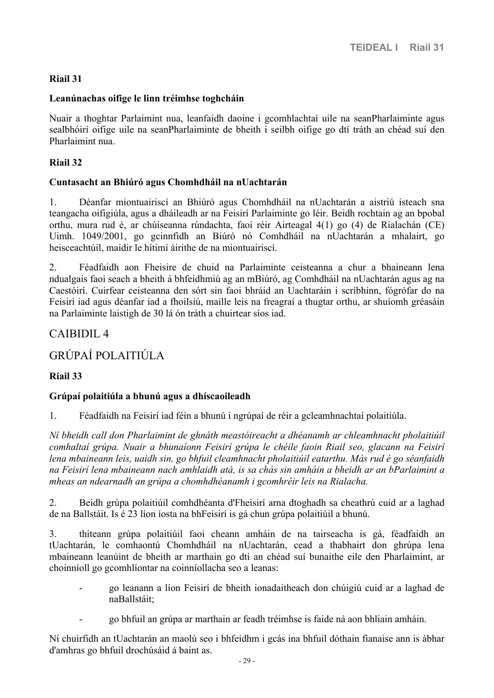#### **Riail 31**

#### <span id="page-28-0"></span>**Leanúnachas oifige le linn tréimhse toghcháin**

Nuair a thoghtar Parlaimint nua, leanfaidh daoine i gcomhlachtaí uile na seanPharlaiminte agus sealbhóirí oifige uile na seanPharlaiminte de bheith i seilbh oifige go dtí tráth an chéad suí den Pharlaimint nua.

#### **Riail 32**

#### <span id="page-28-1"></span>**Cuntasacht an Bhiúró agus Chomhdháil na nUachtarán**

1. Déanfar miontuairiscí an Bhiúró agus Chomhdháil na nUachtarán a aistriú isteach sna teangacha oifigiúla, agus a dháileadh ar na Feisirí Parlaiminte go léir. Beidh rochtain ag an bpobal orthu, mura rud é, ar chúiseanna rúndachta, faoi réir Airteagal 4(1) go (4) de Rialachán (CE) Uimh. 1049/2001, go gcinnfidh an Biúró nó Comhdháil na nUachtarán a mhalairt, go heisceachtúil, maidir le hítimí áirithe de na miontuairiscí.

2. Féadfaidh aon Fheisire de chuid na Parlaiminte ceisteanna a chur a bhaineann lena ndualgais faoi seach a bheith á bhfeidhmiú ag an mBiúró, ag Comhdháil na nUachtarán agus ag na Caestóirí. Cuirfear ceisteanna den sórt sin faoi bhráid an Uachtaráin i scríbhinn, fógrófar do na Feisirí iad agus déanfar iad a fhoilsiú, maille leis na freagraí a thugtar orthu, ar shuíomh gréasáin na Parlaiminte laistigh de 30 lá ón tráth a chuirtear síos iad.

#### CAIBIDIL 4

# <span id="page-28-2"></span>GRÚPAÍ POLAITIÚLA

#### **Riail 33**

#### <span id="page-28-3"></span>**Grúpaí polaitiúla a bhunú agus a dhíscaoileadh**

1. Féadfaidh na Feisirí iad féin a bhunú i ngrúpaí de réir a gcleamhnachtaí polaitiúla.

*Ní bheidh call don Pharlaimint de ghnáth meastóireacht a dhéanamh ar chleamhnacht pholaitiúil comhaltaí grúpa. Nuair a bhunaíonn Feisirí grúpa le chéile faoin Riail seo, glacann na Feisirí lena mbaineann leis, uaidh sin, go bhfuil cleamhnacht pholaitiúil eatarthu. Más rud é go séanfaidh na Feisirí lena mbaineann nach amhlaidh atá, is sa chás sin amháin a bheidh ar an bParlaimint a mheas an ndearnadh an grúpa a chomhdhéanamh i gcomhréir leis na Rialacha.*

2. Beidh grúpa polaitiúil comhdhéanta d'Fheisirí arna dtoghadh sa cheathrú cuid ar a laghad de na Ballstáit. Is é 23 líon íosta na bhFeisirí is gá chun grúpa polaitiúil a bhunú.

3. thiteann grúpa polaitiúil faoi cheann amháin de na tairseacha is gá, féadfaidh an tUachtarán, le comhaontú Chomhdháil na nUachtarán, cead a thabhairt don ghrúpa lena mbaineann leanúint de bheith ar marthain go dtí an chéad suí bunaithe eile den Pharlaimint, ar choinníoll go gcomhlíontar na coinníollacha seo a leanas:

- go leanann a líon Feisirí de bheith ionadaitheach don chúigiú cuid ar a laghad de naBallstáit;
- go bhfuil an grúpa ar marthain ar feadh tréimhse is faide ná aon bhliain amháin.

Ní chuirfidh an tUachtarán an maolú seo i bhfeidhm i gcás ina bhfuil dóthain fianaise ann is ábhar d'amhras go bhfuil drochúsáid á baint as.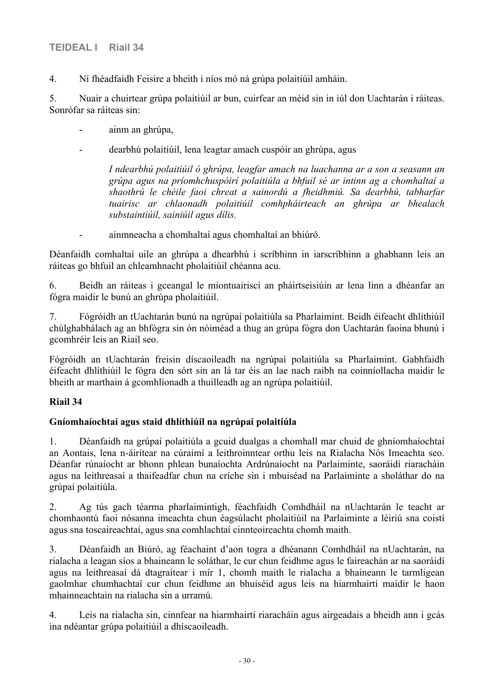4. Ní fhéadfaidh Feisire a bheith i níos mó ná grúpa polaitiúil amháin.

5. Nuair a chuirtear grúpa polaitiúil ar bun, cuirfear an méid sin in iúl don Uachtarán i ráiteas. Sonrófar sa ráiteas sin:

- ainm an ghrúpa,
- dearbhú polaitiúil, lena leagtar amach cuspóir an ghrúpa, agus

*I ndearbhú polaitiúil ó ghrúpa, leagfar amach na luachanna ar a son a seasann an grúpa agus na príomhchuspóirí polaitiúla a bhfuil sé ar intinn ag a chomhaltaí a shaothrú le chéile faoi chreat a sainordú a fheidhmiú. Sa dearbhú, tabharfar tuairisc ar chlaonadh polaitiúil comhpháirteach an ghrúpa ar bhealach substaintiúil, sainiúil agus dílis.*

- ainmneacha a chomhaltaí agus chomhaltaí an bhiúró.

Déanfaidh comhaltaí uile an ghrúpa a dhearbhú i scríbhinn in iarscríbhinn a ghabhann leis an ráiteas go bhfuil an chleamhnacht pholaitiúil chéanna acu.

6. Beidh an ráiteas i gceangal le miontuairiscí an pháirtseisiúin ar lena linn a dhéanfar an fógra maidir le bunú an ghrúpa pholaitiúil.

7. Fógróidh an tUachtarán bunú na ngrúpaí polaitiúla sa Pharlaimint. Beidh éifeacht dhlíthiúil chúlghabhálach ag an bhfógra sin ón nóiméad a thug an grúpa fógra don Uachtarán faoina bhunú i gcomhréir leis an Riail seo.

Fógróidh an tUachtarán freisin díscaoileadh na ngrúpaí polaitiúla sa Pharlaimint. Gabhfaidh éifeacht dhlíthiúil le fógra den sórt sin an lá tar éis an lae nach raibh na coinníollacha maidir le bheith ar marthain á gcomhlíonadh a thuilleadh ag an ngrúpa polaitiúil.

#### **Riail 34**

#### <span id="page-29-0"></span>**Gníomhaíochtaí agus staid dhlíthiúil na ngrúpaí polaitiúla**

1. Déanfaidh na grúpaí polaitiúla a gcuid dualgas a chomhall mar chuid de ghníomhaíochtaí an Aontais, lena n-áirítear na cúraimí a leithroinntear orthu leis na Rialacha Nós Imeachta seo. Déanfar rúnaíocht ar bhonn phlean bunaíochta Ardrúnaíocht na Parlaiminte, saoráidí riaracháin agus na leithreasaí a thaifeadfar chun na críche sin i mbuiséad na Parlaiminte a sholáthar do na grúpaí polaitiúla.

2. Ag tús gach téarma pharlaimintigh, féachfaidh Comhdháil na nUachtarán le teacht ar chomhaontú faoi nósanna imeachta chun éagsúlacht pholaitiúil na Parlaiminte a léiriú sna coistí agus sna toscaireachtaí, agus sna comhlachtaí cinnteoireachta chomh maith.

3. Déanfaidh an Biúró, ag féachaint d'aon togra a dhéanann Comhdháil na nUachtarán, na rialacha a leagan síos a bhaineann le soláthar, le cur chun feidhme agus le faireachán ar na saoráidí agus na leithreasaí dá dtagraítear i mír 1, chomh maith le rialacha a bhaineann le tarmligean gaolmhar chumhachtaí cur chun feidhme an bhuiséid agus leis na hiarmhairtí maidir le haon mhainneachtain na rialacha sin a urramú.

4. Leis na rialacha sin, cinnfear na hiarmhairtí riaracháin agus airgeadais a bheidh ann i gcás ina ndéantar grúpa polaitiúil a dhíscaoileadh.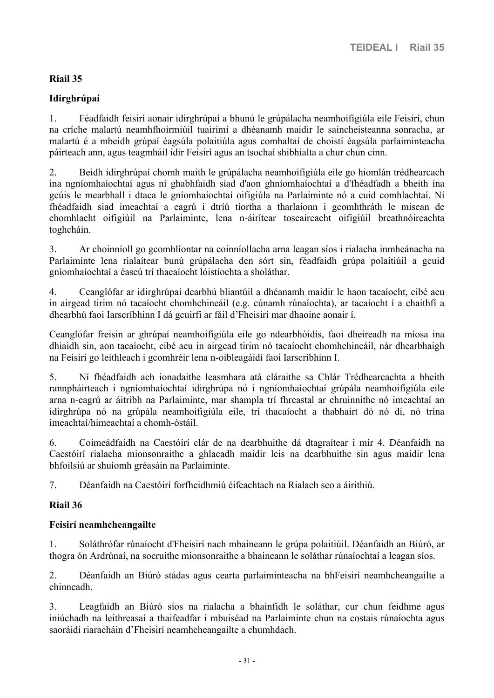#### **Riail 35**

#### <span id="page-30-0"></span>**Idirghrúpaí**

1. Féadfaidh feisirí aonair idirghrúpaí a bhunú le grúpálacha neamhoifigiúla eile Feisirí, chun na críche malartú neamhfhoirmiúil tuairimí a dhéanamh maidir le saincheisteanna sonracha, ar malartú é a mbeidh grúpaí éagsúla polaitiúla agus comhaltaí de choistí éagsúla parlaiminteacha páirteach ann, agus teagmháil idir Feisirí agus an tsochaí shibhialta a chur chun cinn.

2. Beidh idirghrúpaí chomh maith le grúpálacha neamhoifigiúla eile go hiomlán trédhearcach ina ngníomhaíochtaí agus ní ghabhfaidh siad d'aon ghníomhaíochtaí a d'fhéadfadh a bheith ina gcúis le mearbhall i dtaca le gníomhaíochtaí oifigiúla na Parlaiminte nó a cuid comhlachtaí. Ní fhéadfaidh siad imeachtaí a eagrú i dtríú tíortha a tharlaíonn i gcomhthráth le misean de chomhlacht oifigiúil na Parlaiminte, lena n-áirítear toscaireacht oifigiúil breathnóireachta toghcháin.

3. Ar choinníoll go gcomhlíontar na coinníollacha arna leagan síos i rialacha inmheánacha na Parlaiminte lena rialaítear bunú grúpálacha den sórt sin, féadfaidh grúpa polaitiúil a gcuid gníomhaíochtaí a éascú trí thacaíocht lóistíochta a sholáthar.

4. Ceanglófar ar idirghrúpaí dearbhú bliantúil a dhéanamh maidir le haon tacaíocht, cibé acu in airgead tirim nó tacaíocht chomhchineáil (e.g. cúnamh rúnaíochta), ar tacaíocht í a chaithfí a dhearbhú faoi Iarscríbhinn I dá gcuirfí ar fáil d'Fheisirí mar dhaoine aonair í.

Ceanglófar freisin ar ghrúpaí neamhoifigiúla eile go ndearbhóidís, faoi dheireadh na míosa ina dhiaidh sin, aon tacaíocht, cibé acu in airgead tirim nó tacaíocht chomhchineáil, nár dhearbhaigh na Feisirí go leithleach i gcomhréir lena n-oibleagáidí faoi Iarscríbhinn I.

5. Ní fhéadfaidh ach ionadaithe leasmhara atá cláraithe sa Chlár Trédhearcachta a bheith rannpháirteach i ngníomhaíochtaí idirghrúpa nó i ngníomhaíochtaí grúpála neamhoifigiúla eile arna n-eagrú ar áitribh na Parlaiminte, mar shampla trí fhreastal ar chruinnithe nó imeachtaí an idirghrúpa nó na grúpála neamhoifigiúla eile, trí thacaíocht a thabhairt dó nó di, nó trína imeachtaí/himeachtaí a chomh-óstáil.

6. Coimeádfaidh na Caestóirí clár de na dearbhuithe dá dtagraítear i mír 4. Déanfaidh na Caestóirí rialacha mionsonraithe a ghlacadh maidir leis na dearbhuithe sin agus maidir lena bhfoilsiú ar shuíomh gréasáin na Parlaiminte.

7. Déanfaidh na Caestóirí forfheidhmiú éifeachtach na Rialach seo a áirithiú.

#### **Riail 36**

#### <span id="page-30-1"></span>**Feisirí neamhcheangailte**

1. Soláthrófar rúnaíocht d'Fheisirí nach mbaineann le grúpa polaitiúil. Déanfaidh an Biúró, ar thogra ón Ardrúnaí, na socruithe mionsonraithe a bhaineann le soláthar rúnaíochtaí a leagan síos.

2. Déanfaidh an Biúró stádas agus cearta parlaiminteacha na bhFeisirí neamhcheangailte a chinneadh.

3. Leagfaidh an Biúró síos na rialacha a bhainfidh le soláthar, cur chun feidhme agus iniúchadh na leithreasaí a thaifeadfar i mbuiséad na Parlaiminte chun na costais rúnaíochta agus saoráidí riaracháin d'Fheisirí neamhcheangailte a chumhdach.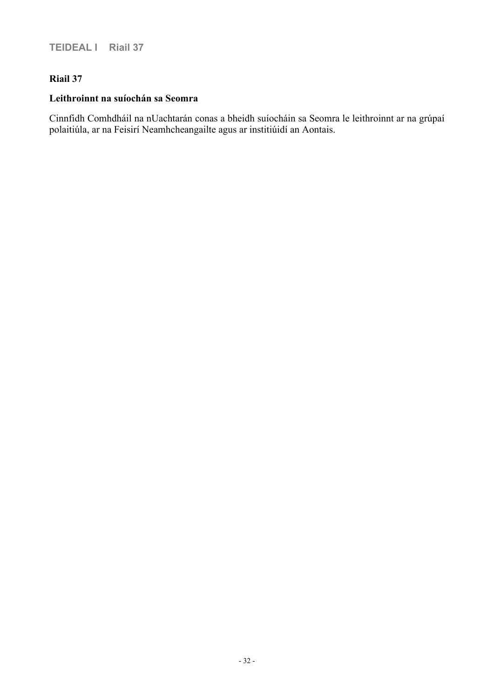#### **Riail 37**

## <span id="page-31-0"></span>**Leithroinnt na suíochán sa Seomra**

Cinnfidh Comhdháil na nUachtarán conas a bheidh suíocháin sa Seomra le leithroinnt ar na grúpaí polaitiúla, ar na Feisirí Neamhcheangailte agus ar institiúidí an Aontais.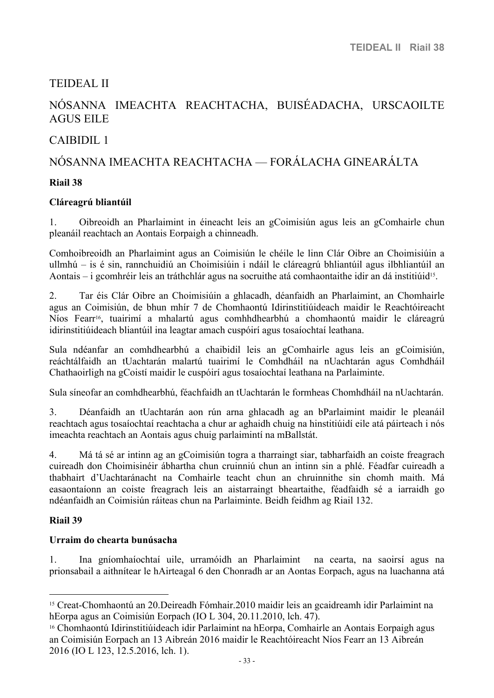# TEIDEAL II

# <span id="page-32-0"></span>NÓSANNA IMEACHTA REACHTACHA, BUISÉADACHA, URSCAOILTE AGUS EILE

# CAIBIDIL 1

# <span id="page-32-1"></span>NÓSANNA IMEACHTA REACHTACHA — FORÁLACHA GINEARÁLTA

#### **Riail 38**

#### <span id="page-32-2"></span>**Cláreagrú bliantúil**

1. Oibreoidh an Pharlaimint in éineacht leis an gCoimisiún agus leis an gComhairle chun pleanáil reachtach an Aontais Eorpaigh a chinneadh.

Comhoibreoidh an Pharlaimint agus an Coimisiún le chéile le linn Clár Oibre an Choimisiúin a ullmhú – is é sin, rannchuidiú an Choimisiúin i ndáil le cláreagrú bhliantúil agus ilbhliantúil an Aontais – i gcomhréir leis an tráthchlár agus na socruithe atá comhaontaithe idir an dá institiúid<sup>15</sup>.

2. Tar éis Clár Oibre an Choimisiúin a ghlacadh, déanfaidh an Pharlaimint, an Chomhairle agus an Coimisiún, de bhun mhír 7 de Chomhaontú Idirinstitiúideach maidir le Reachtóireacht Níos Fearr<sup>16</sup>, tuairimí a mhalartú agus comhhdhearbhú a chomhaontú maidir le cláreagrú idirinstitiúideach bliantúil ina leagtar amach cuspóirí agus tosaíochtaí leathana.

Sula ndéanfar an comhdhearbhú a chaibidil leis an gComhairle agus leis an gCoimisiún, reáchtálfaidh an tUachtarán malartú tuairimí le Comhdháil na nUachtarán agus Comhdháil Chathaoirligh na gCoistí maidir le cuspóirí agus tosaíochtaí leathana na Parlaiminte.

Sula síneofar an comhdhearbhú, féachfaidh an tUachtarán le formheas Chomhdháil na nUachtarán.

3. Déanfaidh an tUachtarán aon rún arna ghlacadh ag an bParlaimint maidir le pleanáil reachtach agus tosaíochtaí reachtacha a chur ar aghaidh chuig na hinstitiúidí eile atá páirteach i nós imeachta reachtach an Aontais agus chuig parlaimintí na mBallstát.

4. Má tá sé ar intinn ag an gCoimisiún togra a tharraingt siar, tabharfaidh an coiste freagrach cuireadh don Choimisinéir ábhartha chun cruinniú chun an intinn sin a phlé. Féadfar cuireadh a thabhairt d'Uachtaránacht na Comhairle teacht chun an chruinnithe sin chomh maith. Má easaontaíonn an coiste freagrach leis an aistarraingt bheartaithe, féadfaidh sé a iarraidh go ndéanfaidh an Coimisiún ráiteas chun na Parlaiminte. Beidh feidhm ag Riail 132.

#### **Riail 39**

#### <span id="page-32-3"></span>**Urraim do chearta bunúsacha**

1. Ina gníomhaíochtaí uile, urramóidh an Pharlaimint na cearta, na saoirsí agus na prionsabail a aithnítear le hAirteagal 6 den Chonradh ar an Aontas Eorpach, agus na luachanna atá

<sup>15</sup> Creat-Chomhaontú an 20.Deireadh Fómhair.2010 maidir leis an gcaidreamh idir Parlaimint na hEorpa agus an Coimisiún Eorpach (IO L 304, 20.11.2010, lch. 47).

<sup>16</sup> Chomhaontú Idirinstitiúideach idir Parlaimint na hEorpa, Comhairle an Aontais Eorpaigh agus an Coimisiún Eorpach an 13 Aibreán 2016 maidir le Reachtóireacht Níos Fearr an 13 Aibreán 2016 (IO L 123, 12.5.2016, lch. 1).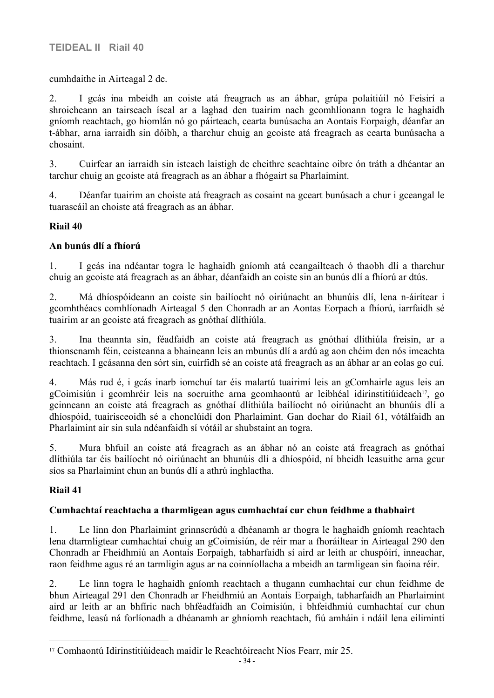cumhdaithe in Airteagal 2 de.

2. I gcás ina mbeidh an coiste atá freagrach as an ábhar, grúpa polaitiúil nó Feisirí a shroicheann an tairseach íseal ar a laghad den tuairim nach gcomhlíonann togra le haghaidh gníomh reachtach, go hiomlán nó go páirteach, cearta bunúsacha an Aontais Eorpaigh, déanfar an t-ábhar, arna iarraidh sin dóibh, a tharchur chuig an gcoiste atá freagrach as cearta bunúsacha a chosaint.

3. Cuirfear an iarraidh sin isteach laistigh de cheithre seachtaine oibre ón tráth a dhéantar an tarchur chuig an gcoiste atá freagrach as an ábhar a fhógairt sa Pharlaimint.

4. Déanfar tuairim an choiste atá freagrach as cosaint na gceart bunúsach a chur i gceangal le tuarascáil an choiste atá freagrach as an ábhar.

#### **Riail 40**

#### <span id="page-33-0"></span>**An bunús dlí a fhíorú**

1. I gcás ina ndéantar togra le haghaidh gníomh atá ceangailteach ó thaobh dlí a tharchur chuig an gcoiste atá freagrach as an ábhar, déanfaidh an coiste sin an bunús dlí a fhíorú ar dtús.

2. Má dhíospóideann an coiste sin bailíocht nó oiriúnacht an bhunúis dlí, lena n-áirítear i gcomhthéacs comhlíonadh Airteagal 5 den Chonradh ar an Aontas Eorpach a fhíorú, iarrfaidh sé tuairim ar an gcoiste atá freagrach as gnóthaí dlíthiúla.

3. Ina theannta sin, féadfaidh an coiste atá freagrach as gnóthaí dlíthiúla freisin, ar a thionscnamh féin, ceisteanna a bhaineann leis an mbunús dlí a ardú ag aon chéim den nós imeachta reachtach. I gcásanna den sórt sin, cuirfidh sé an coiste atá freagrach as an ábhar ar an eolas go cuí.

4. Más rud é, i gcás inarb iomchuí tar éis malartú tuairimí leis an gComhairle agus leis an gCoimisiún i gcomhréir leis na socruithe arna gcomhaontú ar leibhéal idirinstitiúideach<sup>17</sup>, go gcinneann an coiste atá freagrach as gnóthaí dlíthiúla bailíocht nó oiriúnacht an bhunúis dlí a dhíospóid, tuairisceoidh sé a chonclúidí don Pharlaimint. Gan dochar do Riail 61, vótálfaidh an Pharlaimint air sin sula ndéanfaidh sí vótáil ar shubstaint an togra.

5. Mura bhfuil an coiste atá freagrach as an ábhar nó an coiste atá freagrach as gnóthaí dlíthiúla tar éis bailíocht nó oiriúnacht an bhunúis dlí a dhíospóid, ní bheidh leasuithe arna gcur síos sa Pharlaimint chun an bunús dlí a athrú inghlactha.

#### **Riail 41**

#### <span id="page-33-1"></span>**Cumhachtaí reachtacha a tharmligean agus cumhachtaí cur chun feidhme a thabhairt**

1. Le linn don Pharlaimint grinnscrúdú a dhéanamh ar thogra le haghaidh gníomh reachtach lena dtarmligtear cumhachtaí chuig an gCoimisiún, de réir mar a fhoráiltear in Airteagal 290 den Chonradh ar Fheidhmiú an Aontais Eorpaigh, tabharfaidh sí aird ar leith ar chuspóirí, inneachar, raon feidhme agus ré an tarmligin agus ar na coinníollacha a mbeidh an tarmligean sin faoina réir.

2. Le linn togra le haghaidh gníomh reachtach a thugann cumhachtaí cur chun feidhme de bhun Airteagal 291 den Chonradh ar Fheidhmiú an Aontais Eorpaigh, tabharfaidh an Pharlaimint aird ar leith ar an bhfíric nach bhféadfaidh an Coimisiún, i bhfeidhmiú cumhachtaí cur chun feidhme, leasú ná forlíonadh a dhéanamh ar ghníomh reachtach, fiú amháin i ndáil lena eilimintí

<sup>17</sup> Comhaontú Idirinstitiúideach maidir le Reachtóireacht Níos Fearr, mír 25.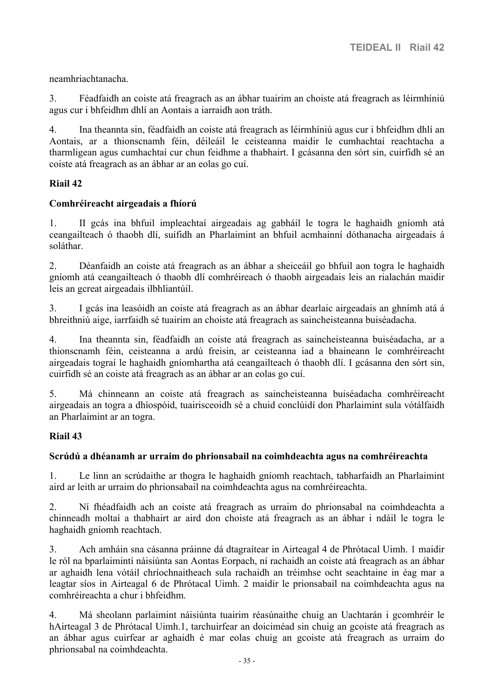neamhriachtanacha.

3. Féadfaidh an coiste atá freagrach as an ábhar tuairim an choiste atá freagrach as léirmhíniú agus cur i bhfeidhm dhlí an Aontais a iarraidh aon tráth.

4. Ina theannta sin, féadfaidh an coiste atá freagrach as léirmhíniú agus cur i bhfeidhm dhlí an Aontais, ar a thionscnamh féin, déileáil le ceisteanna maidir le cumhachtaí reachtacha a tharmligean agus cumhachtaí cur chun feidhme a thabhairt. I gcásanna den sórt sin, cuirfidh sé an coiste atá freagrach as an ábhar ar an eolas go cuí.

#### **Riail 42**

#### <span id="page-34-0"></span>**Comhréireacht airgeadais a fhíorú**

1. II gcás ina bhfuil impleachtaí airgeadais ag gabháil le togra le haghaidh gníomh atá ceangailteach ó thaobh dlí, suífidh an Pharlaimint an bhfuil acmhainní dóthanacha airgeadais á soláthar.

2. Déanfaidh an coiste atá freagrach as an ábhar a sheiceáil go bhfuil aon togra le haghaidh gníomh atá ceangailteach ó thaobh dlí comhréireach ó thaobh airgeadais leis an rialachán maidir leis an gcreat airgeadais ilbhliantúil.

3. I gcás ina leasóidh an coiste atá freagrach as an ábhar dearlaic airgeadais an ghnímh atá á bhreithniú aige, iarrfaidh sé tuairim an choiste atá freagrach as saincheisteanna buiséadacha.

4. Ina theannta sin, féadfaidh an coiste atá freagrach as saincheisteanna buiséadacha, ar a thionscnamh féin, ceisteanna a ardú freisin, ar ceisteanna iad a bhaineann le comhréireacht airgeadais tograí le haghaidh gníomhartha atá ceangailteach ó thaobh dlí. I gcásanna den sórt sin, cuirfidh sé an coiste atá freagrach as an ábhar ar an eolas go cuí.

5. Má chinneann an coiste atá freagrach as saincheisteanna buiséadacha comhréireacht airgeadais an togra a dhíospóid, tuairisceoidh sé a chuid conclúidí don Pharlaimint sula vótálfaidh an Pharlaimint ar an togra.

#### **Riail 43**

#### <span id="page-34-1"></span>**Scrúdú a dhéanamh ar urraim do phrionsabail na coimhdeachta agus na comhréireachta**

1. Le linn an scrúdaithe ar thogra le haghaidh gníomh reachtach, tabharfaidh an Pharlaimint aird ar leith ar urraim do phrionsabail na coimhdeachta agus na comhréireachta.

2. Ní fhéadfaidh ach an coiste atá freagrach as urraim do phrionsabal na coimhdeachta a chinneadh moltaí a thabhairt ar aird don choiste atá freagrach as an ábhar i ndáil le togra le haghaidh gníomh reachtach.

3. Ach amháin sna cásanna práinne dá dtagraítear in Airteagal 4 de Phrótacal Uimh. 1 maidir le ról na bparlaimintí náisiúnta san Aontas Eorpach, ní rachaidh an coiste atá freagrach as an ábhar ar aghaidh lena vótáil chríochnaitheach sula rachaidh an tréimhse ocht seachtaine in éag mar a leagtar síos in Airteagal 6 de Phrótacal Uimh. 2 maidir le prionsabail na coimhdeachta agus na comhréireachta a chur i bhfeidhm.

4. Má sheolann parlaimint náisiúnta tuairim réasúnaithe chuig an Uachtarán i gcomhréir le hAirteagal 3 de Phrótacal Uimh.1, tarchuirfear an doiciméad sin chuig an gcoiste atá freagrach as an ábhar agus cuirfear ar aghaidh é mar eolas chuig an gcoiste atá freagrach as urraim do phrionsabal na coimhdeachta.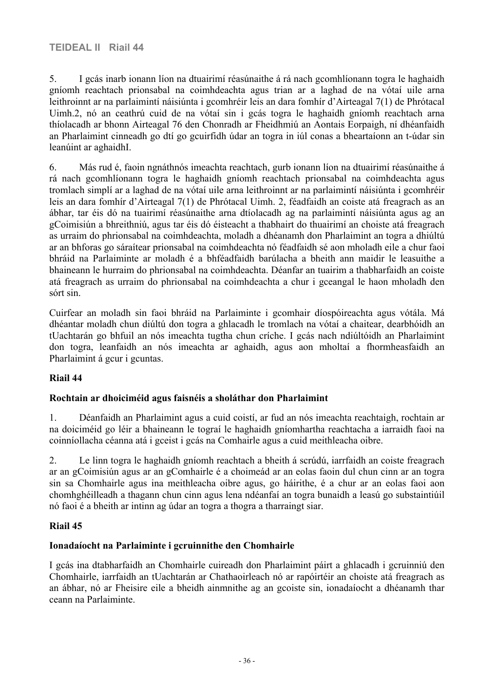5. I gcás inarb ionann líon na dtuairimí réasúnaithe á rá nach gcomhlíonann togra le haghaidh gníomh reachtach prionsabal na coimhdeachta agus trian ar a laghad de na vótaí uile arna leithroinnt ar na parlaimintí náisiúnta i gcomhréir leis an dara fomhír d'Airteagal 7(1) de Phrótacal Uimh.2, nó an ceathrú cuid de na vótaí sin i gcás togra le haghaidh gníomh reachtach arna thíolacadh ar bhonn Airteagal 76 den Chonradh ar Fheidhmiú an Aontais Eorpaigh, ní dhéanfaidh an Pharlaimint cinneadh go dtí go gcuirfidh údar an togra in iúl conas a bheartaíonn an t-údar sin leanúint ar aghaidhI.

6. Más rud é, faoin ngnáthnós imeachta reachtach, gurb ionann líon na dtuairimí réasúnaithe á rá nach gcomhlíonann togra le haghaidh gníomh reachtach prionsabal na coimhdeachta agus tromlach simplí ar a laghad de na vótaí uile arna leithroinnt ar na parlaimintí náisiúnta i gcomhréir leis an dara fomhír d'Airteagal 7(1) de Phrótacal Uimh. 2, féadfaidh an coiste atá freagrach as an ábhar, tar éis dó na tuairimí réasúnaithe arna dtíolacadh ag na parlaimintí náisiúnta agus ag an gCoimisiún a bhreithniú, agus tar éis dó éisteacht a thabhairt do thuairimí an choiste atá freagrach as urraim do phrionsabal na coimhdeachta, moladh a dhéanamh don Pharlaimint an togra a dhiúltú ar an bhforas go sáraítear prionsabal na coimhdeachta nó féadfaidh sé aon mholadh eile a chur faoi bhráid na Parlaiminte ar moladh é a bhféadfaidh barúlacha a bheith ann maidir le leasuithe a bhaineann le hurraim do phrionsabal na coimhdeachta. Déanfar an tuairim a thabharfaidh an coiste atá freagrach as urraim do phrionsabal na coimhdeachta a chur i gceangal le haon mholadh den sórt sin.

Cuirfear an moladh sin faoi bhráid na Parlaiminte i gcomhair díospóireachta agus vótála. Má dhéantar moladh chun diúltú don togra a ghlacadh le tromlach na vótaí a chaitear, dearbhóidh an tUachtarán go bhfuil an nós imeachta tugtha chun críche. I gcás nach ndiúltóidh an Pharlaimint don togra, leanfaidh an nós imeachta ar aghaidh, agus aon mholtaí a fhormheasfaidh an Pharlaimint á gcur i gcuntas.

#### **Riail 44**

#### <span id="page-35-0"></span>**Rochtain ar dhoiciméid agus faisnéis a sholáthar don Pharlaimint**

1. Déanfaidh an Pharlaimint agus a cuid coistí, ar fud an nós imeachta reachtaigh, rochtain ar na doiciméid go léir a bhaineann le tograí le haghaidh gníomhartha reachtacha a iarraidh faoi na coinníollacha céanna atá i gceist i gcás na Comhairle agus a cuid meithleacha oibre.

2. Le linn togra le haghaidh gníomh reachtach a bheith á scrúdú, iarrfaidh an coiste freagrach ar an gCoimisiún agus ar an gComhairle é a choimeád ar an eolas faoin dul chun cinn ar an togra sin sa Chomhairle agus ina meithleacha oibre agus, go háirithe, é a chur ar an eolas faoi aon chomhghéilleadh a thagann chun cinn agus lena ndéanfaí an togra bunaidh a leasú go substaintiúil nó faoi é a bheith ar intinn ag údar an togra a thogra a tharraingt siar.

#### **Riail 45**

#### <span id="page-35-1"></span>**Ionadaíocht na Parlaiminte i gcruinnithe den Chomhairle**

I gcás ina dtabharfaidh an Chomhairle cuireadh don Pharlaimint páirt a ghlacadh i gcruinniú den Chomhairle, iarrfaidh an tUachtarán ar Chathaoirleach nó ar rapóirtéir an choiste atá freagrach as an ábhar, nó ar Fheisire eile a bheidh ainmnithe ag an gcoiste sin, ionadaíocht a dhéanamh thar ceann na Parlaiminte.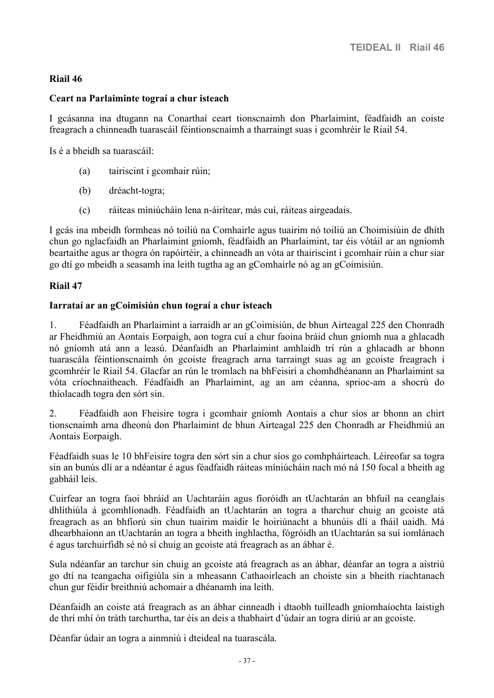### **Riail 46**

#### **Ceart na Parlaiminte tograí a chur isteach**

I gcásanna ina dtugann na Conarthaí ceart tionscnaimh don Pharlaimint, féadfaidh an coiste freagrach a chinneadh tuarascáil féintionscnaimh a tharraingt suas i gcomhréir le Riail 54.

Is é a bheidh sa tuarascáil:

- (a) tairiscint i gcomhair rúin;
- (b) dréacht-togra;
- (c) ráiteas míniúcháin lena n-áirítear, más cuí, ráiteas airgeadais.

I gcás ina mbeidh formheas nó toiliú na Comhairle agus tuairim nó toiliú an Choimisiúin de dhíth chun go nglacfaidh an Pharlaimint gníomh, féadfaidh an Pharlaimint, tar éis vótáil ar an ngníomh beartaithe agus ar thogra ón rapóirtéir, a chinneadh an vóta ar thairiscint i gcomhair rúin a chur siar go dtí go mbeidh a seasamh ina leith tugtha ag an gComhairle nó ag an gCoimisiún.

#### **Riail 47**

#### **Iarrataí ar an gCoimisiún chun tograí a chur isteach**

1. Féadfaidh an Pharlaimint a iarraidh ar an gCoimisiún, de bhun Airteagal 225 den Chonradh ar Fheidhmiú an Aontais Eorpaigh, aon togra cuí a chur faoina bráid chun gníomh nua a ghlacadh nó gníomh atá ann a leasú. Déanfaidh an Pharlaimint amhlaidh trí rún a ghlacadh ar bhonn tuarascála féintionscnaimh ón gcoiste freagrach arna tarraingt suas ag an gcoiste freagrach i gcomhréir le Riail 54. Glacfar an rún le tromlach na bhFeisirí a chomhdhéanann an Pharlaimint sa vóta críochnaitheach. Féadfaidh an Pharlaimint, ag an am céanna, sprioc-am a shocrú do thíolacadh togra den sórt sin.

2. Féadfaidh aon Fheisire togra i gcomhair gníomh Aontais a chur síos ar bhonn an chirt tionscnaimh arna dheonú don Pharlaimint de bhun Airteagal 225 den Chonradh ar Fheidhmiú an Aontais Eorpaigh.

Féadfaidh suas le 10 bhFeisire togra den sórt sin a chur síos go comhpháirteach. Léireofar sa togra sin an bunús dlí ar a ndéantar é agus féadfaidh ráiteas míniúcháin nach mó ná 150 focal a bheith ag gabháil leis.

Cuirfear an togra faoi bhráid an Uachtaráin agus fíoróidh an tUachtarán an bhfuil na ceanglais dhlíthiúla á gcomhlíonadh. Féadfaidh an tUachtarán an togra a tharchur chuig an gcoiste atá freagrach as an bhfíorú sin chun tuairim maidir le hoiriúnacht a bhunúis dlí a fháil uaidh. Má dhearbhaíonn an tUachtarán an togra a bheith inghlactha, fógróidh an tUachtarán sa suí iomlánach é agus tarchuirfidh sé nó sí chuig an gcoiste atá freagrach as an ábhar é.

Sula ndéanfar an tarchur sin chuig an gcoiste atá freagrach as an ábhar, déanfar an togra a aistriú go dtí na teangacha oifigiúla sin a mheasann Cathaoirleach an choiste sin a bheith riachtanach chun gur féidir breithniú achomair a dhéanamh ina leith.

Déanfaidh an coiste atá freagrach as an ábhar cinneadh i dtaobh tuilleadh gníomhaíochta laistigh de thrí mhí ón tráth tarchurtha, tar éis an deis a thabhairt d'údair an togra díriú ar an gcoiste.

Déanfar údair an togra a ainmniú i dteideal na tuarascála.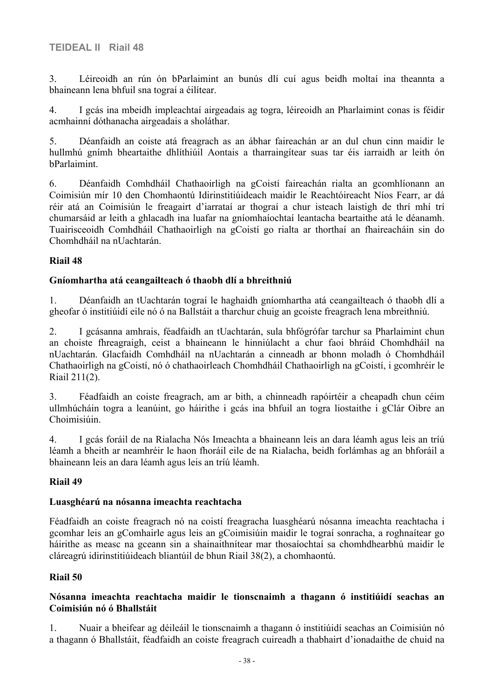3. Léireoidh an rún ón bParlaimint an bunús dlí cuí agus beidh moltaí ina theannta a bhaineann lena bhfuil sna tograí a éilítear.

4. I gcás ina mbeidh impleachtaí airgeadais ag togra, léireoidh an Pharlaimint conas is féidir acmhainní dóthanacha airgeadais a sholáthar.

5. Déanfaidh an coiste atá freagrach as an ábhar faireachán ar an dul chun cinn maidir le hullmhú gnímh bheartaithe dhlíthiúil Aontais a tharraingítear suas tar éis iarraidh ar leith ón bParlaimint.

6. Déanfaidh Comhdháil Chathaoirligh na gCoistí faireachán rialta an gcomhlíonann an Coimisiún mír 10 den Chomhaontú Idirinstitiúideach maidir le Reachtóireacht Níos Fearr, ar dá réir atá an Coimisiún le freagairt d'iarrataí ar thograí a chur isteach laistigh de thrí mhí trí chumarsáid ar leith a ghlacadh ina luafar na gníomhaíochtaí leantacha beartaithe atá le déanamh. Tuairisceoidh Comhdháil Chathaoirligh na gCoistí go rialta ar thorthaí an fhaireacháin sin do Chomhdháil na nUachtarán.

## **Riail 48**

## **Gníomhartha atá ceangailteach ó thaobh dlí a bhreithniú**

1. Déanfaidh an tUachtarán tograí le haghaidh gníomhartha atá ceangailteach ó thaobh dlí a gheofar ó institiúidí eile nó ó na Ballstáit a tharchur chuig an gcoiste freagrach lena mbreithniú.

2. I gcásanna amhrais, féadfaidh an tUachtarán, sula bhfógrófar tarchur sa Pharlaimint chun an choiste fhreagraigh, ceist a bhaineann le hinniúlacht a chur faoi bhráid Chomhdháil na nUachtarán. Glacfaidh Comhdháil na nUachtarán a cinneadh ar bhonn moladh ó Chomhdháil Chathaoirligh na gCoistí, nó ó chathaoirleach Chomhdháil Chathaoirligh na gCoistí, i gcomhréir le Riail 211(2).

3. Féadfaidh an coiste freagrach, am ar bith, a chinneadh rapóirtéir a cheapadh chun céim ullmhúcháin togra a leanúint, go háirithe i gcás ina bhfuil an togra liostaithe i gClár Oibre an Choimisiúin.

4. I gcás foráil de na Rialacha Nós Imeachta a bhaineann leis an dara léamh agus leis an tríú léamh a bheith ar neamhréir le haon fhoráil eile de na Rialacha, beidh forlámhas ag an bhforáil a bhaineann leis an dara léamh agus leis an tríú léamh.

### **Riail 49**

### **Luasghéarú na nósanna imeachta reachtacha**

Féadfaidh an coiste freagrach nó na coistí freagracha luasghéarú nósanna imeachta reachtacha i gcomhar leis an gComhairle agus leis an gCoimisiúin maidir le tograí sonracha, a roghnaítear go háirithe as measc na gceann sin a shainaithnítear mar thosaíochtaí sa chomhdhearbhú maidir le cláreagrú idirinstitiúideach bliantúil de bhun Riail 38(2), a chomhaontú.

### **Riail 50**

### **Nósanna imeachta reachtacha maidir le tionscnaimh a thagann ó institiúidí seachas an Coimisiún nó ó Bhallstáit**

1. Nuair a bheifear ag déileáil le tionscnaimh a thagann ó institiúidí seachas an Coimisiún nó a thagann ó Bhallstáit, féadfaidh an coiste freagrach cuireadh a thabhairt d'ionadaithe de chuid na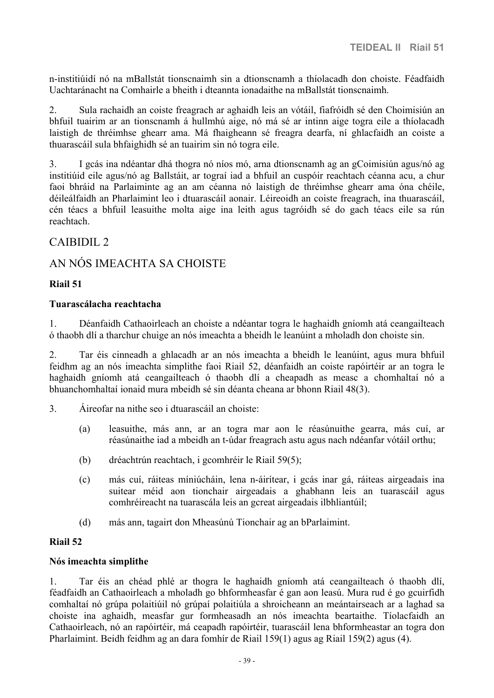n-institiúidí nó na mBallstát tionscnaimh sin a dtionscnamh a thíolacadh don choiste. Féadfaidh Uachtaránacht na Comhairle a bheith i dteannta ionadaithe na mBallstát tionscnaimh.

2. Sula rachaidh an coiste freagrach ar aghaidh leis an vótáil, fiafróidh sé den Choimisiún an bhfuil tuairim ar an tionscnamh á hullmhú aige, nó má sé ar intinn aige togra eile a thíolacadh laistigh de thréimhse ghearr ama. Má fhaigheann sé freagra dearfa, ní ghlacfaidh an coiste a thuarascáil sula bhfaighidh sé an tuairim sin nó togra eile.

3. I gcás ina ndéantar dhá thogra nó níos mó, arna dtionscnamh ag an gCoimisiún agus/nó ag institiúid eile agus/nó ag Ballstáit, ar tograí iad a bhfuil an cuspóir reachtach céanna acu, a chur faoi bhráid na Parlaiminte ag an am céanna nó laistigh de thréimhse ghearr ama óna chéile, déileálfaidh an Pharlaimint leo i dtuarascáil aonair. Léireoidh an coiste freagrach, ina thuarascáil, cén téacs a bhfuil leasuithe molta aige ina leith agus tagróidh sé do gach téacs eile sa rún reachtach.

## CAIBIDIL 2

## AN NÓS IMEACHTA SA CHOISTE

### **Riail 51**

#### **Tuarascálacha reachtacha**

1. Déanfaidh Cathaoirleach an choiste a ndéantar togra le haghaidh gníomh atá ceangailteach ó thaobh dlí a tharchur chuige an nós imeachta a bheidh le leanúint a mholadh don choiste sin.

2. Tar éis cinneadh a ghlacadh ar an nós imeachta a bheidh le leanúint, agus mura bhfuil feidhm ag an nós imeachta simplithe faoi Riail 52, déanfaidh an coiste rapóirtéir ar an togra le haghaidh gníomh atá ceangailteach ó thaobh dlí a cheapadh as measc a chomhaltaí nó a bhuanchomhaltaí ionaid mura mbeidh sé sin déanta cheana ar bhonn Riail 48(3).

- 3. Áireofar na nithe seo i dtuarascáil an choiste:
	- (a) leasuithe, más ann, ar an togra mar aon le réasúnuithe gearra, más cuí, ar réasúnaithe iad a mbeidh an t-údar freagrach astu agus nach ndéanfar vótáil orthu;
	- (b) dréachtrún reachtach, i gcomhréir le Riail 59(5);
	- (c) más cuí, ráiteas míniúcháin, lena n-áirítear, i gcás inar gá, ráiteas airgeadais ina suitear méid aon tionchair airgeadais a ghabhann leis an tuarascáil agus comhréireacht na tuarascála leis an gcreat airgeadais ilbhliantúil;
	- (d) más ann, tagairt don Mheasúnú Tionchair ag an bParlaimint.

#### **Riail 52**

#### **Nós imeachta simplithe**

1. Tar éis an chéad phlé ar thogra le haghaidh gníomh atá ceangailteach ó thaobh dlí, féadfaidh an Cathaoirleach a mholadh go bhformheasfar é gan aon leasú. Mura rud é go gcuirfidh comhaltaí nó grúpa polaitiúil nó grúpaí polaitiúla a shroicheann an meántairseach ar a laghad sa choiste ina aghaidh, measfar gur formheasadh an nós imeachta beartaithe. Tíolacfaidh an Cathaoirleach, nó an rapóirtéir, má ceapadh rapóirtéir, tuarascáil lena bhformheastar an togra don Pharlaimint. Beidh feidhm ag an dara fomhír de Riail 159(1) agus ag Riail 159(2) agus (4).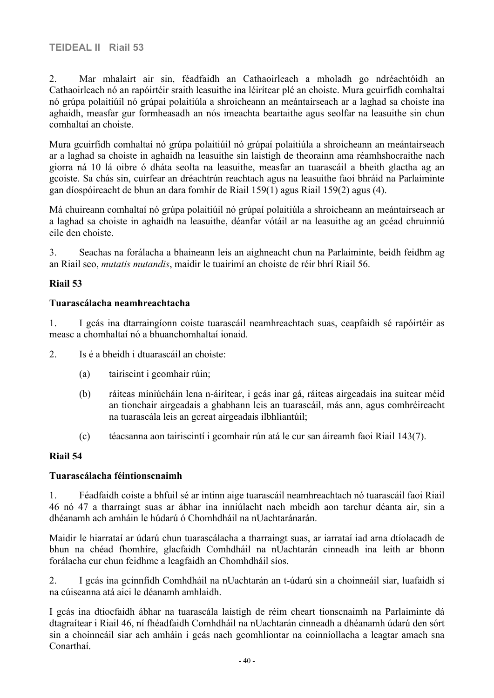2. Mar mhalairt air sin, féadfaidh an Cathaoirleach a mholadh go ndréachtóidh an Cathaoirleach nó an rapóirtéir sraith leasuithe ina léirítear plé an choiste. Mura gcuirfidh comhaltaí nó grúpa polaitiúil nó grúpaí polaitiúla a shroicheann an meántairseach ar a laghad sa choiste ina aghaidh, measfar gur formheasadh an nós imeachta beartaithe agus seolfar na leasuithe sin chun comhaltaí an choiste.

Mura gcuirfidh comhaltaí nó grúpa polaitiúil nó grúpaí polaitiúla a shroicheann an meántairseach ar a laghad sa choiste in aghaidh na leasuithe sin laistigh de theorainn ama réamhshocraithe nach giorra ná 10 lá oibre ó dháta seolta na leasuithe, measfar an tuarascáil a bheith glactha ag an gcoiste. Sa chás sin, cuirfear an dréachtrún reachtach agus na leasuithe faoi bhráid na Parlaiminte gan díospóireacht de bhun an dara fomhír de Riail 159(1) agus Riail 159(2) agus (4).

Má chuireann comhaltaí nó grúpa polaitiúil nó grúpaí polaitiúla a shroicheann an meántairseach ar a laghad sa choiste in aghaidh na leasuithe, déanfar vótáil ar na leasuithe ag an gcéad chruinniú eile den choiste.

3. Seachas na forálacha a bhaineann leis an aighneacht chun na Parlaiminte, beidh feidhm ag an Riail seo, *mutatis mutandis*, maidir le tuairimí an choiste de réir bhrí Riail 56.

## **Riail 53**

### **Tuarascálacha neamhreachtacha**

1. I gcás ina dtarraingíonn coiste tuarascáil neamhreachtach suas, ceapfaidh sé rapóirtéir as measc a chomhaltaí nó a bhuanchomhaltaí ionaid.

2. Is é a bheidh i dtuarascáil an choiste:

- (a) tairiscint i gcomhair rúin;
- (b) ráiteas míniúcháin lena n-áirítear, i gcás inar gá, ráiteas airgeadais ina suitear méid an tionchair airgeadais a ghabhann leis an tuarascáil, más ann, agus comhréireacht na tuarascála leis an gcreat airgeadais ilbhliantúil;
- (c) téacsanna aon tairiscintí i gcomhair rún atá le cur san áireamh faoi Riail 143(7).

### **Riail 54**

### **Tuarascálacha féintionscnaimh**

1. Féadfaidh coiste a bhfuil sé ar intinn aige tuarascáil neamhreachtach nó tuarascáil faoi Riail 46 nó 47 a tharraingt suas ar ábhar ina inniúlacht nach mbeidh aon tarchur déanta air, sin a dhéanamh ach amháin le húdarú ó Chomhdháil na nUachtaránarán.

Maidir le hiarrataí ar údarú chun tuarascálacha a tharraingt suas, ar iarrataí iad arna dtíolacadh de bhun na chéad fhomhíre, glacfaidh Comhdháil na nUachtarán cinneadh ina leith ar bhonn forálacha cur chun feidhme a leagfaidh an Chomhdháil síos.

2. I gcás ina gcinnfidh Comhdháil na nUachtarán an t-údarú sin a choinneáil siar, luafaidh sí na cúiseanna atá aici le déanamh amhlaidh.

I gcás ina dtiocfaidh ábhar na tuarascála laistigh de réim cheart tionscnaimh na Parlaiminte dá dtagraítear i Riail 46, ní fhéadfaidh Comhdháil na nUachtarán cinneadh a dhéanamh údarú den sórt sin a choinneáil siar ach amháin i gcás nach gcomhlíontar na coinníollacha a leagtar amach sna Conarthaí.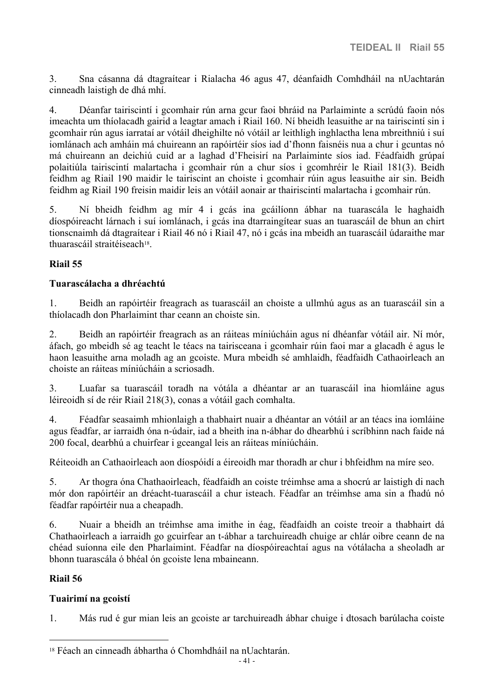3. Sna cásanna dá dtagraítear i Rialacha 46 agus 47, déanfaidh Comhdháil na nUachtarán cinneadh laistigh de dhá mhí.

4. Déanfar tairiscintí i gcomhair rún arna gcur faoi bhráid na Parlaiminte a scrúdú faoin nós imeachta um thíolacadh gairid a leagtar amach i Riail 160. Ní bheidh leasuithe ar na tairiscintí sin i gcomhair rún agus iarrataí ar vótáil dheighilte nó vótáil ar leithligh inghlactha lena mbreithniú i suí iomlánach ach amháin má chuireann an rapóirtéir síos iad d'fhonn faisnéis nua a chur i gcuntas nó má chuireann an deichiú cuid ar a laghad d'Fheisirí na Parlaiminte síos iad. Féadfaidh grúpaí polaitiúla tairiscintí malartacha i gcomhair rún a chur síos i gcomhréir le Riail 181(3). Beidh feidhm ag Riail 190 maidir le tairiscint an choiste i gcomhair rúin agus leasuithe air sin. Beidh feidhm ag Riail 190 freisin maidir leis an vótáil aonair ar thairiscintí malartacha i gcomhair rún.

5. Ní bheidh feidhm ag mír 4 i gcás ina gcáilíonn ábhar na tuarascála le haghaidh díospóireacht lárnach i suí iomlánach, i gcás ina dtarraingítear suas an tuarascáil de bhun an chirt tionscnaimh dá dtagraítear i Riail 46 nó i Riail 47, nó i gcás ina mbeidh an tuarascáil údaraithe mar thuarascáil straitéiseach<sup>18</sup>.

### **Riail 55**

### **Tuarascálacha a dhréachtú**

1. Beidh an rapóirtéir freagrach as tuarascáil an choiste a ullmhú agus as an tuarascáil sin a thíolacadh don Pharlaimint thar ceann an choiste sin.

2. Beidh an rapóirtéir freagrach as an ráiteas míniúcháin agus ní dhéanfar vótáil air. Ní mór, áfach, go mbeidh sé ag teacht le téacs na tairisceana i gcomhair rúin faoi mar a glacadh é agus le haon leasuithe arna moladh ag an gcoiste. Mura mbeidh sé amhlaidh, féadfaidh Cathaoirleach an choiste an ráiteas míniúcháin a scriosadh.

3. Luafar sa tuarascáil toradh na vótála a dhéantar ar an tuarascáil ina hiomláine agus léireoidh sí de réir Riail 218(3), conas a vótáil gach comhalta.

4. Féadfar seasaimh mhionlaigh a thabhairt nuair a dhéantar an vótáil ar an téacs ina iomláine agus féadfar, ar iarraidh óna n-údair, iad a bheith ina n-ábhar do dhearbhú i scríbhinn nach faide ná 200 focal, dearbhú a chuirfear i gceangal leis an ráiteas míniúcháin.

Réiteoidh an Cathaoirleach aon díospóidí a éireoidh mar thoradh ar chur i bhfeidhm na míre seo.

5. Ar thogra óna Chathaoirleach, féadfaidh an coiste tréimhse ama a shocrú ar laistigh di nach mór don rapóirtéir an dréacht-tuarascáil a chur isteach. Féadfar an tréimhse ama sin a fhadú nó féadfar rapóirtéir nua a cheapadh.

6. Nuair a bheidh an tréimhse ama imithe in éag, féadfaidh an coiste treoir a thabhairt dá Chathaoirleach a iarraidh go gcuirfear an t-ábhar a tarchuireadh chuige ar chlár oibre ceann de na chéad suíonna eile den Pharlaimint. Féadfar na díospóireachtaí agus na vótálacha a sheoladh ar bhonn tuarascála ó bhéal ón gcoiste lena mbaineann.

### **Riail 56**

### **Tuairimí na gcoistí**

1. Más rud é gur mian leis an gcoiste ar tarchuireadh ábhar chuige i dtosach barúlacha coiste

<sup>18</sup> Féach an cinneadh ábhartha ó Chomhdháil na nUachtarán.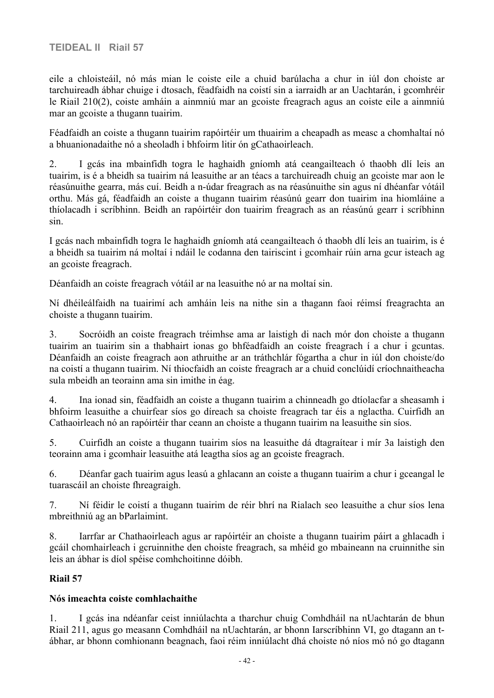eile a chloisteáil, nó más mian le coiste eile a chuid barúlacha a chur in iúl don choiste ar tarchuireadh ábhar chuige i dtosach, féadfaidh na coistí sin a iarraidh ar an Uachtarán, i gcomhréir le Riail 210(2), coiste amháin a ainmniú mar an gcoiste freagrach agus an coiste eile a ainmniú mar an gcoiste a thugann tuairim.

Féadfaidh an coiste a thugann tuairim rapóirtéir um thuairim a cheapadh as measc a chomhaltaí nó a bhuanionadaithe nó a sheoladh i bhfoirm litir ón gCathaoirleach.

2. I gcás ina mbainfidh togra le haghaidh gníomh atá ceangailteach ó thaobh dlí leis an tuairim, is é a bheidh sa tuairim ná leasuithe ar an téacs a tarchuireadh chuig an gcoiste mar aon le réasúnuithe gearra, más cuí. Beidh a n-údar freagrach as na réasúnuithe sin agus ní dhéanfar vótáil orthu. Más gá, féadfaidh an coiste a thugann tuairim réasúnú gearr don tuairim ina hiomláine a thíolacadh i scríbhinn. Beidh an rapóirtéir don tuairim freagrach as an réasúnú gearr i scríbhinn sin.

I gcás nach mbainfidh togra le haghaidh gníomh atá ceangailteach ó thaobh dlí leis an tuairim, is é a bheidh sa tuairim ná moltaí i ndáil le codanna den tairiscint i gcomhair rúin arna gcur isteach ag an gcoiste freagrach.

Déanfaidh an coiste freagrach vótáil ar na leasuithe nó ar na moltaí sin.

Ní dhéileálfaidh na tuairimí ach amháin leis na nithe sin a thagann faoi réimsí freagrachta an choiste a thugann tuairim.

3. Socróidh an coiste freagrach tréimhse ama ar laistigh di nach mór don choiste a thugann tuairim an tuairim sin a thabhairt ionas go bhféadfaidh an coiste freagrach í a chur i gcuntas. Déanfaidh an coiste freagrach aon athruithe ar an tráthchlár fógartha a chur in iúl don choiste/do na coistí a thugann tuairim. Ní thiocfaidh an coiste freagrach ar a chuid conclúidí críochnaitheacha sula mbeidh an teorainn ama sin imithe in éag.

4. Ina ionad sin, féadfaidh an coiste a thugann tuairim a chinneadh go dtíolacfar a sheasamh i bhfoirm leasuithe a chuirfear síos go díreach sa choiste freagrach tar éis a nglactha. Cuirfidh an Cathaoirleach nó an rapóirtéir thar ceann an choiste a thugann tuairim na leasuithe sin síos.

5. Cuirfidh an coiste a thugann tuairim síos na leasuithe dá dtagraítear i mír 3a laistigh den teorainn ama i gcomhair leasuithe atá leagtha síos ag an gcoiste freagrach.

6. Déanfar gach tuairim agus leasú a ghlacann an coiste a thugann tuairim a chur i gceangal le tuarascáil an choiste fhreagraigh.

7. Ní féidir le coistí a thugann tuairim de réir bhrí na Rialach seo leasuithe a chur síos lena mbreithniú ag an bParlaimint.

8. Iarrfar ar Chathaoirleach agus ar rapóirtéir an choiste a thugann tuairim páirt a ghlacadh i gcáil chomhairleach i gcruinnithe den choiste freagrach, sa mhéid go mbaineann na cruinnithe sin leis an ábhar is díol spéise comhchoitinne dóibh.

### **Riail 57**

### **Nós imeachta coiste comhlachaithe**

1. I gcás ina ndéanfar ceist inniúlachta a tharchur chuig Comhdháil na nUachtarán de bhun Riail 211, agus go measann Comhdháil na nUachtarán, ar bhonn Iarscríbhinn VI, go dtagann an tábhar, ar bhonn comhionann beagnach, faoi réim inniúlacht dhá choiste nó níos mó nó go dtagann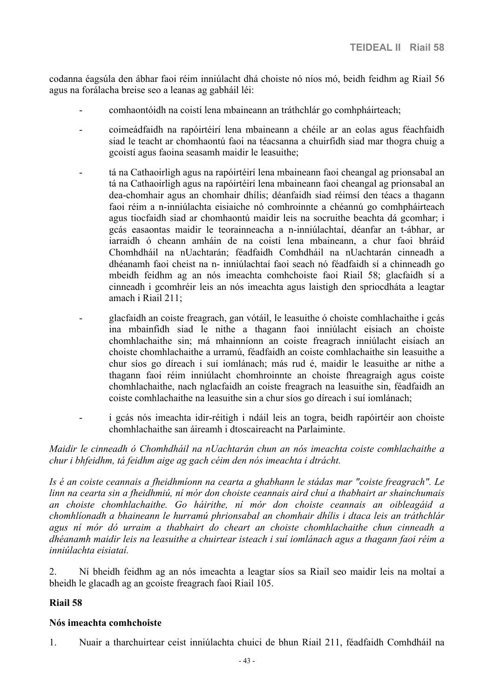codanna éagsúla den ábhar faoi réim inniúlacht dhá choiste nó níos mó, beidh feidhm ag Riail 56 agus na forálacha breise seo a leanas ag gabháil léi:

- comhaontóidh na coistí lena mbaineann an tráthchlár go comhpháirteach;
- coimeádfaidh na rapóirtéirí lena mbaineann a chéile ar an eolas agus féachfaidh siad le teacht ar chomhaontú faoi na téacsanna a chuirfidh siad mar thogra chuig a gcoistí agus faoina seasamh maidir le leasuithe;
- tá na Cathaoirligh agus na rapóirtéirí lena mbaineann faoi cheangal ag prionsabal an tá na Cathaoirligh agus na rapóirtéirí lena mbaineann faoi cheangal ag prionsabal an dea-chomhair agus an chomhair dhílis; déanfaidh siad réimsí den téacs a thagann faoi réim a n-inniúlachta eisiaiche nó comhroinnte a chéannú go comhpháirteach agus tiocfaidh siad ar chomhaontú maidir leis na socruithe beachta dá gcomhar; i gcás easaontas maidir le teorainneacha a n-inniúlachtaí, déanfar an t-ábhar, ar iarraidh ó cheann amháin de na coistí lena mbaineann, a chur faoi bhráid Chomhdháil na nUachtarán; féadfaidh Comhdháil na nUachtarán cinneadh a dhéanamh faoi cheist na n- inniúlachtaí faoi seach nó féadfaidh sí a chinneadh go mbeidh feidhm ag an nós imeachta comhchoiste faoi Riail 58; glacfaidh sí a cinneadh i gcomhréir leis an nós imeachta agus laistigh den spriocdháta a leagtar amach i Riail 211;
- glacfaidh an coiste freagrach, gan vótáil, le leasuithe ó choiste comhlachaithe i gcás ina mbainfidh siad le nithe a thagann faoi inniúlacht eisiach an choiste chomhlachaithe sin; má mhainníonn an coiste freagrach inniúlacht eisiach an choiste chomhlachaithe a urramú, féadfaidh an coiste comhlachaithe sin leasuithe a chur síos go díreach i suí iomlánach; más rud é, maidir le leasuithe ar nithe a thagann faoi réim inniúlacht chomhroinnte an choiste fhreagraigh agus coiste chomhlachaithe, nach nglacfaidh an coiste freagrach na leasuithe sin, féadfaidh an coiste comhlachaithe na leasuithe sin a chur síos go díreach i suí iomlánach;
- i gcás nós imeachta idir-réitigh i ndáil leis an togra, beidh rapóirtéir aon choiste chomhlachaithe san áireamh i dtoscaireacht na Parlaiminte.

*Maidir le cinneadh ó Chomhdháil na nUachtarán chun an nós imeachta coiste comhlachaithe a chur i bhfeidhm, tá feidhm aige ag gach céim den nós imeachta i dtrácht.*

*Is é an coiste ceannais a fheidhmíonn na cearta a ghabhann le stádas mar "coiste freagrach". Le linn na cearta sin a fheidhmiú, ní mór don choiste ceannais aird chuí a thabhairt ar shainchumais an choiste chomhlachaithe. Go háirithe, ní mór don choiste ceannais an oibleagáid a chomhlíonadh a bhaineann le hurramú phrionsabal an chomhair dhílis i dtaca leis an tráthchlár agus ní mór dó urraim a thabhairt do cheart an choiste chomhlachaithe chun cinneadh a dhéanamh maidir leis na leasuithe a chuirtear isteach i suí iomlánach agus a thagann faoi réim a inniúlachta eisiataí.*

2. Ní bheidh feidhm ag an nós imeachta a leagtar síos sa Riail seo maidir leis na moltaí a bheidh le glacadh ag an gcoiste freagrach faoi Riail 105.

### **Riail 58**

#### **Nós imeachta comhchoiste**

1. Nuair a tharchuirtear ceist inniúlachta chuici de bhun Riail 211, féadfaidh Comhdháil na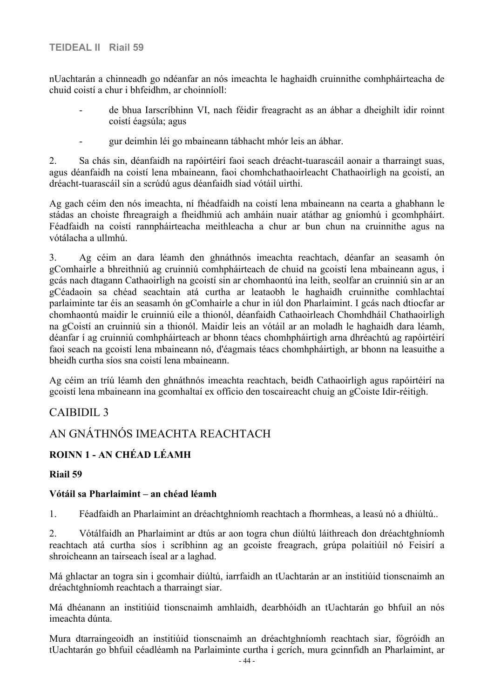nUachtarán a chinneadh go ndéanfar an nós imeachta le haghaidh cruinnithe comhpháirteacha de chuid coistí a chur i bhfeidhm, ar choinníoll:

- de bhua Iarscríbhinn VI, nach féidir freagracht as an ábhar a dheighilt idir roinnt coistí éagsúla; agus
- gur deimhin léi go mbaineann tábhacht mhór leis an ábhar.

2. Sa chás sin, déanfaidh na rapóirtéirí faoi seach dréacht-tuarascáil aonair a tharraingt suas, agus déanfaidh na coistí lena mbaineann, faoi chomhchathaoirleacht Chathaoirligh na gcoistí, an dréacht-tuarascáil sin a scrúdú agus déanfaidh siad vótáil uirthi.

Ag gach céim den nós imeachta, ní fhéadfaidh na coistí lena mbaineann na cearta a ghabhann le stádas an choiste fhreagraigh a fheidhmiú ach amháin nuair atáthar ag gníomhú i gcomhpháirt. Féadfaidh na coistí rannpháirteacha meithleacha a chur ar bun chun na cruinnithe agus na vótálacha a ullmhú.

3. Ag céim an dara léamh den ghnáthnós imeachta reachtach, déanfar an seasamh ón gComhairle a bhreithniú ag cruinniú comhpháirteach de chuid na gcoistí lena mbaineann agus, i gcás nach dtagann Cathaoirligh na gcoistí sin ar chomhaontú ina leith, seolfar an cruinniú sin ar an gCéadaoin sa chéad seachtain atá curtha ar leataobh le haghaidh cruinnithe comhlachtaí parlaiminte tar éis an seasamh ón gComhairle a chur in iúl don Pharlaimint. I gcás nach dtiocfar ar chomhaontú maidir le cruinniú eile a thionól, déanfaidh Cathaoirleach Chomhdháil Chathaoirligh na gCoistí an cruinniú sin a thionól. Maidir leis an vótáil ar an moladh le haghaidh dara léamh, déanfar í ag cruinniú comhpháirteach ar bhonn téacs chomhpháirtigh arna dhréachtú ag rapóirtéirí faoi seach na gcoistí lena mbaineann nó, d'éagmais téacs chomhpháirtigh, ar bhonn na leasuithe a bheidh curtha síos sna coistí lena mbaineann.

Ag céim an tríú léamh den ghnáthnós imeachta reachtach, beidh Cathaoirligh agus rapóirtéirí na gcoistí lena mbaineann ina gcomhaltaí ex officio den toscaireacht chuig an gCoiste Idir-réitigh.

## CAIBIDIL 3

## AN GNÁTHNÓS IMEACHTA REACHTACH

## **ROINN 1 - AN CHÉAD LÉAMH**

#### **Riail 59**

#### **Vótáil sa Pharlaimint – an chéad léamh**

1. Féadfaidh an Pharlaimint an dréachtghníomh reachtach a fhormheas, a leasú nó a dhiúltú..

2. Vótálfaidh an Pharlaimint ar dtús ar aon togra chun diúltú láithreach don dréachtghníomh reachtach atá curtha síos i scríbhinn ag an gcoiste freagrach, grúpa polaitiúil nó Feisirí a shroicheann an tairseach íseal ar a laghad.

Má ghlactar an togra sin i gcomhair diúltú, iarrfaidh an tUachtarán ar an institiúid tionscnaimh an dréachtghníomh reachtach a tharraingt siar.

Má dhéanann an institiúid tionscnaimh amhlaidh, dearbhóidh an tUachtarán go bhfuil an nós imeachta dúnta.

Mura dtarraingeoidh an institiúid tionscnaimh an dréachtghníomh reachtach siar, fógróidh an tUachtarán go bhfuil céadléamh na Parlaiminte curtha i gcrích, mura gcinnfidh an Pharlaimint, ar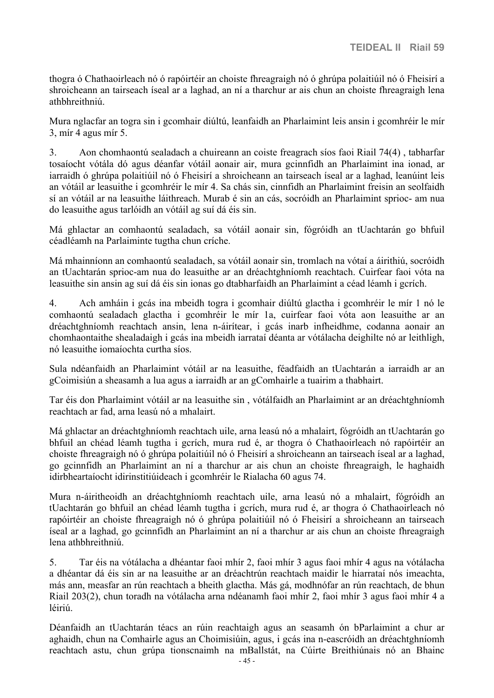thogra ó Chathaoirleach nó ó rapóirtéir an choiste fhreagraigh nó ó ghrúpa polaitiúil nó ó Fheisirí a shroicheann an tairseach íseal ar a laghad, an ní a tharchur ar ais chun an choiste fhreagraigh lena athbhreithniú.

Mura nglacfar an togra sin i gcomhair diúltú, leanfaidh an Pharlaimint leis ansin i gcomhréir le mír 3, mír 4 agus mír 5.

3. Aon chomhaontú sealadach a chuireann an coiste freagrach síos faoi Riail 74(4) , tabharfar tosaíocht vótála dó agus déanfar vótáil aonair air, mura gcinnfidh an Pharlaimint ina ionad, ar iarraidh ó ghrúpa polaitiúil nó ó Fheisirí a shroicheann an tairseach íseal ar a laghad, leanúint leis an vótáil ar leasuithe i gcomhréir le mír 4. Sa chás sin, cinnfidh an Pharlaimint freisin an seolfaidh sí an vótáil ar na leasuithe láithreach. Murab é sin an cás, socróidh an Pharlaimint sprioc- am nua do leasuithe agus tarlóidh an vótáil ag suí dá éis sin.

Má ghlactar an comhaontú sealadach, sa vótáil aonair sin, fógróidh an tUachtarán go bhfuil céadléamh na Parlaiminte tugtha chun críche.

Má mhainníonn an comhaontú sealadach, sa vótáil aonair sin, tromlach na vótaí a áirithiú, socróidh an tUachtarán sprioc-am nua do leasuithe ar an dréachtghníomh reachtach. Cuirfear faoi vóta na leasuithe sin ansin ag suí dá éis sin ionas go dtabharfaidh an Pharlaimint a céad léamh i gcrích.

4. Ach amháin i gcás ina mbeidh togra i gcomhair diúltú glactha i gcomhréir le mír 1 nó le comhaontú sealadach glactha i gcomhréir le mír 1a, cuirfear faoi vóta aon leasuithe ar an dréachtghníomh reachtach ansin, lena n-áirítear, i gcás inarb infheidhme, codanna aonair an chomhaontaithe shealadaigh i gcás ina mbeidh iarrataí déanta ar vótálacha deighilte nó ar leithligh, nó leasuithe iomaíochta curtha síos.

Sula ndéanfaidh an Pharlaimint vótáil ar na leasuithe, féadfaidh an tUachtarán a iarraidh ar an gCoimisiún a sheasamh a lua agus a iarraidh ar an gComhairle a tuairim a thabhairt.

Tar éis don Pharlaimint vótáil ar na leasuithe sin , vótálfaidh an Pharlaimint ar an dréachtghníomh reachtach ar fad, arna leasú nó a mhalairt.

Má ghlactar an dréachtghníomh reachtach uile, arna leasú nó a mhalairt, fógróidh an tUachtarán go bhfuil an chéad léamh tugtha i gcrích, mura rud é, ar thogra ó Chathaoirleach nó rapóirtéir an choiste fhreagraigh nó ó ghrúpa polaitiúil nó ó Fheisirí a shroicheann an tairseach íseal ar a laghad, go gcinnfidh an Pharlaimint an ní a tharchur ar ais chun an choiste fhreagraigh, le haghaidh idirbheartaíocht idirinstitiúideach i gcomhréir le Rialacha 60 agus 74.

Mura n-áiritheoidh an dréachtghníomh reachtach uile, arna leasú nó a mhalairt, fógróidh an tUachtarán go bhfuil an chéad léamh tugtha i gcrích, mura rud é, ar thogra ó Chathaoirleach nó rapóirtéir an choiste fhreagraigh nó ó ghrúpa polaitiúil nó ó Fheisirí a shroicheann an tairseach íseal ar a laghad, go gcinnfidh an Pharlaimint an ní a tharchur ar ais chun an choiste fhreagraigh lena athbhreithniú.

5. Tar éis na vótálacha a dhéantar faoi mhír 2, faoi mhír 3 agus faoi mhír 4 agus na vótálacha a dhéantar dá éis sin ar na leasuithe ar an dréachtrún reachtach maidir le hiarrataí nós imeachta, más ann, measfar an rún reachtach a bheith glactha. Más gá, modhnófar an rún reachtach, de bhun Riail 203(2), chun toradh na vótálacha arna ndéanamh faoi mhír 2, faoi mhír 3 agus faoi mhír 4 a léiriú.

Déanfaidh an tUachtarán téacs an rúin reachtaigh agus an seasamh ón bParlaimint a chur ar aghaidh, chun na Comhairle agus an Choimisiúin, agus, i gcás ina n-eascróidh an dréachtghníomh reachtach astu, chun grúpa tionscnaimh na mBallstát, na Cúirte Breithiúnais nó an Bhainc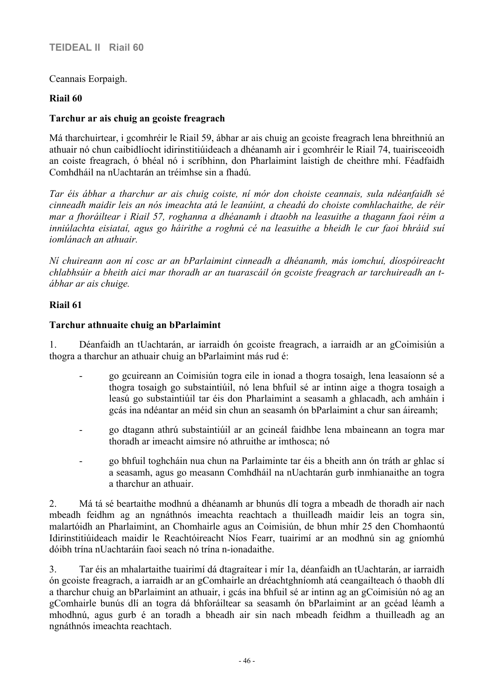Ceannais Eorpaigh.

### **Riail 60**

### **Tarchur ar ais chuig an gcoiste freagrach**

Má tharchuirtear, i gcomhréir le Riail 59, ábhar ar ais chuig an gcoiste freagrach lena bhreithniú an athuair nó chun caibidlíocht idirinstitiúideach a dhéanamh air i gcomhréir le Riail 74, tuairisceoidh an coiste freagrach, ó bhéal nó i scríbhinn, don Pharlaimint laistigh de cheithre mhí. Féadfaidh Comhdháil na nUachtarán an tréimhse sin a fhadú.

*Tar éis ábhar a tharchur ar ais chuig coiste, ní mór don choiste ceannais, sula ndéanfaidh sé cinneadh maidir leis an nós imeachta atá le leanúint, a cheadú do choiste comhlachaithe, de réir mar a fhoráiltear i Riail 57, roghanna a dhéanamh i dtaobh na leasuithe a thagann faoi réim a inniúlachta eisiataí, agus go háirithe a roghnú cé na leasuithe a bheidh le cur faoi bhráid suí iomlánach an athuair.*

*Ní chuireann aon ní cosc ar an bParlaimint cinneadh a dhéanamh, más iomchuí, díospóireacht chlabhsúir a bheith aici mar thoradh ar an tuarascáil ón gcoiste freagrach ar tarchuireadh an tábhar ar ais chuige.*

### **Riail 61**

### **Tarchur athnuaite chuig an bParlaimint**

1. Déanfaidh an tUachtarán, ar iarraidh ón gcoiste freagrach, a iarraidh ar an gCoimisiún a thogra a tharchur an athuair chuig an bParlaimint más rud é:

- go gcuireann an Coimisiún togra eile in ionad a thogra tosaigh, lena leasaíonn sé a thogra tosaigh go substaintiúil, nó lena bhfuil sé ar intinn aige a thogra tosaigh a leasú go substaintiúil tar éis don Pharlaimint a seasamh a ghlacadh, ach amháin i gcás ina ndéantar an méid sin chun an seasamh ón bParlaimint a chur san áireamh;
- go dtagann athrú substaintiúil ar an gcineál faidhbe lena mbaineann an togra mar thoradh ar imeacht aimsire nó athruithe ar imthosca; nó
- go bhfuil toghcháin nua chun na Parlaiminte tar éis a bheith ann ón tráth ar ghlac sí a seasamh, agus go measann Comhdháil na nUachtarán gurb inmhianaithe an togra a tharchur an athuair.

2. Má tá sé beartaithe modhnú a dhéanamh ar bhunús dlí togra a mbeadh de thoradh air nach mbeadh feidhm ag an ngnáthnós imeachta reachtach a thuilleadh maidir leis an togra sin, malartóidh an Pharlaimint, an Chomhairle agus an Coimisiún, de bhun mhír 25 den Chomhaontú Idirinstitiúideach maidir le Reachtóireacht Níos Fearr, tuairimí ar an modhnú sin ag gníomhú dóibh trína nUachtaráin faoi seach nó trína n-ionadaithe.

3. Tar éis an mhalartaithe tuairimí dá dtagraítear i mír 1a, déanfaidh an tUachtarán, ar iarraidh ón gcoiste freagrach, a iarraidh ar an gComhairle an dréachtghníomh atá ceangailteach ó thaobh dlí a tharchur chuig an bParlaimint an athuair, i gcás ina bhfuil sé ar intinn ag an gCoimisiún nó ag an gComhairle bunús dlí an togra dá bhforáiltear sa seasamh ón bParlaimint ar an gcéad léamh a mhodhnú, agus gurb é an toradh a bheadh air sin nach mbeadh feidhm a thuilleadh ag an ngnáthnós imeachta reachtach.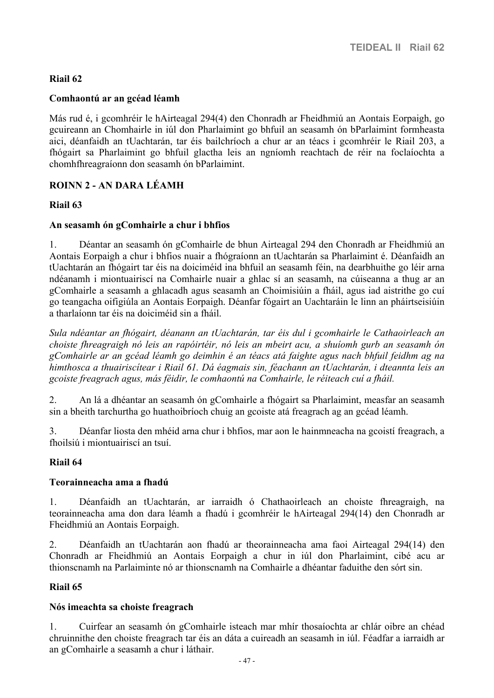## **Riail 62**

#### **Comhaontú ar an gcéad léamh**

Más rud é, i gcomhréir le hAirteagal 294(4) den Chonradh ar Fheidhmiú an Aontais Eorpaigh, go gcuireann an Chomhairle in iúl don Pharlaimint go bhfuil an seasamh ón bParlaimint formheasta aici, déanfaidh an tUachtarán, tar éis bailchríoch a chur ar an téacs i gcomhréir le Riail 203, a fhógairt sa Pharlaimint go bhfuil glactha leis an ngníomh reachtach de réir na foclaíochta a chomhfhreagraíonn don seasamh ón bParlaimint.

## **ROINN 2 - AN DARA LÉAMH**

#### **Riail 63**

#### **An seasamh ón gComhairle a chur i bhfios**

1. Déantar an seasamh ón gComhairle de bhun Airteagal 294 den Chonradh ar Fheidhmiú an Aontais Eorpaigh a chur i bhfios nuair a fhógraíonn an tUachtarán sa Pharlaimint é. Déanfaidh an tUachtarán an fhógairt tar éis na doiciméid ina bhfuil an seasamh féin, na dearbhuithe go léir arna ndéanamh i miontuairiscí na Comhairle nuair a ghlac sí an seasamh, na cúiseanna a thug ar an gComhairle a seasamh a ghlacadh agus seasamh an Choimisiúin a fháil, agus iad aistrithe go cuí go teangacha oifigiúla an Aontais Eorpaigh. Déanfar fógairt an Uachtaráin le linn an pháirtseisiúin a tharlaíonn tar éis na doiciméid sin a fháil.

*Sula ndéantar an fhógairt, déanann an tUachtarán, tar éis dul i gcomhairle le Cathaoirleach an choiste fhreagraigh nó leis an rapóirtéir, nó leis an mbeirt acu, a shuíomh gurb an seasamh ón gComhairle ar an gcéad léamh go deimhin é an téacs atá faighte agus nach bhfuil feidhm ag na himthosca a thuairiscítear i Riail 61. Dá éagmais sin, féachann an tUachtarán, i dteannta leis an gcoiste freagrach agus, más féidir, le comhaontú na Comhairle, le réiteach cuí a fháil.*

2. An lá a dhéantar an seasamh ón gComhairle a fhógairt sa Pharlaimint, measfar an seasamh sin a bheith tarchurtha go huathoibríoch chuig an gcoiste atá freagrach ag an gcéad léamh.

3. Déanfar liosta den mhéid arna chur i bhfios, mar aon le hainmneacha na gcoistí freagrach, a fhoilsiú i miontuairiscí an tsuí.

#### **Riail 64**

#### **Teorainneacha ama a fhadú**

1. Déanfaidh an tUachtarán, ar iarraidh ó Chathaoirleach an choiste fhreagraigh, na teorainneacha ama don dara léamh a fhadú i gcomhréir le hAirteagal 294(14) den Chonradh ar Fheidhmiú an Aontais Eorpaigh.

2. Déanfaidh an tUachtarán aon fhadú ar theorainneacha ama faoi Airteagal 294(14) den Chonradh ar Fheidhmiú an Aontais Eorpaigh a chur in iúl don Pharlaimint, cibé acu ar thionscnamh na Parlaiminte nó ar thionscnamh na Comhairle a dhéantar faduithe den sórt sin.

### **Riail 65**

#### **Nós imeachta sa choiste freagrach**

1. Cuirfear an seasamh ón gComhairle isteach mar mhír thosaíochta ar chlár oibre an chéad chruinnithe den choiste freagrach tar éis an dáta a cuireadh an seasamh in iúl. Féadfar a iarraidh ar an gComhairle a seasamh a chur i láthair.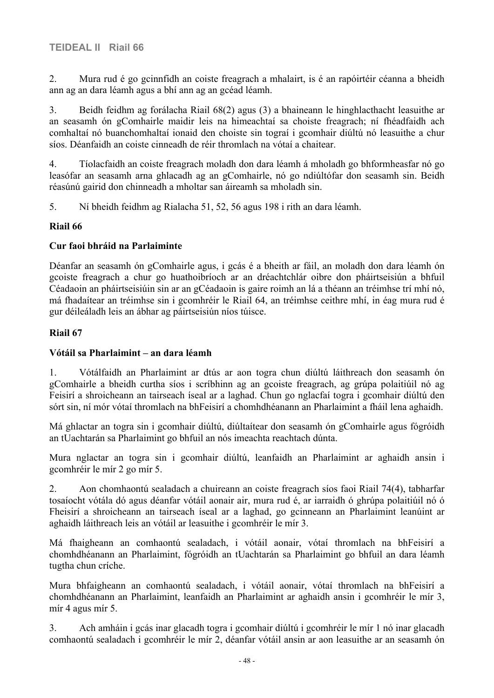2. Mura rud é go gcinnfidh an coiste freagrach a mhalairt, is é an rapóirtéir céanna a bheidh ann ag an dara léamh agus a bhí ann ag an gcéad léamh.

3. Beidh feidhm ag forálacha Riail 68(2) agus (3) a bhaineann le hinghlacthacht leasuithe ar an seasamh ón gComhairle maidir leis na himeachtaí sa choiste freagrach; ní fhéadfaidh ach comhaltaí nó buanchomhaltaí ionaid den choiste sin tograí i gcomhair diúltú nó leasuithe a chur síos. Déanfaidh an coiste cinneadh de réir thromlach na vótaí a chaitear.

4. Tíolacfaidh an coiste freagrach moladh don dara léamh á mholadh go bhformheasfar nó go leasófar an seasamh arna ghlacadh ag an gComhairle, nó go ndiúltófar don seasamh sin. Beidh réasúnú gairid don chinneadh a mholtar san áireamh sa mholadh sin.

5. Ní bheidh feidhm ag Rialacha 51, 52, 56 agus 198 i rith an dara léamh.

## **Riail 66**

### **Cur faoi bhráid na Parlaiminte**

Déanfar an seasamh ón gComhairle agus, i gcás é a bheith ar fáil, an moladh don dara léamh ón gcoiste freagrach a chur go huathoibríoch ar an dréachtchlár oibre don pháirtseisiún a bhfuil Céadaoin an pháirtseisiúin sin ar an gCéadaoin is gaire roimh an lá a théann an tréimhse trí mhí nó, má fhadaítear an tréimhse sin i gcomhréir le Riail 64, an tréimhse ceithre mhí, in éag mura rud é gur déileáladh leis an ábhar ag páirtseisiún níos túisce.

## **Riail 67**

### **Vótáil sa Pharlaimint – an dara léamh**

1. Vótálfaidh an Pharlaimint ar dtús ar aon togra chun diúltú láithreach don seasamh ón gComhairle a bheidh curtha síos i scríbhinn ag an gcoiste freagrach, ag grúpa polaitiúil nó ag Feisirí a shroicheann an tairseach íseal ar a laghad. Chun go nglacfaí togra i gcomhair diúltú den sórt sin, ní mór vótaí thromlach na bhFeisirí a chomhdhéanann an Pharlaimint a fháil lena aghaidh.

Má ghlactar an togra sin i gcomhair diúltú, diúltaítear don seasamh ón gComhairle agus fógróidh an tUachtarán sa Pharlaimint go bhfuil an nós imeachta reachtach dúnta.

Mura nglactar an togra sin i gcomhair diúltú, leanfaidh an Pharlaimint ar aghaidh ansin i gcomhréir le mír 2 go mír 5.

2. Aon chomhaontú sealadach a chuireann an coiste freagrach síos faoi Riail 74(4), tabharfar tosaíocht vótála dó agus déanfar vótáil aonair air, mura rud é, ar iarraidh ó ghrúpa polaitiúil nó ó Fheisirí a shroicheann an tairseach íseal ar a laghad, go gcinneann an Pharlaimint leanúint ar aghaidh láithreach leis an vótáil ar leasuithe i gcomhréir le mír 3.

Má fhaigheann an comhaontú sealadach, i vótáil aonair, vótaí thromlach na bhFeisirí a chomhdhéanann an Pharlaimint, fógróidh an tUachtarán sa Pharlaimint go bhfuil an dara léamh tugtha chun críche.

Mura bhfaigheann an comhaontú sealadach, i vótáil aonair, vótaí thromlach na bhFeisirí a chomhdhéanann an Pharlaimint, leanfaidh an Pharlaimint ar aghaidh ansin i gcomhréir le mír 3, mír 4 agus mír 5.

3. Ach amháin i gcás inar glacadh togra i gcomhair diúltú i gcomhréir le mír 1 nó inar glacadh comhaontú sealadach i gcomhréir le mír 2, déanfar vótáil ansin ar aon leasuithe ar an seasamh ón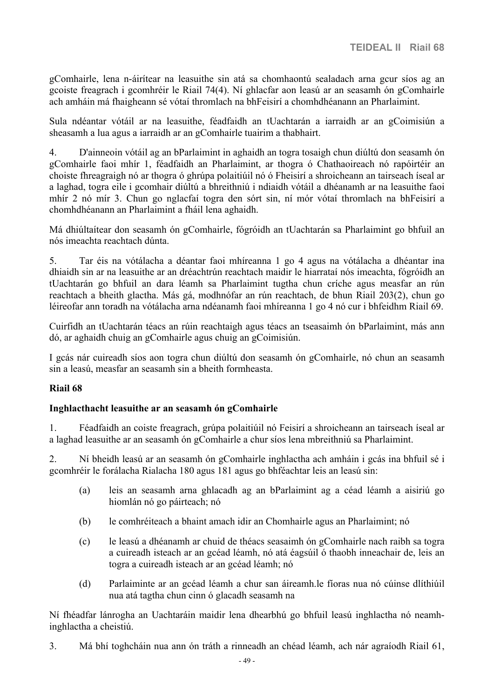gComhairle, lena n-áirítear na leasuithe sin atá sa chomhaontú sealadach arna gcur síos ag an gcoiste freagrach i gcomhréir le Riail 74(4). Ní ghlacfar aon leasú ar an seasamh ón gComhairle ach amháin má fhaigheann sé vótaí thromlach na bhFeisirí a chomhdhéanann an Pharlaimint.

Sula ndéantar vótáil ar na leasuithe, féadfaidh an tUachtarán a iarraidh ar an gCoimisiún a sheasamh a lua agus a iarraidh ar an gComhairle tuairim a thabhairt.

4. D'ainneoin vótáil ag an bParlaimint in aghaidh an togra tosaigh chun diúltú don seasamh ón gComhairle faoi mhír 1, féadfaidh an Pharlaimint, ar thogra ó Chathaoireach nó rapóirtéir an choiste fhreagraigh nó ar thogra ó ghrúpa polaitiúil nó ó Fheisirí a shroicheann an tairseach íseal ar a laghad, togra eile i gcomhair diúltú a bhreithniú i ndiaidh vótáil a dhéanamh ar na leasuithe faoi mhír 2 nó mír 3. Chun go nglacfaí togra den sórt sin, ní mór vótaí thromlach na bhFeisirí a chomhdhéanann an Pharlaimint a fháil lena aghaidh.

Má dhiúltaítear don seasamh ón gComhairle, fógróidh an tUachtarán sa Pharlaimint go bhfuil an nós imeachta reachtach dúnta.

5. Tar éis na vótálacha a déantar faoi mhíreanna 1 go 4 agus na vótálacha a dhéantar ina dhiaidh sin ar na leasuithe ar an dréachtrún reachtach maidir le hiarrataí nós imeachta, fógróidh an tUachtarán go bhfuil an dara léamh sa Pharlaimint tugtha chun críche agus measfar an rún reachtach a bheith glactha. Más gá, modhnófar an rún reachtach, de bhun Riail 203(2), chun go léireofar ann toradh na vótálacha arna ndéanamh faoi mhíreanna 1 go 4 nó cur i bhfeidhm Riail 69.

Cuirfidh an tUachtarán téacs an rúin reachtaigh agus téacs an tseasaimh ón bParlaimint, más ann dó, ar aghaidh chuig an gComhairle agus chuig an gCoimisiún.

I gcás nár cuireadh síos aon togra chun diúltú don seasamh ón gComhairle, nó chun an seasamh sin a leasú, measfar an seasamh sin a bheith formheasta.

#### **Riail 68**

#### **Inghlacthacht leasuithe ar an seasamh ón gComhairle**

1. Féadfaidh an coiste freagrach, grúpa polaitiúil nó Feisirí a shroicheann an tairseach íseal ar a laghad leasuithe ar an seasamh ón gComhairle a chur síos lena mbreithniú sa Pharlaimint.

2. Ní bheidh leasú ar an seasamh ón gComhairle inghlactha ach amháin i gcás ina bhfuil sé i gcomhréir le forálacha Rialacha 180 agus 181 agus go bhféachtar leis an leasú sin:

- (a) leis an seasamh arna ghlacadh ag an bParlaimint ag a céad léamh a aisiriú go hiomlán nó go páirteach; nó
- (b) le comhréiteach a bhaint amach idir an Chomhairle agus an Pharlaimint; nó
- (c) le leasú a dhéanamh ar chuid de théacs seasaimh ón gComhairle nach raibh sa togra a cuireadh isteach ar an gcéad léamh, nó atá éagsúil ó thaobh inneachair de, leis an togra a cuireadh isteach ar an gcéad léamh; nó
- (d) Parlaiminte ar an gcéad léamh a chur san áireamh.le fíoras nua nó cúinse dlíthiúil nua atá tagtha chun cinn ó glacadh seasamh na

Ní fhéadfar lánrogha an Uachtaráin maidir lena dhearbhú go bhfuil leasú inghlactha nó neamhinghlactha a cheistiú.

3. Má bhí toghcháin nua ann ón tráth a rinneadh an chéad léamh, ach nár agraíodh Riail 61,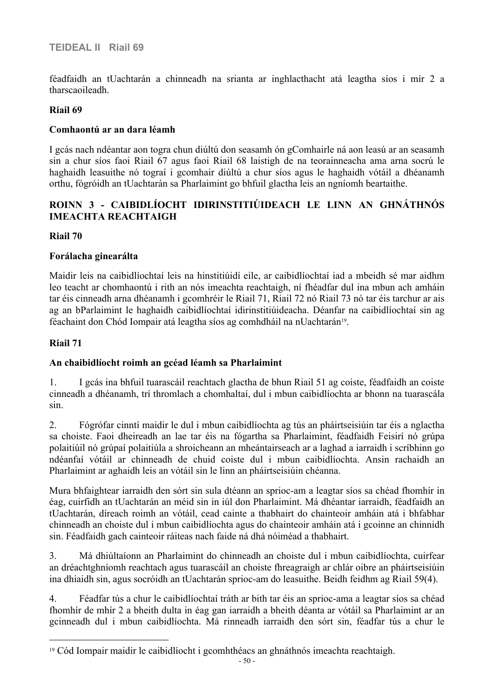féadfaidh an tUachtarán a chinneadh na srianta ar inghlacthacht atá leagtha síos i mír 2 a tharscaoileadh.

#### **Riail 69**

#### **Comhaontú ar an dara léamh**

I gcás nach ndéantar aon togra chun diúltú don seasamh ón gComhairle ná aon leasú ar an seasamh sin a chur síos faoi Riail 67 agus faoi Riail 68 laistigh de na teorainneacha ama arna socrú le haghaidh leasuithe nó tograí i gcomhair diúltú a chur síos agus le haghaidh vótáil a dhéanamh orthu, fógróidh an tUachtarán sa Pharlaimint go bhfuil glactha leis an ngníomh beartaithe.

## **ROINN 3 - CAIBIDLÍOCHT IDIRINSTITIÚIDEACH LE LINN AN GHNÁTHNÓS IMEACHTA REACHTAIGH**

**Riail 70**

#### **Forálacha ginearálta**

Maidir leis na caibidlíochtaí leis na hinstitiúidí eile, ar caibidlíochtaí iad a mbeidh sé mar aidhm leo teacht ar chomhaontú i rith an nós imeachta reachtaigh, ní fhéadfar dul ina mbun ach amháin tar éis cinneadh arna dhéanamh i gcomhréir le Riail 71, Riail 72 nó Riail 73 nó tar éis tarchur ar ais ag an bParlaimint le haghaidh caibidlíochtaí idirinstitiúideacha. Déanfar na caibidlíochtaí sin ag féachaint don Chód Iompair atá leagtha síos ag comhdháil na nUachtarán<sup>19</sup>.

#### **Riail 71**

### **An chaibidlíocht roimh an gcéad léamh sa Pharlaimint**

1. I gcás ina bhfuil tuarascáil reachtach glactha de bhun Riail 51 ag coiste, féadfaidh an coiste cinneadh a dhéanamh, trí thromlach a chomhaltaí, dul i mbun caibidlíochta ar bhonn na tuarascála sin.

2. Fógrófar cinntí maidir le dul i mbun caibidlíochta ag tús an pháirtseisiúin tar éis a nglactha sa choiste. Faoi dheireadh an lae tar éis na fógartha sa Pharlaimint, féadfaidh Feisirí nó grúpa polaitiúil nó grúpaí polaitiúla a shroicheann an mheántairseach ar a laghad a iarraidh i scríbhinn go ndéanfaí vótáil ar chinneadh de chuid coiste dul i mbun caibidlíochta. Ansin rachaidh an Pharlaimint ar aghaidh leis an vótáil sin le linn an pháirtseisiúin chéanna.

Mura bhfaightear iarraidh den sórt sin sula dtéann an sprioc-am a leagtar síos sa chéad fhomhír in éag, cuirfidh an tUachtarán an méid sin in iúl don Pharlaimint. Má dhéantar iarraidh, féadfaidh an tUachtarán, díreach roimh an vótáil, cead cainte a thabhairt do chainteoir amháin atá i bhfabhar chinneadh an choiste dul i mbun caibidlíochta agus do chainteoir amháin atá i gcoinne an chinnidh sin. Féadfaidh gach cainteoir ráiteas nach faide ná dhá nóiméad a thabhairt.

3. Má dhiúltaíonn an Pharlaimint do chinneadh an choiste dul i mbun caibidlíochta, cuirfear an dréachtghníomh reachtach agus tuarascáil an choiste fhreagraigh ar chlár oibre an pháirtseisiúin ina dhiaidh sin, agus socróidh an tUachtarán sprioc-am do leasuithe. Beidh feidhm ag Riail 59(4).

4. Féadfar tús a chur le caibidlíochtaí tráth ar bith tar éis an sprioc-ama a leagtar síos sa chéad fhomhír de mhír 2 a bheith dulta in éag gan iarraidh a bheith déanta ar vótáil sa Pharlaimint ar an gcinneadh dul i mbun caibidlíochta. Má rinneadh iarraidh den sórt sin, féadfar tús a chur le

<sup>19</sup> Cód Iompair maidir le caibidlíocht i gcomhthéacs an ghnáthnós imeachta reachtaigh.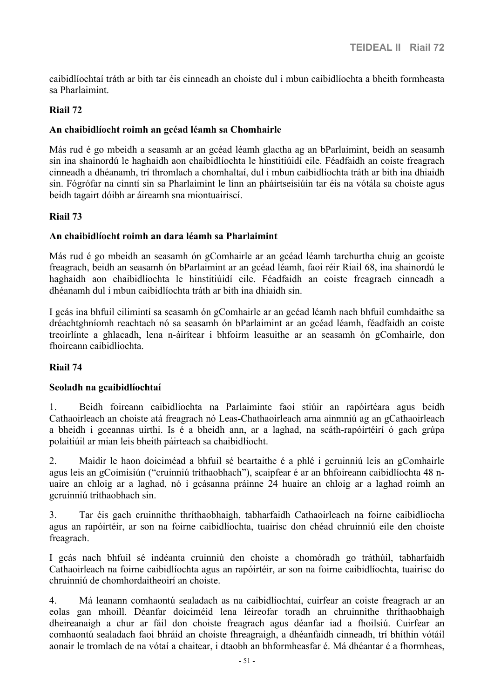caibidlíochtaí tráth ar bith tar éis cinneadh an choiste dul i mbun caibidlíochta a bheith formheasta sa Pharlaimint.

#### **Riail 72**

#### **An chaibidlíocht roimh an gcéad léamh sa Chomhairle**

Más rud é go mbeidh a seasamh ar an gcéad léamh glactha ag an bParlaimint, beidh an seasamh sin ina shainordú le haghaidh aon chaibidlíochta le hinstitiúidí eile. Féadfaidh an coiste freagrach cinneadh a dhéanamh, trí thromlach a chomhaltaí, dul i mbun caibidlíochta tráth ar bith ina dhiaidh sin. Fógrófar na cinntí sin sa Pharlaimint le linn an pháirtseisiúin tar éis na vótála sa choiste agus beidh tagairt dóibh ar áireamh sna miontuairiscí.

#### **Riail 73**

#### **An chaibidlíocht roimh an dara léamh sa Pharlaimint**

Más rud é go mbeidh an seasamh ón gComhairle ar an gcéad léamh tarchurtha chuig an gcoiste freagrach, beidh an seasamh ón bParlaimint ar an gcéad léamh, faoi réir Riail 68, ina shainordú le haghaidh aon chaibidlíochta le hinstitiúidí eile. Féadfaidh an coiste freagrach cinneadh a dhéanamh dul i mbun caibidlíochta tráth ar bith ina dhiaidh sin.

I gcás ina bhfuil eilimintí sa seasamh ón gComhairle ar an gcéad léamh nach bhfuil cumhdaithe sa dréachtghníomh reachtach nó sa seasamh ón bParlaimint ar an gcéad léamh, féadfaidh an coiste treoirlínte a ghlacadh, lena n-áirítear i bhfoirm leasuithe ar an seasamh ón gComhairle, don fhoireann caibidlíochta.

## **Riail 74**

#### **Seoladh na gcaibidlíochtaí**

1. Beidh foireann caibidlíochta na Parlaiminte faoi stiúir an rapóirtéara agus beidh Cathaoirleach an choiste atá freagrach nó Leas-Chathaoirleach arna ainmniú ag an gCathaoirleach a bheidh i gceannas uirthi. Is é a bheidh ann, ar a laghad, na scáth-rapóirtéirí ó gach grúpa polaitiúil ar mian leis bheith páirteach sa chaibidlíocht.

2. Maidir le haon doiciméad a bhfuil sé beartaithe é a phlé i gcruinniú leis an gComhairle agus leis an gCoimisiún ("cruinniú tríthaobhach"), scaipfear é ar an bhfoireann caibidlíochta 48 nuaire an chloig ar a laghad, nó i gcásanna práinne 24 huaire an chloig ar a laghad roimh an gcruinniú tríthaobhach sin.

3. Tar éis gach cruinnithe thríthaobhaigh, tabharfaidh Cathaoirleach na foirne caibidliocha agus an rapóirtéir, ar son na foirne caibidlíochta, tuairisc don chéad chruinniú eile den choiste freagrach.

I gcás nach bhfuil sé indéanta cruinniú den choiste a chomóradh go tráthúil, tabharfaidh Cathaoirleach na foirne caibidlíochta agus an rapóirtéir, ar son na foirne caibidlíochta, tuairisc do chruinniú de chomhordaitheoirí an choiste.

4. Má leanann comhaontú sealadach as na caibidlíochtaí, cuirfear an coiste freagrach ar an eolas gan mhoill. Déanfar doiciméid lena léireofar toradh an chruinnithe thríthaobhaigh dheireanaigh a chur ar fáil don choiste freagrach agus déanfar iad a fhoilsiú. Cuirfear an comhaontú sealadach faoi bhráid an choiste fhreagraigh, a dhéanfaidh cinneadh, trí bhíthin vótáil aonair le tromlach de na vótaí a chaitear, i dtaobh an bhformheasfar é. Má dhéantar é a fhormheas,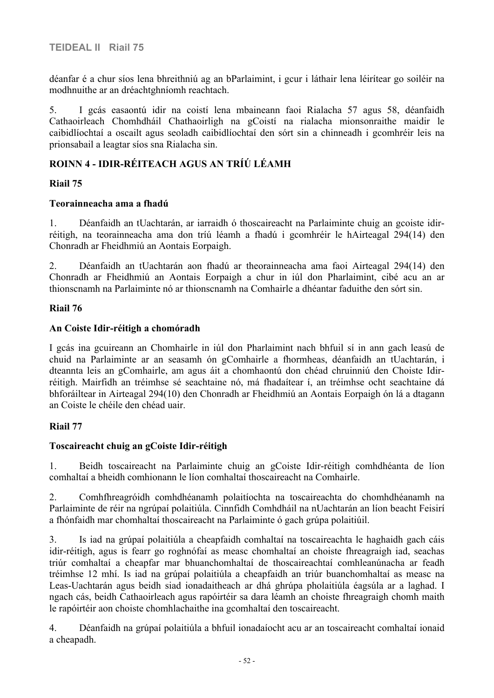déanfar é a chur síos lena bhreithniú ag an bParlaimint, i gcur i láthair lena léirítear go soiléir na modhnuithe ar an dréachtghníomh reachtach.

5. I gcás easaontú idir na coistí lena mbaineann faoi Rialacha 57 agus 58, déanfaidh Cathaoirleach Chomhdháil Chathaoirligh na gCoistí na rialacha mionsonraithe maidir le caibidlíochtaí a oscailt agus seoladh caibidlíochtaí den sórt sin a chinneadh i gcomhréir leis na prionsabail a leagtar síos sna Rialacha sin.

## **ROINN 4 - IDIR-RÉITEACH AGUS AN TRÍÚ LÉAMH**

### **Riail 75**

### **Teorainneacha ama a fhadú**

1. Déanfaidh an tUachtarán, ar iarraidh ó thoscaireacht na Parlaiminte chuig an gcoiste idirréitigh, na teorainneacha ama don tríú léamh a fhadú i gcomhréir le hAirteagal 294(14) den Chonradh ar Fheidhmiú an Aontais Eorpaigh.

2. Déanfaidh an tUachtarán aon fhadú ar theorainneacha ama faoi Airteagal 294(14) den Chonradh ar Fheidhmiú an Aontais Eorpaigh a chur in iúl don Pharlaimint, cibé acu an ar thionscnamh na Parlaiminte nó ar thionscnamh na Comhairle a dhéantar faduithe den sórt sin.

## **Riail 76**

## **An Coiste Idir-réitigh a chomóradh**

I gcás ina gcuireann an Chomhairle in iúl don Pharlaimint nach bhfuil sí in ann gach leasú de chuid na Parlaiminte ar an seasamh ón gComhairle a fhormheas, déanfaidh an tUachtarán, i dteannta leis an gComhairle, am agus áit a chomhaontú don chéad chruinniú den Choiste Idirréitigh. Mairfidh an tréimhse sé seachtaine nó, má fhadaítear í, an tréimhse ocht seachtaine dá bhforáiltear in Airteagal 294(10) den Chonradh ar Fheidhmiú an Aontais Eorpaigh ón lá a dtagann an Coiste le chéile den chéad uair.

## **Riail 77**

## **Toscaireacht chuig an gCoiste Idir-réitigh**

1. Beidh toscaireacht na Parlaiminte chuig an gCoiste Idir-réitigh comhdhéanta de líon comhaltaí a bheidh comhionann le líon comhaltaí thoscaireacht na Comhairle.

2. Comhfhreagróidh comhdhéanamh polaitíochta na toscaireachta do chomhdhéanamh na Parlaiminte de réir na ngrúpaí polaitiúla. Cinnfidh Comhdháil na nUachtarán an líon beacht Feisirí a fhónfaidh mar chomhaltaí thoscaireacht na Parlaiminte ó gach grúpa polaitiúil.

3. Is iad na grúpaí polaitiúla a cheapfaidh comhaltaí na toscaireachta le haghaidh gach cáis idir-réitigh, agus is fearr go roghnófaí as measc chomhaltaí an choiste fhreagraigh iad, seachas triúr comhaltaí a cheapfar mar bhuanchomhaltaí de thoscaireachtaí comhleanúnacha ar feadh tréimhse 12 mhí. Is iad na grúpaí polaitiúla a cheapfaidh an triúr buanchomhaltaí as measc na Leas-Uachtarán agus beidh siad ionadaitheach ar dhá ghrúpa pholaitiúla éagsúla ar a laghad. I ngach cás, beidh Cathaoirleach agus rapóirtéir sa dara léamh an choiste fhreagraigh chomh maith le rapóirtéir aon choiste chomhlachaithe ina gcomhaltaí den toscaireacht.

4. Déanfaidh na grúpaí polaitiúla a bhfuil ionadaíocht acu ar an toscaireacht comhaltaí ionaid a cheapadh.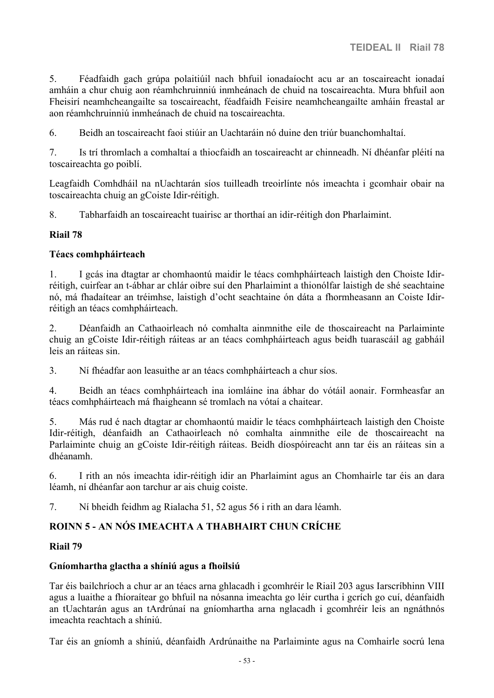5. Féadfaidh gach grúpa polaitiúil nach bhfuil ionadaíocht acu ar an toscaireacht ionadaí amháin a chur chuig aon réamhchruinniú inmheánach de chuid na toscaireachta. Mura bhfuil aon Fheisirí neamhcheangailte sa toscaireacht, féadfaidh Feisire neamhcheangailte amháin freastal ar aon réamhchruinniú inmheánach de chuid na toscaireachta.

6. Beidh an toscaireacht faoi stiúir an Uachtaráin nó duine den triúr buanchomhaltaí.

7. Is trí thromlach a comhaltaí a thiocfaidh an toscaireacht ar chinneadh. Ní dhéanfar pléití na toscaireachta go poiblí.

Leagfaidh Comhdháil na nUachtarán síos tuilleadh treoirlínte nós imeachta i gcomhair obair na toscaireachta chuig an gCoiste Idir-réitigh.

8. Tabharfaidh an toscaireacht tuairisc ar thorthaí an idir-réitigh don Pharlaimint.

#### **Riail 78**

### **Téacs comhpháirteach**

1. I gcás ina dtagtar ar chomhaontú maidir le téacs comhpháirteach laistigh den Choiste Idirréitigh, cuirfear an t-ábhar ar chlár oibre suí den Pharlaimint a thionólfar laistigh de shé seachtaine nó, má fhadaítear an tréimhse, laistigh d'ocht seachtaine ón dáta a fhormheasann an Coiste Idirréitigh an téacs comhpháirteach.

2. Déanfaidh an Cathaoirleach nó comhalta ainmnithe eile de thoscaireacht na Parlaiminte chuig an gCoiste Idir-réitigh ráiteas ar an téacs comhpháirteach agus beidh tuarascáil ag gabháil leis an ráiteas sin.

3. Ní fhéadfar aon leasuithe ar an téacs comhpháirteach a chur síos.

4. Beidh an téacs comhpháirteach ina iomláine ina ábhar do vótáil aonair. Formheasfar an téacs comhpháirteach má fhaigheann sé tromlach na vótaí a chaitear.

5. Más rud é nach dtagtar ar chomhaontú maidir le téacs comhpháirteach laistigh den Choiste Idir-réitigh, déanfaidh an Cathaoirleach nó comhalta ainmnithe eile de thoscaireacht na Parlaiminte chuig an gCoiste Idir-réitigh ráiteas. Beidh díospóireacht ann tar éis an ráiteas sin a dhéanamh.

6. I rith an nós imeachta idir-réitigh idir an Pharlaimint agus an Chomhairle tar éis an dara léamh, ní dhéanfar aon tarchur ar ais chuig coiste.

7. Ní bheidh feidhm ag Rialacha 51, 52 agus 56 i rith an dara léamh.

## **ROINN 5 - AN NÓS IMEACHTA A THABHAIRT CHUN CRÍCHE**

### **Riail 79**

### **Gníomhartha glactha a shíniú agus a fhoilsiú**

Tar éis bailchríoch a chur ar an téacs arna ghlacadh i gcomhréir le Riail 203 agus Iarscríbhinn VIII agus a luaithe a fhíoraítear go bhfuil na nósanna imeachta go léir curtha i gcrích go cuí, déanfaidh an tUachtarán agus an tArdrúnaí na gníomhartha arna nglacadh i gcomhréir leis an ngnáthnós imeachta reachtach a shíniú.

Tar éis an gníomh a shíniú, déanfaidh Ardrúnaithe na Parlaiminte agus na Comhairle socrú lena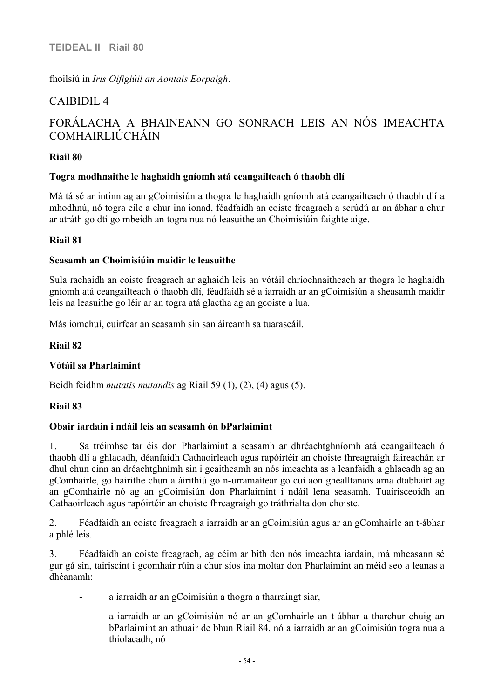fhoilsiú in *Iris Oifigiúil an Aontais Eorpaigh*.

## CAIBIDIL 4

## FORÁLACHA A BHAINEANN GO SONRACH LEIS AN NÓS IMEACHTA COMHAIRLIÚCHÁIN

### **Riail 80**

### **Togra modhnaithe le haghaidh gníomh atá ceangailteach ó thaobh dlí**

Má tá sé ar intinn ag an gCoimisiún a thogra le haghaidh gníomh atá ceangailteach ó thaobh dlí a mhodhnú, nó togra eile a chur ina ionad, féadfaidh an coiste freagrach a scrúdú ar an ábhar a chur ar atráth go dtí go mbeidh an togra nua nó leasuithe an Choimisiúin faighte aige.

#### **Riail 81**

#### **Seasamh an Choimisiúin maidir le leasuithe**

Sula rachaidh an coiste freagrach ar aghaidh leis an vótáil chríochnaitheach ar thogra le haghaidh gníomh atá ceangailteach ó thaobh dlí, féadfaidh sé a iarraidh ar an gCoimisiún a sheasamh maidir leis na leasuithe go léir ar an togra atá glactha ag an gcoiste a lua.

Más iomchuí, cuirfear an seasamh sin san áireamh sa tuarascáil.

#### **Riail 82**

### **Vótáil sa Pharlaimint**

Beidh feidhm *mutatis mutandis* ag Riail 59 (1), (2), (4) agus (5).

#### **Riail 83**

### **Obair iardain i ndáil leis an seasamh ón bParlaimint**

1. Sa tréimhse tar éis don Pharlaimint a seasamh ar dhréachtghníomh atá ceangailteach ó thaobh dlí a ghlacadh, déanfaidh Cathaoirleach agus rapóirtéir an choiste fhreagraigh faireachán ar dhul chun cinn an dréachtghnímh sin i gcaitheamh an nós imeachta as a leanfaidh a ghlacadh ag an gComhairle, go háirithe chun a áirithiú go n-urramaítear go cuí aon ghealltanais arna dtabhairt ag an gComhairle nó ag an gCoimisiún don Pharlaimint i ndáil lena seasamh. Tuairisceoidh an Cathaoirleach agus rapóirtéir an choiste fhreagraigh go tráthrialta don choiste.

2. Féadfaidh an coiste freagrach a iarraidh ar an gCoimisiún agus ar an gComhairle an t-ábhar a phlé leis.

3. Féadfaidh an coiste freagrach, ag céim ar bith den nós imeachta iardain, má mheasann sé gur gá sin, tairiscint i gcomhair rúin a chur síos ina moltar don Pharlaimint an méid seo a leanas a dhéanamh:

- a iarraidh ar an gCoimisiún a thogra a tharraingt siar,
- a iarraidh ar an gCoimisiún nó ar an gComhairle an t-ábhar a tharchur chuig an bParlaimint an athuair de bhun Riail 84, nó a iarraidh ar an gCoimisiún togra nua a thíolacadh, nó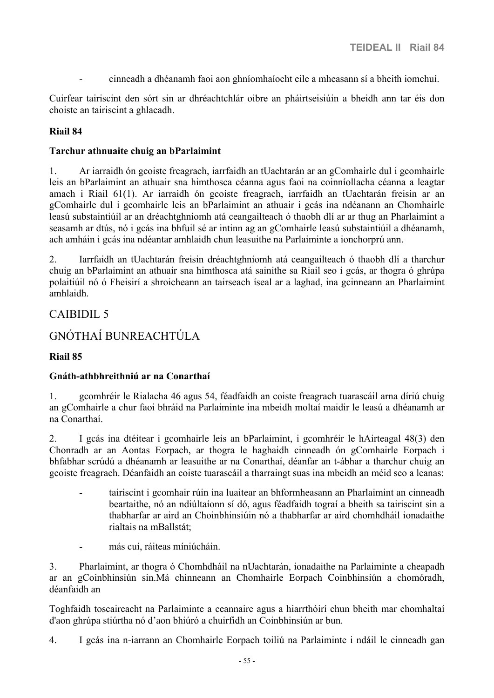- cinneadh a dhéanamh faoi aon ghníomhaíocht eile a mheasann sí a bheith iomchuí.

Cuirfear tairiscint den sórt sin ar dhréachtchlár oibre an pháirtseisiúin a bheidh ann tar éis don choiste an tairiscint a ghlacadh.

#### **Riail 84**

#### **Tarchur athnuaite chuig an bParlaimint**

1. Ar iarraidh ón gcoiste freagrach, iarrfaidh an tUachtarán ar an gComhairle dul i gcomhairle leis an bParlaimint an athuair sna himthosca céanna agus faoi na coinníollacha céanna a leagtar amach i Riail 61(1). Ar iarraidh ón gcoiste freagrach, iarrfaidh an tUachtarán freisin ar an gComhairle dul i gcomhairle leis an bParlaimint an athuair i gcás ina ndéanann an Chomhairle leasú substaintiúil ar an dréachtghníomh atá ceangailteach ó thaobh dlí ar ar thug an Pharlaimint a seasamh ar dtús, nó i gcás ina bhfuil sé ar intinn ag an gComhairle leasú substaintiúil a dhéanamh, ach amháin i gcás ina ndéantar amhlaidh chun leasuithe na Parlaiminte a ionchorprú ann.

2. Iarrfaidh an tUachtarán freisin dréachtghníomh atá ceangailteach ó thaobh dlí a tharchur chuig an bParlaimint an athuair sna himthosca atá sainithe sa Riail seo i gcás, ar thogra ó ghrúpa polaitiúil nó ó Fheisirí a shroicheann an tairseach íseal ar a laghad, ina gcinneann an Pharlaimint amhlaidh.

## CAIBIDIL 5

## GNÓTHAÍ BUNREACHTÚLA

#### **Riail 85**

#### **Gnáth-athbhreithniú ar na Conarthaí**

1. gcomhréir le Rialacha 46 agus 54, féadfaidh an coiste freagrach tuarascáil arna díriú chuig an gComhairle a chur faoi bhráid na Parlaiminte ina mbeidh moltaí maidir le leasú a dhéanamh ar na Conarthaí.

2. I gcás ina dtéitear i gcomhairle leis an bParlaimint, i gcomhréir le hAirteagal 48(3) den Chonradh ar an Aontas Eorpach, ar thogra le haghaidh cinneadh ón gComhairle Eorpach i bhfabhar scrúdú a dhéanamh ar leasuithe ar na Conarthaí, déanfar an t-ábhar a tharchur chuig an gcoiste freagrach. Déanfaidh an coiste tuarascáil a tharraingt suas ina mbeidh an méid seo a leanas:

- tairiscint i gcomhair rúin ina luaitear an bhformheasann an Pharlaimint an cinneadh beartaithe, nó an ndiúltaíonn sí dó, agus féadfaidh tograí a bheith sa tairiscint sin a thabharfar ar aird an Choinbhinsiúin nó a thabharfar ar aird chomhdháil ionadaithe rialtais na mBallstát;
- más cuí, ráiteas míniúcháin.

3. Pharlaimint, ar thogra ó Chomhdháil na nUachtarán, ionadaithe na Parlaiminte a cheapadh ar an gCoinbhinsiún sin.Má chinneann an Chomhairle Eorpach Coinbhinsiún a chomóradh, déanfaidh an

Toghfaidh toscaireacht na Parlaiminte a ceannaire agus a hiarrthóirí chun bheith mar chomhaltaí d'aon ghrúpa stiúrtha nó d'aon bhiúró a chuirfidh an Coinbhinsiún ar bun.

4. I gcás ina n-iarrann an Chomhairle Eorpach toiliú na Parlaiminte i ndáil le cinneadh gan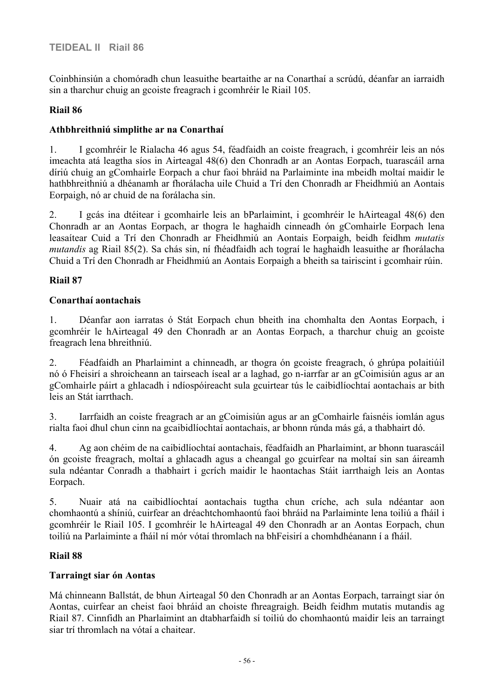Coinbhinsiún a chomóradh chun leasuithe beartaithe ar na Conarthaí a scrúdú, déanfar an iarraidh sin a tharchur chuig an gcoiste freagrach i gcomhréir le Riail 105.

#### **Riail 86**

#### **Athbhreithniú simplithe ar na Conarthaí**

1. I gcomhréir le Rialacha 46 agus 54, féadfaidh an coiste freagrach, i gcomhréir leis an nós imeachta atá leagtha síos in Airteagal 48(6) den Chonradh ar an Aontas Eorpach, tuarascáil arna díriú chuig an gComhairle Eorpach a chur faoi bhráid na Parlaiminte ina mbeidh moltaí maidir le hathbhreithniú a dhéanamh ar fhorálacha uile Chuid a Trí den Chonradh ar Fheidhmiú an Aontais Eorpaigh, nó ar chuid de na forálacha sin.

2. I gcás ina dtéitear i gcomhairle leis an bParlaimint, i gcomhréir le hAirteagal 48(6) den Chonradh ar an Aontas Eorpach, ar thogra le haghaidh cinneadh ón gComhairle Eorpach lena leasaítear Cuid a Trí den Chonradh ar Fheidhmiú an Aontais Eorpaigh, beidh feidhm *mutatis mutandis* ag Riail 85(2). Sa chás sin, ní fhéadfaidh ach tograí le haghaidh leasuithe ar fhorálacha Chuid a Trí den Chonradh ar Fheidhmiú an Aontais Eorpaigh a bheith sa tairiscint i gcomhair rúin.

#### **Riail 87**

#### **Conarthaí aontachais**

1. Déanfar aon iarratas ó Stát Eorpach chun bheith ina chomhalta den Aontas Eorpach, i gcomhréir le hAirteagal 49 den Chonradh ar an Aontas Eorpach, a tharchur chuig an gcoiste freagrach lena bhreithniú.

2. Féadfaidh an Pharlaimint a chinneadh, ar thogra ón gcoiste freagrach, ó ghrúpa polaitiúil nó ó Fheisirí a shroicheann an tairseach íseal ar a laghad, go n-iarrfar ar an gCoimisiún agus ar an gComhairle páirt a ghlacadh i ndíospóireacht sula gcuirtear tús le caibidlíochtaí aontachais ar bith leis an Stát iarrthach.

3. Iarrfaidh an coiste freagrach ar an gCoimisiún agus ar an gComhairle faisnéis iomlán agus rialta faoi dhul chun cinn na gcaibidlíochtaí aontachais, ar bhonn rúnda más gá, a thabhairt dó.

4. Ag aon chéim de na caibidlíochtaí aontachais, féadfaidh an Pharlaimint, ar bhonn tuarascáil ón gcoiste freagrach, moltaí a ghlacadh agus a cheangal go gcuirfear na moltaí sin san áireamh sula ndéantar Conradh a thabhairt i gcrích maidir le haontachas Stáit iarrthaigh leis an Aontas Eorpach.

5. Nuair atá na caibidlíochtaí aontachais tugtha chun críche, ach sula ndéantar aon chomhaontú a shíniú, cuirfear an dréachtchomhaontú faoi bhráid na Parlaiminte lena toiliú a fháil i gcomhréir le Riail 105. I gcomhréir le hAirteagal 49 den Chonradh ar an Aontas Eorpach, chun toiliú na Parlaiminte a fháil ní mór vótaí thromlach na bhFeisirí a chomhdhéanann í a fháil.

#### **Riail 88**

### **Tarraingt siar ón Aontas**

Má chinneann Ballstát, de bhun Airteagal 50 den Chonradh ar an Aontas Eorpach, tarraingt siar ón Aontas, cuirfear an cheist faoi bhráid an choiste fhreagraigh. Beidh feidhm mutatis mutandis ag Riail 87. Cinnfidh an Pharlaimint an dtabharfaidh sí toiliú do chomhaontú maidir leis an tarraingt siar trí thromlach na vótaí a chaitear.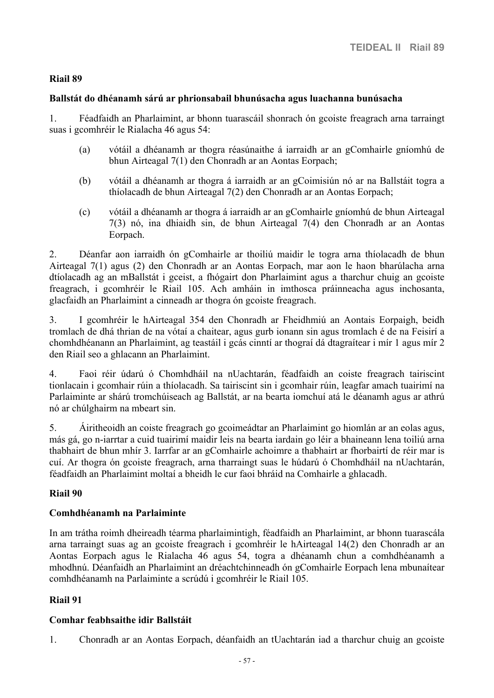### **Riail 89**

#### **Ballstát do dhéanamh sárú ar phrionsabail bhunúsacha agus luachanna bunúsacha**

1. Féadfaidh an Pharlaimint, ar bhonn tuarascáil shonrach ón gcoiste freagrach arna tarraingt suas i gcomhréir le Rialacha 46 agus 54:

- (a) vótáil a dhéanamh ar thogra réasúnaithe á iarraidh ar an gComhairle gníomhú de bhun Airteagal 7(1) den Chonradh ar an Aontas Eorpach;
- (b) vótáil a dhéanamh ar thogra á iarraidh ar an gCoimisiún nó ar na Ballstáit togra a thíolacadh de bhun Airteagal 7(2) den Chonradh ar an Aontas Eorpach;
- (c) vótáil a dhéanamh ar thogra á iarraidh ar an gComhairle gníomhú de bhun Airteagal 7(3) nó, ina dhiaidh sin, de bhun Airteagal 7(4) den Chonradh ar an Aontas Eorpach.

2. Déanfar aon iarraidh ón gComhairle ar thoiliú maidir le togra arna thíolacadh de bhun Airteagal 7(1) agus (2) den Chonradh ar an Aontas Eorpach, mar aon le haon bharúlacha arna dtíolacadh ag an mBallstát i gceist, a fhógairt don Pharlaimint agus a tharchur chuig an gcoiste freagrach, i gcomhréir le Riail 105. Ach amháin in imthosca práinneacha agus inchosanta, glacfaidh an Pharlaimint a cinneadh ar thogra ón gcoiste freagrach.

3. I gcomhréir le hAirteagal 354 den Chonradh ar Fheidhmiú an Aontais Eorpaigh, beidh tromlach de dhá thrian de na vótaí a chaitear, agus gurb ionann sin agus tromlach é de na Feisirí a chomhdhéanann an Pharlaimint, ag teastáil i gcás cinntí ar thograí dá dtagraítear i mír 1 agus mír 2 den Riail seo a ghlacann an Pharlaimint.

4. Faoi réir údarú ó Chomhdháil na nUachtarán, féadfaidh an coiste freagrach tairiscint tionlacain i gcomhair rúin a thíolacadh. Sa tairiscint sin i gcomhair rúin, leagfar amach tuairimí na Parlaiminte ar shárú tromchúiseach ag Ballstát, ar na bearta iomchuí atá le déanamh agus ar athrú nó ar chúlghairm na mbeart sin.

5. Áiritheoidh an coiste freagrach go gcoimeádtar an Pharlaimint go hiomlán ar an eolas agus, más gá, go n-iarrtar a cuid tuairimí maidir leis na bearta iardain go léir a bhaineann lena toiliú arna thabhairt de bhun mhír 3. Iarrfar ar an gComhairle achoimre a thabhairt ar fhorbairtí de réir mar is cuí. Ar thogra ón gcoiste freagrach, arna tharraingt suas le húdarú ó Chomhdháil na nUachtarán, féadfaidh an Pharlaimint moltaí a bheidh le cur faoi bhráid na Comhairle a ghlacadh.

#### **Riail 90**

#### **Comhdhéanamh na Parlaiminte**

In am trátha roimh dheireadh téarma pharlaimintigh, féadfaidh an Pharlaimint, ar bhonn tuarascála arna tarraingt suas ag an gcoiste freagrach i gcomhréir le hAirteagal 14(2) den Chonradh ar an Aontas Eorpach agus le Rialacha 46 agus 54, togra a dhéanamh chun a comhdhéanamh a mhodhnú. Déanfaidh an Pharlaimint an dréachtchinneadh ón gComhairle Eorpach lena mbunaítear comhdhéanamh na Parlaiminte a scrúdú i gcomhréir le Riail 105.

#### **Riail 91**

#### **Comhar feabhsaithe idir Ballstáit**

1. Chonradh ar an Aontas Eorpach, déanfaidh an tUachtarán iad a tharchur chuig an gcoiste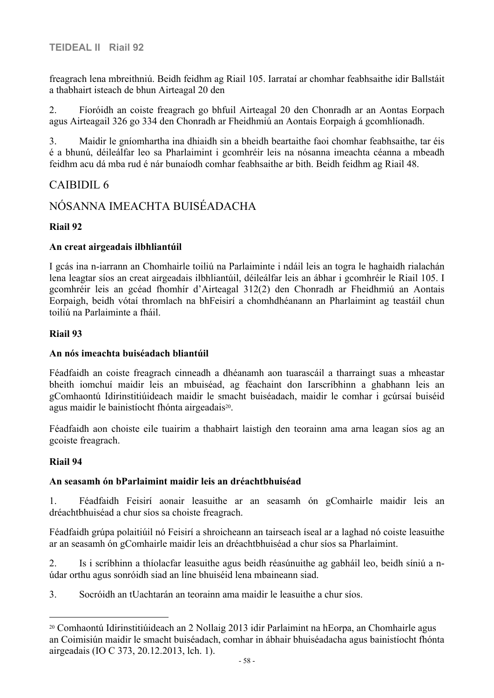freagrach lena mbreithniú. Beidh feidhm ag Riail 105. Iarrataí ar chomhar feabhsaithe idir Ballstáit a thabhairt isteach de bhun Airteagal 20 den

2. Fíoróidh an coiste freagrach go bhfuil Airteagal 20 den Chonradh ar an Aontas Eorpach agus Airteagail 326 go 334 den Chonradh ar Fheidhmiú an Aontais Eorpaigh á gcomhlíonadh.

3. Maidir le gníomhartha ina dhiaidh sin a bheidh beartaithe faoi chomhar feabhsaithe, tar éis é a bhunú, déileálfar leo sa Pharlaimint i gcomhréir leis na nósanna imeachta céanna a mbeadh feidhm acu dá mba rud é nár bunaíodh comhar feabhsaithe ar bith. Beidh feidhm ag Riail 48.

## CAIBIDIL 6

## NÓSANNA IMEACHTA BUISÉADACHA

## **Riail 92**

### **An creat airgeadais ilbhliantúil**

I gcás ina n-iarrann an Chomhairle toiliú na Parlaiminte i ndáil leis an togra le haghaidh rialachán lena leagtar síos an creat airgeadais ilbhliantúil, déileálfar leis an ábhar i gcomhréir le Riail 105. I gcomhréir leis an gcéad fhomhír d'Airteagal 312(2) den Chonradh ar Fheidhmiú an Aontais Eorpaigh, beidh vótaí thromlach na bhFeisirí a chomhdhéanann an Pharlaimint ag teastáil chun toiliú na Parlaiminte a fháil.

### **Riail 93**

### **An nós imeachta buiséadach bliantúil**

Féadfaidh an coiste freagrach cinneadh a dhéanamh aon tuarascáil a tharraingt suas a mheastar bheith iomchuí maidir leis an mbuiséad, ag féachaint don Iarscríbhinn a ghabhann leis an gComhaontú Idirinstitiúideach maidir le smacht buiséadach, maidir le comhar i gcúrsaí buiséid agus maidir le bainistíocht fhónta airgeadais<sup>20</sup>.

Féadfaidh aon choiste eile tuairim a thabhairt laistigh den teorainn ama arna leagan síos ag an gcoiste freagrach.

### **Riail 94**

### **An seasamh ón bParlaimint maidir leis an dréachtbhuiséad**

1. Féadfaidh Feisirí aonair leasuithe ar an seasamh ón gComhairle maidir leis an dréachtbhuiséad a chur síos sa choiste freagrach.

Féadfaidh grúpa polaitiúil nó Feisirí a shroicheann an tairseach íseal ar a laghad nó coiste leasuithe ar an seasamh ón gComhairle maidir leis an dréachtbhuiséad a chur síos sa Pharlaimint.

2. Is i scríbhinn a thíolacfar leasuithe agus beidh réasúnuithe ag gabháil leo, beidh síniú a núdar orthu agus sonróidh siad an líne bhuiséid lena mbaineann siad.

3. Socróidh an tUachtarán an teorainn ama maidir le leasuithe a chur síos.

<sup>20</sup> Comhaontú Idirinstitiúideach an 2 Nollaig 2013 idir Parlaimint na hEorpa, an Chomhairle agus an Coimisiún maidir le smacht buiséadach, comhar in ábhair bhuiséadacha agus bainistíocht fhónta airgeadais (IO C 373, 20.12.2013, lch. 1).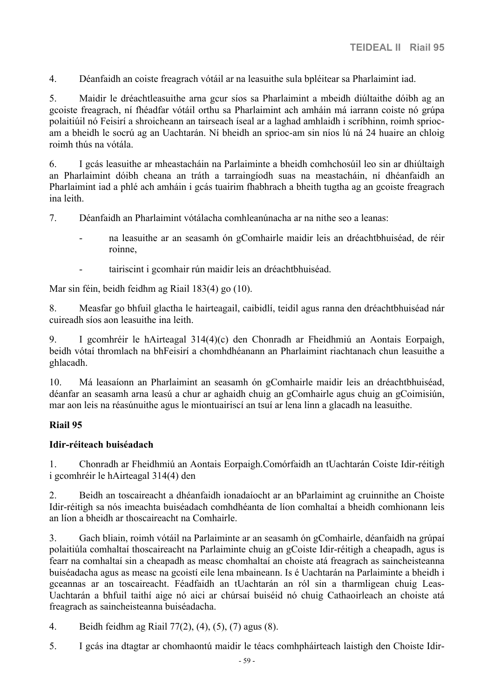4. Déanfaidh an coiste freagrach vótáil ar na leasuithe sula bpléitear sa Pharlaimint iad.

5. Maidir le dréachtleasuithe arna gcur síos sa Pharlaimint a mbeidh diúltaithe dóibh ag an gcoiste freagrach, ní fhéadfar vótáil orthu sa Pharlaimint ach amháin má iarrann coiste nó grúpa polaitiúil nó Feisirí a shroicheann an tairseach íseal ar a laghad amhlaidh i scríbhinn, roimh spriocam a bheidh le socrú ag an Uachtarán. Ní bheidh an sprioc-am sin níos lú ná 24 huaire an chloig roimh thús na vótála.

6. I gcás leasuithe ar mheastacháin na Parlaiminte a bheidh comhchosúil leo sin ar dhiúltaigh an Pharlaimint dóibh cheana an tráth a tarraingíodh suas na meastacháin, ní dhéanfaidh an Pharlaimint iad a phlé ach amháin i gcás tuairim fhabhrach a bheith tugtha ag an gcoiste freagrach ina leith.

- 7. Déanfaidh an Pharlaimint vótálacha comhleanúnacha ar na nithe seo a leanas:
	- na leasuithe ar an seasamh ón gComhairle maidir leis an dréachtbhuiséad, de réir roinne,
	- tairiscint i gcomhair rún maidir leis an dréachtbhuiséad.

Mar sin féin, beidh feidhm ag Riail 183(4) go (10).

8. Measfar go bhfuil glactha le hairteagail, caibidlí, teidil agus ranna den dréachtbhuiséad nár cuireadh síos aon leasuithe ina leith.

9. I gcomhréir le hAirteagal 314(4)(c) den Chonradh ar Fheidhmiú an Aontais Eorpaigh, beidh vótaí thromlach na bhFeisirí a chomhdhéanann an Pharlaimint riachtanach chun leasuithe a ghlacadh.

10. Má leasaíonn an Pharlaimint an seasamh ón gComhairle maidir leis an dréachtbhuiséad, déanfar an seasamh arna leasú a chur ar aghaidh chuig an gComhairle agus chuig an gCoimisiún, mar aon leis na réasúnuithe agus le miontuairiscí an tsuí ar lena linn a glacadh na leasuithe.

### **Riail 95**

### **Idir-réiteach buiséadach**

1. Chonradh ar Fheidhmiú an Aontais Eorpaigh.Comórfaidh an tUachtarán Coiste Idir-réitigh i gcomhréir le hAirteagal 314(4) den

2. Beidh an toscaireacht a dhéanfaidh ionadaíocht ar an bParlaimint ag cruinnithe an Choiste Idir-réitigh sa nós imeachta buiséadach comhdhéanta de líon comhaltaí a bheidh comhionann leis an líon a bheidh ar thoscaireacht na Comhairle.

3. Gach bliain, roimh vótáil na Parlaiminte ar an seasamh ón gComhairle, déanfaidh na grúpaí polaitiúla comhaltaí thoscaireacht na Parlaiminte chuig an gCoiste Idir-réitigh a cheapadh, agus is fearr na comhaltaí sin a cheapadh as measc chomhaltaí an choiste atá freagrach as saincheisteanna buiséadacha agus as measc na gcoistí eile lena mbaineann. Is é Uachtarán na Parlaiminte a bheidh i gceannas ar an toscaireacht. Féadfaidh an tUachtarán an ról sin a tharmligean chuig Leas-Uachtarán a bhfuil taithí aige nó aici ar chúrsaí buiséid nó chuig Cathaoirleach an choiste atá freagrach as saincheisteanna buiséadacha.

4. Beidh feidhm ag Riail 77(2), (4), (5), (7) agus (8).

5. I gcás ina dtagtar ar chomhaontú maidir le téacs comhpháirteach laistigh den Choiste Idir-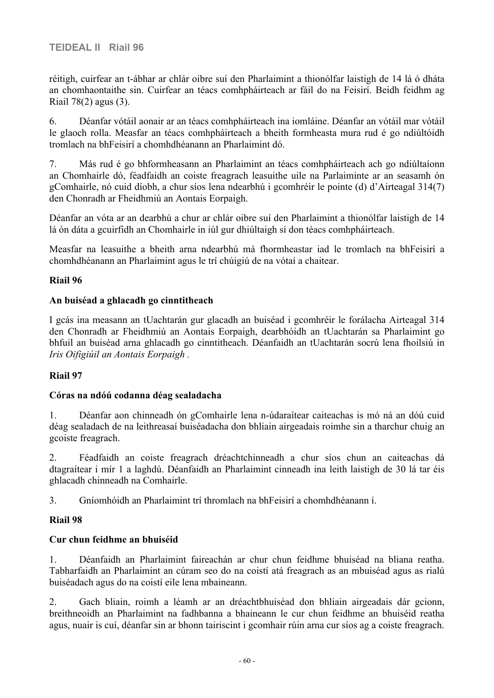réitigh, cuirfear an t-ábhar ar chlár oibre suí den Pharlaimint a thionólfar laistigh de 14 lá ó dháta an chomhaontaithe sin. Cuirfear an téacs comhpháirteach ar fáil do na Feisirí. Beidh feidhm ag Riail 78(2) agus (3).

6. Déanfar vótáil aonair ar an téacs comhpháirteach ina iomláine. Déanfar an vótáil mar vótáil le glaoch rolla. Measfar an téacs comhpháirteach a bheith formheasta mura rud é go ndiúltóidh tromlach na bhFeisirí a chomhdhéanann an Pharlaimint dó.

7. Más rud é go bhformheasann an Pharlaimint an téacs comhpháirteach ach go ndiúltaíonn an Chomhairle dó, féadfaidh an coiste freagrach leasuithe uile na Parlaiminte ar an seasamh ón gComhairle, nó cuid díobh, a chur síos lena ndearbhú i gcomhréir le pointe (d) d'Airteagal 314(7) den Chonradh ar Fheidhmiú an Aontais Eorpaigh.

Déanfar an vóta ar an dearbhú a chur ar chlár oibre suí den Pharlaimint a thionólfar laistigh de 14 lá ón dáta a gcuirfidh an Chomhairle in iúl gur dhiúltaigh sí don téacs comhpháirteach.

Measfar na leasuithe a bheith arna ndearbhú má fhormheastar iad le tromlach na bhFeisirí a chomhdhéanann an Pharlaimint agus le trí chúigiú de na vótaí a chaitear.

### **Riail 96**

## **An buiséad a ghlacadh go cinntitheach**

I gcás ina measann an tUachtarán gur glacadh an buiséad i gcomhréir le forálacha Airteagal 314 den Chonradh ar Fheidhmiú an Aontais Eorpaigh, dearbhóidh an tUachtarán sa Pharlaimint go bhfuil an buiséad arna ghlacadh go cinntitheach. Déanfaidh an tUachtarán socrú lena fhoilsiú in *Iris Oifigiúil an Aontais Eorpaigh .*

### **Riail 97**

### **Córas na ndóú codanna déag sealadacha**

1. Déanfar aon chinneadh ón gComhairle lena n-údaraítear caiteachas is mó ná an dóú cuid déag sealadach de na leithreasaí buiséadacha don bhliain airgeadais roimhe sin a tharchur chuig an gcoiste freagrach.

2. Féadfaidh an coiste freagrach dréachtchinneadh a chur síos chun an caiteachas dá dtagraítear i mír 1 a laghdú. Déanfaidh an Pharlaimint cinneadh ina leith laistigh de 30 lá tar éis ghlacadh chinneadh na Comhairle.

3. Gníomhóidh an Pharlaimint trí thromlach na bhFeisirí a chomhdhéanann í.

### **Riail 98**

## **Cur chun feidhme an bhuiséid**

1. Déanfaidh an Pharlaimint faireachán ar chur chun feidhme bhuiséad na bliana reatha. Tabharfaidh an Pharlaimint an cúram seo do na coistí atá freagrach as an mbuiséad agus as rialú buiséadach agus do na coistí eile lena mbaineann.

2. Gach bliain, roimh a léamh ar an dréachtbhuiséad don bhliain airgeadais dár gcionn, breithneoidh an Pharlaimint na fadhbanna a bhaineann le cur chun feidhme an bhuiséid reatha agus, nuair is cuí, déanfar sin ar bhonn tairiscint i gcomhair rúin arna cur síos ag a coiste freagrach.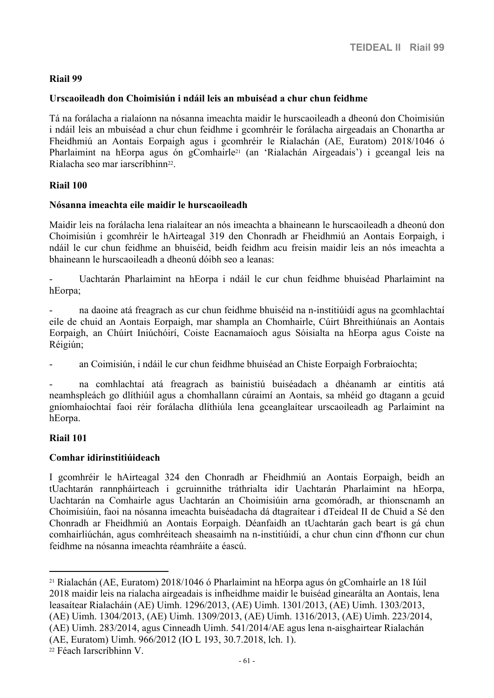### **Riail 99**

#### **Urscaoileadh don Choimisiún i ndáil leis an mbuiséad a chur chun feidhme**

Tá na forálacha a rialaíonn na nósanna imeachta maidir le hurscaoileadh a dheonú don Choimisiún i ndáil leis an mbuiséad a chur chun feidhme i gcomhréir le forálacha airgeadais an Chonartha ar Fheidhmiú an Aontais Eorpaigh agus i gcomhréir le Rialachán (AE, Euratom) 2018/1046 ó Pharlaimint na hEorpa agus ón gComhairle<sup>21</sup> (an 'Rialachán Airgeadais') i gceangal leis na Rialacha seo mar iarscríbhinn<sup>22</sup>.

#### **Riail 100**

#### **Nósanna imeachta eile maidir le hurscaoileadh**

Maidir leis na forálacha lena rialaítear an nós imeachta a bhaineann le hurscaoileadh a dheonú don Choimisiún i gcomhréir le hAirteagal 319 den Chonradh ar Fheidhmiú an Aontais Eorpaigh, i ndáil le cur chun feidhme an bhuiséid, beidh feidhm acu freisin maidir leis an nós imeachta a bhaineann le hurscaoileadh a dheonú dóibh seo a leanas:

- Uachtarán Pharlaimint na hEorpa i ndáil le cur chun feidhme bhuiséad Pharlaimint na hEorpa;

na daoine atá freagrach as cur chun feidhme bhuiséid na n-institiúidí agus na gcomhlachtaí eile de chuid an Aontais Eorpaigh, mar shampla an Chomhairle, Cúirt Bhreithiúnais an Aontais Eorpaigh, an Chúirt Iniúchóirí, Coiste Eacnamaíoch agus Sóisialta na hEorpa agus Coiste na Réigiún;

an Coimisiún, i ndáil le cur chun feidhme bhuiséad an Chiste Eorpaigh Forbraíochta;

na comhlachtaí atá freagrach as bainistiú buiséadach a dhéanamh ar eintitis atá neamhspleách go dlíthiúil agus a chomhallann cúraimí an Aontais, sa mhéid go dtagann a gcuid gníomhaíochtaí faoi réir forálacha dlíthiúla lena gceanglaítear urscaoileadh ag Parlaimint na hEorpa.

#### **Riail 101**

### **Comhar idirinstitiúideach**

I gcomhréir le hAirteagal 324 den Chonradh ar Fheidhmiú an Aontais Eorpaigh, beidh an tUachtarán rannpháirteach i gcruinnithe tráthrialta idir Uachtarán Pharlaimint na hEorpa, Uachtarán na Comhairle agus Uachtarán an Choimisiúin arna gcomóradh, ar thionscnamh an Choimisiúin, faoi na nósanna imeachta buiséadacha dá dtagraítear i dTeideal II de Chuid a Sé den Chonradh ar Fheidhmiú an Aontais Eorpaigh. Déanfaidh an tUachtarán gach beart is gá chun comhairliúchán, agus comhréiteach sheasaimh na n-institiúidí, a chur chun cinn d'fhonn cur chun feidhme na nósanna imeachta réamhráite a éascú.

22 Féach Iarscríbhinn V.

<sup>21</sup> Rialachán (AE, Euratom) 2018/1046 ó Pharlaimint na hEorpa agus ón gComhairle an 18 Iúil 2018 maidir leis na rialacha airgeadais is infheidhme maidir le buiséad ginearálta an Aontais, lena leasaítear Rialacháin (AE) Uimh. 1296/2013, (AE) Uimh. 1301/2013, (AE) Uimh. 1303/2013, (AE) Uimh. 1304/2013, (AE) Uimh. 1309/2013, (AE) Uimh. 1316/2013, (AE) Uimh. 223/2014, (AE) Uimh. 283/2014, agus Cinneadh Uimh. 541/2014/AE agus lena n-aisghairtear Rialachán (AE, Euratom) Uimh. 966/2012 (IO L 193, 30.7.2018, lch. 1).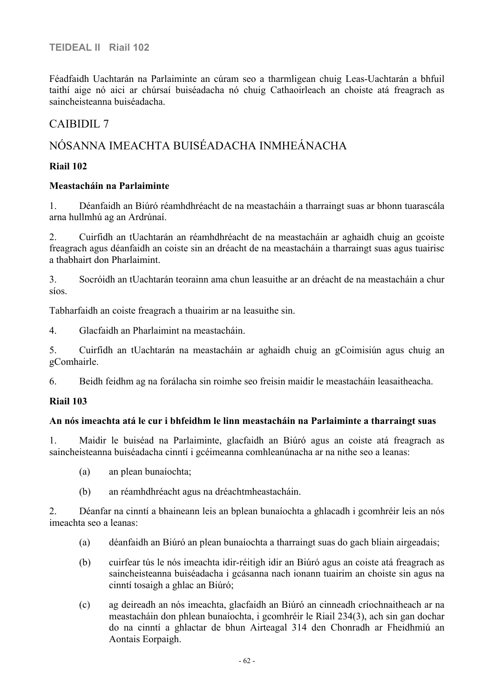## **TEIDEAL II Riail 102**

Féadfaidh Uachtarán na Parlaiminte an cúram seo a tharmligean chuig Leas-Uachtarán a bhfuil taithí aige nó aici ar chúrsaí buiséadacha nó chuig Cathaoirleach an choiste atá freagrach as saincheisteanna buiséadacha.

## CAIBIDIL 7

# NÓSANNA IMEACHTA BUISÉADACHA INMHEÁNACHA

### **Riail 102**

#### **Meastacháin na Parlaiminte**

1. Déanfaidh an Biúró réamhdhréacht de na meastacháin a tharraingt suas ar bhonn tuarascála arna hullmhú ag an Ardrúnaí.

2. Cuirfidh an tUachtarán an réamhdhréacht de na meastacháin ar aghaidh chuig an gcoiste freagrach agus déanfaidh an coiste sin an dréacht de na meastacháin a tharraingt suas agus tuairisc a thabhairt don Pharlaimint.

3. Socróidh an tUachtarán teorainn ama chun leasuithe ar an dréacht de na meastacháin a chur síos.

Tabharfaidh an coiste freagrach a thuairim ar na leasuithe sin.

4. Glacfaidh an Pharlaimint na meastacháin.

5. Cuirfidh an tUachtarán na meastacháin ar aghaidh chuig an gCoimisiún agus chuig an gComhairle.

6. Beidh feidhm ag na forálacha sin roimhe seo freisin maidir le meastacháin leasaitheacha.

#### **Riail 103**

#### **An nós imeachta atá le cur i bhfeidhm le linn meastacháin na Parlaiminte a tharraingt suas**

1. Maidir le buiséad na Parlaiminte, glacfaidh an Biúró agus an coiste atá freagrach as saincheisteanna buiséadacha cinntí i gcéimeanna comhleanúnacha ar na nithe seo a leanas:

- (a) an plean bunaíochta;
- (b) an réamhdhréacht agus na dréachtmheastacháin.

2. Déanfar na cinntí a bhaineann leis an bplean bunaíochta a ghlacadh i gcomhréir leis an nós imeachta seo a leanas:

- (a) déanfaidh an Biúró an plean bunaíochta a tharraingt suas do gach bliain airgeadais;
- (b) cuirfear tús le nós imeachta idir-réitigh idir an Biúró agus an coiste atá freagrach as saincheisteanna buiséadacha i gcásanna nach ionann tuairim an choiste sin agus na cinntí tosaigh a ghlac an Biúró;
- (c) ag deireadh an nós imeachta, glacfaidh an Biúró an cinneadh críochnaitheach ar na meastacháin don phlean bunaíochta, i gcomhréir le Riail 234(3), ach sin gan dochar do na cinntí a ghlactar de bhun Airteagal 314 den Chonradh ar Fheidhmiú an Aontais Eorpaigh.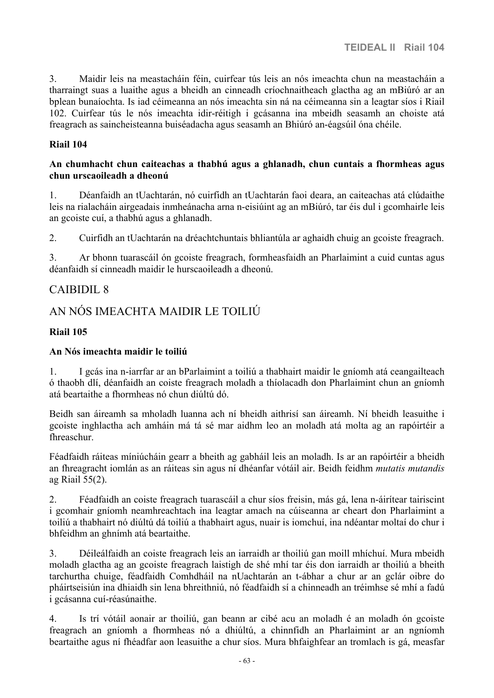3. Maidir leis na meastacháin féin, cuirfear tús leis an nós imeachta chun na meastacháin a tharraingt suas a luaithe agus a bheidh an cinneadh críochnaitheach glactha ag an mBiúró ar an bplean bunaíochta. Is iad céimeanna an nós imeachta sin ná na céimeanna sin a leagtar síos i Riail 102. Cuirfear tús le nós imeachta idir-réitigh i gcásanna ina mbeidh seasamh an choiste atá freagrach as saincheisteanna buiséadacha agus seasamh an Bhiúró an-éagsúil óna chéile.

#### **Riail 104**

#### **An chumhacht chun caiteachas a thabhú agus a ghlanadh, chun cuntais a fhormheas agus chun urscaoileadh a dheonú**

1. Déanfaidh an tUachtarán, nó cuirfidh an tUachtarán faoi deara, an caiteachas atá clúdaithe leis na rialacháin airgeadais inmheánacha arna n-eisiúint ag an mBiúró, tar éis dul i gcomhairle leis an gcoiste cuí, a thabhú agus a ghlanadh.

2. Cuirfidh an tUachtarán na dréachtchuntais bhliantúla ar aghaidh chuig an gcoiste freagrach.

3. Ar bhonn tuarascáil ón gcoiste freagrach, formheasfaidh an Pharlaimint a cuid cuntas agus déanfaidh sí cinneadh maidir le hurscaoileadh a dheonú.

## CAIBIDIL 8

## AN NÓS IMEACHTA MAIDIR LE TOILIÚ

#### **Riail 105**

#### **An Nós imeachta maidir le toiliú**

1. I gcás ina n-iarrfar ar an bParlaimint a toiliú a thabhairt maidir le gníomh atá ceangailteach ó thaobh dlí, déanfaidh an coiste freagrach moladh a thíolacadh don Pharlaimint chun an gníomh atá beartaithe a fhormheas nó chun diúltú dó.

Beidh san áireamh sa mholadh luanna ach ní bheidh aithrisí san áireamh. Ní bheidh leasuithe i gcoiste inghlactha ach amháin má tá sé mar aidhm leo an moladh atá molta ag an rapóirtéir a fhreaschur.

Féadfaidh ráiteas míniúcháin gearr a bheith ag gabháil leis an moladh. Is ar an rapóirtéir a bheidh an fhreagracht iomlán as an ráiteas sin agus ní dhéanfar vótáil air. Beidh feidhm *mutatis mutandis* ag Riail 55(2).

2. Féadfaidh an coiste freagrach tuarascáil a chur síos freisin, más gá, lena n-áirítear tairiscint i gcomhair gníomh neamhreachtach ina leagtar amach na cúiseanna ar cheart don Pharlaimint a toiliú a thabhairt nó diúltú dá toiliú a thabhairt agus, nuair is iomchuí, ina ndéantar moltaí do chur i bhfeidhm an ghnímh atá beartaithe.

3. Déileálfaidh an coiste freagrach leis an iarraidh ar thoiliú gan moill mhíchuí. Mura mbeidh moladh glactha ag an gcoiste freagrach laistigh de shé mhí tar éis don iarraidh ar thoiliú a bheith tarchurtha chuige, féadfaidh Comhdháil na nUachtarán an t-ábhar a chur ar an gclár oibre do pháirtseisiún ina dhiaidh sin lena bhreithniú, nó féadfaidh sí a chinneadh an tréimhse sé mhí a fadú i gcásanna cuí-réasúnaithe.

4. Is trí vótáil aonair ar thoiliú, gan beann ar cibé acu an moladh é an moladh ón gcoiste freagrach an gníomh a fhormheas nó a dhiúltú, a chinnfidh an Pharlaimint ar an ngníomh beartaithe agus ní fhéadfar aon leasuithe a chur síos. Mura bhfaighfear an tromlach is gá, measfar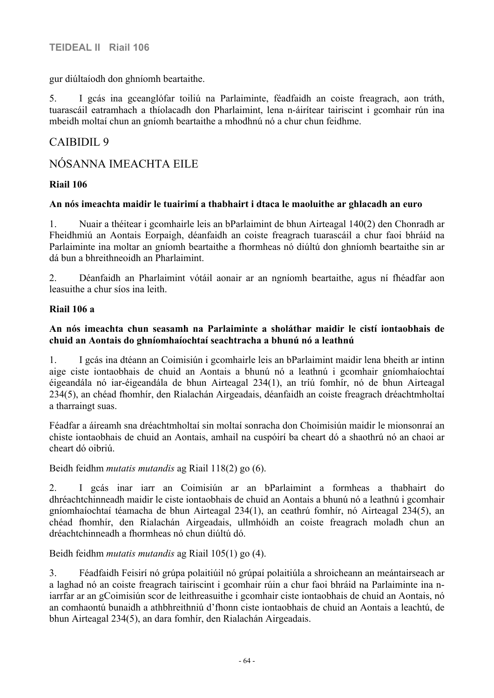gur diúltaíodh don ghníomh beartaithe.

5. I gcás ina gceanglófar toiliú na Parlaiminte, féadfaidh an coiste freagrach, aon tráth, tuarascáil eatramhach a thíolacadh don Pharlaimint, lena n-áirítear tairiscint i gcomhair rún ina mbeidh moltaí chun an gníomh beartaithe a mhodhnú nó a chur chun feidhme.

## CAIBIDIL 9

## NÓSANNA IMEACHTA EILE

## **Riail 106**

### **An nós imeachta maidir le tuairimí a thabhairt i dtaca le maoluithe ar ghlacadh an euro**

1. Nuair a théitear i gcomhairle leis an bParlaimint de bhun Airteagal 140(2) den Chonradh ar Fheidhmiú an Aontais Eorpaigh, déanfaidh an coiste freagrach tuarascáil a chur faoi bhráid na Parlaiminte ina moltar an gníomh beartaithe a fhormheas nó diúltú don ghníomh beartaithe sin ar dá bun a bhreithneoidh an Pharlaimint.

2. Déanfaidh an Pharlaimint vótáil aonair ar an ngníomh beartaithe, agus ní fhéadfar aon leasuithe a chur síos ina leith.

### **Riail 106 a**

## **An nós imeachta chun seasamh na Parlaiminte a sholáthar maidir le cistí iontaobhais de chuid an Aontais do ghníomhaíochtaí seachtracha a bhunú nó a leathnú**

1. I gcás ina dtéann an Coimisiún i gcomhairle leis an bParlaimint maidir lena bheith ar intinn aige ciste iontaobhais de chuid an Aontais a bhunú nó a leathnú i gcomhair gníomhaíochtaí éigeandála nó iar-éigeandála de bhun Airteagal 234(1), an tríú fomhír, nó de bhun Airteagal 234(5), an chéad fhomhír, den Rialachán Airgeadais, déanfaidh an coiste freagrach dréachtmholtaí a tharraingt suas.

Féadfar a áireamh sna dréachtmholtaí sin moltaí sonracha don Choimisiún maidir le mionsonraí an chiste iontaobhais de chuid an Aontais, amhail na cuspóirí ba cheart dó a shaothrú nó an chaoi ar cheart dó oibriú.

Beidh feidhm *mutatis mutandis* ag Riail 118(2) go (6).

2. I gcás inar iarr an Coimisiún ar an bParlaimint a formheas a thabhairt do dhréachtchinneadh maidir le ciste iontaobhais de chuid an Aontais a bhunú nó a leathnú i gcomhair gníomhaíochtaí téamacha de bhun Airteagal 234(1), an ceathrú fomhír, nó Airteagal 234(5), an chéad fhomhír, den Rialachán Airgeadais, ullmhóidh an coiste freagrach moladh chun an dréachtchinneadh a fhormheas nó chun diúltú dó.

Beidh feidhm *mutatis mutandis* ag Riail 105(1) go (4).

3. Féadfaidh Feisirí nó grúpa polaitiúil nó grúpaí polaitiúla a shroicheann an meántairseach ar a laghad nó an coiste freagrach tairiscint i gcomhair rúin a chur faoi bhráid na Parlaiminte ina niarrfar ar an gCoimisiún scor de leithreasuithe i gcomhair ciste iontaobhais de chuid an Aontais, nó an comhaontú bunaidh a athbhreithniú d'fhonn ciste iontaobhais de chuid an Aontais a leachtú, de bhun Airteagal 234(5), an dara fomhír, den Rialachán Airgeadais.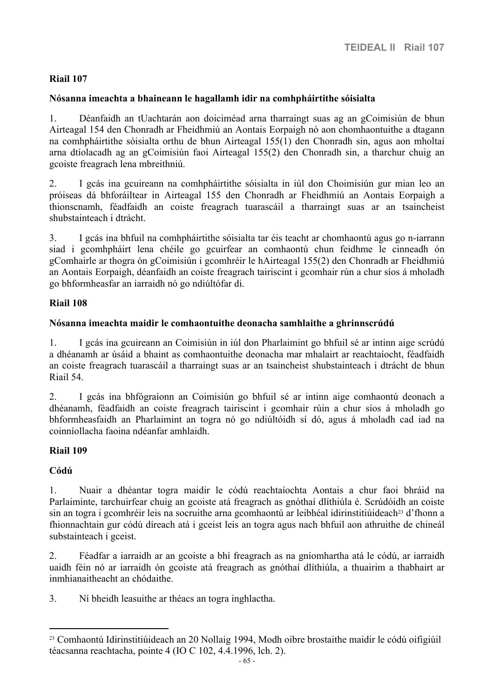## **Riail 107**

#### **Nósanna imeachta a bhaineann le hagallamh idir na comhpháirtithe sóisialta**

1. Déanfaidh an tUachtarán aon doiciméad arna tharraingt suas ag an gCoimisiún de bhun Airteagal 154 den Chonradh ar Fheidhmiú an Aontais Eorpaigh nó aon chomhaontuithe a dtagann na comhpháirtithe sóisialta orthu de bhun Airteagal 155(1) den Chonradh sin, agus aon mholtaí arna dtíolacadh ag an gCoimisiún faoi Airteagal 155(2) den Chonradh sin, a tharchur chuig an gcoiste freagrach lena mbreithniú.

2. I gcás ina gcuireann na comhpháirtithe sóisialta in iúl don Choimisiún gur mian leo an próiseas dá bhforáiltear in Airteagal 155 den Chonradh ar Fheidhmiú an Aontais Eorpaigh a thionscnamh, féadfaidh an coiste freagrach tuarascáil a tharraingt suas ar an tsaincheist shubstainteach i dtrácht.

3. I gcás ina bhfuil na comhpháirtithe sóisialta tar éis teacht ar chomhaontú agus go n-iarrann siad i gcomhpháirt lena chéile go gcuirfear an comhaontú chun feidhme le cinneadh ón gComhairle ar thogra ón gCoimisiún i gcomhréir le hAirteagal 155(2) den Chonradh ar Fheidhmiú an Aontais Eorpaigh, déanfaidh an coiste freagrach tairiscint i gcomhair rún a chur síos á mholadh go bhformheasfar an iarraidh nó go ndiúltófar di.

#### **Riail 108**

#### **Nósanna imeachta maidir le comhaontuithe deonacha samhlaithe a ghrinnscrúdú**

1. I gcás ina gcuireann an Coimisiún in iúl don Pharlaimint go bhfuil sé ar intinn aige scrúdú a dhéanamh ar úsáid a bhaint as comhaontuithe deonacha mar mhalairt ar reachtaíocht, féadfaidh an coiste freagrach tuarascáil a tharraingt suas ar an tsaincheist shubstainteach i dtrácht de bhun Riail 54.

2. I gcás ina bhfógraíonn an Coimisiún go bhfuil sé ar intinn aige comhaontú deonach a dhéanamh, féadfaidh an coiste freagrach tairiscint i gcomhair rúin a chur síos á mholadh go bhformheasfaidh an Pharlaimint an togra nó go ndiúltóidh sí dó, agus á mholadh cad iad na coinníollacha faoina ndéanfar amhlaidh.

### **Riail 109**

#### **Códú**

1. Nuair a dhéantar togra maidir le códú reachtaíochta Aontais a chur faoi bhráid na Parlaiminte, tarchuirfear chuig an gcoiste atá freagrach as gnóthaí dlíthiúla é. Scrúdóidh an coiste sin an togra i gcomhréir leis na socruithe arna gcomhaontú ar leibhéal idirinstitiúideach<sup>23</sup> d'fhonn a fhionnachtain gur códú díreach atá i gceist leis an togra agus nach bhfuil aon athruithe de chineál substainteach i gceist.

2. Féadfar a iarraidh ar an gcoiste a bhí freagrach as na gníomhartha atá le códú, ar iarraidh uaidh féin nó ar iarraidh ón gcoiste atá freagrach as gnóthaí dlíthiúla, a thuairim a thabhairt ar inmhianaitheacht an chódaithe.

3. Ní bheidh leasuithe ar théacs an togra inghlactha.

<sup>23</sup> Comhaontú Idirinstitiúideach an 20 Nollaig 1994, Modh oibre brostaithe maidir le códú oifigiúil téacsanna reachtacha, pointe 4 (IO C 102, 4.4.1996, lch. 2).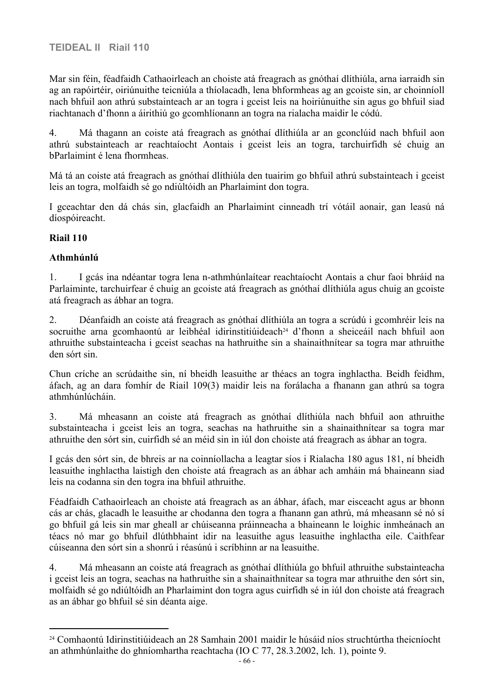## **TEIDEAL II Riail 110**

Mar sin féin, féadfaidh Cathaoirleach an choiste atá freagrach as gnóthaí dlíthiúla, arna iarraidh sin ag an rapóirtéir, oiriúnuithe teicniúla a thíolacadh, lena bhformheas ag an gcoiste sin, ar choinníoll nach bhfuil aon athrú substainteach ar an togra i gceist leis na hoiriúnuithe sin agus go bhfuil siad riachtanach d'fhonn a áirithiú go gcomhlíonann an togra na rialacha maidir le códú.

4. Má thagann an coiste atá freagrach as gnóthaí dlíthiúla ar an gconclúid nach bhfuil aon athrú substainteach ar reachtaíocht Aontais i gceist leis an togra, tarchuirfidh sé chuig an bParlaimint é lena fhormheas.

Má tá an coiste atá freagrach as gnóthaí dlíthiúla den tuairim go bhfuil athrú substainteach i gceist leis an togra, molfaidh sé go ndiúltóidh an Pharlaimint don togra.

I gceachtar den dá chás sin, glacfaidh an Pharlaimint cinneadh trí vótáil aonair, gan leasú ná díospóireacht.

#### **Riail 110**

#### **Athmhúnlú**

1. I gcás ina ndéantar togra lena n-athmhúnlaítear reachtaíocht Aontais a chur faoi bhráid na Parlaiminte, tarchuirfear é chuig an gcoiste atá freagrach as gnóthaí dlíthiúla agus chuig an gcoiste atá freagrach as ábhar an togra.

2. Déanfaidh an coiste atá freagrach as gnóthaí dlíthiúla an togra a scrúdú i gcomhréir leis na socruithe arna gcomhaontú ar leibhéal idirinstitiúideach<sup>24</sup> d'fhonn a sheiceáil nach bhfuil aon athruithe substainteacha i gceist seachas na hathruithe sin a shainaithnítear sa togra mar athruithe den sórt sin.

Chun críche an scrúdaithe sin, ní bheidh leasuithe ar théacs an togra inghlactha. Beidh feidhm, áfach, ag an dara fomhír de Riail 109(3) maidir leis na forálacha a fhanann gan athrú sa togra athmhúnlúcháin.

3. Má mheasann an coiste atá freagrach as gnóthaí dlíthiúla nach bhfuil aon athruithe substainteacha i gceist leis an togra, seachas na hathruithe sin a shainaithnítear sa togra mar athruithe den sórt sin, cuirfidh sé an méid sin in iúl don choiste atá freagrach as ábhar an togra.

I gcás den sórt sin, de bhreis ar na coinníollacha a leagtar síos i Rialacha 180 agus 181, ní bheidh leasuithe inghlactha laistigh den choiste atá freagrach as an ábhar ach amháin má bhaineann siad leis na codanna sin den togra ina bhfuil athruithe.

Féadfaidh Cathaoirleach an choiste atá freagrach as an ábhar, áfach, mar eisceacht agus ar bhonn cás ar chás, glacadh le leasuithe ar chodanna den togra a fhanann gan athrú, má mheasann sé nó sí go bhfuil gá leis sin mar gheall ar chúiseanna práinneacha a bhaineann le loighic inmheánach an téacs nó mar go bhfuil dlúthbhaint idir na leasuithe agus leasuithe inghlactha eile. Caithfear cúiseanna den sórt sin a shonrú i réasúnú i scríbhinn ar na leasuithe.

4. Má mheasann an coiste atá freagrach as gnóthaí dlíthiúla go bhfuil athruithe substainteacha i gceist leis an togra, seachas na hathruithe sin a shainaithnítear sa togra mar athruithe den sórt sin, molfaidh sé go ndiúltóidh an Pharlaimint don togra agus cuirfidh sé in iúl don choiste atá freagrach as an ábhar go bhfuil sé sin déanta aige.

<sup>24</sup> Comhaontú Idirinstitiúideach an 28 Samhain 2001 maidir le húsáid níos struchtúrtha theicníocht an athmhúnlaithe do ghníomhartha reachtacha (IO C 77, 28.3.2002, lch. 1), pointe 9.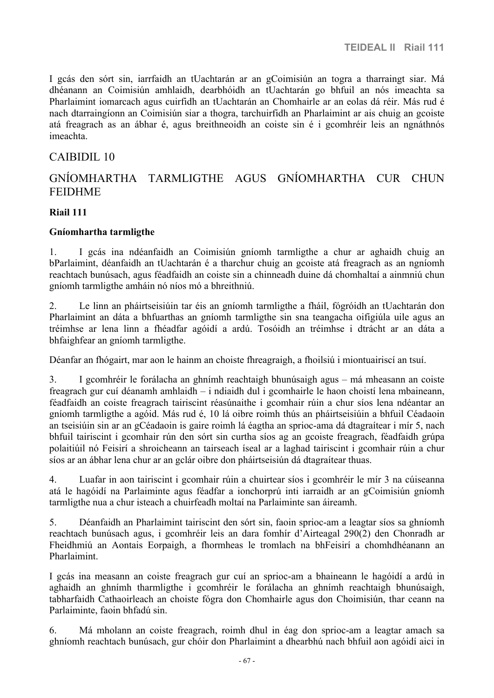I gcás den sórt sin, iarrfaidh an tUachtarán ar an gCoimisiún an togra a tharraingt siar. Má dhéanann an Coimisiún amhlaidh, dearbhóidh an tUachtarán go bhfuil an nós imeachta sa Pharlaimint iomarcach agus cuirfidh an tUachtarán an Chomhairle ar an eolas dá réir. Más rud é nach dtarraingíonn an Coimisiún siar a thogra, tarchuirfidh an Pharlaimint ar ais chuig an gcoiste atá freagrach as an ábhar é, agus breithneoidh an coiste sin é i gcomhréir leis an ngnáthnós imeachta.

## CAIBIDIL 10

## GNÍOMHARTHA TARMLIGTHE AGUS GNÍOMHARTHA CUR CHUN FEIDHME

### **Riail 111**

### **Gníomhartha tarmligthe**

1. I gcás ina ndéanfaidh an Coimisiún gníomh tarmligthe a chur ar aghaidh chuig an bParlaimint, déanfaidh an tUachtarán é a tharchur chuig an gcoiste atá freagrach as an ngníomh reachtach bunúsach, agus féadfaidh an coiste sin a chinneadh duine dá chomhaltaí a ainmniú chun gníomh tarmligthe amháin nó níos mó a bhreithniú.

2. Le linn an pháirtseisiúin tar éis an gníomh tarmligthe a fháil, fógróidh an tUachtarán don Pharlaimint an dáta a bhfuarthas an gníomh tarmligthe sin sna teangacha oifigiúla uile agus an tréimhse ar lena linn a fhéadfar agóidí a ardú. Tosóidh an tréimhse i dtrácht ar an dáta a bhfaighfear an gníomh tarmligthe.

Déanfar an fhógairt, mar aon le hainm an choiste fhreagraigh, a fhoilsiú i miontuairiscí an tsuí.

3. I gcomhréir le forálacha an ghnímh reachtaigh bhunúsaigh agus – má mheasann an coiste freagrach gur cuí déanamh amhlaidh – i ndiaidh dul i gcomhairle le haon choistí lena mbaineann, féadfaidh an coiste freagrach tairiscint réasúnaithe i gcomhair rúin a chur síos lena ndéantar an gníomh tarmligthe a agóid. Más rud é, 10 lá oibre roimh thús an pháirtseisiúin a bhfuil Céadaoin an tseisiúin sin ar an gCéadaoin is gaire roimh lá éagtha an sprioc-ama dá dtagraítear i mír 5, nach bhfuil tairiscint i gcomhair rún den sórt sin curtha síos ag an gcoiste freagrach, féadfaidh grúpa polaitiúil nó Feisirí a shroicheann an tairseach íseal ar a laghad tairiscint i gcomhair rúin a chur síos ar an ábhar lena chur ar an gclár oibre don pháirtseisiún dá dtagraítear thuas.

4. Luafar in aon tairiscint i gcomhair rúin a chuirtear síos i gcomhréir le mír 3 na cúiseanna atá le hagóidí na Parlaiminte agus féadfar a ionchorprú inti iarraidh ar an gCoimisiún gníomh tarmligthe nua a chur isteach a chuirfeadh moltaí na Parlaiminte san áireamh.

5. Déanfaidh an Pharlaimint tairiscint den sórt sin, faoin sprioc-am a leagtar síos sa ghníomh reachtach bunúsach agus, i gcomhréir leis an dara fomhír d'Airteagal 290(2) den Chonradh ar Fheidhmiú an Aontais Eorpaigh, a fhormheas le tromlach na bhFeisirí a chomhdhéanann an Pharlaimint.

I gcás ina measann an coiste freagrach gur cuí an sprioc-am a bhaineann le hagóidí a ardú in aghaidh an ghnímh tharmligthe i gcomhréir le forálacha an ghnímh reachtaigh bhunúsaigh, tabharfaidh Cathaoirleach an choiste fógra don Chomhairle agus don Choimisiún, thar ceann na Parlaiminte, faoin bhfadú sin.

6. Má mholann an coiste freagrach, roimh dhul in éag don sprioc-am a leagtar amach sa ghníomh reachtach bunúsach, gur chóir don Pharlaimint a dhearbhú nach bhfuil aon agóidí aici in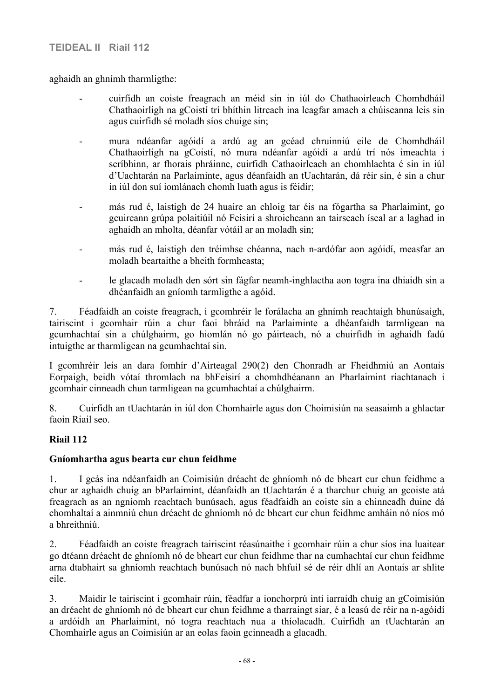aghaidh an ghnímh tharmligthe:

- cuirfidh an coiste freagrach an méid sin in iúl do Chathaoirleach Chomhdháil Chathaoirligh na gCoistí trí bhíthin litreach ina leagfar amach a chúiseanna leis sin agus cuirfidh sé moladh síos chuige sin;
- mura ndéanfar agóidí a ardú ag an gcéad chruinniú eile de Chomhdháil Chathaoirligh na gCoistí, nó mura ndéanfar agóidí a ardú trí nós imeachta i scríbhinn, ar fhorais phráinne, cuirfidh Cathaoirleach an chomhlachta é sin in iúl d'Uachtarán na Parlaiminte, agus déanfaidh an tUachtarán, dá réir sin, é sin a chur in iúl don suí iomlánach chomh luath agus is féidir;
- más rud é, laistigh de 24 huaire an chloig tar éis na fógartha sa Pharlaimint, go gcuireann grúpa polaitiúil nó Feisirí a shroicheann an tairseach íseal ar a laghad in aghaidh an mholta, déanfar vótáil ar an moladh sin;
- más rud é, laistigh den tréimhse chéanna, nach n-ardófar aon agóidí, measfar an moladh beartaithe a bheith formheasta;
- le glacadh moladh den sórt sin fágfar neamh-inghlactha aon togra ina dhiaidh sin a dhéanfaidh an gníomh tarmligthe a agóid.

7. Féadfaidh an coiste freagrach, i gcomhréir le forálacha an ghnímh reachtaigh bhunúsaigh, tairiscint i gcomhair rúin a chur faoi bhráid na Parlaiminte a dhéanfaidh tarmligean na gcumhachtaí sin a chúlghairm, go hiomlán nó go páirteach, nó a chuirfidh in aghaidh fadú intuigthe ar tharmligean na gcumhachtaí sin.

I gcomhréir leis an dara fomhír d'Airteagal 290(2) den Chonradh ar Fheidhmiú an Aontais Eorpaigh, beidh vótaí thromlach na bhFeisirí a chomhdhéanann an Pharlaimint riachtanach i gcomhair cinneadh chun tarmligean na gcumhachtaí a chúlghairm.

8. Cuirfidh an tUachtarán in iúl don Chomhairle agus don Choimisiún na seasaimh a ghlactar faoin Riail seo.

### **Riail 112**

### **Gníomhartha agus bearta cur chun feidhme**

1. I gcás ina ndéanfaidh an Coimisiún dréacht de ghníomh nó de bheart cur chun feidhme a chur ar aghaidh chuig an bParlaimint, déanfaidh an tUachtarán é a tharchur chuig an gcoiste atá freagrach as an ngníomh reachtach bunúsach, agus féadfaidh an coiste sin a chinneadh duine dá chomhaltaí a ainmniú chun dréacht de ghníomh nó de bheart cur chun feidhme amháin nó níos mó a bhreithniú.

2. Féadfaidh an coiste freagrach tairiscint réasúnaithe i gcomhair rúin a chur síos ina luaitear go dtéann dréacht de ghníomh nó de bheart cur chun feidhme thar na cumhachtaí cur chun feidhme arna dtabhairt sa ghníomh reachtach bunúsach nó nach bhfuil sé de réir dhlí an Aontais ar shlite eile.

3. Maidir le tairiscint i gcomhair rúin, féadfar a ionchorprú inti iarraidh chuig an gCoimisiún an dréacht de ghníomh nó de bheart cur chun feidhme a tharraingt siar, é a leasú de réir na n-agóidí a ardóidh an Pharlaimint, nó togra reachtach nua a thíolacadh. Cuirfidh an tUachtarán an Chomhairle agus an Coimisiún ar an eolas faoin gcinneadh a glacadh.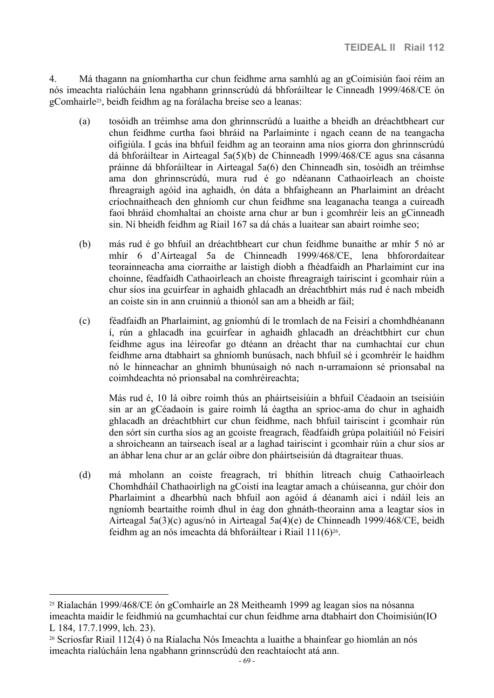4. Má thagann na gníomhartha cur chun feidhme arna samhlú ag an gCoimisiún faoi réim an nós imeachta rialúcháin lena ngabhann grinnscrúdú dá bhforáiltear le Cinneadh 1999/468/CE ón gComhairle25, beidh feidhm ag na forálacha breise seo a leanas:

- (a) tosóidh an tréimhse ama don ghrinnscrúdú a luaithe a bheidh an dréachtbheart cur chun feidhme curtha faoi bhráid na Parlaiminte i ngach ceann de na teangacha oifigiúla. I gcás ina bhfuil feidhm ag an teorainn ama níos giorra don ghrinnscrúdú dá bhforáiltear in Airteagal 5a(5)(b) de Chinneadh 1999/468/CE agus sna cásanna práinne dá bhforáiltear in Airteagal 5a(6) den Chinneadh sin, tosóidh an tréimhse ama don ghrinnscrúdú, mura rud é go ndéanann Cathaoirleach an choiste fhreagraigh agóid ina aghaidh, ón dáta a bhfaigheann an Pharlaimint an dréacht críochnaitheach den ghníomh cur chun feidhme sna leaganacha teanga a cuireadh faoi bhráid chomhaltaí an choiste arna chur ar bun i gcomhréir leis an gCinneadh sin. Ní bheidh feidhm ag Riail 167 sa dá chás a luaitear san abairt roimhe seo;
- (b) más rud é go bhfuil an dréachtbheart cur chun feidhme bunaithe ar mhír 5 nó ar mhír 6 d'Airteagal 5a de Chinneadh 1999/468/CE, lena bhforordaítear teorainneacha ama ciorraithe ar laistigh díobh a fhéadfaidh an Pharlaimint cur ina choinne, féadfaidh Cathaoirleach an choiste fhreagraigh tairiscint i gcomhair rúin a chur síos ina gcuirfear in aghaidh ghlacadh an dréachtbhirt más rud é nach mbeidh an coiste sin in ann cruinniú a thionól san am a bheidh ar fáil;
- (c) féadfaidh an Pharlaimint, ag gníomhú di le tromlach de na Feisirí a chomhdhéanann í, rún a ghlacadh ina gcuirfear in aghaidh ghlacadh an dréachtbhirt cur chun feidhme agus ina léireofar go dtéann an dréacht thar na cumhachtaí cur chun feidhme arna dtabhairt sa ghníomh bunúsach, nach bhfuil sé i gcomhréir le haidhm nó le hinneachar an ghnímh bhunúsaigh nó nach n-urramaíonn sé prionsabal na coimhdeachta nó prionsabal na comhréireachta;

Más rud é, 10 lá oibre roimh thús an pháirtseisiúin a bhfuil Céadaoin an tseisiúin sin ar an gCéadaoin is gaire roimh lá éagtha an sprioc-ama do chur in aghaidh ghlacadh an dréachtbhirt cur chun feidhme, nach bhfuil tairiscint i gcomhair rún den sórt sin curtha síos ag an gcoiste freagrach, féadfaidh grúpa polaitiúil nó Feisirí a shroicheann an tairseach íseal ar a laghad tairiscint i gcomhair rúin a chur síos ar an ábhar lena chur ar an gclár oibre don pháirtseisiún dá dtagraítear thuas.

(d) má mholann an coiste freagrach, trí bhíthin litreach chuig Cathaoirleach Chomhdháil Chathaoirligh na gCoistí ina leagtar amach a chúiseanna, gur chóir don Pharlaimint a dhearbhú nach bhfuil aon agóid á déanamh aici i ndáil leis an ngníomh beartaithe roimh dhul in éag don ghnáth-theorainn ama a leagtar síos in Airteagal 5a(3)(c) agus/nó in Airteagal 5a(4)(e) de Chinneadh 1999/468/CE, beidh feidhm ag an nós imeachta dá bhforáiltear i Riail 111(6)<sup>26</sup>.

<sup>25</sup> Rialachán 1999/468/CE ón gComhairle an 28 Meitheamh 1999 ag leagan síos na nósanna imeachta maidir le feidhmiú na gcumhachtaí cur chun feidhme arna dtabhairt don Choimisiún(IO L 184, 17.7.1999, lch. 23).

<sup>26</sup> Scriosfar Riail 112(4) ó na Rialacha Nós Imeachta a luaithe a bhainfear go hiomlán an nós imeachta rialúcháin lena ngabhann grinnscrúdú den reachtaíocht atá ann.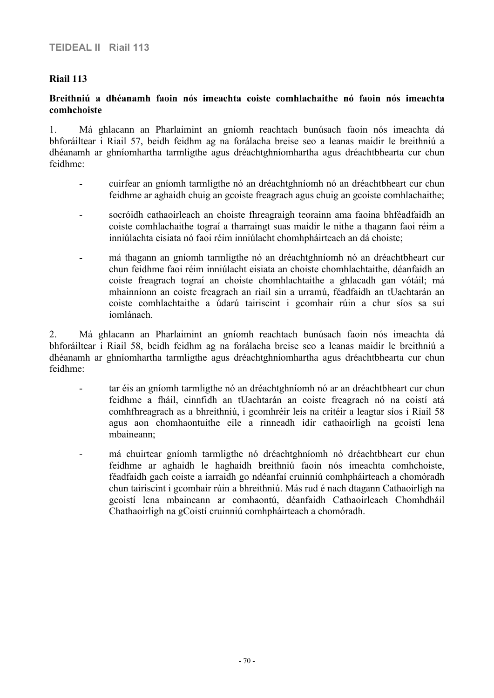#### **TEIDEAL II Riail 113**

#### **Riail 113**

#### **Breithniú a dhéanamh faoin nós imeachta coiste comhlachaithe nó faoin nós imeachta comhchoiste**

1. Má ghlacann an Pharlaimint an gníomh reachtach bunúsach faoin nós imeachta dá bhforáiltear i Riail 57, beidh feidhm ag na forálacha breise seo a leanas maidir le breithniú a dhéanamh ar ghníomhartha tarmligthe agus dréachtghníomhartha agus dréachtbhearta cur chun feidhme:

- cuirfear an gníomh tarmligthe nó an dréachtghníomh nó an dréachtbheart cur chun feidhme ar aghaidh chuig an gcoiste freagrach agus chuig an gcoiste comhlachaithe;
- socróidh cathaoirleach an choiste fhreagraigh teorainn ama faoina bhféadfaidh an coiste comhlachaithe tograí a tharraingt suas maidir le nithe a thagann faoi réim a inniúlachta eisiata nó faoi réim inniúlacht chomhpháirteach an dá choiste;
- má thagann an gníomh tarmligthe nó an dréachtghníomh nó an dréachtbheart cur chun feidhme faoi réim inniúlacht eisiata an choiste chomhlachtaithe, déanfaidh an coiste freagrach tograí an choiste chomhlachtaithe a ghlacadh gan vótáil; má mhainníonn an coiste freagrach an riail sin a urramú, féadfaidh an tUachtarán an coiste comhlachtaithe a údarú tairiscint i gcomhair rúin a chur síos sa suí iomlánach.

2. Má ghlacann an Pharlaimint an gníomh reachtach bunúsach faoin nós imeachta dá bhforáiltear i Riail 58, beidh feidhm ag na forálacha breise seo a leanas maidir le breithniú a dhéanamh ar ghníomhartha tarmligthe agus dréachtghníomhartha agus dréachtbhearta cur chun feidhme:

- tar éis an gníomh tarmligthe nó an dréachtghníomh nó ar an dréachtbheart cur chun feidhme a fháil, cinnfidh an tUachtarán an coiste freagrach nó na coistí atá comhfhreagrach as a bhreithniú, i gcomhréir leis na critéir a leagtar síos i Riail 58 agus aon chomhaontuithe eile a rinneadh idir cathaoirligh na gcoistí lena mbaineann;
- má chuirtear gníomh tarmligthe nó dréachtghníomh nó dréachtbheart cur chun feidhme ar aghaidh le haghaidh breithniú faoin nós imeachta comhchoiste, féadfaidh gach coiste a iarraidh go ndéanfaí cruinniú comhpháirteach a chomóradh chun tairiscint i gcomhair rúin a bhreithniú. Más rud é nach dtagann Cathaoirligh na gcoistí lena mbaineann ar comhaontú, déanfaidh Cathaoirleach Chomhdháil Chathaoirligh na gCoistí cruinniú comhpháirteach a chomóradh.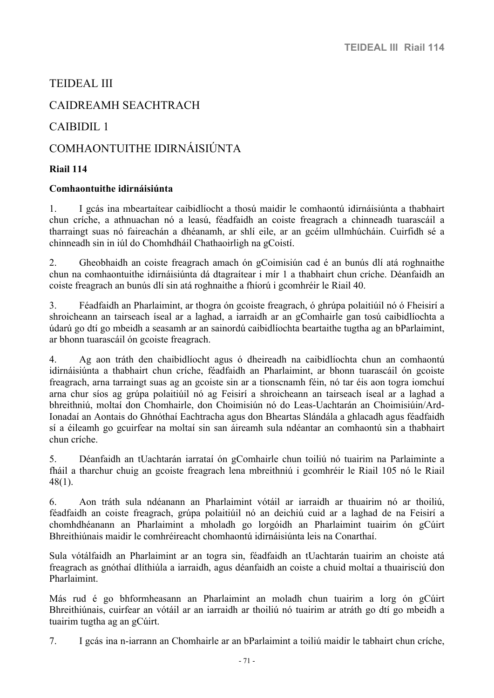## TEIDEAL III

## CAIDREAMH SEACHTRACH

## CAIBIDIL 1

# COMHAONTUITHE IDIRNÁISIÚNTA

## **Riail 114**

### **Comhaontuithe idirnáisiúnta**

1. I gcás ina mbeartaítear caibidlíocht a thosú maidir le comhaontú idirnáisiúnta a thabhairt chun críche, a athnuachan nó a leasú, féadfaidh an coiste freagrach a chinneadh tuarascáil a tharraingt suas nó faireachán a dhéanamh, ar shlí eile, ar an gcéim ullmhúcháin. Cuirfidh sé a chinneadh sin in iúl do Chomhdháil Chathaoirligh na gCoistí.

2. Gheobhaidh an coiste freagrach amach ón gCoimisiún cad é an bunús dlí atá roghnaithe chun na comhaontuithe idirnáisiúnta dá dtagraítear i mír 1 a thabhairt chun críche. Déanfaidh an coiste freagrach an bunús dlí sin atá roghnaithe a fhíorú i gcomhréir le Riail 40.

3. Féadfaidh an Pharlaimint, ar thogra ón gcoiste freagrach, ó ghrúpa polaitiúil nó ó Fheisirí a shroicheann an tairseach íseal ar a laghad, a iarraidh ar an gComhairle gan tosú caibidlíochta a údarú go dtí go mbeidh a seasamh ar an sainordú caibidlíochta beartaithe tugtha ag an bParlaimint, ar bhonn tuarascáil ón gcoiste freagrach.

4. Ag aon tráth den chaibidlíocht agus ó dheireadh na caibidlíochta chun an comhaontú idirnáisiúnta a thabhairt chun críche, féadfaidh an Pharlaimint, ar bhonn tuarascáil ón gcoiste freagrach, arna tarraingt suas ag an gcoiste sin ar a tionscnamh féin, nó tar éis aon togra iomchuí arna chur síos ag grúpa polaitiúil nó ag Feisirí a shroicheann an tairseach íseal ar a laghad a bhreithniú, moltaí don Chomhairle, don Choimisiún nó do Leas-Uachtarán an Choimisiúin/Ard-Ionadaí an Aontais do Ghnóthaí Eachtracha agus don Bheartas Slándála a ghlacadh agus féadfaidh sí a éileamh go gcuirfear na moltaí sin san áireamh sula ndéantar an comhaontú sin a thabhairt chun críche.

5. Déanfaidh an tUachtarán iarrataí ón gComhairle chun toiliú nó tuairim na Parlaiminte a fháil a tharchur chuig an gcoiste freagrach lena mbreithniú i gcomhréir le Riail 105 nó le Riail 48(1).

6. Aon tráth sula ndéanann an Pharlaimint vótáil ar iarraidh ar thuairim nó ar thoiliú, féadfaidh an coiste freagrach, grúpa polaitiúil nó an deichiú cuid ar a laghad de na Feisirí a chomhdhéanann an Pharlaimint a mholadh go lorgóidh an Pharlaimint tuairim ón gCúirt Bhreithiúnais maidir le comhréireacht chomhaontú idirnáisiúnta leis na Conarthaí.

Sula vótálfaidh an Pharlaimint ar an togra sin, féadfaidh an tUachtarán tuairim an choiste atá freagrach as gnóthaí dlíthiúla a iarraidh, agus déanfaidh an coiste a chuid moltaí a thuairisciú don Pharlaimint.

Más rud é go bhformheasann an Pharlaimint an moladh chun tuairim a lorg ón gCúirt Bhreithiúnais, cuirfear an vótáil ar an iarraidh ar thoiliú nó tuairim ar atráth go dtí go mbeidh a tuairim tugtha ag an gCúirt.

7. I gcás ina n-iarrann an Chomhairle ar an bParlaimint a toiliú maidir le tabhairt chun críche,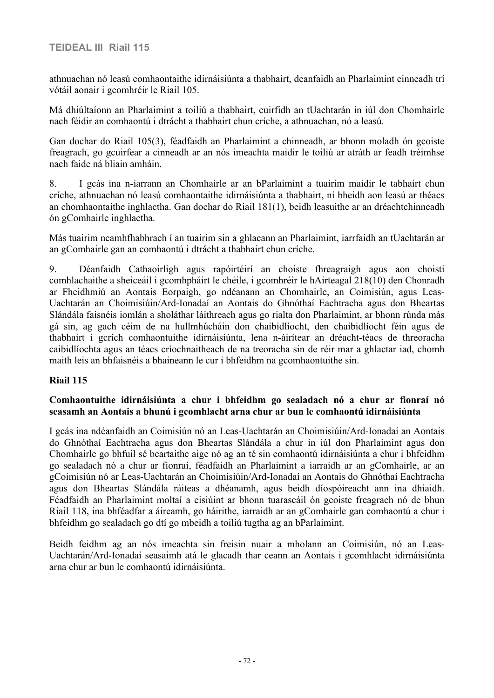athnuachan nó leasú comhaontaithe idirnáisiúnta a thabhairt, deanfaidh an Pharlaimint cinneadh trí vótáil aonair i gcomhréir le Riail 105.

Má dhiúltaíonn an Pharlaimint a toiliú a thabhairt, cuirfidh an tUachtarán in iúl don Chomhairle nach féidir an comhaontú i dtrácht a thabhairt chun críche, a athnuachan, nó a leasú.

Gan dochar do Riail 105(3), féadfaidh an Pharlaimint a chinneadh, ar bhonn moladh ón gcoiste freagrach, go gcuirfear a cinneadh ar an nós imeachta maidir le toiliú ar atráth ar feadh tréimhse nach faide ná bliain amháin.

8. I gcás ina n-iarrann an Chomhairle ar an bParlaimint a tuairim maidir le tabhairt chun críche, athnuachan nó leasú comhaontaithe idirnáisiúnta a thabhairt, ní bheidh aon leasú ar théacs an chomhaontaithe inghlactha. Gan dochar do Riail 181(1), beidh leasuithe ar an dréachtchinneadh ón gComhairle inghlactha.

Más tuairim neamhfhabhrach í an tuairim sin a ghlacann an Pharlaimint, iarrfaidh an tUachtarán ar an gComhairle gan an comhaontú i dtrácht a thabhairt chun críche.

9. Déanfaidh Cathaoirligh agus rapóirtéirí an choiste fhreagraigh agus aon choistí comhlachaithe a sheiceáil i gcomhpháirt le chéile, i gcomhréir le hAirteagal 218(10) den Chonradh ar Fheidhmiú an Aontais Eorpaigh, go ndéanann an Chomhairle, an Coimisiún, agus Leas-Uachtarán an Choimisiúin/Ard-Ionadaí an Aontais do Ghnóthaí Eachtracha agus don Bheartas Slándála faisnéis iomlán a sholáthar láithreach agus go rialta don Pharlaimint, ar bhonn rúnda más gá sin, ag gach céim de na hullmhúcháin don chaibidlíocht, den chaibidlíocht féin agus de thabhairt i gcrích comhaontuithe idirnáisiúnta, lena n-áirítear an dréacht-téacs de threoracha caibidlíochta agus an téacs críochnaitheach de na treoracha sin de réir mar a ghlactar iad, chomh maith leis an bhfaisnéis a bhaineann le cur i bhfeidhm na gcomhaontuithe sin.

## **Riail 115**

### **Comhaontuithe idirnáisiúnta a chur i bhfeidhm go sealadach nó a chur ar fionraí nó seasamh an Aontais a bhunú i gcomhlacht arna chur ar bun le comhaontú idirnáisiúnta**

I gcás ina ndéanfaidh an Coimisiún nó an Leas-Uachtarán an Choimisiúin/Ard-Ionadaí an Aontais do Ghnóthaí Eachtracha agus don Bheartas Slándála a chur in iúl don Pharlaimint agus don Chomhairle go bhfuil sé beartaithe aige nó ag an té sin comhaontú idirnáisiúnta a chur i bhfeidhm go sealadach nó a chur ar fionraí, féadfaidh an Pharlaimint a iarraidh ar an gComhairle, ar an gCoimisiún nó ar Leas-Uachtarán an Choimisiúin/Ard-Ionadaí an Aontais do Ghnóthaí Eachtracha agus don Bheartas Slándála ráiteas a dhéanamh, agus beidh díospóireacht ann ina dhiaidh. Féadfaidh an Pharlaimint moltaí a eisiúint ar bhonn tuarascáil ón gcoiste freagrach nó de bhun Riail 118, ina bhféadfar a áireamh, go háirithe, iarraidh ar an gComhairle gan comhaontú a chur i bhfeidhm go sealadach go dtí go mbeidh a toiliú tugtha ag an bParlaimint.

Beidh feidhm ag an nós imeachta sin freisin nuair a mholann an Coimisiún, nó an Leas-Uachtarán/Ard-Ionadaí seasaimh atá le glacadh thar ceann an Aontais i gcomhlacht idirnáisiúnta arna chur ar bun le comhaontú idirnáisiúnta.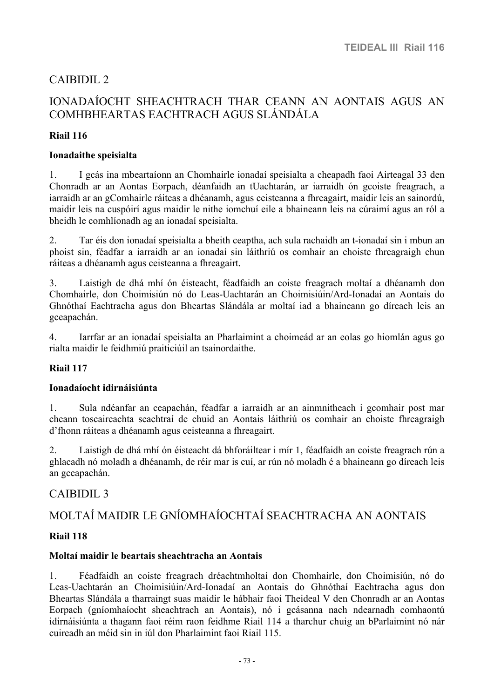# CAIBIDIL 2

# IONADAÍOCHT SHEACHTRACH THAR CEANN AN AONTAIS AGUS AN COMHBHEARTAS EACHTRACH AGUS SLÁNDÁLA

### **Riail 116**

#### **Ionadaithe speisialta**

1. I gcás ina mbeartaíonn an Chomhairle ionadaí speisialta a cheapadh faoi Airteagal 33 den Chonradh ar an Aontas Eorpach, déanfaidh an tUachtarán, ar iarraidh ón gcoiste freagrach, a iarraidh ar an gComhairle ráiteas a dhéanamh, agus ceisteanna a fhreagairt, maidir leis an sainordú, maidir leis na cuspóirí agus maidir le nithe iomchuí eile a bhaineann leis na cúraimí agus an ról a bheidh le comhlíonadh ag an ionadaí speisialta.

2. Tar éis don ionadaí speisialta a bheith ceaptha, ach sula rachaidh an t-ionadaí sin i mbun an phoist sin, féadfar a iarraidh ar an ionadaí sin láithriú os comhair an choiste fhreagraigh chun ráiteas a dhéanamh agus ceisteanna a fhreagairt.

3. Laistigh de dhá mhí ón éisteacht, féadfaidh an coiste freagrach moltaí a dhéanamh don Chomhairle, don Choimisiún nó do Leas-Uachtarán an Choimisiúin/Ard-Ionadaí an Aontais do Ghnóthaí Eachtracha agus don Bheartas Slándála ar moltaí iad a bhaineann go díreach leis an gceapachán.

4. Iarrfar ar an ionadaí speisialta an Pharlaimint a choimeád ar an eolas go hiomlán agus go rialta maidir le feidhmiú praiticiúil an tsainordaithe.

#### **Riail 117**

#### **Ionadaíocht idirnáisiúnta**

1. Sula ndéanfar an ceapachán, féadfar a iarraidh ar an ainmnitheach i gcomhair post mar cheann toscaireachta seachtraí de chuid an Aontais láithriú os comhair an choiste fhreagraigh d'fhonn ráiteas a dhéanamh agus ceisteanna a fhreagairt.

2. Laistigh de dhá mhí ón éisteacht dá bhforáiltear i mír 1, féadfaidh an coiste freagrach rún a ghlacadh nó moladh a dhéanamh, de réir mar is cuí, ar rún nó moladh é a bhaineann go díreach leis an gceapachán.

# CAIBIDIL 3

# MOLTAÍ MAIDIR LE GNÍOMHAÍOCHTAÍ SEACHTRACHA AN AONTAIS

#### **Riail 118**

#### **Moltaí maidir le beartais sheachtracha an Aontais**

1. Féadfaidh an coiste freagrach dréachtmholtaí don Chomhairle, don Choimisiún, nó do Leas-Uachtarán an Choimisiúin/Ard-Ionadaí an Aontais do Ghnóthaí Eachtracha agus don Bheartas Slándála a tharraingt suas maidir le hábhair faoi Theideal V den Chonradh ar an Aontas Eorpach (gníomhaíocht sheachtrach an Aontais), nó i gcásanna nach ndearnadh comhaontú idirnáisiúnta a thagann faoi réim raon feidhme Riail 114 a tharchur chuig an bParlaimint nó nár cuireadh an méid sin in iúl don Pharlaimint faoi Riail 115.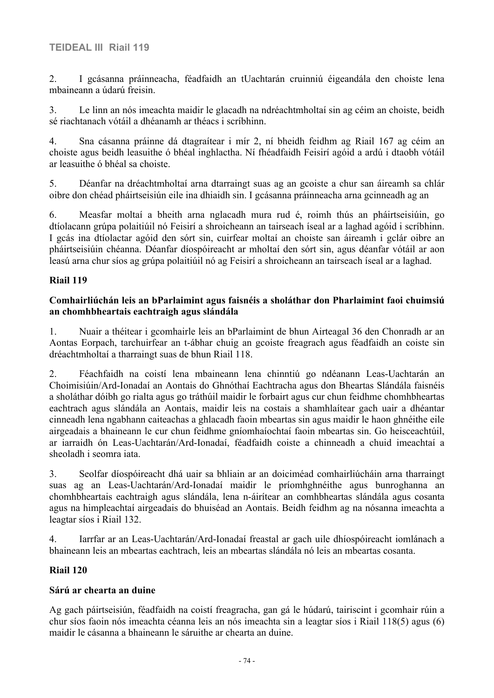2. I gcásanna práinneacha, féadfaidh an tUachtarán cruinniú éigeandála den choiste lena mbaineann a údarú freisin.

3. Le linn an nós imeachta maidir le glacadh na ndréachtmholtaí sin ag céim an choiste, beidh sé riachtanach vótáil a dhéanamh ar théacs i scríbhinn.

4. Sna cásanna práinne dá dtagraítear i mír 2, ní bheidh feidhm ag Riail 167 ag céim an choiste agus beidh leasuithe ó bhéal inghlactha. Ní fhéadfaidh Feisirí agóid a ardú i dtaobh vótáil ar leasuithe ó bhéal sa choiste.

5. Déanfar na dréachtmholtaí arna dtarraingt suas ag an gcoiste a chur san áireamh sa chlár oibre don chéad pháirtseisiún eile ina dhiaidh sin. I gcásanna práinneacha arna gcinneadh ag an

6. Measfar moltaí a bheith arna nglacadh mura rud é, roimh thús an pháirtseisiúin, go dtíolacann grúpa polaitiúil nó Feisirí a shroicheann an tairseach íseal ar a laghad agóid i scríbhinn. I gcás ina dtíolactar agóid den sórt sin, cuirfear moltaí an choiste san áireamh i gclár oibre an pháirtseisiúin chéanna. Déanfar díospóireacht ar mholtaí den sórt sin, agus déanfar vótáil ar aon leasú arna chur síos ag grúpa polaitiúil nó ag Feisirí a shroicheann an tairseach íseal ar a laghad.

### **Riail 119**

### **Comhairliúchán leis an bParlaimint agus faisnéis a sholáthar don Pharlaimint faoi chuimsiú an chomhbheartais eachtraigh agus slándála**

1. Nuair a théitear i gcomhairle leis an bParlaimint de bhun Airteagal 36 den Chonradh ar an Aontas Eorpach, tarchuirfear an t-ábhar chuig an gcoiste freagrach agus féadfaidh an coiste sin dréachtmholtaí a tharraingt suas de bhun Riail 118.

2. Féachfaidh na coistí lena mbaineann lena chinntiú go ndéanann Leas-Uachtarán an Choimisiúin/Ard-Ionadaí an Aontais do Ghnóthaí Eachtracha agus don Bheartas Slándála faisnéis a sholáthar dóibh go rialta agus go tráthúil maidir le forbairt agus cur chun feidhme chomhbheartas eachtrach agus slándála an Aontais, maidir leis na costais a shamhlaítear gach uair a dhéantar cinneadh lena ngabhann caiteachas a ghlacadh faoin mbeartas sin agus maidir le haon ghnéithe eile airgeadais a bhaineann le cur chun feidhme gníomhaíochtaí faoin mbeartas sin. Go heisceachtúil, ar iarraidh ón Leas-Uachtarán/Ard-Ionadaí, féadfaidh coiste a chinneadh a chuid imeachtaí a sheoladh i seomra iata.

3. Seolfar díospóireacht dhá uair sa bhliain ar an doiciméad comhairliúcháin arna tharraingt suas ag an Leas-Uachtarán/Ard-Ionadaí maidir le príomhghnéithe agus bunroghanna an chomhbheartais eachtraigh agus slándála, lena n-áirítear an comhbheartas slándála agus cosanta agus na himpleachtaí airgeadais do bhuiséad an Aontais. Beidh feidhm ag na nósanna imeachta a leagtar síos i Riail 132.

4. Iarrfar ar an Leas-Uachtarán/Ard-Ionadaí freastal ar gach uile dhíospóireacht iomlánach a bhaineann leis an mbeartas eachtrach, leis an mbeartas slándála nó leis an mbeartas cosanta.

# **Riail 120**

# **Sárú ar chearta an duine**

Ag gach páirtseisiún, féadfaidh na coistí freagracha, gan gá le húdarú, tairiscint i gcomhair rúin a chur síos faoin nós imeachta céanna leis an nós imeachta sin a leagtar síos i Riail 118(5) agus (6) maidir le cásanna a bhaineann le sáruithe ar chearta an duine.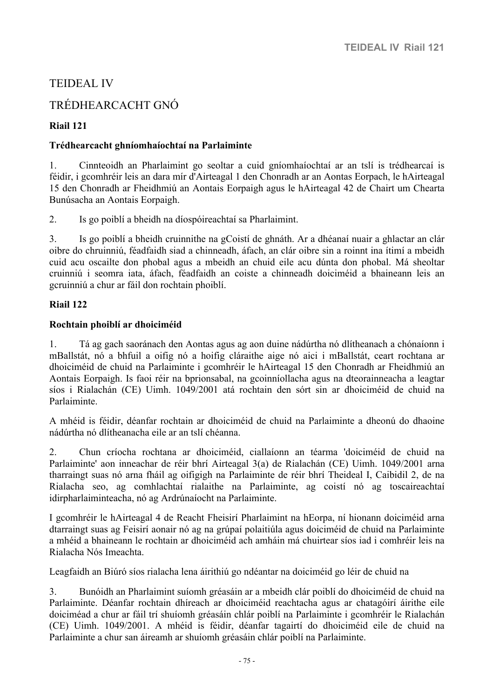# TEIDEAL IV

# TRÉDHEARCACHT GNÓ

# **Riail 121**

#### **Trédhearcacht ghníomhaíochtaí na Parlaiminte**

1. Cinnteoidh an Pharlaimint go seoltar a cuid gníomhaíochtaí ar an tslí is trédhearcaí is féidir, i gcomhréir leis an dara mír d'Airteagal 1 den Chonradh ar an Aontas Eorpach, le hAirteagal 15 den Chonradh ar Fheidhmiú an Aontais Eorpaigh agus le hAirteagal 42 de Chairt um Chearta Bunúsacha an Aontais Eorpaigh.

2. Is go poiblí a bheidh na díospóireachtaí sa Pharlaimint.

3. Is go poiblí a bheidh cruinnithe na gCoistí de ghnáth. Ar a dhéanaí nuair a ghlactar an clár oibre do chruinniú, féadfaidh siad a chinneadh, áfach, an clár oibre sin a roinnt ina ítimí a mbeidh cuid acu oscailte don phobal agus a mbeidh an chuid eile acu dúnta don phobal. Má sheoltar cruinniú i seomra iata, áfach, féadfaidh an coiste a chinneadh doiciméid a bhaineann leis an gcruinniú a chur ar fáil don rochtain phoiblí.

### **Riail 122**

#### **Rochtain phoiblí ar dhoiciméid**

1. Tá ag gach saoránach den Aontas agus ag aon duine nádúrtha nó dlítheanach a chónaíonn i mBallstát, nó a bhfuil a oifig nó a hoifig cláraithe aige nó aici i mBallstát, ceart rochtana ar dhoiciméid de chuid na Parlaiminte i gcomhréir le hAirteagal 15 den Chonradh ar Fheidhmiú an Aontais Eorpaigh. Is faoi réir na bprionsabal, na gcoinníollacha agus na dteorainneacha a leagtar síos i Rialachán (CE) Uimh. 1049/2001 atá rochtain den sórt sin ar dhoiciméid de chuid na Parlaiminte.

A mhéid is féidir, déanfar rochtain ar dhoiciméid de chuid na Parlaiminte a dheonú do dhaoine nádúrtha nó dlítheanacha eile ar an tslí chéanna.

2. Chun críocha rochtana ar dhoiciméid, ciallaíonn an téarma 'doiciméid de chuid na Parlaiminte' aon inneachar de réir bhrí Airteagal 3(a) de Rialachán (CE) Uimh. 1049/2001 arna tharraingt suas nó arna fháil ag oifigigh na Parlaiminte de réir bhrí Theideal I, Caibidil 2, de na Rialacha seo, ag comhlachtaí rialaithe na Parlaiminte, ag coistí nó ag toscaireachtaí idirpharlaiminteacha, nó ag Ardrúnaíocht na Parlaiminte.

I gcomhréir le hAirteagal 4 de Reacht Fheisirí Pharlaimint na hEorpa, ní hionann doiciméid arna dtarraingt suas ag Feisirí aonair nó ag na grúpaí polaitiúla agus doiciméid de chuid na Parlaiminte a mhéid a bhaineann le rochtain ar dhoiciméid ach amháin má chuirtear síos iad i comhréir leis na Rialacha Nós Imeachta.

Leagfaidh an Biúró síos rialacha lena áirithiú go ndéantar na doiciméid go léir de chuid na

3. Bunóidh an Pharlaimint suíomh gréasáin ar a mbeidh clár poiblí do dhoiciméid de chuid na Parlaiminte. Déanfar rochtain dhíreach ar dhoiciméid reachtacha agus ar chatagóirí áirithe eile doiciméad a chur ar fáil trí shuíomh gréasáin chlár poiblí na Parlaiminte i gcomhréir le Rialachán (CE) Uimh. 1049/2001. A mhéid is féidir, déanfar tagairtí do dhoiciméid eile de chuid na Parlaiminte a chur san áireamh ar shuíomh gréasáin chlár poiblí na Parlaiminte.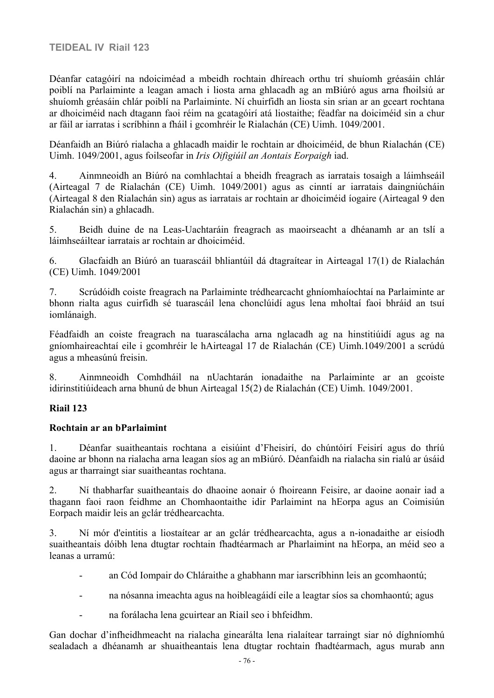Déanfar catagóirí na ndoiciméad a mbeidh rochtain dhíreach orthu trí shuíomh gréasáin chlár poiblí na Parlaiminte a leagan amach i liosta arna ghlacadh ag an mBiúró agus arna fhoilsiú ar shuíomh gréasáin chlár poiblí na Parlaiminte. Ní chuirfidh an liosta sin srian ar an gceart rochtana ar dhoiciméid nach dtagann faoi réim na gcatagóirí atá liostaithe; féadfar na doiciméid sin a chur ar fáil ar iarratas i scríbhinn a fháil i gcomhréir le Rialachán (CE) Uimh. 1049/2001.

Déanfaidh an Biúró rialacha a ghlacadh maidir le rochtain ar dhoiciméid, de bhun Rialachán (CE) Uimh. 1049/2001, agus foilseofar in *Iris Oifigiúil an Aontais Eorpaigh* iad.

4. Ainmneoidh an Biúró na comhlachtaí a bheidh freagrach as iarratais tosaigh a láimhseáil (Airteagal 7 de Rialachán (CE) Uimh. 1049/2001) agus as cinntí ar iarratais daingniúcháin (Airteagal 8 den Rialachán sin) agus as iarratais ar rochtain ar dhoiciméid íogaire (Airteagal 9 den Rialachán sin) a ghlacadh.

5. Beidh duine de na Leas-Uachtaráin freagrach as maoirseacht a dhéanamh ar an tslí a láimhseáiltear iarratais ar rochtain ar dhoiciméid.

6. Glacfaidh an Biúró an tuarascáil bhliantúil dá dtagraítear in Airteagal 17(1) de Rialachán (CE) Uimh. 1049/2001

7. Scrúdóidh coiste freagrach na Parlaiminte trédhearcacht ghníomhaíochtaí na Parlaiminte ar bhonn rialta agus cuirfidh sé tuarascáil lena chonclúidí agus lena mholtaí faoi bhráid an tsuí iomlánaigh.

Féadfaidh an coiste freagrach na tuarascálacha arna nglacadh ag na hinstitiúidí agus ag na gníomhaireachtaí eile i gcomhréir le hAirteagal 17 de Rialachán (CE) Uimh.1049/2001 a scrúdú agus a mheasúnú freisin.

8. Ainmneoidh Comhdháil na nUachtarán ionadaithe na Parlaiminte ar an gcoiste idirinstitiúideach arna bhunú de bhun Airteagal 15(2) de Rialachán (CE) Uimh. 1049/2001.

# **Riail 123**

#### **Rochtain ar an bParlaimint**

1. Déanfar suaitheantais rochtana a eisiúint d'Fheisirí, do chúntóirí Feisirí agus do thríú daoine ar bhonn na rialacha arna leagan síos ag an mBiúró. Déanfaidh na rialacha sin rialú ar úsáid agus ar tharraingt siar suaitheantas rochtana.

2. Ní thabharfar suaitheantais do dhaoine aonair ó fhoireann Feisire, ar daoine aonair iad a thagann faoi raon feidhme an Chomhaontaithe idir Parlaimint na hEorpa agus an Coimisiún Eorpach maidir leis an gclár trédhearcachta.

3. Ní mór d'eintitis a liostaítear ar an gclár trédhearcachta, agus a n-ionadaithe ar eisíodh suaitheantais dóibh lena dtugtar rochtain fhadtéarmach ar Pharlaimint na hEorpa, an méid seo a leanas a urramú:

- an Cód Iompair do Chláraithe a ghabhann mar iarscríbhinn leis an gcomhaontú;
- na nósanna imeachta agus na hoibleagáidí eile a leagtar síos sa chomhaontú; agus
- na forálacha lena gcuirtear an Riail seo i bhfeidhm.

Gan dochar d'infheidhmeacht na rialacha ginearálta lena rialaítear tarraingt siar nó díghníomhú sealadach a dhéanamh ar shuaitheantais lena dtugtar rochtain fhadtéarmach, agus murab ann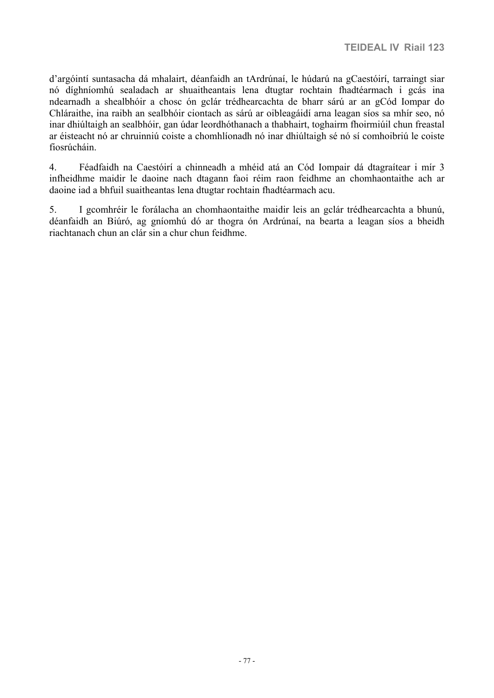d'argóintí suntasacha dá mhalairt, déanfaidh an tArdrúnaí, le húdarú na gCaestóirí, tarraingt siar nó díghníomhú sealadach ar shuaitheantais lena dtugtar rochtain fhadtéarmach i gcás ina ndearnadh a shealbhóir a chosc ón gclár trédhearcachta de bharr sárú ar an gCód Iompar do Chláraithe, ina raibh an sealbhóir ciontach as sárú ar oibleagáidí arna leagan síos sa mhír seo, nó inar dhiúltaigh an sealbhóir, gan údar leordhóthanach a thabhairt, toghairm fhoirmiúil chun freastal ar éisteacht nó ar chruinniú coiste a chomhlíonadh nó inar dhiúltaigh sé nó sí comhoibriú le coiste fiosrúcháin.

4. Féadfaidh na Caestóirí a chinneadh a mhéid atá an Cód Iompair dá dtagraítear i mír 3 infheidhme maidir le daoine nach dtagann faoi réim raon feidhme an chomhaontaithe ach ar daoine iad a bhfuil suaitheantas lena dtugtar rochtain fhadtéarmach acu.

5. I gcomhréir le forálacha an chomhaontaithe maidir leis an gclár trédhearcachta a bhunú, déanfaidh an Biúró, ag gníomhú dó ar thogra ón Ardrúnaí, na bearta a leagan síos a bheidh riachtanach chun an clár sin a chur chun feidhme.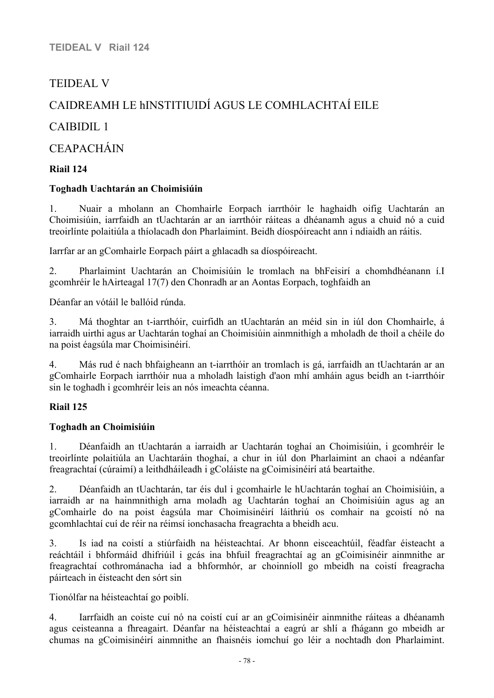# TEIDEAL V

# CAIDREAMH LE hINSTITIUIDÍ AGUS LE COMHLACHTAÍ EILE

CAIBIDIL 1

**CEAPACHÁIN** 

**Riail 124**

### **Toghadh Uachtarán an Choimisiúin**

1. Nuair a mholann an Chomhairle Eorpach iarrthóir le haghaidh oifig Uachtarán an Choimisiúin, iarrfaidh an tUachtarán ar an iarrthóir ráiteas a dhéanamh agus a chuid nó a cuid treoirlínte polaitiúla a thíolacadh don Pharlaimint. Beidh díospóireacht ann i ndiaidh an ráitis.

Iarrfar ar an gComhairle Eorpach páirt a ghlacadh sa díospóireacht.

2. Pharlaimint Uachtarán an Choimisiúin le tromlach na bhFeisirí a chomhdhéanann í.I gcomhréir le hAirteagal 17(7) den Chonradh ar an Aontas Eorpach, toghfaidh an

Déanfar an vótáil le ballóid rúnda.

3. Má thoghtar an t-iarrthóir, cuirfidh an tUachtarán an méid sin in iúl don Chomhairle, á iarraidh uirthi agus ar Uachtarán toghaí an Choimisiúin ainmnithigh a mholadh de thoil a chéile do na poist éagsúla mar Choimisinéirí.

4. Más rud é nach bhfaigheann an t-iarrthóir an tromlach is gá, iarrfaidh an tUachtarán ar an gComhairle Eorpach iarrthóir nua a mholadh laistigh d'aon mhí amháin agus beidh an t-iarrthóir sin le toghadh i gcomhréir leis an nós imeachta céanna.

# **Riail 125**

#### **Toghadh an Choimisiúin**

1. Déanfaidh an tUachtarán a iarraidh ar Uachtarán toghaí an Choimisiúin, i gcomhréir le treoirlínte polaitiúla an Uachtaráin thoghaí, a chur in iúl don Pharlaimint an chaoi a ndéanfar freagrachtaí (cúraimí) a leithdháileadh i gColáiste na gCoimisinéirí atá beartaithe.

2. Déanfaidh an tUachtarán, tar éis dul i gcomhairle le hUachtarán toghaí an Choimisiúin, a iarraidh ar na hainmnithigh arna moladh ag Uachtarán toghaí an Choimisiúin agus ag an gComhairle do na poist éagsúla mar Choimisinéirí láithriú os comhair na gcoistí nó na gcomhlachtaí cuí de réir na réimsí ionchasacha freagrachta a bheidh acu.

3. Is iad na coistí a stiúrfaidh na héisteachtaí. Ar bhonn eisceachtúil, féadfar éisteacht a reáchtáil i bhformáid dhifriúil i gcás ina bhfuil freagrachtaí ag an gCoimisinéir ainmnithe ar freagrachtaí cothrománacha iad a bhformhór, ar choinníoll go mbeidh na coistí freagracha páirteach in éisteacht den sórt sin

Tionólfar na héisteachtaí go poiblí.

4. Iarrfaidh an coiste cuí nó na coistí cuí ar an gCoimisinéir ainmnithe ráiteas a dhéanamh agus ceisteanna a fhreagairt. Déanfar na héisteachtaí a eagrú ar shlí a fhágann go mbeidh ar chumas na gCoimisinéirí ainmnithe an fhaisnéis iomchuí go léir a nochtadh don Pharlaimint.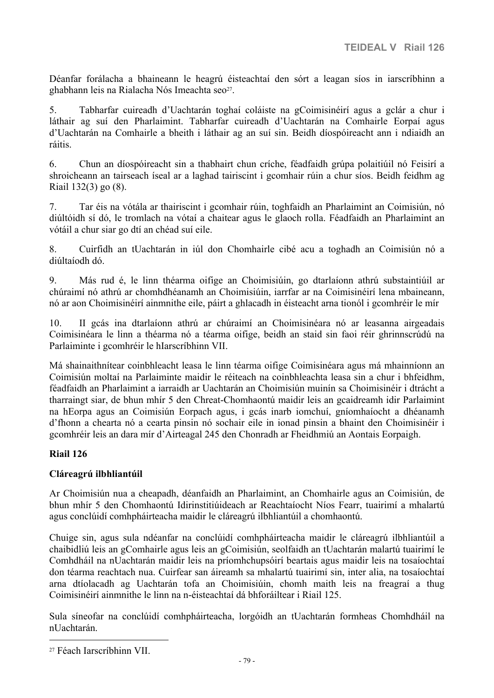Déanfar forálacha a bhaineann le heagrú éisteachtaí den sórt a leagan síos in iarscríbhinn a ghabhann leis na Rialacha Nós Imeachta seo<sup>27</sup>.

5. Tabharfar cuireadh d'Uachtarán toghaí coláiste na gCoimisinéirí agus a gclár a chur i láthair ag suí den Pharlaimint. Tabharfar cuireadh d'Uachtarán na Comhairle Eorpaí agus d'Uachtarán na Comhairle a bheith i láthair ag an suí sin. Beidh díospóireacht ann i ndiaidh an ráitis.

6. Chun an díospóireacht sin a thabhairt chun críche, féadfaidh grúpa polaitiúil nó Feisirí a shroicheann an tairseach íseal ar a laghad tairiscint i gcomhair rúin a chur síos. Beidh feidhm ag Riail 132(3) go (8).

7. Tar éis na vótála ar thairiscint i gcomhair rúin, toghfaidh an Pharlaimint an Coimisiún, nó diúltóidh sí dó, le tromlach na vótaí a chaitear agus le glaoch rolla. Féadfaidh an Pharlaimint an vótáil a chur siar go dtí an chéad suí eile.

8. Cuirfidh an tUachtarán in iúl don Chomhairle cibé acu a toghadh an Coimisiún nó a diúltaíodh dó.

9. Más rud é, le linn théarma oifige an Choimisiúin, go dtarlaíonn athrú substaintiúil ar chúraimí nó athrú ar chomhdhéanamh an Choimisiúin, iarrfar ar na Coimisinéirí lena mbaineann, nó ar aon Choimisinéirí ainmnithe eile, páirt a ghlacadh in éisteacht arna tionól i gcomhréir le mír

10. II gcás ina dtarlaíonn athrú ar chúraimí an Choimisinéara nó ar leasanna airgeadais Coimisinéara le linn a théarma nó a téarma oifige, beidh an staid sin faoi réir ghrinnscrúdú na Parlaiminte i gcomhréir le hIarscríbhinn VII.

Má shainaithnítear coinbhleacht leasa le linn téarma oifige Coimisinéara agus má mhainníonn an Coimisiún moltaí na Parlaiminte maidir le réiteach na coinbhleachta leasa sin a chur i bhfeidhm, féadfaidh an Pharlaimint a iarraidh ar Uachtarán an Choimisiún muinín sa Choimisinéir i dtrácht a tharraingt siar, de bhun mhír 5 den Chreat-Chomhaontú maidir leis an gcaidreamh idir Parlaimint na hEorpa agus an Coimisiún Eorpach agus, i gcás inarb iomchuí, gníomhaíocht a dhéanamh d'fhonn a chearta nó a cearta pinsin nó sochair eile in ionad pinsin a bhaint den Choimisinéir i gcomhréir leis an dara mír d'Airteagal 245 den Chonradh ar Fheidhmiú an Aontais Eorpaigh.

#### **Riail 126**

#### **Cláreagrú ilbhliantúil**

Ar Choimisiún nua a cheapadh, déanfaidh an Pharlaimint, an Chomhairle agus an Coimisiún, de bhun mhír 5 den Chomhaontú Idirinstitiúideach ar Reachtaíocht Níos Fearr, tuairimí a mhalartú agus conclúidí comhpháirteacha maidir le cláreagrú ilbhliantúil a chomhaontú.

Chuige sin, agus sula ndéanfar na conclúidí comhpháirteacha maidir le cláreagrú ilbhliantúil a chaibidliú leis an gComhairle agus leis an gCoimisiún, seolfaidh an tUachtarán malartú tuairimí le Comhdháil na nUachtarán maidir leis na príomhchupsóirí beartais agus maidir leis na tosaíochtaí don téarma reachtach nua. Cuirfear san áireamh sa mhalartú tuairimí sin, inter alia, na tosaíochtaí arna dtíolacadh ag Uachtarán tofa an Choimisiúin, chomh maith leis na freagraí a thug Coimisinéirí ainmnithe le linn na n-éisteachtaí dá bhforáiltear i Riail 125.

Sula síneofar na conclúidí comhpháirteacha, lorgóidh an tUachtarán formheas Chomhdháil na nUachtarán.

<sup>27</sup> Féach Iarscríbhinn VII.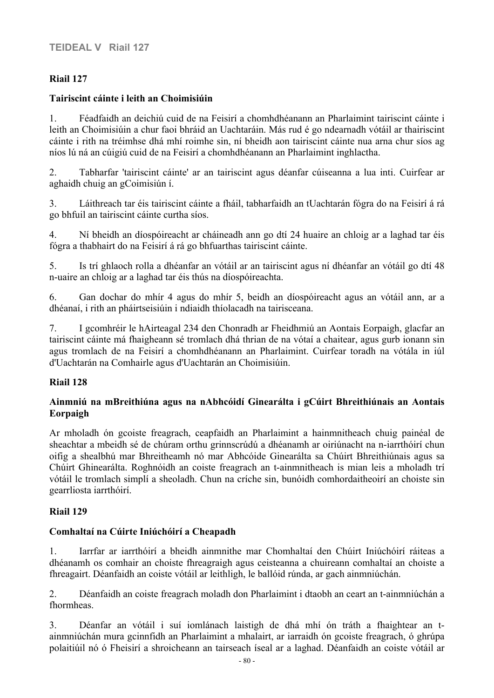# **Riail 127**

#### **Tairiscint cáinte i leith an Choimisiúin**

1. Féadfaidh an deichiú cuid de na Feisirí a chomhdhéanann an Pharlaimint tairiscint cáinte i leith an Choimisiúin a chur faoi bhráid an Uachtaráin. Más rud é go ndearnadh vótáil ar thairiscint cáinte i rith na tréimhse dhá mhí roimhe sin, ní bheidh aon tairiscint cáinte nua arna chur síos ag níos lú ná an cúigiú cuid de na Feisirí a chomhdhéanann an Pharlaimint inghlactha.

2. Tabharfar 'tairiscint cáinte' ar an tairiscint agus déanfar cúiseanna a lua inti. Cuirfear ar aghaidh chuig an gCoimisiún í.

3. Láithreach tar éis tairiscint cáinte a fháil, tabharfaidh an tUachtarán fógra do na Feisirí á rá go bhfuil an tairiscint cáinte curtha síos.

4. Ní bheidh an díospóireacht ar cháineadh ann go dtí 24 huaire an chloig ar a laghad tar éis fógra a thabhairt do na Feisirí á rá go bhfuarthas tairiscint cáinte.

5. Is trí ghlaoch rolla a dhéanfar an vótáil ar an tairiscint agus ní dhéanfar an vótáil go dtí 48 n-uaire an chloig ar a laghad tar éis thús na díospóireachta.

6. Gan dochar do mhír 4 agus do mhír 5, beidh an díospóireacht agus an vótáil ann, ar a dhéanaí, i rith an pháirtseisiúin i ndiaidh thíolacadh na tairisceana.

7. I gcomhréir le hAirteagal 234 den Chonradh ar Fheidhmiú an Aontais Eorpaigh, glacfar an tairiscint cáinte má fhaigheann sé tromlach dhá thrian de na vótaí a chaitear, agus gurb ionann sin agus tromlach de na Feisirí a chomhdhéanann an Pharlaimint. Cuirfear toradh na vótála in iúl d'Uachtarán na Comhairle agus d'Uachtarán an Choimisiúin.

#### **Riail 128**

#### **Ainmniú na mBreithiúna agus na nAbhcóidí Ginearálta i gCúirt Bhreithiúnais an Aontais Eorpaigh**

Ar mholadh ón gcoiste freagrach, ceapfaidh an Pharlaimint a hainmnitheach chuig painéal de sheachtar a mbeidh sé de chúram orthu grinnscrúdú a dhéanamh ar oiriúnacht na n-iarrthóirí chun oifig a shealbhú mar Bhreitheamh nó mar Abhcóide Ginearálta sa Chúirt Bhreithiúnais agus sa Chúirt Ghinearálta. Roghnóidh an coiste freagrach an t-ainmnitheach is mian leis a mholadh trí vótáil le tromlach simplí a sheoladh. Chun na críche sin, bunóidh comhordaitheoirí an choiste sin gearrliosta iarrthóirí.

#### **Riail 129**

#### **Comhaltaí na Cúirte Iniúchóirí a Cheapadh**

1. Iarrfar ar iarrthóirí a bheidh ainmnithe mar Chomhaltaí den Chúirt Iniúchóirí ráiteas a dhéanamh os comhair an choiste fhreagraigh agus ceisteanna a chuireann comhaltaí an choiste a fhreagairt. Déanfaidh an coiste vótáil ar leithligh, le ballóid rúnda, ar gach ainmniúchán.

2. Déanfaidh an coiste freagrach moladh don Pharlaimint i dtaobh an ceart an t-ainmniúchán a fhormheas.

3. Déanfar an vótáil i suí iomlánach laistigh de dhá mhí ón tráth a fhaightear an tainmniúchán mura gcinnfidh an Pharlaimint a mhalairt, ar iarraidh ón gcoiste freagrach, ó ghrúpa polaitiúil nó ó Fheisirí a shroicheann an tairseach íseal ar a laghad. Déanfaidh an coiste vótáil ar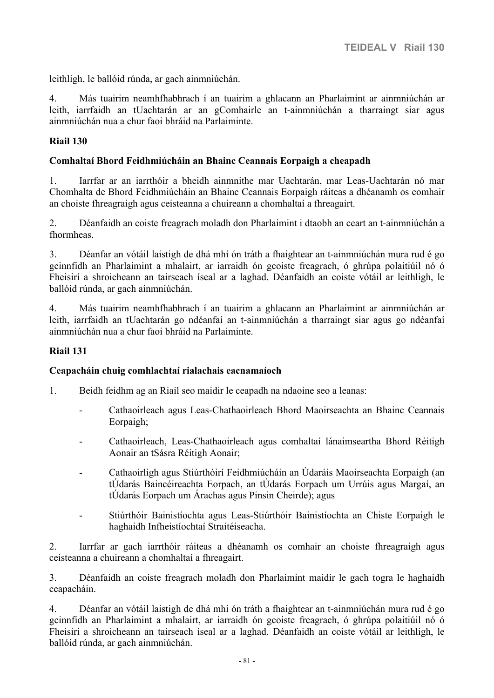leithligh, le ballóid rúnda, ar gach ainmniúchán.

4. Más tuairim neamhfhabhrach í an tuairim a ghlacann an Pharlaimint ar ainmniúchán ar leith, iarrfaidh an tUachtarán ar an gComhairle an t-ainmniúchán a tharraingt siar agus ainmniúchán nua a chur faoi bhráid na Parlaiminte.

#### **Riail 130**

#### **Comhaltaí Bhord Feidhmiúcháin an Bhainc Ceannais Eorpaigh a cheapadh**

1. Iarrfar ar an iarrthóir a bheidh ainmnithe mar Uachtarán, mar Leas-Uachtarán nó mar Chomhalta de Bhord Feidhmiúcháin an Bhainc Ceannais Eorpaigh ráiteas a dhéanamh os comhair an choiste fhreagraigh agus ceisteanna a chuireann a chomhaltaí a fhreagairt.

2. Déanfaidh an coiste freagrach moladh don Pharlaimint i dtaobh an ceart an t-ainmniúchán a fhormheas.

3. Déanfar an vótáil laistigh de dhá mhí ón tráth a fhaightear an t-ainmniúchán mura rud é go gcinnfidh an Pharlaimint a mhalairt, ar iarraidh ón gcoiste freagrach, ó ghrúpa polaitiúil nó ó Fheisirí a shroicheann an tairseach íseal ar a laghad. Déanfaidh an coiste vótáil ar leithligh, le ballóid rúnda, ar gach ainmniúchán.

4. Más tuairim neamhfhabhrach í an tuairim a ghlacann an Pharlaimint ar ainmniúchán ar leith, iarrfaidh an tUachtarán go ndéanfaí an t-ainmniúchán a tharraingt siar agus go ndéanfaí ainmniúchán nua a chur faoi bhráid na Parlaiminte.

#### **Riail 131**

#### **Ceapacháin chuig comhlachtaí rialachais eacnamaíoch**

1. Beidh feidhm ag an Riail seo maidir le ceapadh na ndaoine seo a leanas:

- Cathaoirleach agus Leas-Chathaoirleach Bhord Maoirseachta an Bhainc Ceannais Eorpaigh;
- Cathaoirleach, Leas-Chathaoirleach agus comhaltaí lánaimseartha Bhord Réitigh Aonair an tSásra Réitigh Aonair;
- Cathaoirligh agus Stiúrthóirí Feidhmiúcháin an Údaráis Maoirseachta Eorpaigh (an tÚdarás Baincéireachta Eorpach, an tÚdarás Eorpach um Urrúis agus Margaí, an tÚdarás Eorpach um Árachas agus Pinsin Cheirde); agus
- Stiúrthóir Bainistíochta agus Leas-Stiúrthóir Bainistíochta an Chiste Eorpaigh le haghaidh Infheistíochtaí Straitéiseacha.

2. Iarrfar ar gach iarrthóir ráiteas a dhéanamh os comhair an choiste fhreagraigh agus ceisteanna a chuireann a chomhaltaí a fhreagairt.

3. Déanfaidh an coiste freagrach moladh don Pharlaimint maidir le gach togra le haghaidh ceapacháin.

4. Déanfar an vótáil laistigh de dhá mhí ón tráth a fhaightear an t-ainmniúchán mura rud é go gcinnfidh an Pharlaimint a mhalairt, ar iarraidh ón gcoiste freagrach, ó ghrúpa polaitiúil nó ó Fheisirí a shroicheann an tairseach íseal ar a laghad. Déanfaidh an coiste vótáil ar leithligh, le ballóid rúnda, ar gach ainmniúchán.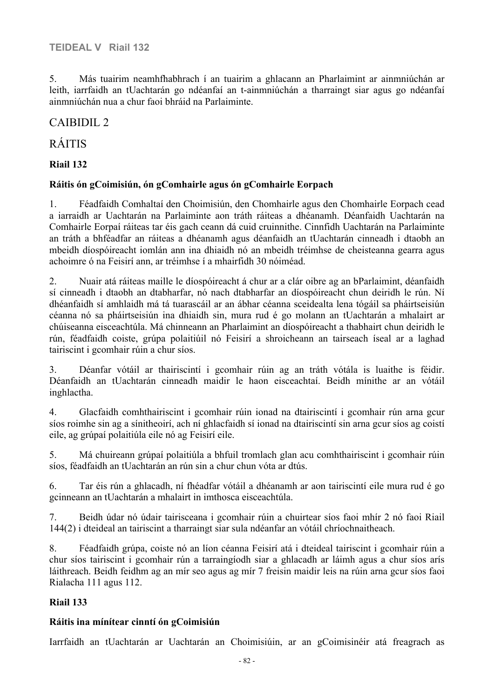5. Más tuairim neamhfhabhrach í an tuairim a ghlacann an Pharlaimint ar ainmniúchán ar leith, iarrfaidh an tUachtarán go ndéanfaí an t-ainmniúchán a tharraingt siar agus go ndéanfaí ainmniúchán nua a chur faoi bhráid na Parlaiminte.

# CAIBIDIL 2

# RÁITIS

# **Riail 132**

### **Ráitis ón gCoimisiún, ón gComhairle agus ón gComhairle Eorpach**

1. Féadfaidh Comhaltaí den Choimisiún, den Chomhairle agus den Chomhairle Eorpach cead a iarraidh ar Uachtarán na Parlaiminte aon tráth ráiteas a dhéanamh. Déanfaidh Uachtarán na Comhairle Eorpaí ráiteas tar éis gach ceann dá cuid cruinnithe. Cinnfidh Uachtarán na Parlaiminte an tráth a bhféadfar an ráiteas a dhéanamh agus déanfaidh an tUachtarán cinneadh i dtaobh an mbeidh díospóireacht iomlán ann ina dhiaidh nó an mbeidh tréimhse de cheisteanna gearra agus achoimre ó na Feisirí ann, ar tréimhse í a mhairfidh 30 nóiméad.

2. Nuair atá ráiteas maille le díospóireacht á chur ar a clár oibre ag an bParlaimint, déanfaidh sí cinneadh i dtaobh an dtabharfar, nó nach dtabharfar an díospóireacht chun deiridh le rún. Ní dhéanfaidh sí amhlaidh má tá tuarascáil ar an ábhar céanna sceidealta lena tógáil sa pháirtseisiún céanna nó sa pháirtseisiún ina dhiaidh sin, mura rud é go molann an tUachtarán a mhalairt ar chúiseanna eisceachtúla. Má chinneann an Pharlaimint an díospóireacht a thabhairt chun deiridh le rún, féadfaidh coiste, grúpa polaitiúil nó Feisirí a shroicheann an tairseach íseal ar a laghad tairiscint i gcomhair rúin a chur síos.

3. Déanfar vótáil ar thairiscintí i gcomhair rúin ag an tráth vótála is luaithe is féidir. Déanfaidh an tUachtarán cinneadh maidir le haon eisceachtaí. Beidh mínithe ar an vótáil inghlactha.

4. Glacfaidh comhthairiscint i gcomhair rúin ionad na dtairiscintí i gcomhair rún arna gcur síos roimhe sin ag a sínitheoirí, ach ní ghlacfaidh sí ionad na dtairiscintí sin arna gcur síos ag coistí eile, ag grúpaí polaitiúla eile nó ag Feisirí eile.

5. Má chuireann grúpaí polaitiúla a bhfuil tromlach glan acu comhthairiscint i gcomhair rúin síos, féadfaidh an tUachtarán an rún sin a chur chun vóta ar dtús.

6. Tar éis rún a ghlacadh, ní fhéadfar vótáil a dhéanamh ar aon tairiscintí eile mura rud é go gcinneann an tUachtarán a mhalairt in imthosca eisceachtúla.

7. Beidh údar nó údair tairisceana i gcomhair rúin a chuirtear síos faoi mhír 2 nó faoi Riail 144(2) i dteideal an tairiscint a tharraingt siar sula ndéanfar an vótáil chríochnaitheach.

8. Féadfaidh grúpa, coiste nó an líon céanna Feisirí atá i dteideal tairiscint i gcomhair rúin a chur síos tairiscint i gcomhair rún a tarraingíodh siar a ghlacadh ar láimh agus a chur síos arís láithreach. Beidh feidhm ag an mír seo agus ag mír 7 freisin maidir leis na rúin arna gcur síos faoi Rialacha 111 agus 112.

# **Riail 133**

#### **Ráitis ina mínítear cinntí ón gCoimisiún**

Iarrfaidh an tUachtarán ar Uachtarán an Choimisiúin, ar an gCoimisinéir atá freagrach as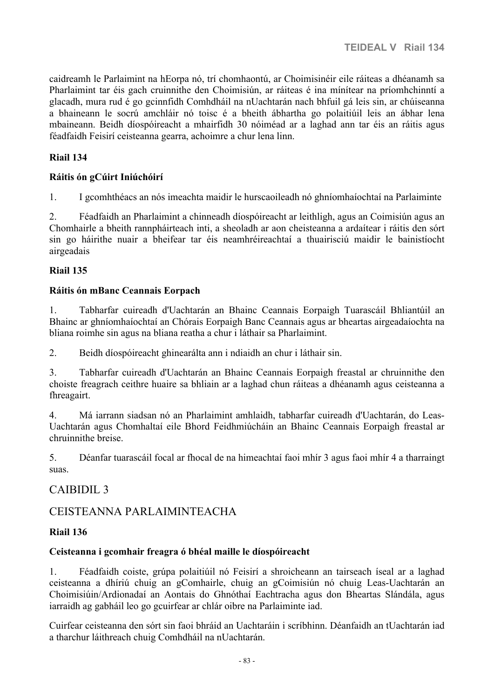caidreamh le Parlaimint na hEorpa nó, trí chomhaontú, ar Choimisinéir eile ráiteas a dhéanamh sa Pharlaimint tar éis gach cruinnithe den Choimisiún, ar ráiteas é ina mínítear na príomhchinntí a glacadh, mura rud é go gcinnfidh Comhdháil na nUachtarán nach bhfuil gá leis sin, ar chúiseanna a bhaineann le socrú amchláir nó toisc é a bheith ábhartha go polaitiúil leis an ábhar lena mbaineann. Beidh díospóireacht a mhairfidh 30 nóiméad ar a laghad ann tar éis an ráitis agus féadfaidh Feisirí ceisteanna gearra, achoimre a chur lena linn.

#### **Riail 134**

#### **Ráitis ón gCúirt Iniúchóirí**

1. I gcomhthéacs an nós imeachta maidir le hurscaoileadh nó ghníomhaíochtaí na Parlaiminte

2. Féadfaidh an Pharlaimint a chinneadh díospóireacht ar leithligh, agus an Coimisiún agus an Chomhairle a bheith rannpháirteach inti, a sheoladh ar aon cheisteanna a ardaítear i ráitis den sórt sin go háirithe nuair a bheifear tar éis neamhréireachtaí a thuairisciú maidir le bainistíocht airgeadais

#### **Riail 135**

#### **Ráitis ón mBanc Ceannais Eorpach**

1. Tabharfar cuireadh d'Uachtarán an Bhainc Ceannais Eorpaigh Tuarascáil Bhliantúil an Bhainc ar ghníomhaíochtaí an Chórais Eorpaigh Banc Ceannais agus ar bheartas airgeadaíochta na bliana roimhe sin agus na bliana reatha a chur i láthair sa Pharlaimint.

2. Beidh díospóireacht ghinearálta ann i ndiaidh an chur i láthair sin.

3. Tabharfar cuireadh d'Uachtarán an Bhainc Ceannais Eorpaigh freastal ar chruinnithe den choiste freagrach ceithre huaire sa bhliain ar a laghad chun ráiteas a dhéanamh agus ceisteanna a fhreagairt.

4. Má iarrann siadsan nó an Pharlaimint amhlaidh, tabharfar cuireadh d'Uachtarán, do Leas-Uachtarán agus Chomhaltaí eile Bhord Feidhmiúcháin an Bhainc Ceannais Eorpaigh freastal ar chruinnithe breise.

5. Déanfar tuarascáil focal ar fhocal de na himeachtaí faoi mhír 3 agus faoi mhír 4 a tharraingt suas.

# CAIBIDIL 3

# CEISTEANNA PARLAIMINTEACHA

#### **Riail 136**

#### **Ceisteanna i gcomhair freagra ó bhéal maille le díospóireacht**

1. Féadfaidh coiste, grúpa polaitiúil nó Feisirí a shroicheann an tairseach íseal ar a laghad ceisteanna a dhíriú chuig an gComhairle, chuig an gCoimisiún nó chuig Leas-Uachtarán an Choimisiúin/Ardionadaí an Aontais do Ghnóthaí Eachtracha agus don Bheartas Slándála, agus iarraidh ag gabháil leo go gcuirfear ar chlár oibre na Parlaiminte iad.

Cuirfear ceisteanna den sórt sin faoi bhráid an Uachtaráin i scríbhinn. Déanfaidh an tUachtarán iad a tharchur láithreach chuig Comhdháil na nUachtarán.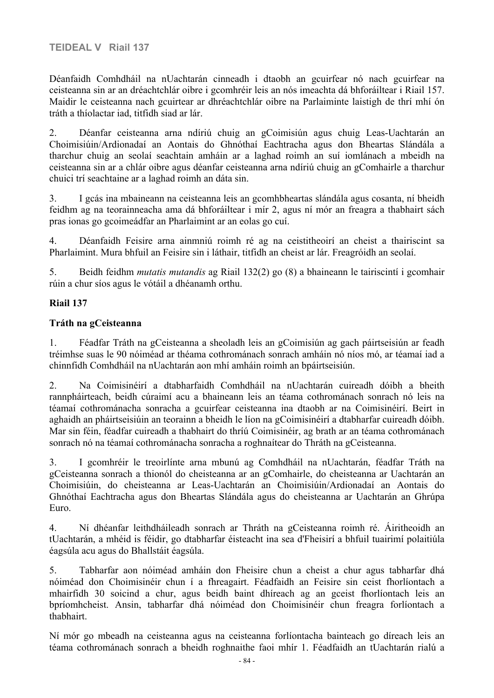## **TEIDEAL V Riail 137**

Déanfaidh Comhdháil na nUachtarán cinneadh i dtaobh an gcuirfear nó nach gcuirfear na ceisteanna sin ar an dréachtchlár oibre i gcomhréir leis an nós imeachta dá bhforáiltear i Riail 157. Maidir le ceisteanna nach gcuirtear ar dhréachtchlár oibre na Parlaiminte laistigh de thrí mhí ón tráth a thíolactar iad, titfidh siad ar lár.

2. Déanfar ceisteanna arna ndíriú chuig an gCoimisiún agus chuig Leas-Uachtarán an Choimisiúin/Ardionadaí an Aontais do Ghnóthaí Eachtracha agus don Bheartas Slándála a tharchur chuig an seolaí seachtain amháin ar a laghad roimh an suí iomlánach a mbeidh na ceisteanna sin ar a chlár oibre agus déanfar ceisteanna arna ndíriú chuig an gComhairle a tharchur chuici trí seachtaine ar a laghad roimh an dáta sin.

3. I gcás ina mbaineann na ceisteanna leis an gcomhbheartas slándála agus cosanta, ní bheidh feidhm ag na teorainneacha ama dá bhforáiltear i mír 2, agus ní mór an freagra a thabhairt sách pras ionas go gcoimeádfar an Pharlaimint ar an eolas go cuí.

4. Déanfaidh Feisire arna ainmniú roimh ré ag na ceistitheoirí an cheist a thairiscint sa Pharlaimint. Mura bhfuil an Feisire sin i láthair, titfidh an cheist ar lár. Freagróidh an seolaí.

5. Beidh feidhm *mutatis mutandis* ag Riail 132(2) go (8) a bhaineann le tairiscintí i gcomhair rúin a chur síos agus le vótáil a dhéanamh orthu.

#### **Riail 137**

#### **Tráth na gCeisteanna**

1. Féadfar Tráth na gCeisteanna a sheoladh leis an gCoimisiún ag gach páirtseisiún ar feadh tréimhse suas le 90 nóiméad ar théama cothrománach sonrach amháin nó níos mó, ar téamaí iad a chinnfidh Comhdháil na nUachtarán aon mhí amháin roimh an bpáirtseisiún.

2. Na Coimisinéirí a dtabharfaidh Comhdháil na nUachtarán cuireadh dóibh a bheith rannpháirteach, beidh cúraimí acu a bhaineann leis an téama cothrománach sonrach nó leis na téamaí cothrománacha sonracha a gcuirfear ceisteanna ina dtaobh ar na Coimisinéirí. Beirt in aghaidh an pháirtseisiúin an teorainn a bheidh le líon na gCoimisinéirí a dtabharfar cuireadh dóibh. Mar sin féin, féadfar cuireadh a thabhairt do thríú Coimisinéir, ag brath ar an téama cothrománach sonrach nó na téamaí cothrománacha sonracha a roghnaítear do Thráth na gCeisteanna.

3. I gcomhréir le treoirlínte arna mbunú ag Comhdháil na nUachtarán, féadfar Tráth na gCeisteanna sonrach a thionól do cheisteanna ar an gComhairle, do cheisteanna ar Uachtarán an Choimisiúin, do cheisteanna ar Leas-Uachtarán an Choimisiúin/Ardionadaí an Aontais do Ghnóthaí Eachtracha agus don Bheartas Slándála agus do cheisteanna ar Uachtarán an Ghrúpa Euro.

4. Ní dhéanfar leithdháileadh sonrach ar Thráth na gCeisteanna roimh ré. Áiritheoidh an tUachtarán, a mhéid is féidir, go dtabharfar éisteacht ina sea d'Fheisirí a bhfuil tuairimí polaitiúla éagsúla acu agus do Bhallstáit éagsúla.

5. Tabharfar aon nóiméad amháin don Fheisire chun a cheist a chur agus tabharfar dhá nóiméad don Choimisinéir chun í a fhreagairt. Féadfaidh an Feisire sin ceist fhorlíontach a mhairfidh 30 soicind a chur, agus beidh baint dhíreach ag an gceist fhorlíontach leis an bpríomhcheist. Ansin, tabharfar dhá nóiméad don Choimisinéir chun freagra forlíontach a thabhairt.

Ní mór go mbeadh na ceisteanna agus na ceisteanna forlíontacha bainteach go díreach leis an téama cothrománach sonrach a bheidh roghnaithe faoi mhír 1. Féadfaidh an tUachtarán rialú a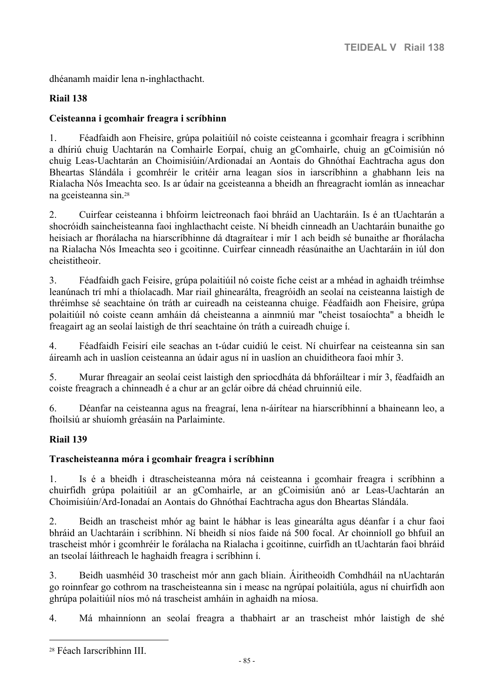dhéanamh maidir lena n-inghlacthacht.

### **Riail 138**

#### **Ceisteanna i gcomhair freagra i scríbhinn**

1. Féadfaidh aon Fheisire, grúpa polaitiúil nó coiste ceisteanna i gcomhair freagra i scríbhinn a dhíriú chuig Uachtarán na Comhairle Eorpaí, chuig an gComhairle, chuig an gCoimisiún nó chuig Leas-Uachtarán an Choimisiúin/Ardionadaí an Aontais do Ghnóthaí Eachtracha agus don Bheartas Slándála i gcomhréir le critéir arna leagan síos in iarscríbhinn a ghabhann leis na Rialacha Nós Imeachta seo. Is ar údair na gceisteanna a bheidh an fhreagracht iomlán as inneachar na gceisteanna sin.<sup>28</sup>

2. Cuirfear ceisteanna i bhfoirm leictreonach faoi bhráid an Uachtaráin. Is é an tUachtarán a shocróidh saincheisteanna faoi inghlacthacht ceiste. Ní bheidh cinneadh an Uachtaráin bunaithe go heisiach ar fhorálacha na hiarscríbhinne dá dtagraítear i mír 1 ach beidh sé bunaithe ar fhorálacha na Rialacha Nós Imeachta seo i gcoitinne. Cuirfear cinneadh réasúnaithe an Uachtaráin in iúl don cheistitheoir.

3. Féadfaidh gach Feisire, grúpa polaitiúil nó coiste fiche ceist ar a mhéad in aghaidh tréimhse leanúnach trí mhí a thíolacadh. Mar riail ghinearálta, freagróidh an seolaí na ceisteanna laistigh de thréimhse sé seachtaine ón tráth ar cuireadh na ceisteanna chuige. Féadfaidh aon Fheisire, grúpa polaitiúil nó coiste ceann amháin dá cheisteanna a ainmniú mar "cheist tosaíochta" a bheidh le freagairt ag an seolaí laistigh de thrí seachtaine ón tráth a cuireadh chuige í.

4. Féadfaidh Feisirí eile seachas an t-údar cuidiú le ceist. Ní chuirfear na ceisteanna sin san áireamh ach in uaslíon ceisteanna an údair agus ní in uaslíon an chuiditheora faoi mhír 3.

5. Murar fhreagair an seolaí ceist laistigh den spriocdháta dá bhforáiltear i mír 3, féadfaidh an coiste freagrach a chinneadh é a chur ar an gclár oibre dá chéad chruinniú eile.

6. Déanfar na ceisteanna agus na freagraí, lena n-áirítear na hiarscríbhinní a bhaineann leo, a fhoilsiú ar shuíomh gréasáin na Parlaiminte.

#### **Riail 139**

#### **Trascheisteanna móra i gcomhair freagra i scríbhinn**

1. Is é a bheidh i dtrascheisteanna móra ná ceisteanna i gcomhair freagra i scríbhinn a chuirfidh grúpa polaitiúil ar an gComhairle, ar an gCoimisiún anó ar Leas-Uachtarán an Choimisiúin/Ard-Ionadaí an Aontais do Ghnóthaí Eachtracha agus don Bheartas Slándála.

2. Beidh an trascheist mhór ag baint le hábhar is leas ginearálta agus déanfar í a chur faoi bhráid an Uachtaráin i scríbhinn. Ní bheidh sí níos faide ná 500 focal. Ar choinníoll go bhfuil an trascheist mhór i gcomhréir le forálacha na Rialacha i gcoitinne, cuirfidh an tUachtarán faoi bhráid an tseolaí láithreach le haghaidh freagra i scríbhinn í.

3. Beidh uasmhéid 30 trascheist mór ann gach bliain. Áiritheoidh Comhdháil na nUachtarán go roinnfear go cothrom na trascheisteanna sin i measc na ngrúpaí polaitiúla, agus ní chuirfidh aon ghrúpa polaitiúil níos mó ná trascheist amháin in aghaidh na míosa.

4. Má mhainníonn an seolaí freagra a thabhairt ar an trascheist mhór laistigh de shé

<sup>28</sup> Féach Iarscríbhinn III.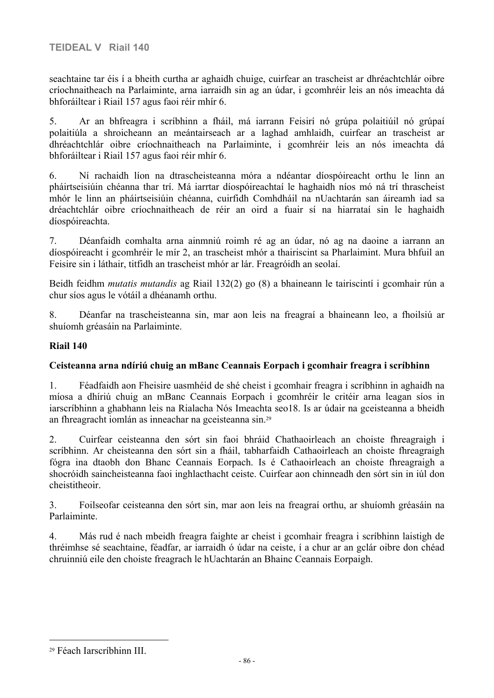seachtaine tar éis í a bheith curtha ar aghaidh chuige, cuirfear an trascheist ar dhréachtchlár oibre críochnaitheach na Parlaiminte, arna iarraidh sin ag an údar, i gcomhréir leis an nós imeachta dá bhforáiltear i Riail 157 agus faoi réir mhír 6.

5. Ar an bhfreagra i scríbhinn a fháil, má iarrann Feisirí nó grúpa polaitiúil nó grúpaí polaitiúla a shroicheann an meántairseach ar a laghad amhlaidh, cuirfear an trascheist ar dhréachtchlár oibre críochnaitheach na Parlaiminte, i gcomhréir leis an nós imeachta dá bhforáiltear i Riail 157 agus faoi réir mhír 6.

6. Ní rachaidh líon na dtrascheisteanna móra a ndéantar díospóireacht orthu le linn an pháirtseisiúin chéanna thar trí. Má iarrtar díospóireachtaí le haghaidh níos mó ná trí thrascheist mhór le linn an pháirtseisiúin chéanna, cuirfidh Comhdháil na nUachtarán san áireamh iad sa dréachtchlár oibre críochnaitheach de réir an oird a fuair sí na hiarrataí sin le haghaidh díospóireachta.

7. Déanfaidh comhalta arna ainmniú roimh ré ag an údar, nó ag na daoine a iarrann an díospóireacht i gcomhréir le mír 2, an trascheist mhór a thairiscint sa Pharlaimint. Mura bhfuil an Feisire sin i láthair, titfidh an trascheist mhór ar lár. Freagróidh an seolaí.

Beidh feidhm *mutatis mutandis* ag Riail 132(2) go (8) a bhaineann le tairiscintí i gcomhair rún a chur síos agus le vótáil a dhéanamh orthu.

8. Déanfar na trascheisteanna sin, mar aon leis na freagraí a bhaineann leo, a fhoilsiú ar shuíomh gréasáin na Parlaiminte.

#### **Riail 140**

#### **Ceisteanna arna ndíriú chuig an mBanc Ceannais Eorpach i gcomhair freagra i scríbhinn**

1. Féadfaidh aon Fheisire uasmhéid de shé cheist i gcomhair freagra i scríbhinn in aghaidh na míosa a dhíriú chuig an mBanc Ceannais Eorpach i gcomhréir le critéir arna leagan síos in iarscríbhinn a ghabhann leis na Rialacha Nós Imeachta seo18. Is ar údair na gceisteanna a bheidh an fhreagracht iomlán as inneachar na gceisteanna sin.<sup>29</sup>

2. Cuirfear ceisteanna den sórt sin faoi bhráid Chathaoirleach an choiste fhreagraigh i scríbhinn. Ar cheisteanna den sórt sin a fháil, tabharfaidh Cathaoirleach an choiste fhreagraigh fógra ina dtaobh don Bhanc Ceannais Eorpach. Is é Cathaoirleach an choiste fhreagraigh a shocróidh saincheisteanna faoi inghlacthacht ceiste. Cuirfear aon chinneadh den sórt sin in iúl don cheistitheoir.

3. Foilseofar ceisteanna den sórt sin, mar aon leis na freagraí orthu, ar shuíomh gréasáin na Parlaiminte.

4. Más rud é nach mbeidh freagra faighte ar cheist i gcomhair freagra i scríbhinn laistigh de thréimhse sé seachtaine, féadfar, ar iarraidh ó údar na ceiste, í a chur ar an gclár oibre don chéad chruinniú eile den choiste freagrach le hUachtarán an Bhainc Ceannais Eorpaigh.

<sup>29</sup> Féach Iarscríbhinn III.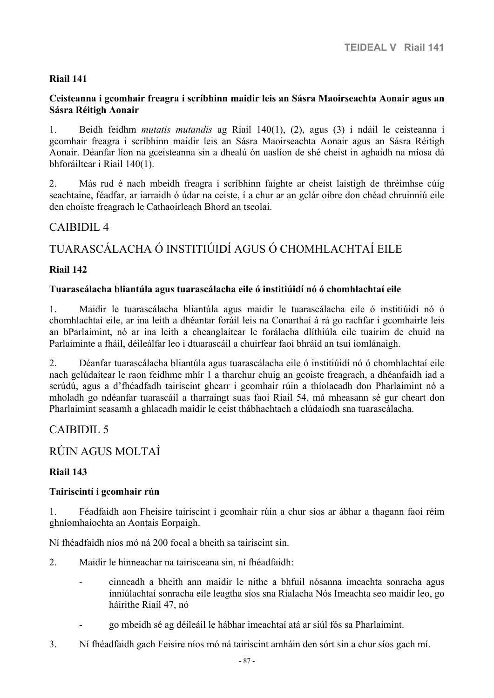### **Riail 141**

#### **Ceisteanna i gcomhair freagra i scríbhinn maidir leis an Sásra Maoirseachta Aonair agus an Sásra Réitigh Aonair**

1. Beidh feidhm *mutatis mutandis* ag Riail 140(1), (2), agus (3) i ndáil le ceisteanna i gcomhair freagra i scríbhinn maidir leis an Sásra Maoirseachta Aonair agus an Sásra Réitigh Aonair. Déanfar líon na gceisteanna sin a dhealú ón uaslíon de shé cheist in aghaidh na míosa dá bhforáiltear i Riail 140(1).

2. Más rud é nach mbeidh freagra i scríbhinn faighte ar cheist laistigh de thréimhse cúig seachtaine, féadfar, ar iarraidh ó údar na ceiste, í a chur ar an gclár oibre don chéad chruinniú eile den choiste freagrach le Cathaoirleach Bhord an tseolaí.

# CAIBIDIL 4

# TUARASCÁLACHA Ó INSTITIÚIDÍ AGUS Ó CHOMHLACHTAÍ EILE

#### **Riail 142**

#### **Tuarascálacha bliantúla agus tuarascálacha eile ó institiúidí nó ó chomhlachtaí eile**

1. Maidir le tuarascálacha bliantúla agus maidir le tuarascálacha eile ó institiúidí nó ó chomhlachtaí eile, ar ina leith a dhéantar foráil leis na Conarthaí á rá go rachfar i gcomhairle leis an bParlaimint, nó ar ina leith a cheanglaítear le forálacha dlíthiúla eile tuairim de chuid na Parlaiminte a fháil, déileálfar leo i dtuarascáil a chuirfear faoi bhráid an tsuí iomlánaigh.

2. Déanfar tuarascálacha bliantúla agus tuarascálacha eile ó institiúidí nó ó chomhlachtaí eile nach gclúdaítear le raon feidhme mhír 1 a tharchur chuig an gcoiste freagrach, a dhéanfaidh iad a scrúdú, agus a d'fhéadfadh tairiscint ghearr i gcomhair rúin a thíolacadh don Pharlaimint nó a mholadh go ndéanfar tuarascáil a tharraingt suas faoi Riail 54, má mheasann sé gur cheart don Pharlaimint seasamh a ghlacadh maidir le ceist thábhachtach a clúdaíodh sna tuarascálacha.

# CAIBIDIL 5

# RÚIN AGUS MOLTAÍ

#### **Riail 143**

#### **Tairiscintí i gcomhair rún**

1. Féadfaidh aon Fheisire tairiscint i gcomhair rúin a chur síos ar ábhar a thagann faoi réim ghníomhaíochta an Aontais Eorpaigh.

Ní fhéadfaidh níos mó ná 200 focal a bheith sa tairiscint sin.

- 2. Maidir le hinneachar na tairisceana sin, ní fhéadfaidh:
	- cinneadh a bheith ann maidir le nithe a bhfuil nósanna imeachta sonracha agus inniúlachtaí sonracha eile leagtha síos sna Rialacha Nós Imeachta seo maidir leo, go háirithe Riail 47, nó
	- go mbeidh sé ag déileáil le hábhar imeachtaí atá ar siúl fós sa Pharlaimint.
- 3. Ní fhéadfaidh gach Feisire níos mó ná tairiscint amháin den sórt sin a chur síos gach mí.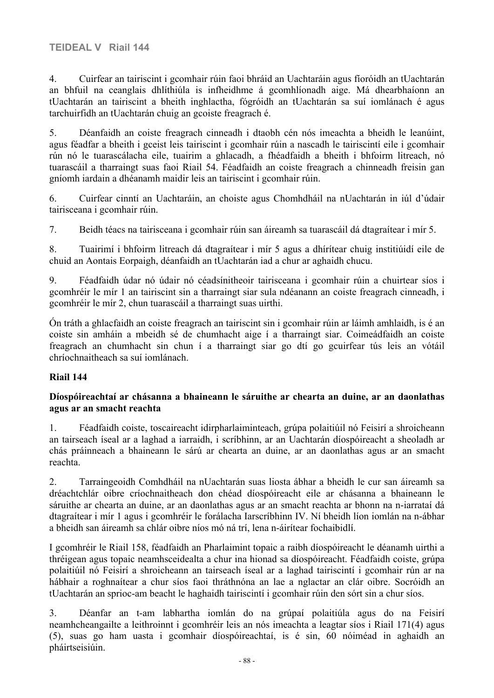## **TEIDEAL V Riail 144**

4. Cuirfear an tairiscint i gcomhair rúin faoi bhráid an Uachtaráin agus fíoróidh an tUachtarán an bhfuil na ceanglais dhlíthiúla is infheidhme á gcomhlíonadh aige. Má dhearbhaíonn an tUachtarán an tairiscint a bheith inghlactha, fógróidh an tUachtarán sa suí iomlánach é agus tarchuirfidh an tUachtarán chuig an gcoiste freagrach é.

5. Déanfaidh an coiste freagrach cinneadh i dtaobh cén nós imeachta a bheidh le leanúint, agus féadfar a bheith i gceist leis tairiscint i gcomhair rúin a nascadh le tairiscintí eile i gcomhair rún nó le tuarascálacha eile, tuairim a ghlacadh, a fhéadfaidh a bheith i bhfoirm litreach, nó tuarascáil a tharraingt suas faoi Riail 54. Féadfaidh an coiste freagrach a chinneadh freisin gan gníomh iardain a dhéanamh maidir leis an tairiscint i gcomhair rúin.

6. Cuirfear cinntí an Uachtaráin, an choiste agus Chomhdháil na nUachtarán in iúl d'údair tairisceana i gcomhair rúin.

7. Beidh téacs na tairisceana i gcomhair rúin san áireamh sa tuarascáil dá dtagraítear i mír 5.

8. Tuairimí i bhfoirm litreach dá dtagraítear i mír 5 agus a dhírítear chuig institiúidí eile de chuid an Aontais Eorpaigh, déanfaidh an tUachtarán iad a chur ar aghaidh chucu.

9. Féadfaidh údar nó údair nó céadsínitheoir tairisceana i gcomhair rúin a chuirtear síos i gcomhréir le mír 1 an tairiscint sin a tharraingt siar sula ndéanann an coiste freagrach cinneadh, i gcomhréir le mír 2, chun tuarascáil a tharraingt suas uirthi.

Ón tráth a ghlacfaidh an coiste freagrach an tairiscint sin i gcomhair rúin ar láimh amhlaidh, is é an coiste sin amháin a mbeidh sé de chumhacht aige í a tharraingt siar. Coimeádfaidh an coiste freagrach an chumhacht sin chun í a tharraingt siar go dtí go gcuirfear tús leis an vótáil chríochnaitheach sa suí iomlánach.

#### **Riail 144**

#### **Díospóireachtaí ar chásanna a bhaineann le sáruithe ar chearta an duine, ar an daonlathas agus ar an smacht reachta**

1. Féadfaidh coiste, toscaireacht idirpharlaiminteach, grúpa polaitiúil nó Feisirí a shroicheann an tairseach íseal ar a laghad a iarraidh, i scríbhinn, ar an Uachtarán díospóireacht a sheoladh ar chás práinneach a bhaineann le sárú ar chearta an duine, ar an daonlathas agus ar an smacht reachta.

2. Tarraingeoidh Comhdháil na nUachtarán suas liosta ábhar a bheidh le cur san áireamh sa dréachtchlár oibre críochnaitheach don chéad díospóireacht eile ar chásanna a bhaineann le sáruithe ar chearta an duine, ar an daonlathas agus ar an smacht reachta ar bhonn na n-iarrataí dá dtagraítear i mír 1 agus i gcomhréir le forálacha Iarscríbhinn IV. Ní bheidh líon iomlán na n-ábhar a bheidh san áireamh sa chlár oibre níos mó ná trí, lena n-áirítear fochaibidlí.

I gcomhréir le Riail 158, féadfaidh an Pharlaimint topaic a raibh díospóireacht le déanamh uirthi a thréigean agus topaic neamhsceidealta a chur ina hionad sa díospóireacht. Féadfaidh coiste, grúpa polaitiúil nó Feisirí a shroicheann an tairseach íseal ar a laghad tairiscintí i gcomhair rún ar na hábhair a roghnaítear a chur síos faoi thráthnóna an lae a nglactar an clár oibre. Socróidh an tUachtarán an sprioc-am beacht le haghaidh tairiscintí i gcomhair rúin den sórt sin a chur síos.

3. Déanfar an t-am labhartha iomlán do na grúpaí polaitiúla agus do na Feisirí neamhcheangailte a leithroinnt i gcomhréir leis an nós imeachta a leagtar síos i Riail 171(4) agus (5), suas go ham uasta i gcomhair díospóireachtaí, is é sin, 60 nóiméad in aghaidh an pháirtseisiúin.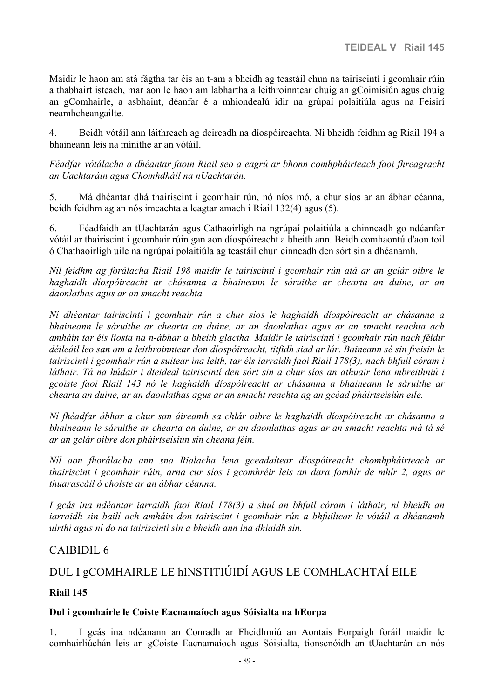Maidir le haon am atá fágtha tar éis an t-am a bheidh ag teastáil chun na tairiscintí i gcomhair rúin a thabhairt isteach, mar aon le haon am labhartha a leithroinntear chuig an gCoimisiún agus chuig an gComhairle, a asbhaint, déanfar é a mhiondealú idir na grúpaí polaitiúla agus na Feisirí neamhcheangailte.

4. Beidh vótáil ann láithreach ag deireadh na díospóireachta. Ní bheidh feidhm ag Riail 194 a bhaineann leis na mínithe ar an vótáil.

*Féadfar vótálacha a dhéantar faoin Riail seo a eagrú ar bhonn comhpháirteach faoi fhreagracht an Uachtaráin agus Chomhdháil na nUachtarán.*

5. Má dhéantar dhá thairiscint i gcomhair rún, nó níos mó, a chur síos ar an ábhar céanna, beidh feidhm ag an nós imeachta a leagtar amach i Riail 132(4) agus (5).

6. Féadfaidh an tUachtarán agus Cathaoirligh na ngrúpaí polaitiúla a chinneadh go ndéanfar vótáil ar thairiscint i gcomhair rúin gan aon díospóireacht a bheith ann. Beidh comhaontú d'aon toil ó Chathaoirligh uile na ngrúpaí polaitiúla ag teastáil chun cinneadh den sórt sin a dhéanamh.

*Níl feidhm ag forálacha Riail 198 maidir le tairiscintí i gcomhair rún atá ar an gclár oibre le haghaidh díospóireacht ar chásanna a bhaineann le sáruithe ar chearta an duine, ar an daonlathas agus ar an smacht reachta.*

*Ní dhéantar tairiscintí i gcomhair rún a chur síos le haghaidh díospóireacht ar chásanna a bhaineann le sáruithe ar chearta an duine, ar an daonlathas agus ar an smacht reachta ach amháin tar éis liosta na n-ábhar a bheith glactha. Maidir le tairiscintí i gcomhair rún nach féidir déileáil leo san am a leithroinntear don díospóireacht, titfidh siad ar lár. Baineann sé sin freisin le tairiscintí i gcomhair rún a suitear ina leith, tar éis iarraidh faoi Riail 178(3), nach bhfuil córam i láthair. Tá na húdair i dteideal tairiscintí den sórt sin a chur síos an athuair lena mbreithniú i gcoiste faoi Riail 143 nó le haghaidh díospóireacht ar chásanna a bhaineann le sáruithe ar chearta an duine, ar an daonlathas agus ar an smacht reachta ag an gcéad pháirtseisiún eile.*

*Ní fhéadfar ábhar a chur san áireamh sa chlár oibre le haghaidh díospóireacht ar chásanna a bhaineann le sáruithe ar chearta an duine, ar an daonlathas agus ar an smacht reachta má tá sé ar an gclár oibre don pháirtseisiún sin cheana féin.*

*Níl aon fhorálacha ann sna Rialacha lena gceadaítear díospóireacht chomhpháirteach ar thairiscint i gcomhair rúin, arna cur síos i gcomhréir leis an dara fomhír de mhír 2, agus ar thuarascáil ó choiste ar an ábhar céanna.*

*I gcás ina ndéantar iarraidh faoi Riail 178(3) a shuí an bhfuil córam i láthair, ní bheidh an iarraidh sin bailí ach amháin don tairiscint i gcomhair rún a bhfuiltear le vótáil a dhéanamh uirthi agus ní do na tairiscintí sin a bheidh ann ina dhiaidh sin.*

# CAIBIDIL 6

# DUL I gCOMHAIRLE LE hINSTITIÚIDÍ AGUS LE COMHLACHTAÍ EILE

# **Riail 145**

#### **Dul i gcomhairle le Coiste Eacnamaíoch agus Sóisialta na hEorpa**

1. I gcás ina ndéanann an Conradh ar Fheidhmiú an Aontais Eorpaigh foráil maidir le comhairliúchán leis an gCoiste Eacnamaíoch agus Sóisialta, tionscnóidh an tUachtarán an nós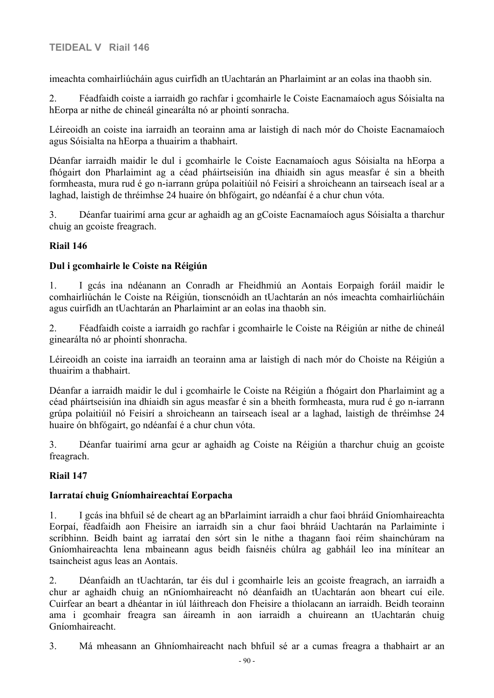# **TEIDEAL V Riail 146**

imeachta comhairliúcháin agus cuirfidh an tUachtarán an Pharlaimint ar an eolas ina thaobh sin.

2. Féadfaidh coiste a iarraidh go rachfar i gcomhairle le Coiste Eacnamaíoch agus Sóisialta na hEorpa ar nithe de chineál ginearálta nó ar phointí sonracha.

Léireoidh an coiste ina iarraidh an teorainn ama ar laistigh di nach mór do Choiste Eacnamaíoch agus Sóisialta na hEorpa a thuairim a thabhairt.

Déanfar iarraidh maidir le dul i gcomhairle le Coiste Eacnamaíoch agus Sóisialta na hEorpa a fhógairt don Pharlaimint ag a céad pháirtseisiún ina dhiaidh sin agus measfar é sin a bheith formheasta, mura rud é go n-iarrann grúpa polaitiúil nó Feisirí a shroicheann an tairseach íseal ar a laghad, laistigh de thréimhse 24 huaire ón bhfógairt, go ndéanfaí é a chur chun vóta.

3. Déanfar tuairimí arna gcur ar aghaidh ag an gCoiste Eacnamaíoch agus Sóisialta a tharchur chuig an gcoiste freagrach.

### **Riail 146**

#### **Dul i gcomhairle le Coiste na Réigiún**

1. I gcás ina ndéanann an Conradh ar Fheidhmiú an Aontais Eorpaigh foráil maidir le comhairliúchán le Coiste na Réigiún, tionscnóidh an tUachtarán an nós imeachta comhairliúcháin agus cuirfidh an tUachtarán an Pharlaimint ar an eolas ina thaobh sin.

2. Féadfaidh coiste a iarraidh go rachfar i gcomhairle le Coiste na Réigiún ar nithe de chineál ginearálta nó ar phointí shonracha.

Léireoidh an coiste ina iarraidh an teorainn ama ar laistigh di nach mór do Choiste na Réigiún a thuairim a thabhairt.

Déanfar a iarraidh maidir le dul i gcomhairle le Coiste na Réigiún a fhógairt don Pharlaimint ag a céad pháirtseisiún ina dhiaidh sin agus measfar é sin a bheith formheasta, mura rud é go n-iarrann grúpa polaitiúil nó Feisirí a shroicheann an tairseach íseal ar a laghad, laistigh de thréimhse 24 huaire ón bhfógairt, go ndéanfaí é a chur chun vóta.

3. Déanfar tuairimí arna gcur ar aghaidh ag Coiste na Réigiún a tharchur chuig an gcoiste freagrach.

#### **Riail 147**

#### **Iarrataí chuig Gníomhaireachtaí Eorpacha**

1. I gcás ina bhfuil sé de cheart ag an bParlaimint iarraidh a chur faoi bhráid Gníomhaireachta Eorpaí, féadfaidh aon Fheisire an iarraidh sin a chur faoi bhráid Uachtarán na Parlaiminte i scríbhinn. Beidh baint ag iarrataí den sórt sin le nithe a thagann faoi réim shainchúram na Gníomhaireachta lena mbaineann agus beidh faisnéis chúlra ag gabháil leo ina mínítear an tsaincheist agus leas an Aontais.

2. Déanfaidh an tUachtarán, tar éis dul i gcomhairle leis an gcoiste freagrach, an iarraidh a chur ar aghaidh chuig an nGníomhaireacht nó déanfaidh an tUachtarán aon bheart cuí eile. Cuirfear an beart a dhéantar in iúl láithreach don Fheisire a thíolacann an iarraidh. Beidh teorainn ama i gcomhair freagra san áireamh in aon iarraidh a chuireann an tUachtarán chuig Gníomhaireacht.

3. Má mheasann an Ghníomhaireacht nach bhfuil sé ar a cumas freagra a thabhairt ar an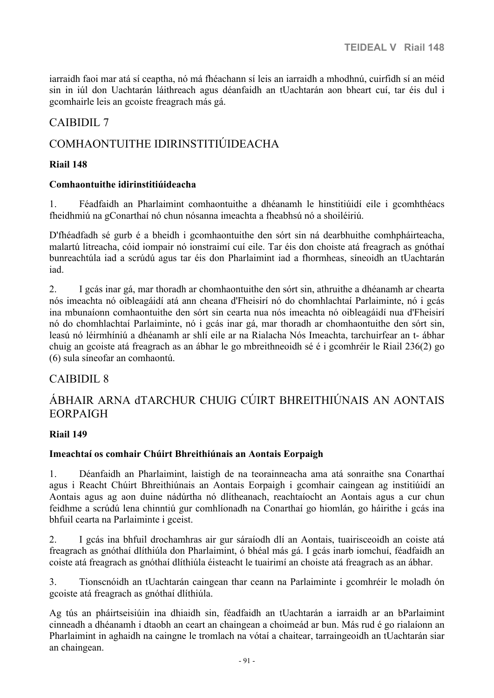iarraidh faoi mar atá sí ceaptha, nó má fhéachann sí leis an iarraidh a mhodhnú, cuirfidh sí an méid sin in iúl don Uachtarán láithreach agus déanfaidh an tUachtarán aon bheart cuí, tar éis dul i gcomhairle leis an gcoiste freagrach más gá.

# CAIBIDIL 7

# COMHAONTUITHE IDIRINSTITIÚIDEACHA

#### **Riail 148**

#### **Comhaontuithe idirinstitiúideacha**

1. Féadfaidh an Pharlaimint comhaontuithe a dhéanamh le hinstitiúidí eile i gcomhthéacs fheidhmiú na gConarthaí nó chun nósanna imeachta a fheabhsú nó a shoiléiriú.

D'fhéadfadh sé gurb é a bheidh i gcomhaontuithe den sórt sin ná dearbhuithe comhpháirteacha, malartú litreacha, cóid iompair nó ionstraimí cuí eile. Tar éis don choiste atá freagrach as gnóthaí bunreachtúla iad a scrúdú agus tar éis don Pharlaimint iad a fhormheas, síneoidh an tUachtarán iad.

2. I gcás inar gá, mar thoradh ar chomhaontuithe den sórt sin, athruithe a dhéanamh ar chearta nós imeachta nó oibleagáidí atá ann cheana d'Fheisirí nó do chomhlachtaí Parlaiminte, nó i gcás ina mbunaíonn comhaontuithe den sórt sin cearta nua nós imeachta nó oibleagáidí nua d'Fheisirí nó do chomhlachtaí Parlaiminte, nó i gcás inar gá, mar thoradh ar chomhaontuithe den sórt sin, leasú nó léirmhíniú a dhéanamh ar shlí eile ar na Rialacha Nós Imeachta, tarchuirfear an t- ábhar chuig an gcoiste atá freagrach as an ábhar le go mbreithneoidh sé é i gcomhréir le Riail 236(2) go (6) sula síneofar an comhaontú.

# CAIBIDIL 8

# ÁBHAIR ARNA dTARCHUR CHUIG CÚIRT BHREITHIÚNAIS AN AONTAIS **EORPAIGH**

#### **Riail 149**

#### **Imeachtaí os comhair Chúirt Bhreithiúnais an Aontais Eorpaigh**

1. Déanfaidh an Pharlaimint, laistigh de na teorainneacha ama atá sonraithe sna Conarthaí agus i Reacht Chúirt Bhreithiúnais an Aontais Eorpaigh i gcomhair caingean ag institiúidí an Aontais agus ag aon duine nádúrtha nó dlítheanach, reachtaíocht an Aontais agus a cur chun feidhme a scrúdú lena chinntiú gur comhlíonadh na Conarthaí go hiomlán, go háirithe i gcás ina bhfuil cearta na Parlaiminte i gceist.

2. I gcás ina bhfuil drochamhras air gur sáraíodh dlí an Aontais, tuairisceoidh an coiste atá freagrach as gnóthaí dlíthiúla don Pharlaimint, ó bhéal más gá. I gcás inarb iomchuí, féadfaidh an coiste atá freagrach as gnóthaí dlíthiúla éisteacht le tuairimí an choiste atá freagrach as an ábhar.

3. Tionscnóidh an tUachtarán caingean thar ceann na Parlaiminte i gcomhréir le moladh ón gcoiste atá freagrach as gnóthaí dlíthiúla.

Ag tús an pháirtseisiúin ina dhiaidh sin, féadfaidh an tUachtarán a iarraidh ar an bParlaimint cinneadh a dhéanamh i dtaobh an ceart an chaingean a choimeád ar bun. Más rud é go rialaíonn an Pharlaimint in aghaidh na caingne le tromlach na vótaí a chaitear, tarraingeoidh an tUachtarán siar an chaingean.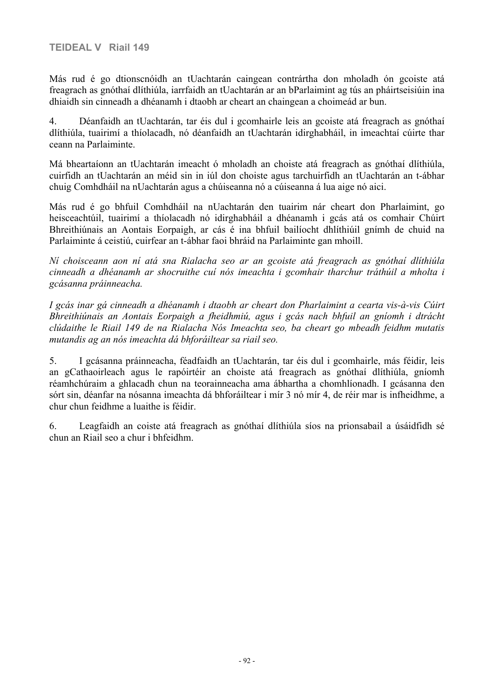Más rud é go dtionscnóidh an tUachtarán caingean contrártha don mholadh ón gcoiste atá freagrach as gnóthaí dlíthiúla, iarrfaidh an tUachtarán ar an bParlaimint ag tús an pháirtseisiúin ina dhiaidh sin cinneadh a dhéanamh i dtaobh ar cheart an chaingean a choimeád ar bun.

4. Déanfaidh an tUachtarán, tar éis dul i gcomhairle leis an gcoiste atá freagrach as gnóthaí dlíthiúla, tuairimí a thíolacadh, nó déanfaidh an tUachtarán idirghabháil, in imeachtaí cúirte thar ceann na Parlaiminte.

Má bheartaíonn an tUachtarán imeacht ó mholadh an choiste atá freagrach as gnóthaí dlíthiúla, cuirfidh an tUachtarán an méid sin in iúl don choiste agus tarchuirfidh an tUachtarán an t-ábhar chuig Comhdháil na nUachtarán agus a chúiseanna nó a cúiseanna á lua aige nó aici.

Más rud é go bhfuil Comhdháil na nUachtarán den tuairim nár cheart don Pharlaimint, go heisceachtúil, tuairimí a thíolacadh nó idirghabháil a dhéanamh i gcás atá os comhair Chúirt Bhreithiúnais an Aontais Eorpaigh, ar cás é ina bhfuil bailíocht dhlíthiúil gnímh de chuid na Parlaiminte á ceistiú, cuirfear an t-ábhar faoi bhráid na Parlaiminte gan mhoill.

*Ní choisceann aon ní atá sna Rialacha seo ar an gcoiste atá freagrach as gnóthaí dlíthiúla cinneadh a dhéanamh ar shocruithe cuí nós imeachta i gcomhair tharchur tráthúil a mholta i gcásanna práinneacha.*

*I gcás inar gá cinneadh a dhéanamh i dtaobh ar cheart don Pharlaimint a cearta vis-à-vis Cúirt Bhreithiúnais an Aontais Eorpaigh a fheidhmiú, agus i gcás nach bhfuil an gníomh i dtrácht clúdaithe le Riail 149 de na Rialacha Nós Imeachta seo, ba cheart go mbeadh feidhm mutatis mutandis ag an nós imeachta dá bhforáiltear sa riail seo.*

5. I gcásanna práinneacha, féadfaidh an tUachtarán, tar éis dul i gcomhairle, más féidir, leis an gCathaoirleach agus le rapóirtéir an choiste atá freagrach as gnóthaí dlíthiúla, gníomh réamhchúraim a ghlacadh chun na teorainneacha ama ábhartha a chomhlíonadh. I gcásanna den sórt sin, déanfar na nósanna imeachta dá bhforáiltear i mír 3 nó mír 4, de réir mar is infheidhme, a chur chun feidhme a luaithe is féidir.

6. Leagfaidh an coiste atá freagrach as gnóthaí dlíthiúla síos na prionsabail a úsáidfidh sé chun an Riail seo a chur i bhfeidhm.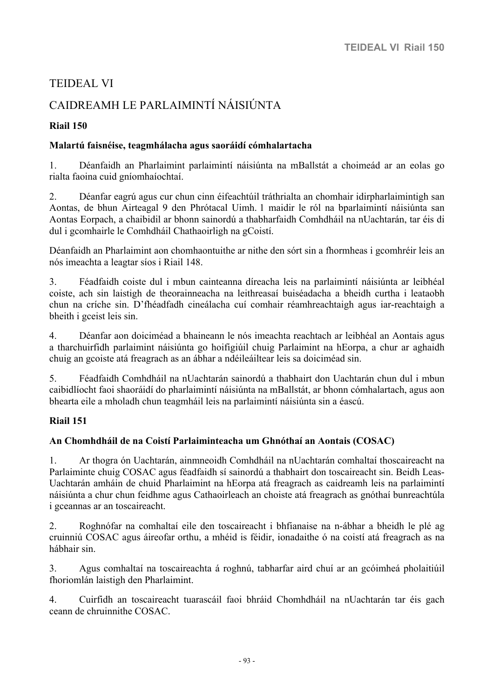# TEIDEAL VI

# CAIDREAMH LE PARLAIMINTÍ NÁISIÚNTA

### **Riail 150**

#### **Malartú faisnéise, teagmhálacha agus saoráidí cómhalartacha**

1. Déanfaidh an Pharlaimint parlaimintí náisiúnta na mBallstát a choimeád ar an eolas go rialta faoina cuid gníomhaíochtaí.

2. Déanfar eagrú agus cur chun cinn éifeachtúil tráthrialta an chomhair idirpharlaimintigh san Aontas, de bhun Airteagal 9 den Phrótacal Uimh. 1 maidir le ról na bparlaimintí náisiúnta san Aontas Eorpach, a chaibidil ar bhonn sainordú a thabharfaidh Comhdháil na nUachtarán, tar éis di dul i gcomhairle le Comhdháil Chathaoirligh na gCoistí.

Déanfaidh an Pharlaimint aon chomhaontuithe ar nithe den sórt sin a fhormheas i gcomhréir leis an nós imeachta a leagtar síos i Riail 148.

3. Féadfaidh coiste dul i mbun cainteanna díreacha leis na parlaimintí náisiúnta ar leibhéal coiste, ach sin laistigh de theorainneacha na leithreasaí buiséadacha a bheidh curtha i leataobh chun na críche sin. D'fhéadfadh cineálacha cuí comhair réamhreachtaigh agus iar-reachtaigh a bheith i gceist leis sin.

4. Déanfar aon doiciméad a bhaineann le nós imeachta reachtach ar leibhéal an Aontais agus a tharchuirfidh parlaimint náisiúnta go hoifigiúil chuig Parlaimint na hEorpa, a chur ar aghaidh chuig an gcoiste atá freagrach as an ábhar a ndéileáiltear leis sa doiciméad sin.

5. Féadfaidh Comhdháil na nUachtarán sainordú a thabhairt don Uachtarán chun dul i mbun caibidlíocht faoi shaoráidí do pharlaimintí náisiúnta na mBallstát, ar bhonn cómhalartach, agus aon bhearta eile a mholadh chun teagmháil leis na parlaimintí náisiúnta sin a éascú.

#### **Riail 151**

#### **An Chomhdháil de na Coistí Parlaiminteacha um Ghnóthaí an Aontais (COSAC)**

1. Ar thogra ón Uachtarán, ainmneoidh Comhdháil na nUachtarán comhaltaí thoscaireacht na Parlaiminte chuig COSAC agus féadfaidh sí sainordú a thabhairt don toscaireacht sin. Beidh Leas-Uachtarán amháin de chuid Pharlaimint na hEorpa atá freagrach as caidreamh leis na parlaimintí náisiúnta a chur chun feidhme agus Cathaoirleach an choiste atá freagrach as gnóthaí bunreachtúla i gceannas ar an toscaireacht.

2. Roghnófar na comhaltaí eile den toscaireacht i bhfianaise na n-ábhar a bheidh le plé ag cruinniú COSAC agus áireofar orthu, a mhéid is féidir, ionadaithe ó na coistí atá freagrach as na hábhair sin.

3. Agus comhaltaí na toscaireachta á roghnú, tabharfar aird chuí ar an gcóimheá pholaitiúil fhoriomlán laistigh den Pharlaimint.

4. Cuirfidh an toscaireacht tuarascáil faoi bhráid Chomhdháil na nUachtarán tar éis gach ceann de chruinnithe COSAC.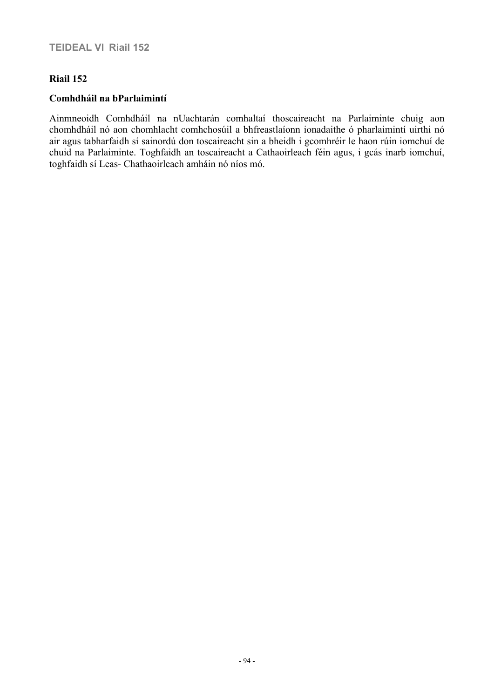#### **Riail 152**

#### **Comhdháil na bParlaimintí**

Ainmneoidh Comhdháil na nUachtarán comhaltaí thoscaireacht na Parlaiminte chuig aon chomhdháil nó aon chomhlacht comhchosúil a bhfreastlaíonn ionadaithe ó pharlaimintí uirthi nó air agus tabharfaidh sí sainordú don toscaireacht sin a bheidh i gcomhréir le haon rúin iomchuí de chuid na Parlaiminte. Toghfaidh an toscaireacht a Cathaoirleach féin agus, i gcás inarb iomchuí, toghfaidh sí Leas- Chathaoirleach amháin nó níos mó.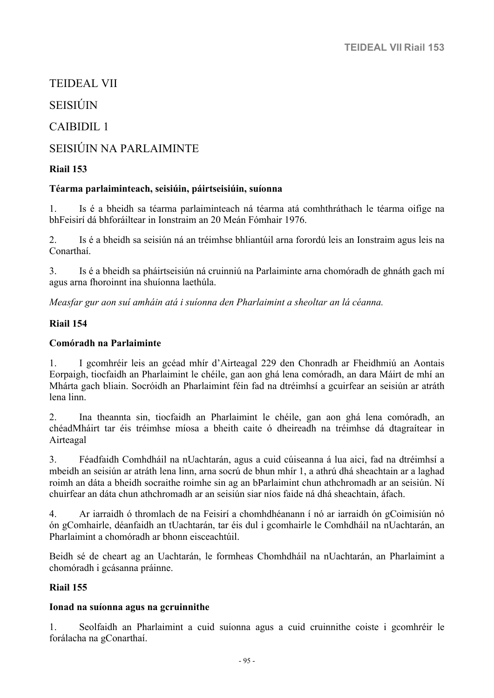# TEIDEAL VII

# **SEISIÚIN**

# CAIBIDIL 1

# SEISIÚIN NA PARLAIMINTE

## **Riail 153**

#### **Téarma parlaiminteach, seisiúin, páirtseisiúin, suíonna**

1. Is é a bheidh sa téarma parlaiminteach ná téarma atá comhthráthach le téarma oifige na bhFeisirí dá bhforáiltear in Ionstraim an 20 Meán Fómhair 1976.

2. Is é a bheidh sa seisiún ná an tréimhse bhliantúil arna forordú leis an Ionstraim agus leis na Conarthaí.

3. Is é a bheidh sa pháirtseisiún ná cruinniú na Parlaiminte arna chomóradh de ghnáth gach mí agus arna fhoroinnt ina shuíonna laethúla.

*Measfar gur aon suí amháin atá i suíonna den Pharlaimint a sheoltar an lá céanna.*

### **Riail 154**

### **Comóradh na Parlaiminte**

1. I gcomhréir leis an gcéad mhír d'Airteagal 229 den Chonradh ar Fheidhmiú an Aontais Eorpaigh, tiocfaidh an Pharlaimint le chéile, gan aon ghá lena comóradh, an dara Máirt de mhí an Mhárta gach bliain. Socróidh an Pharlaimint féin fad na dtréimhsí a gcuirfear an seisiún ar atráth lena linn.

2. Ina theannta sin, tiocfaidh an Pharlaimint le chéile, gan aon ghá lena comóradh, an chéadMháirt tar éis tréimhse míosa a bheith caite ó dheireadh na tréimhse dá dtagraítear in Airteagal

3. Féadfaidh Comhdháil na nUachtarán, agus a cuid cúiseanna á lua aici, fad na dtréimhsí a mbeidh an seisiún ar atráth lena linn, arna socrú de bhun mhír 1, a athrú dhá sheachtain ar a laghad roimh an dáta a bheidh socraithe roimhe sin ag an bParlaimint chun athchromadh ar an seisiún. Ní chuirfear an dáta chun athchromadh ar an seisiún siar níos faide ná dhá sheachtain, áfach.

4. Ar iarraidh ó thromlach de na Feisirí a chomhdhéanann í nó ar iarraidh ón gCoimisiún nó ón gComhairle, déanfaidh an tUachtarán, tar éis dul i gcomhairle le Comhdháil na nUachtarán, an Pharlaimint a chomóradh ar bhonn eisceachtúil.

Beidh sé de cheart ag an Uachtarán, le formheas Chomhdháil na nUachtarán, an Pharlaimint a chomóradh i gcásanna práinne.

# **Riail 155**

#### **Ionad na suíonna agus na gcruinnithe**

1. Seolfaidh an Pharlaimint a cuid suíonna agus a cuid cruinnithe coiste i gcomhréir le forálacha na gConarthaí.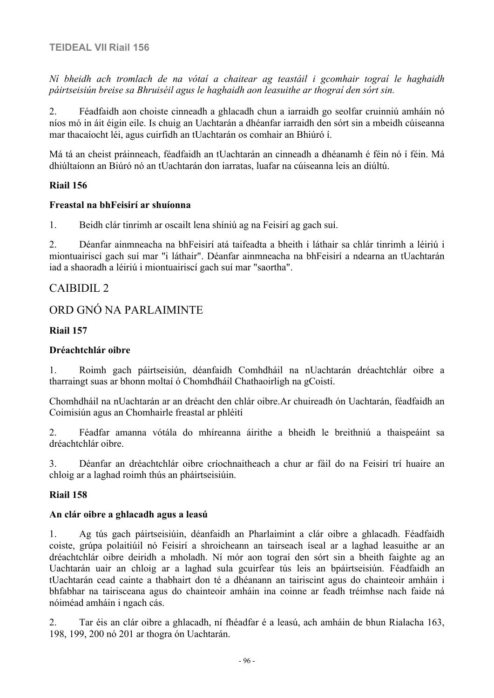### **TEIDEAL VII Riail 156**

*Ní bheidh ach tromlach de na vótaí a chaitear ag teastáil i gcomhair tograí le haghaidh páirtseisiún breise sa Bhruiséil agus le haghaidh aon leasuithe ar thograí den sórt sin.*

2. Féadfaidh aon choiste cinneadh a ghlacadh chun a iarraidh go seolfar cruinniú amháin nó níos mó in áit éigin eile. Is chuig an Uachtarán a dhéanfar iarraidh den sórt sin a mbeidh cúiseanna mar thacaíocht léi, agus cuirfidh an tUachtarán os comhair an Bhiúró í.

Má tá an cheist práinneach, féadfaidh an tUachtarán an cinneadh a dhéanamh é féin nó í féin. Má dhiúltaíonn an Biúró nó an tUachtarán don iarratas, luafar na cúiseanna leis an diúltú.

#### **Riail 156**

#### **Freastal na bhFeisirí ar shuíonna**

1. Beidh clár tinrimh ar oscailt lena shíniú ag na Feisirí ag gach suí.

2. Déanfar ainmneacha na bhFeisirí atá taifeadta a bheith i láthair sa chlár tinrimh a léiriú i miontuairiscí gach suí mar "i láthair". Déanfar ainmneacha na bhFeisirí a ndearna an tUachtarán iad a shaoradh a léiriú i miontuairiscí gach suí mar "saortha".

# CAIBIDIL 2

# ORD GNÓ NA PARLAIMINTE

#### **Riail 157**

#### **Dréachtchlár oibre**

1. Roimh gach páirtseisiún, déanfaidh Comhdháil na nUachtarán dréachtchlár oibre a tharraingt suas ar bhonn moltaí ó Chomhdháil Chathaoirligh na gCoistí.

Chomhdháil na nUachtarán ar an dréacht den chlár oibre.Ar chuireadh ón Uachtarán, féadfaidh an Coimisiún agus an Chomhairle freastal ar phléití

2. Féadfar amanna vótála do mhíreanna áirithe a bheidh le breithniú a thaispeáint sa dréachtchlár oibre.

3. Déanfar an dréachtchlár oibre críochnaitheach a chur ar fáil do na Feisirí trí huaire an chloig ar a laghad roimh thús an pháirtseisiúin.

#### **Riail 158**

#### **An clár oibre a ghlacadh agus a leasú**

1. Ag tús gach páirtseisiúin, déanfaidh an Pharlaimint a clár oibre a ghlacadh. Féadfaidh coiste, grúpa polaitiúil nó Feisirí a shroicheann an tairseach íseal ar a laghad leasuithe ar an dréachtchlár oibre deiridh a mholadh. Ní mór aon tograí den sórt sin a bheith faighte ag an Uachtarán uair an chloig ar a laghad sula gcuirfear tús leis an bpáirtseisiún. Féadfaidh an tUachtarán cead cainte a thabhairt don té a dhéanann an tairiscint agus do chainteoir amháin i bhfabhar na tairisceana agus do chainteoir amháin ina coinne ar feadh tréimhse nach faide ná nóiméad amháin i ngach cás.

2. Tar éis an clár oibre a ghlacadh, ní fhéadfar é a leasú, ach amháin de bhun Rialacha 163, 198, 199, 200 nó 201 ar thogra ón Uachtarán.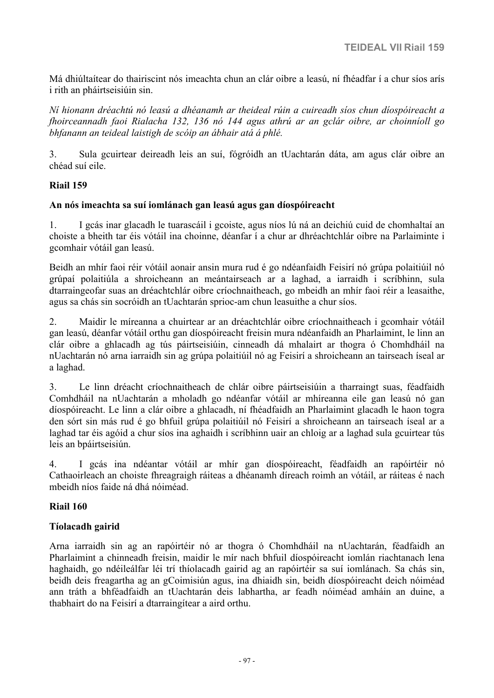Má dhiúltaítear do thairiscint nós imeachta chun an clár oibre a leasú, ní fhéadfar í a chur síos arís i rith an pháirtseisiúin sin.

*Ní hionann dréachtú nó leasú a dhéanamh ar theideal rúin a cuireadh síos chun díospóireacht a fhoirceannadh faoi Rialacha 132, 136 nó 144 agus athrú ar an gclár oibre, ar choinníoll go bhfanann an teideal laistigh de scóip an ábhair atá á phlé.*

3. Sula gcuirtear deireadh leis an suí, fógróidh an tUachtarán dáta, am agus clár oibre an chéad suí eile.

#### **Riail 159**

#### **An nós imeachta sa suí iomlánach gan leasú agus gan díospóireacht**

1. I gcás inar glacadh le tuarascáil i gcoiste, agus níos lú ná an deichiú cuid de chomhaltaí an choiste a bheith tar éis vótáil ina choinne, déanfar í a chur ar dhréachtchlár oibre na Parlaiminte i gcomhair vótáil gan leasú.

Beidh an mhír faoi réir vótáil aonair ansin mura rud é go ndéanfaidh Feisirí nó grúpa polaitiúil nó grúpaí polaitiúla a shroicheann an meántairseach ar a laghad, a iarraidh i scríbhinn, sula dtarraingeofar suas an dréachtchlár oibre críochnaitheach, go mbeidh an mhír faoi réir a leasaithe, agus sa chás sin socróidh an tUachtarán sprioc-am chun leasuithe a chur síos.

2. Maidir le míreanna a chuirtear ar an dréachtchlár oibre críochnaitheach i gcomhair vótáil gan leasú, déanfar vótáil orthu gan díospóireacht freisin mura ndéanfaidh an Pharlaimint, le linn an clár oibre a ghlacadh ag tús páirtseisiúin, cinneadh dá mhalairt ar thogra ó Chomhdháil na nUachtarán nó arna iarraidh sin ag grúpa polaitiúil nó ag Feisirí a shroicheann an tairseach íseal ar a laghad.

3. Le linn dréacht críochnaitheach de chlár oibre páirtseisiúin a tharraingt suas, féadfaidh Comhdháil na nUachtarán a mholadh go ndéanfar vótáil ar mhíreanna eile gan leasú nó gan díospóireacht. Le linn a clár oibre a ghlacadh, ní fhéadfaidh an Pharlaimint glacadh le haon togra den sórt sin más rud é go bhfuil grúpa polaitiúil nó Feisirí a shroicheann an tairseach íseal ar a laghad tar éis agóid a chur síos ina aghaidh i scríbhinn uair an chloig ar a laghad sula gcuirtear tús leis an bpáirtseisiún.

4. I gcás ina ndéantar vótáil ar mhír gan díospóireacht, féadfaidh an rapóirtéir nó Cathaoirleach an choiste fhreagraigh ráiteas a dhéanamh díreach roimh an vótáil, ar ráiteas é nach mbeidh níos faide ná dhá nóiméad.

#### **Riail 160**

#### **Tíolacadh gairid**

Arna iarraidh sin ag an rapóirtéir nó ar thogra ó Chomhdháil na nUachtarán, féadfaidh an Pharlaimint a chinneadh freisin, maidir le mír nach bhfuil díospóireacht iomlán riachtanach lena haghaidh, go ndéileálfar léi trí thíolacadh gairid ag an rapóirtéir sa suí iomlánach. Sa chás sin, beidh deis freagartha ag an gCoimisiún agus, ina dhiaidh sin, beidh díospóireacht deich nóiméad ann tráth a bhféadfaidh an tUachtarán deis labhartha, ar feadh nóiméad amháin an duine, a thabhairt do na Feisirí a dtarraingítear a aird orthu.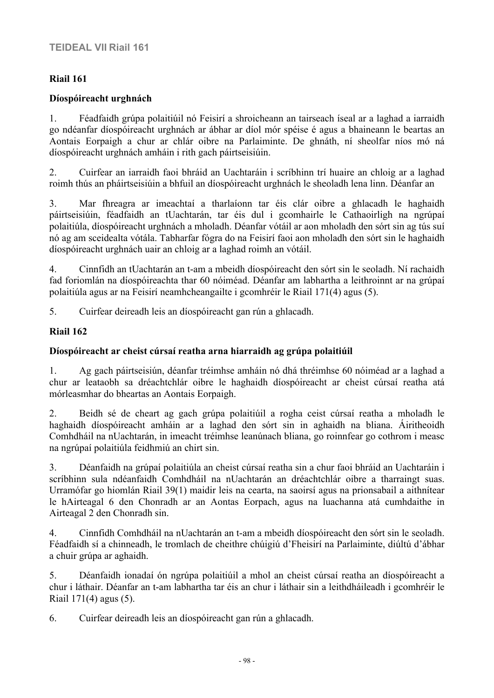# **Riail 161**

### **Díospóireacht urghnách**

1. Féadfaidh grúpa polaitiúil nó Feisirí a shroicheann an tairseach íseal ar a laghad a iarraidh go ndéanfar díospóireacht urghnách ar ábhar ar díol mór spéise é agus a bhaineann le beartas an Aontais Eorpaigh a chur ar chlár oibre na Parlaiminte. De ghnáth, ní sheolfar níos mó ná díospóireacht urghnách amháin i rith gach páirtseisiúin.

2. Cuirfear an iarraidh faoi bhráid an Uachtaráin i scríbhinn trí huaire an chloig ar a laghad roimh thús an pháirtseisiúin a bhfuil an díospóireacht urghnách le sheoladh lena linn. Déanfar an

3. Mar fhreagra ar imeachtaí a tharlaíonn tar éis clár oibre a ghlacadh le haghaidh páirtseisiúin, féadfaidh an tUachtarán, tar éis dul i gcomhairle le Cathaoirligh na ngrúpaí polaitiúla, díospóireacht urghnách a mholadh. Déanfar vótáil ar aon mholadh den sórt sin ag tús suí nó ag am sceidealta vótála. Tabharfar fógra do na Feisirí faoi aon mholadh den sórt sin le haghaidh díospóireacht urghnách uair an chloig ar a laghad roimh an vótáil.

4. Cinnfidh an tUachtarán an t-am a mbeidh díospóireacht den sórt sin le seoladh. Ní rachaidh fad foriomlán na díospóireachta thar 60 nóiméad. Déanfar am labhartha a leithroinnt ar na grúpaí polaitiúla agus ar na Feisirí neamhcheangailte i gcomhréir le Riail 171(4) agus (5).

5. Cuirfear deireadh leis an díospóireacht gan rún a ghlacadh.

# **Riail 162**

## **Díospóireacht ar cheist cúrsaí reatha arna hiarraidh ag grúpa polaitiúil**

1. Ag gach páirtseisiún, déanfar tréimhse amháin nó dhá thréimhse 60 nóiméad ar a laghad a chur ar leataobh sa dréachtchlár oibre le haghaidh díospóireacht ar cheist cúrsaí reatha atá mórleasmhar do bheartas an Aontais Eorpaigh.

2. Beidh sé de cheart ag gach grúpa polaitiúil a rogha ceist cúrsaí reatha a mholadh le haghaidh díospóireacht amháin ar a laghad den sórt sin in aghaidh na bliana. Áiritheoidh Comhdháil na nUachtarán, in imeacht tréimhse leanúnach bliana, go roinnfear go cothrom i measc na ngrúpaí polaitiúla feidhmiú an chirt sin.

3. Déanfaidh na grúpaí polaitiúla an cheist cúrsaí reatha sin a chur faoi bhráid an Uachtaráin i scríbhinn sula ndéanfaidh Comhdháil na nUachtarán an dréachtchlár oibre a tharraingt suas. Urramófar go hiomlán Riail 39(1) maidir leis na cearta, na saoirsí agus na prionsabail a aithnítear le hAirteagal 6 den Chonradh ar an Aontas Eorpach, agus na luachanna atá cumhdaithe in Airteagal 2 den Chonradh sin.

4. Cinnfidh Comhdháil na nUachtarán an t-am a mbeidh díospóireacht den sórt sin le seoladh. Féadfaidh sí a chinneadh, le tromlach de cheithre chúigiú d'Fheisirí na Parlaiminte, diúltú d'ábhar a chuir grúpa ar aghaidh.

5. Déanfaidh ionadaí ón ngrúpa polaitiúil a mhol an cheist cúrsaí reatha an díospóireacht a chur i láthair. Déanfar an t-am labhartha tar éis an chur i láthair sin a leithdháileadh i gcomhréir le Riail 171(4) agus (5).

6. Cuirfear deireadh leis an díospóireacht gan rún a ghlacadh.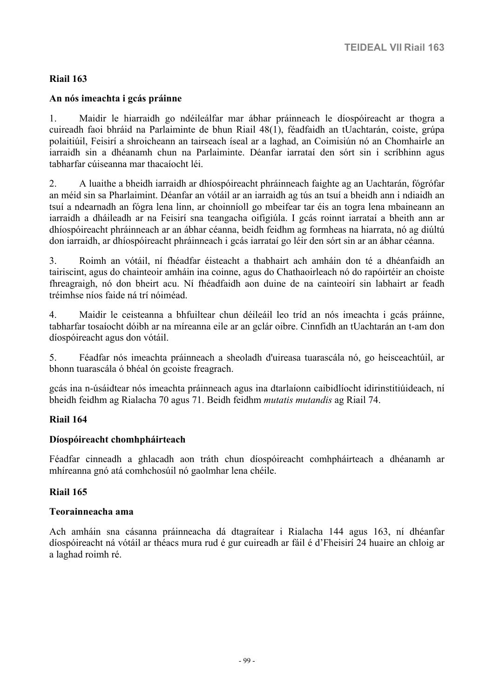## **Riail 163**

#### **An nós imeachta i gcás práinne**

1. Maidir le hiarraidh go ndéileálfar mar ábhar práinneach le díospóireacht ar thogra a cuireadh faoi bhráid na Parlaiminte de bhun Riail 48(1), féadfaidh an tUachtarán, coiste, grúpa polaitiúil, Feisirí a shroicheann an tairseach íseal ar a laghad, an Coimisiún nó an Chomhairle an iarraidh sin a dhéanamh chun na Parlaiminte. Déanfar iarrataí den sórt sin i scríbhinn agus tabharfar cúiseanna mar thacaíocht léi.

2. A luaithe a bheidh iarraidh ar dhíospóireacht phráinneach faighte ag an Uachtarán, fógrófar an méid sin sa Pharlaimint. Déanfar an vótáil ar an iarraidh ag tús an tsuí a bheidh ann i ndiaidh an tsuí a ndearnadh an fógra lena linn, ar choinníoll go mbeifear tar éis an togra lena mbaineann an iarraidh a dháileadh ar na Feisirí sna teangacha oifigiúla. I gcás roinnt iarrataí a bheith ann ar dhíospóireacht phráinneach ar an ábhar céanna, beidh feidhm ag formheas na hiarrata, nó ag diúltú don iarraidh, ar dhíospóireacht phráinneach i gcás iarrataí go léir den sórt sin ar an ábhar céanna.

3. Roimh an vótáil, ní fhéadfar éisteacht a thabhairt ach amháin don té a dhéanfaidh an tairiscint, agus do chainteoir amháin ina coinne, agus do Chathaoirleach nó do rapóirtéir an choiste fhreagraigh, nó don bheirt acu. Ní fhéadfaidh aon duine de na cainteoirí sin labhairt ar feadh tréimhse níos faide ná trí nóiméad.

4. Maidir le ceisteanna a bhfuiltear chun déileáil leo tríd an nós imeachta i gcás práinne, tabharfar tosaíocht dóibh ar na míreanna eile ar an gclár oibre. Cinnfidh an tUachtarán an t-am don díospóireacht agus don vótáil.

5. Féadfar nós imeachta práinneach a sheoladh d'uireasa tuarascála nó, go heisceachtúil, ar bhonn tuarascála ó bhéal ón gcoiste freagrach.

gcás ina n-úsáidtear nós imeachta práinneach agus ina dtarlaíonn caibidlíocht idirinstitiúideach, ní bheidh feidhm ag Rialacha 70 agus 71. Beidh feidhm *mutatis mutandis* ag Riail 74.

#### **Riail 164**

#### **Díospóireacht chomhpháirteach**

Féadfar cinneadh a ghlacadh aon tráth chun díospóireacht comhpháirteach a dhéanamh ar mhíreanna gnó atá comhchosúil nó gaolmhar lena chéile.

#### **Riail 165**

#### **Teorainneacha ama**

Ach amháin sna cásanna práinneacha dá dtagraítear i Rialacha 144 agus 163, ní dhéanfar díospóireacht ná vótáil ar théacs mura rud é gur cuireadh ar fáil é d'Fheisirí 24 huaire an chloig ar a laghad roimh ré.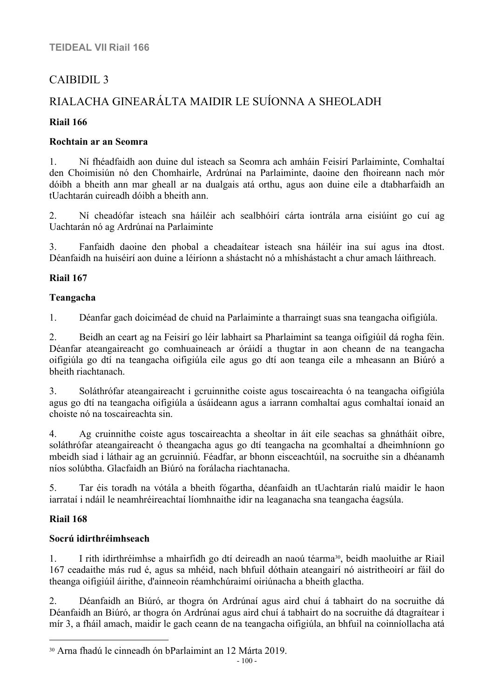# CAIBIDIL 3

# RIALACHA GINEARÁLTA MAIDIR LE SUÍONNA A SHEOLADH

## **Riail 166**

#### **Rochtain ar an Seomra**

1. Ní fhéadfaidh aon duine dul isteach sa Seomra ach amháin Feisirí Parlaiminte, Comhaltaí den Choimisiún nó den Chomhairle, Ardrúnaí na Parlaiminte, daoine den fhoireann nach mór dóibh a bheith ann mar gheall ar na dualgais atá orthu, agus aon duine eile a dtabharfaidh an tUachtarán cuireadh dóibh a bheith ann.

2. Ní cheadófar isteach sna háiléir ach sealbhóirí cárta iontrála arna eisiúint go cuí ag Uachtarán nó ag Ardrúnaí na Parlaiminte

3. Fanfaidh daoine den phobal a cheadaítear isteach sna háiléir ina suí agus ina dtost. Déanfaidh na huiséirí aon duine a léiríonn a shástacht nó a mhíshástacht a chur amach láithreach.

### **Riail 167**

### **Teangacha**

1. Déanfar gach doiciméad de chuid na Parlaiminte a tharraingt suas sna teangacha oifigiúla.

2. Beidh an ceart ag na Feisirí go léir labhairt sa Pharlaimint sa teanga oifigiúil dá rogha féin. Déanfar ateangaireacht go comhuaineach ar óráidí a thugtar in aon cheann de na teangacha oifigiúla go dtí na teangacha oifigiúla eile agus go dtí aon teanga eile a mheasann an Biúró a bheith riachtanach.

3. Soláthrófar ateangaireacht i gcruinnithe coiste agus toscaireachta ó na teangacha oifigiúla agus go dtí na teangacha oifigiúla a úsáideann agus a iarrann comhaltaí agus comhaltaí ionaid an choiste nó na toscaireachta sin.

4. Ag cruinnithe coiste agus toscaireachta a sheoltar in áit eile seachas sa ghnátháit oibre, soláthrófar ateangaireacht ó theangacha agus go dtí teangacha na gcomhaltaí a dheimhníonn go mbeidh siad i láthair ag an gcruinniú. Féadfar, ar bhonn eisceachtúil, na socruithe sin a dhéanamh níos solúbtha. Glacfaidh an Biúró na forálacha riachtanacha.

5. Tar éis toradh na vótála a bheith fógartha, déanfaidh an tUachtarán rialú maidir le haon iarrataí i ndáil le neamhréireachtaí líomhnaithe idir na leaganacha sna teangacha éagsúla.

# **Riail 168**

#### **Socrú idirthréimhseach**

1. I rith idirthréimhse a mhairfidh go dtí deireadh an naoú téarma30, beidh maoluithe ar Riail 167 ceadaithe más rud é, agus sa mhéid, nach bhfuil dóthain ateangairí nó aistritheoirí ar fáil do theanga oifigiúil áirithe, d'ainneoin réamhchúraimí oiriúnacha a bheith glactha.

2. Déanfaidh an Biúró, ar thogra ón Ardrúnaí agus aird chuí á tabhairt do na socruithe dá Déanfaidh an Biúró, ar thogra ón Ardrúnaí agus aird chuí á tabhairt do na socruithe dá dtagraítear i mír 3, a fháil amach, maidir le gach ceann de na teangacha oifigiúla, an bhfuil na coinníollacha atá

<sup>30</sup> Arna fhadú le cinneadh ón bParlaimint an 12 Márta 2019.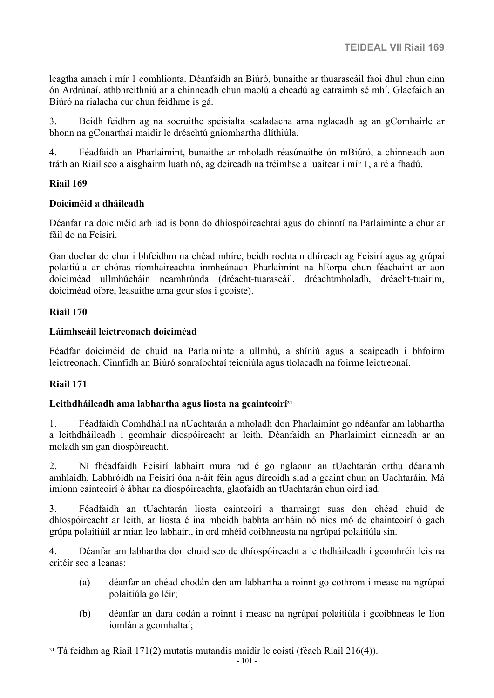leagtha amach i mír 1 comhlíonta. Déanfaidh an Biúró, bunaithe ar thuarascáil faoi dhul chun cinn ón Ardrúnaí, athbhreithniú ar a chinneadh chun maolú a cheadú ag eatraimh sé mhí. Glacfaidh an Biúró na rialacha cur chun feidhme is gá.

3. Beidh feidhm ag na socruithe speisialta sealadacha arna nglacadh ag an gComhairle ar bhonn na gConarthaí maidir le dréachtú gníomhartha dlíthiúla.

4. Féadfaidh an Pharlaimint, bunaithe ar mholadh réasúnaithe ón mBiúró, a chinneadh aon tráth an Riail seo a aisghairm luath nó, ag deireadh na tréimhse a luaitear i mír 1, a ré a fhadú.

#### **Riail 169**

#### **Doiciméid a dháileadh**

Déanfar na doiciméid arb iad is bonn do dhíospóireachtaí agus do chinntí na Parlaiminte a chur ar fáil do na Feisirí.

Gan dochar do chur i bhfeidhm na chéad mhíre, beidh rochtain dhíreach ag Feisirí agus ag grúpaí polaitiúla ar chóras ríomhaireachta inmheánach Pharlaimint na hEorpa chun féachaint ar aon doiciméad ullmhúcháin neamhrúnda (dréacht-tuarascáil, dréachtmholadh, dréacht-tuairim, doiciméad oibre, leasuithe arna gcur síos i gcoiste).

#### **Riail 170**

#### **Láimhseáil leictreonach doiciméad**

Féadfar doiciméid de chuid na Parlaiminte a ullmhú, a shíniú agus a scaipeadh i bhfoirm leictreonach. Cinnfidh an Biúró sonraíochtaí teicniúla agus tíolacadh na foirme leictreonaí.

#### **Riail 171**

#### **Leithdháileadh ama labhartha agus liosta na gcainteoirí<sup>31</sup>**

1. Féadfaidh Comhdháil na nUachtarán a mholadh don Pharlaimint go ndéanfar am labhartha a leithdháileadh i gcomhair díospóireacht ar leith. Déanfaidh an Pharlaimint cinneadh ar an moladh sin gan díospóireacht.

2. Ní fhéadfaidh Feisirí labhairt mura rud é go nglaonn an tUachtarán orthu déanamh amhlaidh. Labhróidh na Feisirí óna n-áit féin agus díreoidh siad a gcaint chun an Uachtaráin. Má imíonn cainteoirí ó ábhar na díospóireachta, glaofaidh an tUachtarán chun oird iad.

3. Féadfaidh an tUachtarán liosta cainteoirí a tharraingt suas don chéad chuid de dhíospóireacht ar leith, ar liosta é ina mbeidh babhta amháin nó níos mó de chainteoirí ó gach grúpa polaitiúil ar mian leo labhairt, in ord mhéid coibhneasta na ngrúpaí polaitiúla sin.

4. Déanfar am labhartha don chuid seo de dhíospóireacht a leithdháileadh i gcomhréir leis na critéir seo a leanas:

- (a) déanfar an chéad chodán den am labhartha a roinnt go cothrom i measc na ngrúpaí polaitiúla go léir;
- (b) déanfar an dara codán a roinnt i measc na ngrúpaí polaitiúla i gcoibhneas le líon iomlán a gcomhaltaí;

<sup>31</sup> Tá feidhm ag Riail 171(2) mutatis mutandis maidir le coistí (féach Riail 216(4)).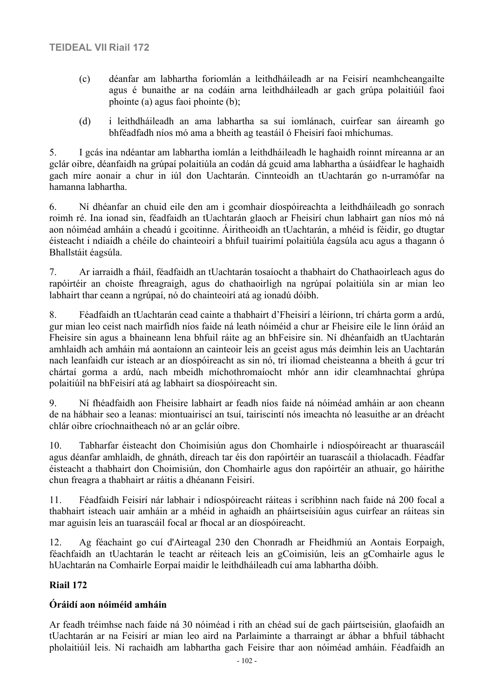#### **TEIDEAL VII Riail 172**

- (c) déanfar am labhartha foriomlán a leithdháileadh ar na Feisirí neamhcheangailte agus é bunaithe ar na codáin arna leithdháileadh ar gach grúpa polaitiúil faoi phointe (a) agus faoi phointe (b);
- (d) i leithdháileadh an ama labhartha sa suí iomlánach, cuirfear san áireamh go bhféadfadh níos mó ama a bheith ag teastáil ó Fheisirí faoi mhíchumas.

5. I gcás ina ndéantar am labhartha iomlán a leithdháileadh le haghaidh roinnt míreanna ar an gclár oibre, déanfaidh na grúpaí polaitiúla an codán dá gcuid ama labhartha a úsáidfear le haghaidh gach míre aonair a chur in iúl don Uachtarán. Cinnteoidh an tUachtarán go n-urramófar na hamanna labhartha.

6. Ní dhéanfar an chuid eile den am i gcomhair díospóireachta a leithdháileadh go sonrach roimh ré. Ina ionad sin, féadfaidh an tUachtarán glaoch ar Fheisirí chun labhairt gan níos mó ná aon nóiméad amháin a cheadú i gcoitinne. Áiritheoidh an tUachtarán, a mhéid is féidir, go dtugtar éisteacht i ndiaidh a chéile do chainteoirí a bhfuil tuairimí polaitiúla éagsúla acu agus a thagann ó Bhallstáit éagsúla.

7. Ar iarraidh a fháil, féadfaidh an tUachtarán tosaíocht a thabhairt do Chathaoirleach agus do rapóirtéir an choiste fhreagraigh, agus do chathaoirligh na ngrúpaí polaitiúla sin ar mian leo labhairt thar ceann a ngrúpaí, nó do chainteoirí atá ag ionadú dóibh.

8. Féadfaidh an tUachtarán cead cainte a thabhairt d'Fheisirí a léiríonn, trí chárta gorm a ardú, gur mian leo ceist nach mairfidh níos faide ná leath nóiméid a chur ar Fheisire eile le linn óráid an Fheisire sin agus a bhaineann lena bhfuil ráite ag an bhFeisire sin. Ní dhéanfaidh an tUachtarán amhlaidh ach amháin má aontaíonn an cainteoir leis an gceist agus más deimhin leis an Uachtarán nach leanfaidh cur isteach ar an díospóireacht as sin nó, trí iliomad cheisteanna a bheith á gcur trí chártaí gorma a ardú, nach mbeidh míchothromaíocht mhór ann idir cleamhnachtaí ghrúpa polaitiúil na bhFeisirí atá ag labhairt sa díospóireacht sin.

9. Ní fhéadfaidh aon Fheisire labhairt ar feadh níos faide ná nóiméad amháin ar aon cheann de na hábhair seo a leanas: miontuairiscí an tsuí, tairiscintí nós imeachta nó leasuithe ar an dréacht chlár oibre críochnaitheach nó ar an gclár oibre.

10. Tabharfar éisteacht don Choimisiún agus don Chomhairle i ndíospóireacht ar thuarascáil agus déanfar amhlaidh, de ghnáth, díreach tar éis don rapóirtéir an tuarascáil a thíolacadh. Féadfar éisteacht a thabhairt don Choimisiún, don Chomhairle agus don rapóirtéir an athuair, go háirithe chun freagra a thabhairt ar ráitis a dhéanann Feisirí.

11. Féadfaidh Feisirí nár labhair i ndíospóireacht ráiteas i scríbhinn nach faide ná 200 focal a thabhairt isteach uair amháin ar a mhéid in aghaidh an pháirtseisiúin agus cuirfear an ráiteas sin mar aguisín leis an tuarascáil focal ar fhocal ar an díospóireacht.

12. Ag féachaint go cuí d'Airteagal 230 den Chonradh ar Fheidhmiú an Aontais Eorpaigh, féachfaidh an tUachtarán le teacht ar réiteach leis an gCoimisiún, leis an gComhairle agus le hUachtarán na Comhairle Eorpaí maidir le leithdháileadh cuí ama labhartha dóibh.

#### **Riail 172**

#### **Óráidí aon nóiméid amháin**

Ar feadh tréimhse nach faide ná 30 nóiméad i rith an chéad suí de gach páirtseisiún, glaofaidh an tUachtarán ar na Feisirí ar mian leo aird na Parlaiminte a tharraingt ar ábhar a bhfuil tábhacht pholaitiúil leis. Ní rachaidh am labhartha gach Feisire thar aon nóiméad amháin. Féadfaidh an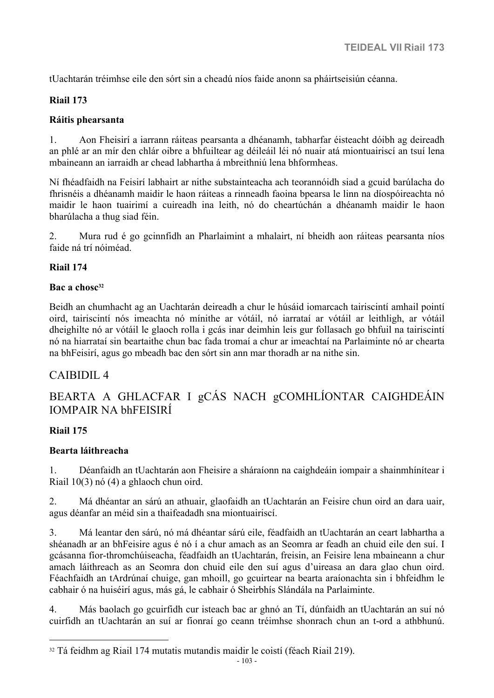tUachtarán tréimhse eile den sórt sin a cheadú níos faide anonn sa pháirtseisiún céanna.

#### **Riail 173**

#### **Ráitis phearsanta**

1. Aon Fheisirí a iarrann ráiteas pearsanta a dhéanamh, tabharfar éisteacht dóibh ag deireadh an phlé ar an mír den chlár oibre a bhfuiltear ag déileáil léi nó nuair atá miontuairiscí an tsuí lena mbaineann an iarraidh ar chead labhartha á mbreithniú lena bhformheas.

Ní fhéadfaidh na Feisirí labhairt ar nithe substainteacha ach teorannóidh siad a gcuid barúlacha do fhrisnéis a dhéanamh maidir le haon ráiteas a rinneadh faoina bpearsa le linn na díospóireachta nó maidir le haon tuairimí a cuireadh ina leith, nó do cheartúchán a dhéanamh maidir le haon bharúlacha a thug siad féin.

2. Mura rud é go gcinnfidh an Pharlaimint a mhalairt, ní bheidh aon ráiteas pearsanta níos faide ná trí nóiméad.

#### **Riail 174**

#### **Bac a chosc<sup>32</sup>**

Beidh an chumhacht ag an Uachtarán deireadh a chur le húsáid iomarcach tairiscintí amhail pointí oird, tairiscintí nós imeachta nó mínithe ar vótáil, nó iarrataí ar vótáil ar leithligh, ar vótáil dheighilte nó ar vótáil le glaoch rolla i gcás inar deimhin leis gur follasach go bhfuil na tairiscintí nó na hiarrataí sin beartaithe chun bac fada tromaí a chur ar imeachtaí na Parlaiminte nó ar chearta na bhFeisirí, agus go mbeadh bac den sórt sin ann mar thoradh ar na nithe sin.

#### CAIBIDIL 4

# BEARTA A GHLACFAR I gCÁS NACH gCOMHLÍONTAR CAIGHDEÁIN IOMPAIR NA bhFEISIRÍ

#### **Riail 175**

#### **Bearta láithreacha**

1. Déanfaidh an tUachtarán aon Fheisire a sháraíonn na caighdeáin iompair a shainmhínítear i Riail 10(3) nó (4) a ghlaoch chun oird.

2. Má dhéantar an sárú an athuair, glaofaidh an tUachtarán an Feisire chun oird an dara uair, agus déanfar an méid sin a thaifeadadh sna miontuairiscí.

3. Má leantar den sárú, nó má dhéantar sárú eile, féadfaidh an tUachtarán an ceart labhartha a shéanadh ar an bhFeisire agus é nó í a chur amach as an Seomra ar feadh an chuid eile den suí. I gcásanna fíor-thromchúiseacha, féadfaidh an tUachtarán, freisin, an Feisire lena mbaineann a chur amach láithreach as an Seomra don chuid eile den suí agus d'uireasa an dara glao chun oird. Féachfaidh an tArdrúnaí chuige, gan mhoill, go gcuirtear na bearta araíonachta sin i bhfeidhm le cabhair ó na huiséirí agus, más gá, le cabhair ó Sheirbhís Slándála na Parlaiminte.

4. Más baolach go gcuirfidh cur isteach bac ar ghnó an Tí, dúnfaidh an tUachtarán an suí nó cuirfidh an tUachtarán an suí ar fionraí go ceann tréimhse shonrach chun an t-ord a athbhunú.

<sup>32</sup> Tá feidhm ag Riail 174 mutatis mutandis maidir le coistí (féach Riail 219).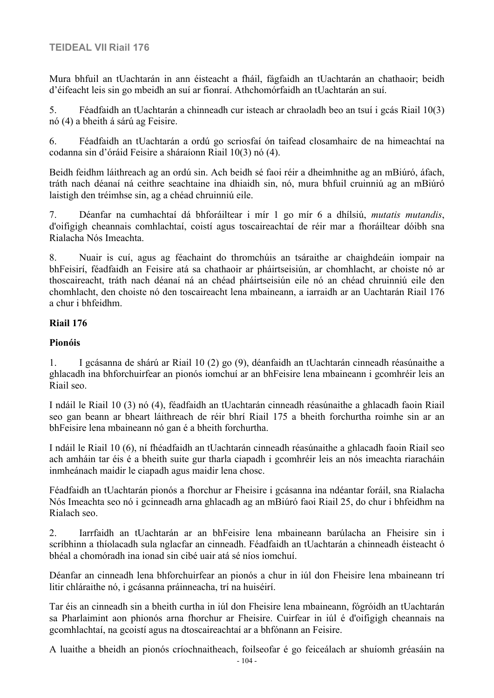### **TEIDEAL VII Riail 176**

Mura bhfuil an tUachtarán in ann éisteacht a fháil, fágfaidh an tUachtarán an chathaoir; beidh d'éifeacht leis sin go mbeidh an suí ar fionraí. Athchomórfaidh an tUachtarán an suí.

5. Féadfaidh an tUachtarán a chinneadh cur isteach ar chraoladh beo an tsuí i gcás Riail 10(3) nó (4) a bheith á sárú ag Feisire.

6. Féadfaidh an tUachtarán a ordú go scriosfaí ón taifead closamhairc de na himeachtaí na codanna sin d'óráid Feisire a sháraíonn Riail 10(3) nó (4).

Beidh feidhm láithreach ag an ordú sin. Ach beidh sé faoi réir a dheimhnithe ag an mBiúró, áfach, tráth nach déanaí ná ceithre seachtaine ina dhiaidh sin, nó, mura bhfuil cruinniú ag an mBiúró laistigh den tréimhse sin, ag a chéad chruinniú eile.

7. Déanfar na cumhachtaí dá bhforáiltear i mír 1 go mír 6 a dhílsiú, *mutatis mutandis*, d'oifigigh cheannais comhlachtaí, coistí agus toscaireachtaí de réir mar a fhoráiltear dóibh sna Rialacha Nós Imeachta.

8. Nuair is cuí, agus ag féachaint do thromchúis an tsáraithe ar chaighdeáin iompair na bhFeisirí, féadfaidh an Feisire atá sa chathaoir ar pháirtseisiún, ar chomhlacht, ar choiste nó ar thoscaireacht, tráth nach déanaí ná an chéad pháirtseisiún eile nó an chéad chruinniú eile den chomhlacht, den choiste nó den toscaireacht lena mbaineann, a iarraidh ar an Uachtarán Riail 176 a chur i bhfeidhm.

### **Riail 176**

### **Pionóis**

1. I gcásanna de shárú ar Riail 10 (2) go (9), déanfaidh an tUachtarán cinneadh réasúnaithe a ghlacadh ina bhforchuirfear an pionós iomchuí ar an bhFeisire lena mbaineann i gcomhréir leis an Riail seo.

I ndáil le Riail 10 (3) nó (4), féadfaidh an tUachtarán cinneadh réasúnaithe a ghlacadh faoin Riail seo gan beann ar bheart láithreach de réir bhrí Riail 175 a bheith forchurtha roimhe sin ar an bhFeisire lena mbaineann nó gan é a bheith forchurtha.

I ndáil le Riail 10 (6), ní fhéadfaidh an tUachtarán cinneadh réasúnaithe a ghlacadh faoin Riail seo ach amháin tar éis é a bheith suite gur tharla ciapadh i gcomhréir leis an nós imeachta riaracháin inmheánach maidir le ciapadh agus maidir lena chosc.

Féadfaidh an tUachtarán pionós a fhorchur ar Fheisire i gcásanna ina ndéantar foráil, sna Rialacha Nós Imeachta seo nó i gcinneadh arna ghlacadh ag an mBiúró faoi Riail 25, do chur i bhfeidhm na Rialach seo.

2. Iarrfaidh an tUachtarán ar an bhFeisire lena mbaineann barúlacha an Fheisire sin i scríbhinn a thíolacadh sula nglacfar an cinneadh. Féadfaidh an tUachtarán a chinneadh éisteacht ó bhéal a chomóradh ina ionad sin cibé uair atá sé níos iomchuí.

Déanfar an cinneadh lena bhforchuirfear an pionós a chur in iúl don Fheisire lena mbaineann trí litir chláraithe nó, i gcásanna práinneacha, trí na huiséirí.

Tar éis an cinneadh sin a bheith curtha in iúl don Fheisire lena mbaineann, fógróidh an tUachtarán sa Pharlaimint aon phionós arna fhorchur ar Fheisire. Cuirfear in iúl é d'oifigigh cheannais na gcomhlachtaí, na gcoistí agus na dtoscaireachtaí ar a bhfónann an Feisire.

A luaithe a bheidh an pionós críochnaitheach, foilseofar é go feiceálach ar shuíomh gréasáin na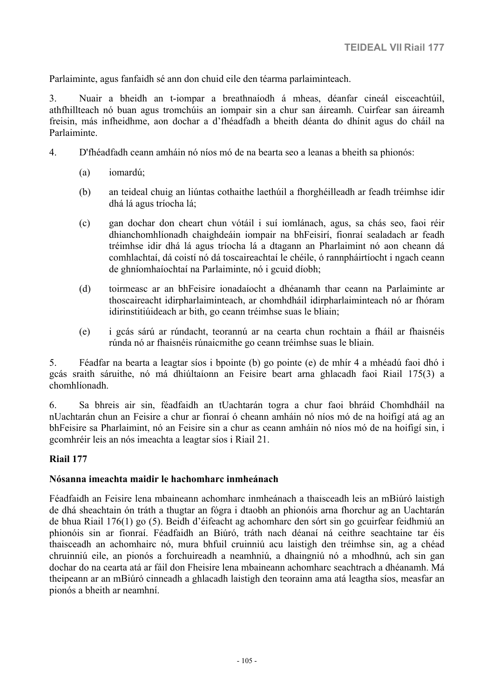Parlaiminte, agus fanfaidh sé ann don chuid eile den téarma parlaiminteach.

3. Nuair a bheidh an t-iompar a breathnaíodh á mheas, déanfar cineál eisceachtúil, athfhillteach nó buan agus tromchúis an iompair sin a chur san áireamh. Cuirfear san áireamh freisin, más infheidhme, aon dochar a d'fhéadfadh a bheith déanta do dhínit agus do cháil na Parlaiminte.

- 4. D'fhéadfadh ceann amháin nó níos mó de na bearta seo a leanas a bheith sa phionós:
	- (a) iomardú;
	- (b) an teideal chuig an liúntas cothaithe laethúil a fhorghéilleadh ar feadh tréimhse idir dhá lá agus tríocha lá;
	- (c) gan dochar don cheart chun vótáil i suí iomlánach, agus, sa chás seo, faoi réir dhianchomhlíonadh chaighdeáin iompair na bhFeisirí, fionraí sealadach ar feadh tréimhse idir dhá lá agus tríocha lá a dtagann an Pharlaimint nó aon cheann dá comhlachtaí, dá coistí nó dá toscaireachtaí le chéile, ó rannpháirtíocht i ngach ceann de ghníomhaíochtaí na Parlaiminte, nó i gcuid díobh;
	- (d) toirmeasc ar an bhFeisire ionadaíocht a dhéanamh thar ceann na Parlaiminte ar thoscaireacht idirpharlaiminteach, ar chomhdháil idirpharlaiminteach nó ar fhóram idirinstitiúideach ar bith, go ceann tréimhse suas le bliain;
	- (e) i gcás sárú ar rúndacht, teorannú ar na cearta chun rochtain a fháil ar fhaisnéis rúnda nó ar fhaisnéis rúnaicmithe go ceann tréimhse suas le bliain.

5. Féadfar na bearta a leagtar síos i bpointe (b) go pointe (e) de mhír 4 a mhéadú faoi dhó i gcás sraith sáruithe, nó má dhiúltaíonn an Feisire beart arna ghlacadh faoi Riail 175(3) a chomhlíonadh.

6. Sa bhreis air sin, féadfaidh an tUachtarán togra a chur faoi bhráid Chomhdháil na nUachtarán chun an Feisire a chur ar fionraí ó cheann amháin nó níos mó de na hoifigí atá ag an bhFeisire sa Pharlaimint, nó an Feisire sin a chur as ceann amháin nó níos mó de na hoifigí sin, i gcomhréir leis an nós imeachta a leagtar síos i Riail 21.

#### **Riail 177**

#### **Nósanna imeachta maidir le hachomharc inmheánach**

Féadfaidh an Feisire lena mbaineann achomharc inmheánach a thaisceadh leis an mBiúró laistigh de dhá sheachtain ón tráth a thugtar an fógra i dtaobh an phionóis arna fhorchur ag an Uachtarán de bhua Riail 176(1) go (5). Beidh d'éifeacht ag achomharc den sórt sin go gcuirfear feidhmiú an phionóis sin ar fionraí. Féadfaidh an Biúró, tráth nach déanaí ná ceithre seachtaine tar éis thaisceadh an achomhairc nó, mura bhfuil cruinniú acu laistigh den tréimhse sin, ag a chéad chruinniú eile, an pionós a forchuireadh a neamhniú, a dhaingniú nó a mhodhnú, ach sin gan dochar do na cearta atá ar fáil don Fheisire lena mbaineann achomharc seachtrach a dhéanamh. Má theipeann ar an mBiúró cinneadh a ghlacadh laistigh den teorainn ama atá leagtha síos, measfar an pionós a bheith ar neamhní.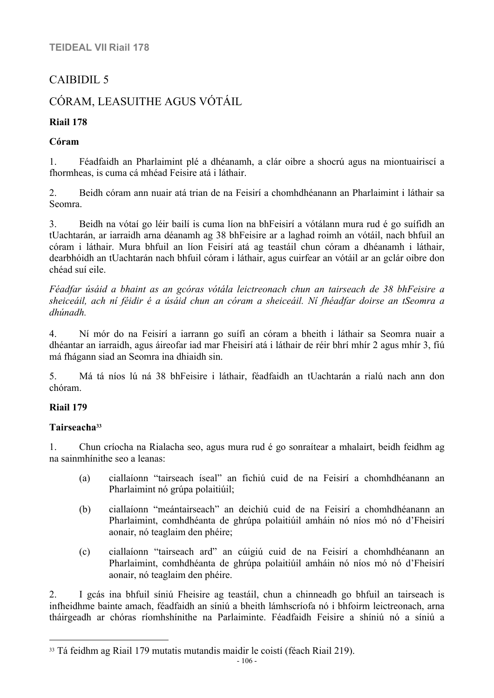# CAIBIDIL 5

# CÓRAM, LEASUITHE AGUS VÓTÁIL

# **Riail 178**

# **Córam**

1. Féadfaidh an Pharlaimint plé a dhéanamh, a clár oibre a shocrú agus na miontuairiscí a fhormheas, is cuma cá mhéad Feisire atá i láthair.

2. Beidh córam ann nuair atá trian de na Feisirí a chomhdhéanann an Pharlaimint i láthair sa Seomra.

3. Beidh na vótaí go léir bailí is cuma líon na bhFeisirí a vótálann mura rud é go suífidh an tUachtarán, ar iarraidh arna déanamh ag 38 bhFeisire ar a laghad roimh an vótáil, nach bhfuil an córam i láthair. Mura bhfuil an líon Feisirí atá ag teastáil chun córam a dhéanamh i láthair, dearbhóidh an tUachtarán nach bhfuil córam i láthair, agus cuirfear an vótáil ar an gclár oibre don chéad suí eile.

*Féadfar úsáid a bhaint as an gcóras vótála leictreonach chun an tairseach de 38 bhFeisire a sheiceáil, ach ní féidir é a úsáid chun an córam a sheiceáil. Ní fhéadfar doirse an tSeomra a dhúnadh.*

4. Ní mór do na Feisirí a iarrann go suífí an córam a bheith i láthair sa Seomra nuair a dhéantar an iarraidh, agus áireofar iad mar Fheisirí atá i láthair de réir bhrí mhír 2 agus mhír 3, fiú má fhágann siad an Seomra ina dhiaidh sin.

5. Má tá níos lú ná 38 bhFeisire i láthair, féadfaidh an tUachtarán a rialú nach ann don chóram.

# **Riail 179**

# **Tairseacha<sup>33</sup>**

1. Chun críocha na Rialacha seo, agus mura rud é go sonraítear a mhalairt, beidh feidhm ag na sainmhínithe seo a leanas:

- (a) ciallaíonn "tairseach íseal" an fichiú cuid de na Feisirí a chomhdhéanann an Pharlaimint nó grúpa polaitiúil;
- (b) ciallaíonn "meántairseach" an deichiú cuid de na Feisirí a chomhdhéanann an Pharlaimint, comhdhéanta de ghrúpa polaitiúil amháin nó níos mó nó d'Fheisirí aonair, nó teaglaim den phéire;
- (c) ciallaíonn "tairseach ard" an cúigiú cuid de na Feisirí a chomhdhéanann an Pharlaimint, comhdhéanta de ghrúpa polaitiúil amháin nó níos mó nó d'Fheisirí aonair, nó teaglaim den phéire.

2. I gcás ina bhfuil síniú Fheisire ag teastáil, chun a chinneadh go bhfuil an tairseach is infheidhme bainte amach, féadfaidh an síniú a bheith lámhscríofa nó i bhfoirm leictreonach, arna tháirgeadh ar chóras ríomhshínithe na Parlaiminte. Féadfaidh Feisire a shíniú nó a síniú a

<sup>33</sup> Tá feidhm ag Riail 179 mutatis mutandis maidir le coistí (féach Riail 219).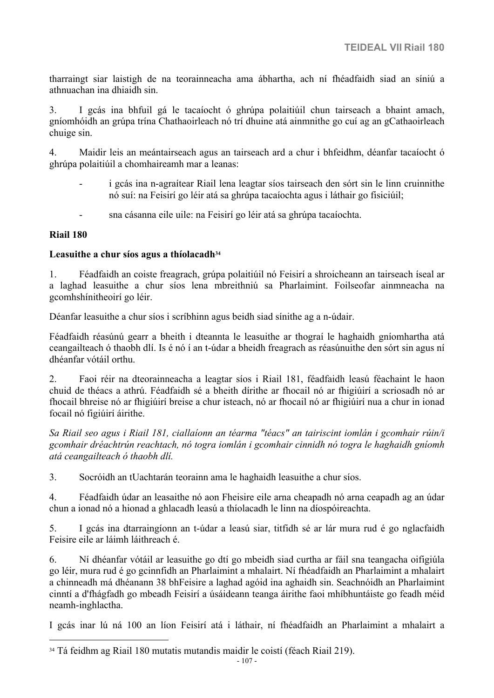tharraingt siar laistigh de na teorainneacha ama ábhartha, ach ní fhéadfaidh siad an síniú a athnuachan ina dhiaidh sin.

3. I gcás ina bhfuil gá le tacaíocht ó ghrúpa polaitiúil chun tairseach a bhaint amach, gníomhóidh an grúpa trína Chathaoirleach nó trí dhuine atá ainmnithe go cuí ag an gCathaoirleach chuige sin.

4. Maidir leis an meántairseach agus an tairseach ard a chur i bhfeidhm, déanfar tacaíocht ó ghrúpa polaitiúil a chomhaireamh mar a leanas:

- i gcás ina n-agraítear Riail lena leagtar síos tairseach den sórt sin le linn cruinnithe nó suí: na Feisirí go léir atá sa ghrúpa tacaíochta agus i láthair go fisiciúil;
- sna cásanna eile uile: na Feisirí go léir atá sa ghrúpa tacaíochta.

#### **Riail 180**

#### **Leasuithe a chur síos agus a thíolacadh<sup>34</sup>**

1. Féadfaidh an coiste freagrach, grúpa polaitiúil nó Feisirí a shroicheann an tairseach íseal ar a laghad leasuithe a chur síos lena mbreithniú sa Pharlaimint. Foilseofar ainmneacha na gcomhshínitheoirí go léir.

Déanfar leasuithe a chur síos i scríbhinn agus beidh siad sínithe ag a n-údair.

Féadfaidh réasúnú gearr a bheith i dteannta le leasuithe ar thograí le haghaidh gníomhartha atá ceangailteach ó thaobh dlí. Is é nó í an t-údar a bheidh freagrach as réasúnuithe den sórt sin agus ní dhéanfar vótáil orthu.

2. Faoi réir na dteorainneacha a leagtar síos i Riail 181, féadfaidh leasú féachaint le haon chuid de théacs a athrú. Féadfaidh sé a bheith dírithe ar fhocail nó ar fhigiúirí a scriosadh nó ar fhocail bhreise nó ar fhigiúirí breise a chur isteach, nó ar fhocail nó ar fhigiúirí nua a chur in ionad focail nó figiúirí áirithe.

*Sa Riail seo agus i Riail 181, ciallaíonn an téarma "téacs" an tairiscint iomlán i gcomhair rúin/i gcomhair dréachtrún reachtach, nó togra iomlán i gcomhair cinnidh nó togra le haghaidh gníomh atá ceangailteach ó thaobh dlí.*

3. Socróidh an tUachtarán teorainn ama le haghaidh leasuithe a chur síos.

4. Féadfaidh údar an leasaithe nó aon Fheisire eile arna cheapadh nó arna ceapadh ag an údar chun a ionad nó a hionad a ghlacadh leasú a thíolacadh le linn na díospóireachta.

5. I gcás ina dtarraingíonn an t-údar a leasú siar, titfidh sé ar lár mura rud é go nglacfaidh Feisire eile ar láimh láithreach é.

6. Ní dhéanfar vótáil ar leasuithe go dtí go mbeidh siad curtha ar fáil sna teangacha oifigiúla go léir, mura rud é go gcinnfidh an Pharlaimint a mhalairt. Ní fhéadfaidh an Pharlaimint a mhalairt a chinneadh má dhéanann 38 bhFeisire a laghad agóid ina aghaidh sin. Seachnóidh an Pharlaimint cinntí a d'fhágfadh go mbeadh Feisirí a úsáideann teanga áirithe faoi mhíbhuntáiste go feadh méid neamh-inghlactha.

I gcás inar lú ná 100 an líon Feisirí atá i láthair, ní fhéadfaidh an Pharlaimint a mhalairt a

<sup>34</sup> Tá feidhm ag Riail 180 mutatis mutandis maidir le coistí (féach Riail 219).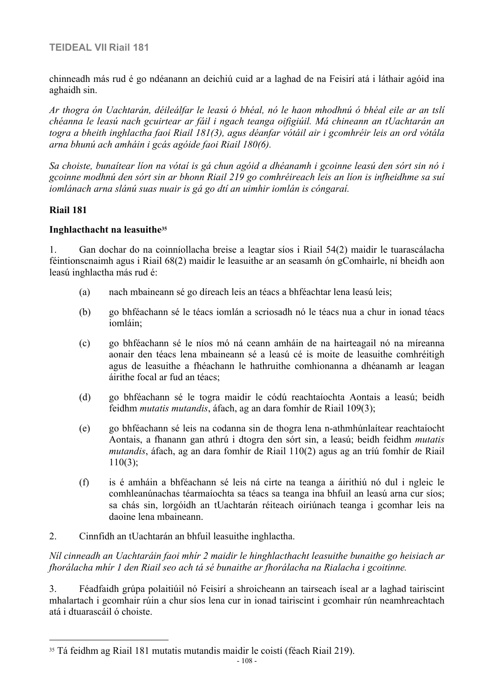chinneadh más rud é go ndéanann an deichiú cuid ar a laghad de na Feisirí atá i láthair agóid ina aghaidh sin.

*Ar thogra ón Uachtarán, déileálfar le leasú ó bhéal, nó le haon mhodhnú ó bhéal eile ar an tslí chéanna le leasú nach gcuirtear ar fáil i ngach teanga oifigiúil. Má chineann an tUachtarán an togra a bheith inghlactha faoi Riail 181(3), agus déanfar vótáil air i gcomhréir leis an ord vótála arna bhunú ach amháin i gcás agóide faoi Riail 180(6).*

*Sa choiste, bunaítear líon na vótaí is gá chun agóid a dhéanamh i gcoinne leasú den sórt sin nó i gcoinne modhnú den sórt sin ar bhonn Riail 219 go comhréireach leis an líon is infheidhme sa suí iomlánach arna slánú suas nuair is gá go dtí an uimhir iomlán is cóngaraí.*

### **Riail 181**

#### **Inghlacthacht na leasuithe<sup>35</sup>**

1. Gan dochar do na coinníollacha breise a leagtar síos i Riail 54(2) maidir le tuarascálacha féintionscnaimh agus i Riail 68(2) maidir le leasuithe ar an seasamh ón gComhairle, ní bheidh aon leasú inghlactha más rud é:

- (a) nach mbaineann sé go díreach leis an téacs a bhféachtar lena leasú leis;
- (b) go bhféachann sé le téacs iomlán a scriosadh nó le téacs nua a chur in ionad téacs iomláin;
- (c) go bhféachann sé le níos mó ná ceann amháin de na hairteagail nó na míreanna aonair den téacs lena mbaineann sé a leasú cé is moite de leasuithe comhréitigh agus de leasuithe a fhéachann le hathruithe comhionanna a dhéanamh ar leagan áirithe focal ar fud an téacs;
- (d) go bhféachann sé le togra maidir le códú reachtaíochta Aontais a leasú; beidh feidhm *mutatis mutandis*, áfach, ag an dara fomhír de Riail 109(3);
- (e) go bhféachann sé leis na codanna sin de thogra lena n-athmhúnlaítear reachtaíocht Aontais, a fhanann gan athrú i dtogra den sórt sin, a leasú; beidh feidhm *mutatis mutandis*, áfach, ag an dara fomhír de Riail 110(2) agus ag an tríú fomhír de Riail  $110(3);$
- (f) is é amháin a bhféachann sé leis ná cirte na teanga a áirithiú nó dul i ngleic le comhleanúnachas téarmaíochta sa téacs sa teanga ina bhfuil an leasú arna cur síos; sa chás sin, lorgóidh an tUachtarán réiteach oiriúnach teanga i gcomhar leis na daoine lena mbaineann.
- 2. Cinnfidh an tUachtarán an bhfuil leasuithe inghlactha.

*Níl cinneadh an Uachtaráin faoi mhír 2 maidir le hinghlacthacht leasuithe bunaithe go heisiach ar fhorálacha mhír 1 den Riail seo ach tá sé bunaithe ar fhorálacha na Rialacha i gcoitinne.*

3. Féadfaidh grúpa polaitiúil nó Feisirí a shroicheann an tairseach íseal ar a laghad tairiscint mhalartach i gcomhair rúin a chur síos lena cur in ionad tairiscint i gcomhair rún neamhreachtach atá i dtuarascáil ó choiste.

<sup>35</sup> Tá feidhm ag Riail 181 mutatis mutandis maidir le coistí (féach Riail 219).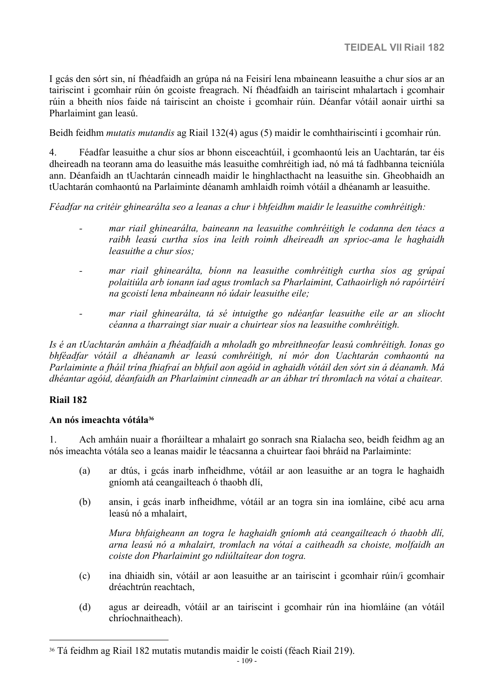I gcás den sórt sin, ní fhéadfaidh an grúpa ná na Feisirí lena mbaineann leasuithe a chur síos ar an tairiscint i gcomhair rúin ón gcoiste freagrach. Ní fhéadfaidh an tairiscint mhalartach i gcomhair rúin a bheith níos faide ná tairiscint an choiste i gcomhair rúin. Déanfar vótáil aonair uirthi sa Pharlaimint gan leasú.

Beidh feidhm *mutatis mutandis* ag Riail 132(4) agus (5) maidir le comhthairiscintí i gcomhair rún.

4. Féadfar leasuithe a chur síos ar bhonn eisceachtúil, i gcomhaontú leis an Uachtarán, tar éis dheireadh na teorann ama do leasuithe más leasuithe comhréitigh iad, nó má tá fadhbanna teicniúla ann. Déanfaidh an tUachtarán cinneadh maidir le hinghlacthacht na leasuithe sin. Gheobhaidh an tUachtarán comhaontú na Parlaiminte déanamh amhlaidh roimh vótáil a dhéanamh ar leasuithe.

*Féadfar na critéir ghinearálta seo a leanas a chur i bhfeidhm maidir le leasuithe comhréitigh:*

- *mar riail ghinearálta, baineann na leasuithe comhréitigh le codanna den téacs a raibh leasú curtha síos ina leith roimh dheireadh an sprioc-ama le haghaidh leasuithe a chur síos;*
- *mar riail ghinearálta, bíonn na leasuithe comhréitigh curtha síos ag grúpaí polaitiúla arb ionann iad agus tromlach sa Pharlaimint, Cathaoirligh nó rapóirtéirí na gcoistí lena mbaineann nó údair leasuithe eile;*
- *mar riail ghinearálta, tá sé intuigthe go ndéanfar leasuithe eile ar an sliocht céanna a tharraingt siar nuair a chuirtear síos na leasuithe comhréitigh.*

*Is é an tUachtarán amháin a fhéadfaidh a mholadh go mbreithneofar leasú comhréitigh. Ionas go bhféadfar vótáil a dhéanamh ar leasú comhréitigh, ní mór don Uachtarán comhaontú na Parlaiminte a fháil trína fhiafraí an bhfuil aon agóid in aghaidh vótáil den sórt sin á déanamh. Má dhéantar agóid, déanfaidh an Pharlaimint cinneadh ar an ábhar trí thromlach na vótaí a chaitear.*

#### **Riail 182**

#### **An nós imeachta vótála<sup>36</sup>**

1. Ach amháin nuair a fhoráiltear a mhalairt go sonrach sna Rialacha seo, beidh feidhm ag an nós imeachta vótála seo a leanas maidir le téacsanna a chuirtear faoi bhráid na Parlaiminte:

- (a) ar dtús, i gcás inarb infheidhme, vótáil ar aon leasuithe ar an togra le haghaidh gníomh atá ceangailteach ó thaobh dlí,
- (b) ansin, i gcás inarb infheidhme, vótáil ar an togra sin ina iomláine, cibé acu arna leasú nó a mhalairt,

*Mura bhfaigheann an togra le haghaidh gníomh atá ceangailteach ó thaobh dlí, arna leasú nó a mhalairt, tromlach na vótaí a caitheadh sa choiste, molfaidh an coiste don Pharlaimint go ndiúltaítear don togra.*

- (c) ina dhiaidh sin, vótáil ar aon leasuithe ar an tairiscint i gcomhair rúin/i gcomhair dréachtrún reachtach,
- (d) agus ar deireadh, vótáil ar an tairiscint i gcomhair rún ina hiomláine (an vótáil chríochnaitheach).

<sup>36</sup> Tá feidhm ag Riail 182 mutatis mutandis maidir le coistí (féach Riail 219).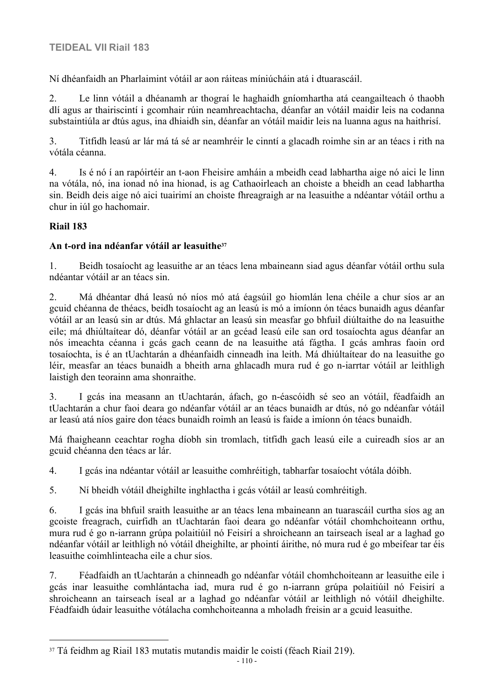Ní dhéanfaidh an Pharlaimint vótáil ar aon ráiteas míniúcháin atá i dtuarascáil.

2. Le linn vótáil a dhéanamh ar thograí le haghaidh gníomhartha atá ceangailteach ó thaobh dlí agus ar thairiscintí i gcomhair rúin neamhreachtacha, déanfar an vótáil maidir leis na codanna substaintiúla ar dtús agus, ina dhiaidh sin, déanfar an vótáil maidir leis na luanna agus na haithrisí.

3. Titfidh leasú ar lár má tá sé ar neamhréir le cinntí a glacadh roimhe sin ar an téacs i rith na vótála céanna.

4. Is é nó í an rapóirtéir an t-aon Fheisire amháin a mbeidh cead labhartha aige nó aici le linn na vótála, nó, ina ionad nó ina hionad, is ag Cathaoirleach an choiste a bheidh an cead labhartha sin. Beidh deis aige nó aici tuairimí an choiste fhreagraigh ar na leasuithe a ndéantar vótáil orthu a chur in iúl go hachomair.

# **Riail 183**

## **An t-ord ina ndéanfar vótáil ar leasuithe<sup>37</sup>**

1. Beidh tosaíocht ag leasuithe ar an téacs lena mbaineann siad agus déanfar vótáil orthu sula ndéantar vótáil ar an téacs sin.

2. Má dhéantar dhá leasú nó níos mó atá éagsúil go hiomlán lena chéile a chur síos ar an gcuid chéanna de théacs, beidh tosaíocht ag an leasú is mó a imíonn ón téacs bunaidh agus déanfar vótáil ar an leasú sin ar dtús. Má ghlactar an leasú sin measfar go bhfuil diúltaithe do na leasuithe eile; má dhiúltaítear dó, déanfar vótáil ar an gcéad leasú eile san ord tosaíochta agus déanfar an nós imeachta céanna i gcás gach ceann de na leasuithe atá fágtha. I gcás amhras faoin ord tosaíochta, is é an tUachtarán a dhéanfaidh cinneadh ina leith. Má dhiúltaítear do na leasuithe go léir, measfar an téacs bunaidh a bheith arna ghlacadh mura rud é go n-iarrtar vótáil ar leithligh laistigh den teorainn ama shonraithe.

3. I gcás ina measann an tUachtarán, áfach, go n-éascóidh sé seo an vótáil, féadfaidh an tUachtarán a chur faoi deara go ndéanfar vótáil ar an téacs bunaidh ar dtús, nó go ndéanfar vótáil ar leasú atá níos gaire don téacs bunaidh roimh an leasú is faide a imíonn ón téacs bunaidh.

Má fhaigheann ceachtar rogha díobh sin tromlach, titfidh gach leasú eile a cuireadh síos ar an gcuid chéanna den téacs ar lár.

4. I gcás ina ndéantar vótáil ar leasuithe comhréitigh, tabharfar tosaíocht vótála dóibh.

5. Ní bheidh vótáil dheighilte inghlactha i gcás vótáil ar leasú comhréitigh.

6. I gcás ina bhfuil sraith leasuithe ar an téacs lena mbaineann an tuarascáil curtha síos ag an gcoiste freagrach, cuirfidh an tUachtarán faoi deara go ndéanfar vótáil chomhchoiteann orthu, mura rud é go n-iarrann grúpa polaitiúil nó Feisirí a shroicheann an tairseach íseal ar a laghad go ndéanfar vótáil ar leithligh nó vótáil dheighilte, ar phointí áirithe, nó mura rud é go mbeifear tar éis leasuithe coimhlinteacha eile a chur síos.

7. Féadfaidh an tUachtarán a chinneadh go ndéanfar vótáil chomhchoiteann ar leasuithe eile i gcás inar leasuithe comhlántacha iad, mura rud é go n-iarrann grúpa polaitiúil nó Feisirí a shroicheann an tairseach íseal ar a laghad go ndéanfar vótáil ar leithligh nó vótáil dheighilte. Féadfaidh údair leasuithe vótálacha comhchoiteanna a mholadh freisin ar a gcuid leasuithe.

<sup>37</sup> Tá feidhm ag Riail 183 mutatis mutandis maidir le coistí (féach Riail 219).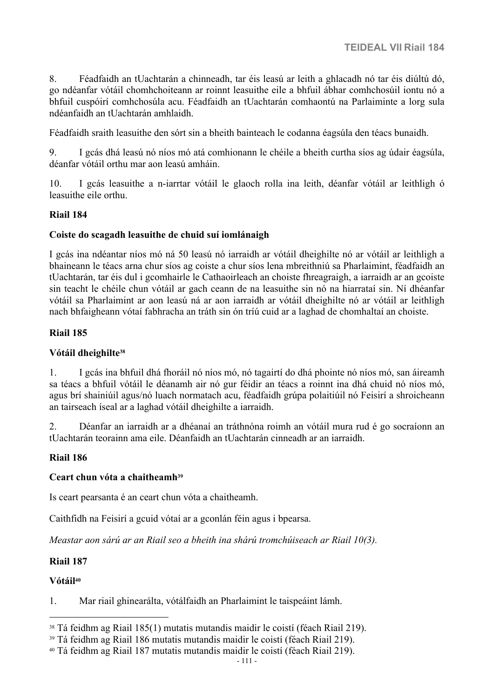8. Féadfaidh an tUachtarán a chinneadh, tar éis leasú ar leith a ghlacadh nó tar éis diúltú dó, go ndéanfar vótáil chomhchoiteann ar roinnt leasuithe eile a bhfuil ábhar comhchosúil iontu nó a bhfuil cuspóirí comhchosúla acu. Féadfaidh an tUachtarán comhaontú na Parlaiminte a lorg sula ndéanfaidh an tUachtarán amhlaidh.

Féadfaidh sraith leasuithe den sórt sin a bheith bainteach le codanna éagsúla den téacs bunaidh.

9. I gcás dhá leasú nó níos mó atá comhionann le chéile a bheith curtha síos ag údair éagsúla, déanfar vótáil orthu mar aon leasú amháin.

10. I gcás leasuithe a n-iarrtar vótáil le glaoch rolla ina leith, déanfar vótáil ar leithligh ó leasuithe eile orthu.

#### **Riail 184**

#### **Coiste do scagadh leasuithe de chuid suí iomlánaigh**

I gcás ina ndéantar níos mó ná 50 leasú nó iarraidh ar vótáil dheighilte nó ar vótáil ar leithligh a bhaineann le téacs arna chur síos ag coiste a chur síos lena mbreithniú sa Pharlaimint, féadfaidh an tUachtarán, tar éis dul i gcomhairle le Cathaoirleach an choiste fhreagraigh, a iarraidh ar an gcoiste sin teacht le chéile chun vótáil ar gach ceann de na leasuithe sin nó na hiarrataí sin. Ní dhéanfar vótáil sa Pharlaimint ar aon leasú ná ar aon iarraidh ar vótáil dheighilte nó ar vótáil ar leithligh nach bhfaigheann vótaí fabhracha an tráth sin ón tríú cuid ar a laghad de chomhaltaí an choiste.

#### **Riail 185**

#### **Vótáil dheighilte<sup>38</sup>**

1. I gcás ina bhfuil dhá fhoráil nó níos mó, nó tagairtí do dhá phointe nó níos mó, san áireamh sa téacs a bhfuil vótáil le déanamh air nó gur féidir an téacs a roinnt ina dhá chuid nó níos mó, agus brí shainiúil agus/nó luach normatach acu, féadfaidh grúpa polaitiúil nó Feisirí a shroicheann an tairseach íseal ar a laghad vótáil dheighilte a iarraidh.

2. Déanfar an iarraidh ar a dhéanaí an tráthnóna roimh an vótáil mura rud é go socraíonn an tUachtarán teorainn ama eile. Déanfaidh an tUachtarán cinneadh ar an iarraidh.

#### **Riail 186**

#### **Ceart chun vóta a chaitheamh<sup>39</sup>**

Is ceart pearsanta é an ceart chun vóta a chaitheamh.

Caithfidh na Feisirí a gcuid vótaí ar a gconlán féin agus i bpearsa.

*Meastar aon sárú ar an Riail seo a bheith ina shárú tromchúiseach ar Riail 10(3).*

#### **Riail 187**

#### **Vótáil<sup>40</sup>**

1. Mar riail ghinearálta, vótálfaidh an Pharlaimint le taispeáint lámh.

<sup>38</sup> Tá feidhm ag Riail 185(1) mutatis mutandis maidir le coistí (féach Riail 219).

<sup>39</sup> Tá feidhm ag Riail 186 mutatis mutandis maidir le coistí (féach Riail 219).

<sup>40</sup> Tá feidhm ag Riail 187 mutatis mutandis maidir le coistí (féach Riail 219).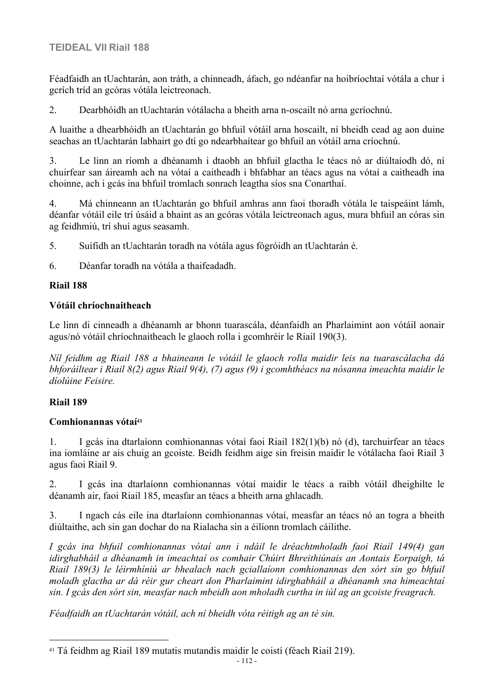# **TEIDEAL VII Riail 188**

Féadfaidh an tUachtarán, aon tráth, a chinneadh, áfach, go ndéanfar na hoibríochtaí vótála a chur i gcrích tríd an gcóras vótála leictreonach.

2. Dearbhóidh an tUachtarán vótálacha a bheith arna n-oscailt nó arna gcríochnú.

A luaithe a dhearbhóidh an tUachtarán go bhfuil vótáil arna hoscailt, ní bheidh cead ag aon duine seachas an tUachtarán labhairt go dtí go ndearbhaítear go bhfuil an vótáil arna críochnú.

3. Le linn an ríomh a dhéanamh i dtaobh an bhfuil glactha le téacs nó ar diúltaíodh dó, ní chuirfear san áireamh ach na vótaí a caitheadh i bhfabhar an téacs agus na vótaí a caitheadh ina choinne, ach i gcás ina bhfuil tromlach sonrach leagtha síos sna Conarthaí.

4. Má chinneann an tUachtarán go bhfuil amhras ann faoi thoradh vótála le taispeáint lámh, déanfar vótáil eile trí úsáid a bhaint as an gcóras vótála leictreonach agus, mura bhfuil an córas sin ag feidhmiú, trí shuí agus seasamh.

5. Suífidh an tUachtarán toradh na vótála agus fógróidh an tUachtarán é.

6. Déanfar toradh na vótála a thaifeadadh.

#### **Riail 188**

#### **Vótáil chríochnaitheach**

Le linn di cinneadh a dhéanamh ar bhonn tuarascála, déanfaidh an Pharlaimint aon vótáil aonair agus/nó vótáil chríochnaitheach le glaoch rolla i gcomhréir le Riail 190(3).

*Níl feidhm ag Riail 188 a bhaineann le vótáil le glaoch rolla maidir leis na tuarascálacha dá bhforáiltear i Riail 8(2) agus Riail 9(4), (7) agus (9) i gcomhthéacs na nósanna imeachta maidir le díolúine Feisire.*

#### **Riail 189**

#### **Comhionannas vótaí<sup>41</sup>**

1. I gcás ina dtarlaíonn comhionannas vótaí faoi Riail 182(1)(b) nó (d), tarchuirfear an téacs ina iomláine ar ais chuig an gcoiste. Beidh feidhm aige sin freisin maidir le vótálacha faoi Riail 3 agus faoi Riail 9.

2. I gcás ina dtarlaíonn comhionannas vótaí maidir le téacs a raibh vótáil dheighilte le déanamh air, faoi Riail 185, measfar an téacs a bheith arna ghlacadh.

3. I ngach cás eile ina dtarlaíonn comhionannas vótaí, measfar an téacs nó an togra a bheith diúltaithe, ach sin gan dochar do na Rialacha sin a éilíonn tromlach cáilithe.

*I gcás ina bhfuil comhionannas vótaí ann i ndáil le dréachtmholadh faoi Riail 149(4) gan idirghabháil a dhéanamh in imeachtaí os comhair Chúirt Bhreithiúnais an Aontais Eorpaigh, tá Riail 189(3) le léirmhíniú ar bhealach nach gciallaíonn comhionannas den sórt sin go bhfuil moladh glactha ar dá réir gur cheart don Pharlaimint idirghabháil a dhéanamh sna himeachtaí sin. I gcás den sórt sin, measfar nach mbeidh aon mholadh curtha in iúl ag an gcoiste freagrach.*

*Féadfaidh an tUachtarán vótáil, ach ní bheidh vóta réitigh ag an té sin.*

<sup>41</sup> Tá feidhm ag Riail 189 mutatis mutandis maidir le coistí (féach Riail 219).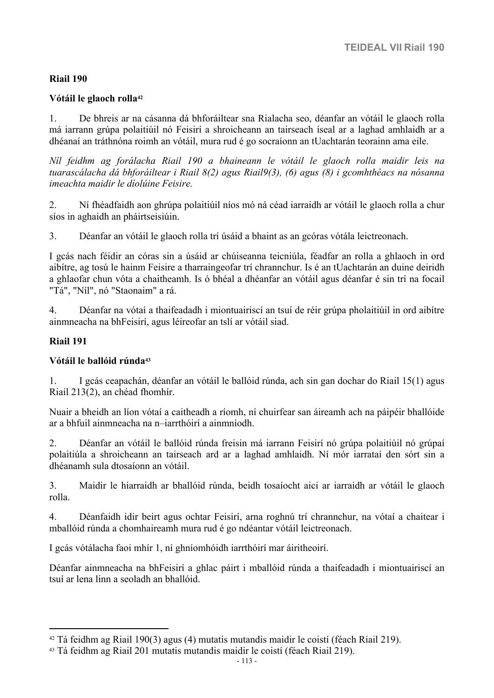#### **Riail 190**

#### **Vótáil le glaoch rolla<sup>42</sup>**

1. De bhreis ar na cásanna dá bhforáiltear sna Rialacha seo, déanfar an vótáil le glaoch rolla má iarrann grúpa polaitiúil nó Feisirí a shroicheann an tairseach íseal ar a laghad amhlaidh ar a dhéanaí an tráthnóna roimh an vótáil, mura rud é go socraíonn an tUachtarán teorainn ama eile.

*Níl feidhm ag forálacha Riail 190 a bhaineann le vótáil le glaoch rolla maidir leis na tuarascálacha dá bhforáiltear i Riail 8(2) agus Riail9(3), (6) agus (8) i gcomhthéacs na nósanna imeachta maidir le díolúine Feisire.*

2. Ní fhéadfaidh aon ghrúpa polaitiúil níos mó ná céad iarraidh ar vótáil le glaoch rolla a chur síos in aghaidh an pháirtseisiúin.

3. Déanfar an vótáil le glaoch rolla trí úsáid a bhaint as an gcóras vótála leictreonach.

I gcás nach féidir an córas sin a úsáid ar chúiseanna teicniúla, féadfar an rolla a ghlaoch in ord aibítre, ag tosú le hainm Feisire a tharraingeofar trí chrannchur. Is é an tUachtarán an duine deiridh a ghlaofar chun vóta a chaitheamh. Is ó bhéal a dhéanfar an vótáil agus déanfar é sin trí na focail "Tá", "Níl", nó "Staonaim" a rá.

4. Déanfar na vótaí a thaifeadadh i miontuairiscí an tsuí de réir grúpa pholaitiúil in ord aibítre ainmneacha na bhFeisirí, agus léireofar an tslí ar vótáil siad.

#### **Riail 191**

#### **Vótáil le ballóid rúnda<sup>43</sup>**

1. I gcás ceapachán, déanfar an vótáil le ballóid rúnda, ach sin gan dochar do Riail 15(1) agus Riail 213(2), an chéad fhomhír.

Nuair a bheidh an líon vótaí a caitheadh a ríomh, ní chuirfear san áireamh ach na páipéir bhallóide ar a bhfuil ainmneacha na n–iarrthóirí a ainmníodh.

2. Déanfar an vótáil le ballóid rúnda freisin má iarrann Feisirí nó grúpa polaitiúil nó grúpaí polaitiúla a shroicheann an tairseach ard ar a laghad amhlaidh. Ní mór iarrataí den sórt sin a dhéanamh sula dtosaíonn an vótáil.

3. Maidir le hiarraidh ar bhallóid rúnda, beidh tosaíocht aici ar iarraidh ar vótáil le glaoch rolla.

4. Déanfaidh idir beirt agus ochtar Feisirí, arna roghnú trí chrannchur, na vótaí a chaitear i mballóid rúnda a chomhaireamh mura rud é go ndéantar vótáil leictreonach.

I gcás vótálacha faoi mhír 1, ní ghníomhóidh iarrthóirí mar áiritheoirí.

Déanfar ainmneacha na bhFeisirí a ghlac páirt i mballóid rúnda a thaifeadadh i miontuairiscí an tsuí ar lena linn a seoladh an bhallóid.

<sup>42</sup> Tá feidhm ag Riail 190(3) agus (4) mutatis mutandis maidir le coistí (féach Riail 219).

<sup>43</sup> Tá feidhm ag Riail 201 mutatis mutandis maidir le coistí (féach Riail 219).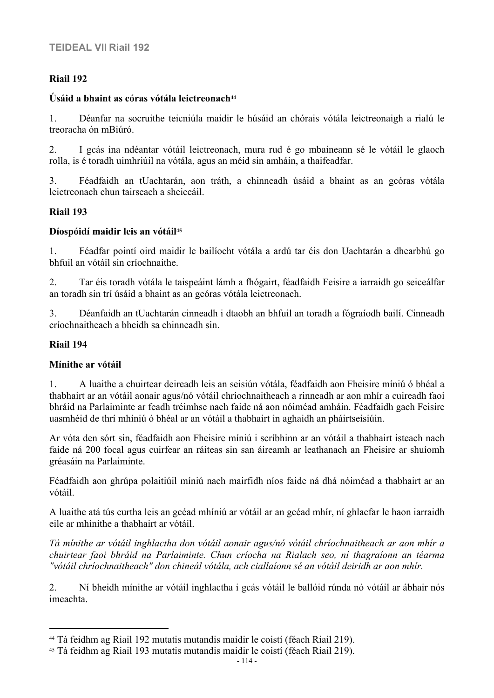# **Riail 192**

## **Úsáid a bhaint as córas vótála leictreonach<sup>44</sup>**

1. Déanfar na socruithe teicniúla maidir le húsáid an chórais vótála leictreonaigh a rialú le treoracha ón mBiúró.

2. I gcás ina ndéantar vótáil leictreonach, mura rud é go mbaineann sé le vótáil le glaoch rolla, is é toradh uimhriúil na vótála, agus an méid sin amháin, a thaifeadfar.

3. Féadfaidh an tUachtarán, aon tráth, a chinneadh úsáid a bhaint as an gcóras vótála leictreonach chun tairseach a sheiceáil.

# **Riail 193**

## **Díospóidí maidir leis an vótáil<sup>45</sup>**

1. Féadfar pointí oird maidir le bailíocht vótála a ardú tar éis don Uachtarán a dhearbhú go bhfuil an vótáil sin críochnaithe.

2. Tar éis toradh vótála le taispeáint lámh a fhógairt, féadfaidh Feisire a iarraidh go seiceálfar an toradh sin trí úsáid a bhaint as an gcóras vótála leictreonach.

3. Déanfaidh an tUachtarán cinneadh i dtaobh an bhfuil an toradh a fógraíodh bailí. Cinneadh críochnaitheach a bheidh sa chinneadh sin.

## **Riail 194**

#### **Mínithe ar vótáil**

1. A luaithe a chuirtear deireadh leis an seisiún vótála, féadfaidh aon Fheisire míniú ó bhéal a thabhairt ar an vótáil aonair agus/nó vótáil chríochnaitheach a rinneadh ar aon mhír a cuireadh faoi bhráid na Parlaiminte ar feadh tréimhse nach faide ná aon nóiméad amháin. Féadfaidh gach Feisire uasmhéid de thrí mhíniú ó bhéal ar an vótáil a thabhairt in aghaidh an pháirtseisiúin.

Ar vóta den sórt sin, féadfaidh aon Fheisire míniú i scríbhinn ar an vótáil a thabhairt isteach nach faide ná 200 focal agus cuirfear an ráiteas sin san áireamh ar leathanach an Fheisire ar shuíomh gréasáin na Parlaiminte.

Féadfaidh aon ghrúpa polaitiúil míniú nach mairfidh níos faide ná dhá nóiméad a thabhairt ar an vótáil.

A luaithe atá tús curtha leis an gcéad mhíniú ar vótáil ar an gcéad mhír, ní ghlacfar le haon iarraidh eile ar mhínithe a thabhairt ar vótáil.

*Tá mínithe ar vótáil inghlactha don vótáil aonair agus/nó vótáil chríochnaitheach ar aon mhír a chuirtear faoi bhráid na Parlaiminte. Chun críocha na Rialach seo, ní thagraíonn an téarma "vótáil chríochnaitheach" don chineál vótála, ach ciallaíonn sé an vótáil deiridh ar aon mhír.*

2. Ní bheidh mínithe ar vótáil inghlactha i gcás vótáil le ballóid rúnda nó vótáil ar ábhair nós imeachta.

<sup>44</sup> Tá feidhm ag Riail 192 mutatis mutandis maidir le coistí (féach Riail 219).

<sup>45</sup> Tá feidhm ag Riail 193 mutatis mutandis maidir le coistí (féach Riail 219).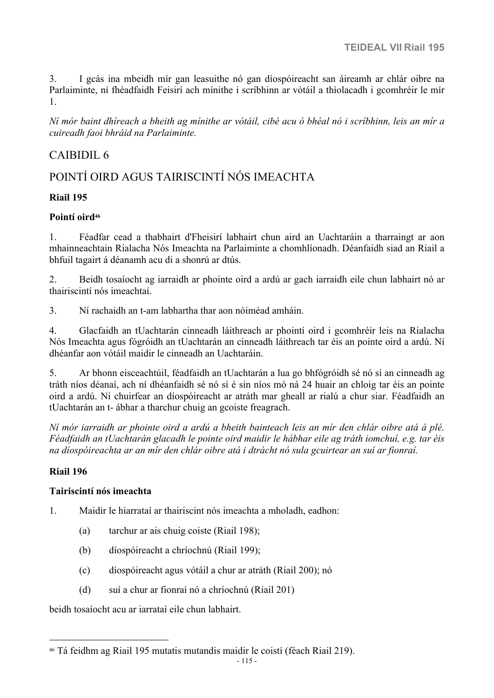3. I gcás ina mbeidh mír gan leasuithe nó gan díospóireacht san áireamh ar chlár oibre na Parlaiminte, ní fhéadfaidh Feisirí ach mínithe i scríbhinn ar vótáil a thíolacadh i gcomhréir le mír 1.

*Ní mór baint dhíreach a bheith ag mínithe ar vótáil, cibé acu ó bhéal nó i scríbhinn, leis an mír a cuireadh faoi bhráid na Parlaiminte.*

# CAIBIDIL 6

# POINTÍ OIRD AGUS TAIRISCINTÍ NÓS IMEACHTA

## **Riail 195**

#### **Pointí oird<sup>46</sup>**

1. Féadfar cead a thabhairt d'Fheisirí labhairt chun aird an Uachtaráin a tharraingt ar aon mhainneachtain Rialacha Nós Imeachta na Parlaiminte a chomhlíonadh. Déanfaidh siad an Riail a bhfuil tagairt á déanamh acu di a shonrú ar dtús.

2. Beidh tosaíocht ag iarraidh ar phointe oird a ardú ar gach iarraidh eile chun labhairt nó ar thairiscintí nós imeachtaí.

3. Ní rachaidh an t-am labhartha thar aon nóiméad amháin.

4. Glacfaidh an tUachtarán cinneadh láithreach ar phointí oird i gcomhréir leis na Rialacha Nós Imeachta agus fógróidh an tUachtarán an cinneadh láithreach tar éis an pointe oird a ardú. Ní dhéanfar aon vótáil maidir le cinneadh an Uachtaráin.

5. Ar bhonn eisceachtúil, féadfaidh an tUachtarán a lua go bhfógróidh sé nó sí an cinneadh ag tráth níos déanaí, ach ní dhéanfaidh sé nó sí é sin níos mó ná 24 huair an chloig tar éis an pointe oird a ardú. Ní chuirfear an díospóireacht ar atráth mar gheall ar rialú a chur siar. Féadfaidh an tUachtarán an t- ábhar a tharchur chuig an gcoiste freagrach.

*Ní mór iarraidh ar phointe oird a ardú a bheith bainteach leis an mír den chlár oibre atá á plé. Féadfaidh an tUachtarán glacadh le pointe oird maidir le hábhar eile ag tráth iomchuí, e.g. tar éis na díospóireachta ar an mír den chlár oibre atá i dtrácht nó sula gcuirtear an suí ar fionraí.*

#### **Riail 196**

#### **Tairiscintí nós imeachta**

- 1. Maidir le hiarrataí ar thairiscint nós imeachta a mholadh, eadhon:
	- (a) tarchur ar ais chuig coiste (Riail 198);
	- (b) díospóireacht a chríochnú (Riail 199);
	- (c) díospóireacht agus vótáil a chur ar atráth (Riail 200); nó
	- (d) suí a chur ar fionraí nó a chríochnú (Riail 201)

beidh tosaíocht acu ar iarrataí eile chun labhairt.

<sup>46</sup> Tá feidhm ag Riail 195 mutatis mutandis maidir le coistí (féach Riail 219).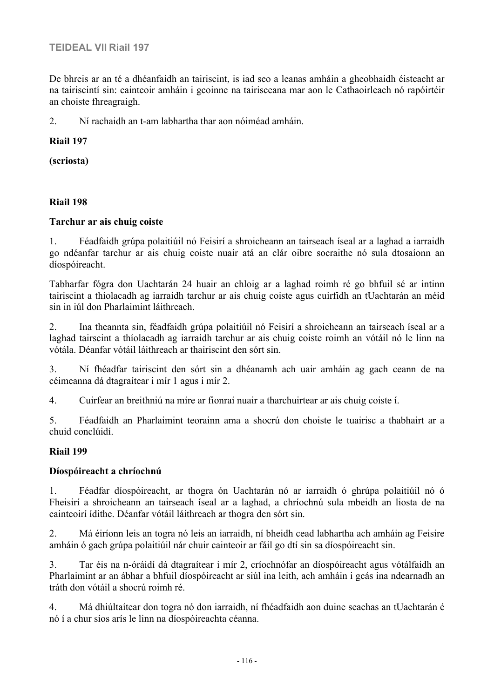## **TEIDEAL VII Riail 197**

De bhreis ar an té a dhéanfaidh an tairiscint, is iad seo a leanas amháin a gheobhaidh éisteacht ar na tairiscintí sin: cainteoir amháin i gcoinne na tairisceana mar aon le Cathaoirleach nó rapóirtéir an choiste fhreagraigh.

2. Ní rachaidh an t-am labhartha thar aon nóiméad amháin.

## **Riail 197**

**(scriosta)**

## **Riail 198**

## **Tarchur ar ais chuig coiste**

1. Féadfaidh grúpa polaitiúil nó Feisirí a shroicheann an tairseach íseal ar a laghad a iarraidh go ndéanfar tarchur ar ais chuig coiste nuair atá an clár oibre socraithe nó sula dtosaíonn an díospóireacht.

Tabharfar fógra don Uachtarán 24 huair an chloig ar a laghad roimh ré go bhfuil sé ar intinn tairiscint a thíolacadh ag iarraidh tarchur ar ais chuig coiste agus cuirfidh an tUachtarán an méid sin in iúl don Pharlaimint láithreach.

2. Ina theannta sin, féadfaidh grúpa polaitiúil nó Feisirí a shroicheann an tairseach íseal ar a laghad tairscint a thíolacadh ag iarraidh tarchur ar ais chuig coiste roimh an vótáil nó le linn na vótála. Déanfar vótáil láithreach ar thairiscint den sórt sin.

3. Ní fhéadfar tairiscint den sórt sin a dhéanamh ach uair amháin ag gach ceann de na céimeanna dá dtagraítear i mír 1 agus i mír 2.

4. Cuirfear an breithniú na míre ar fionraí nuair a tharchuirtear ar ais chuig coiste í.

5. Féadfaidh an Pharlaimint teorainn ama a shocrú don choiste le tuairisc a thabhairt ar a chuid conclúidí.

#### **Riail 199**

#### **Díospóireacht a chríochnú**

1. Féadfar díospóireacht, ar thogra ón Uachtarán nó ar iarraidh ó ghrúpa polaitiúil nó ó Fheisirí a shroicheann an tairseach íseal ar a laghad, a chríochnú sula mbeidh an liosta de na cainteoirí ídithe. Déanfar vótáil láithreach ar thogra den sórt sin.

2. Má éiríonn leis an togra nó leis an iarraidh, ní bheidh cead labhartha ach amháin ag Feisire amháin ó gach grúpa polaitiúil nár chuir cainteoir ar fáil go dtí sin sa díospóireacht sin.

3. Tar éis na n-óráidí dá dtagraítear i mír 2, críochnófar an díospóireacht agus vótálfaidh an Pharlaimint ar an ábhar a bhfuil díospóireacht ar siúl ina leith, ach amháin i gcás ina ndearnadh an tráth don vótáil a shocrú roimh ré.

4. Má dhiúltaítear don togra nó don iarraidh, ní fhéadfaidh aon duine seachas an tUachtarán é nó í a chur síos arís le linn na díospóireachta céanna.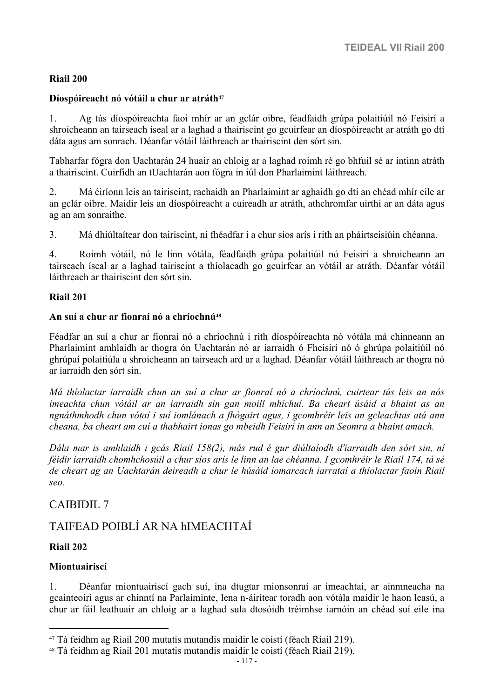#### **Riail 200**

#### **Díospóireacht nó vótáil a chur ar atráth<sup>47</sup>**

1. Ag tús díospóireachta faoi mhír ar an gclár oibre, féadfaidh grúpa polaitiúil nó Feisirí a shroicheann an tairseach íseal ar a laghad a thairiscint go gcuirfear an díospóireacht ar atráth go dtí dáta agus am sonrach. Déanfar vótáil láithreach ar thairiscint den sórt sin.

Tabharfar fógra don Uachtarán 24 huair an chloig ar a laghad roimh ré go bhfuil sé ar intinn atráth a thairiscint. Cuirfidh an tUachtarán aon fógra in iúl don Pharlaimint láithreach.

2. Má éiríonn leis an tairiscint, rachaidh an Pharlaimint ar aghaidh go dtí an chéad mhír eile ar an gclár oibre. Maidir leis an díospóireacht a cuireadh ar atráth, athchromfar uirthi ar an dáta agus ag an am sonraithe.

3. Má dhiúltaítear don tairiscint, ní fhéadfar í a chur síos arís i rith an pháirtseisiúin chéanna.

4. Roimh vótáil, nó le linn vótála, féadfaidh grúpa polaitiúil nó Feisirí a shroicheann an tairseach íseal ar a laghad tairiscint a thíolacadh go gcuirfear an vótáil ar atráth. Déanfar vótáil láithreach ar thairiscint den sórt sin.

#### **Riail 201**

#### **An suí a chur ar fionraí nó a chríochnú<sup>48</sup>**

Féadfar an suí a chur ar fionraí nó a chríochnú i rith díospóireachta nó vótála má chinneann an Pharlaimint amhlaidh ar thogra ón Uachtarán nó ar iarraidh ó Fheisirí nó ó ghrúpa polaitiúil nó ghrúpaí polaitiúla a shroicheann an tairseach ard ar a laghad. Déanfar vótáil láithreach ar thogra nó ar iarraidh den sórt sin.

*Má thíolactar iarraidh chun an suí a chur ar fionraí nó a chríochnú, cuirtear tús leis an nós imeachta chun vótáil ar an iarraidh sin gan moill mhíchuí. Ba cheart úsáid a bhaint as an ngnáthmhodh chun vótaí i suí iomlánach a fhógairt agus, i gcomhréir leis an gcleachtas atá ann cheana, ba cheart am cuí a thabhairt ionas go mbeidh Feisirí in ann an Seomra a bhaint amach.*

*Dála mar is amhlaidh i gcás Riail 158(2), más rud é gur diúltaíodh d'iarraidh den sórt sin, ní féidir iarraidh chomhchosúil a chur síos arís le linn an lae chéanna. I gcomhréir le Riail 174, tá sé de cheart ag an Uachtarán deireadh a chur le húsáid iomarcach iarrataí a thíolactar faoin Riail seo.*

# CAIBIDIL 7

# TAIFEAD POIBLÍ AR NA hIMEACHTAÍ

#### **Riail 202**

#### **Miontuairiscí**

1. Déanfar miontuairiscí gach suí, ina dtugtar mionsonraí ar imeachtaí, ar ainmneacha na gcainteoirí agus ar chinntí na Parlaiminte, lena n-áirítear toradh aon vótála maidir le haon leasú, a chur ar fáil leathuair an chloig ar a laghad sula dtosóidh tréimhse iarnóin an chéad suí eile ina

<sup>47</sup> Tá feidhm ag Riail 200 mutatis mutandis maidir le coistí (féach Riail 219).

<sup>48</sup> Tá feidhm ag Riail 201 mutatis mutandis maidir le coistí (féach Riail 219).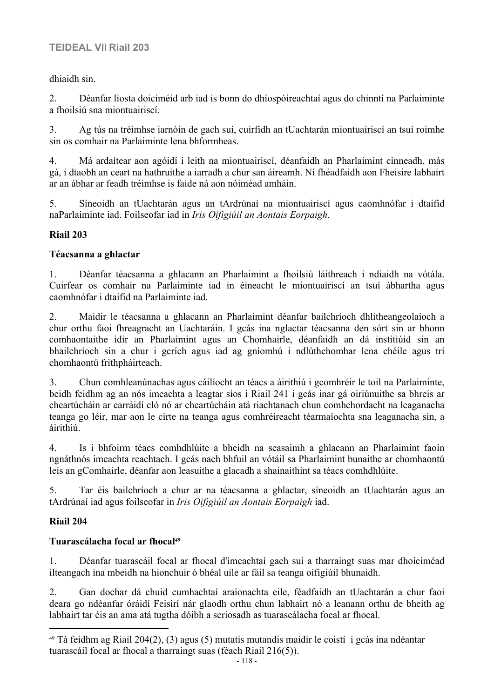dhiaidh sin.

2. Déanfar liosta doiciméid arb iad is bonn do dhíospóireachtaí agus do chinntí na Parlaiminte a fhoilsiú sna miontuairiscí.

3. Ag tús na tréimhse iarnóin de gach suí, cuirfidh an tUachtarán miontuairiscí an tsuí roimhe sin os comhair na Parlaiminte lena bhformheas.

4. Má ardaítear aon agóidí i leith na miontuairiscí, déanfaidh an Pharlaimint cinneadh, más gá, i dtaobh an ceart na hathruithe a iarradh a chur san áireamh. Ní fhéadfaidh aon Fheisire labhairt ar an ábhar ar feadh tréimhse is faide ná aon nóiméad amháin.

5. Síneoidh an tUachtarán agus an tArdrúnaí na miontuairiscí agus caomhnófar i dtaifid naParlaiminte iad. Foilseofar iad in *Iris Oifigiúil an Aontais Eorpaigh*.

# **Riail 203**

# **Téacsanna a ghlactar**

1. Déanfar téacsanna a ghlacann an Pharlaimint a fhoilsiú láithreach i ndiaidh na vótála. Cuirfear os comhair na Parlaiminte iad in éineacht le miontuairiscí an tsuí ábhartha agus caomhnófar i dtaifid na Parlaiminte iad.

2. Maidir le téacsanna a ghlacann an Pharlaimint déanfar bailchríoch dhlítheangeolaíoch a chur orthu faoi fhreagracht an Uachtaráin. I gcás ina nglactar téacsanna den sórt sin ar bhonn comhaontaithe idir an Pharlaimint agus an Chomhairle, déanfaidh an dá institiúid sin an bhailchríoch sin a chur i gcrích agus iad ag gníomhú i ndlúthchomhar lena chéile agus trí chomhaontú frithpháirteach.

3. Chun comhleanúnachas agus cáilíocht an téacs a áirithiú i gcomhréir le toil na Parlaiminte, beidh feidhm ag an nós imeachta a leagtar síos i Riail 241 i gcás inar gá oiriúnuithe sa bhreis ar cheartúcháin ar earráidí cló nó ar cheartúcháin atá riachtanach chun comhchordacht na leaganacha teanga go léir, mar aon le cirte na teanga agus comhréireacht téarmaíochta sna leaganacha sin, a áirithiú.

4. Is i bhfoirm téacs comhdhlúite a bheidh na seasaimh a ghlacann an Pharlaimint faoin ngnáthnós imeachta reachtach. I gcás nach bhfuil an vótáil sa Pharlaimint bunaithe ar chomhaontú leis an gComhairle, déanfar aon leasuithe a glacadh a shainaithint sa téacs comhdhlúite.

5. Tar éis bailchríoch a chur ar na téacsanna a ghlactar, síneoidh an tUachtarán agus an tArdrúnaí iad agus foilseofar in *Iris Oifigiúil an Aontais Eorpaigh* iad.

# **Riail 204**

# **Tuarascálacha focal ar fhocal<sup>49</sup>**

1. Déanfar tuarascáil focal ar fhocal d'imeachtaí gach suí a tharraingt suas mar dhoiciméad ilteangach ina mbeidh na hionchuir ó bhéal uile ar fáil sa teanga oifigiúil bhunaidh.

2. Gan dochar dá chuid cumhachtaí araíonachta eile, féadfaidh an tUachtarán a chur faoi deara go ndéanfar óráidí Feisirí nár glaodh orthu chun labhairt nó a leanann orthu de bheith ag labhairt tar éis an ama atá tugtha dóibh a scriosadh as tuarascálacha focal ar fhocal.

<sup>49</sup> Tá feidhm ag Riail 204(2), (3) agus (5) mutatis mutandis maidir le coistí i gcás ina ndéantar tuarascáil focal ar fhocal a tharraingt suas (féach Riail 216(5)).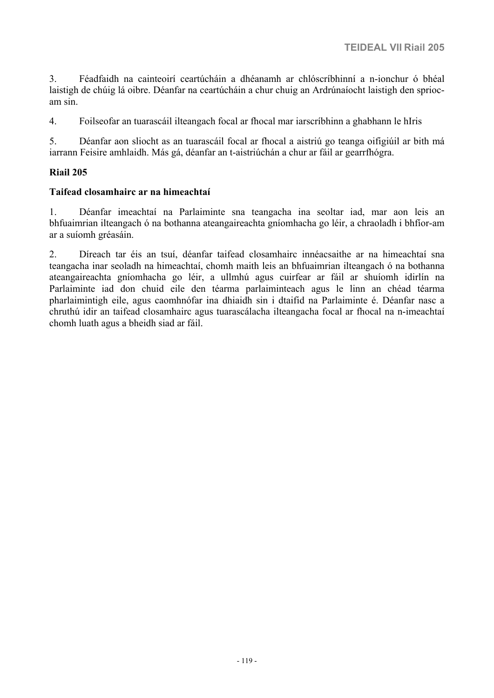3. Féadfaidh na cainteoirí ceartúcháin a dhéanamh ar chlóscríbhinní a n-ionchur ó bhéal laistigh de chúig lá oibre. Déanfar na ceartúcháin a chur chuig an Ardrúnaíocht laistigh den spriocam sin.

4. Foilseofar an tuarascáil ilteangach focal ar fhocal mar iarscríbhinn a ghabhann le hIris

5. Déanfar aon sliocht as an tuarascáil focal ar fhocal a aistriú go teanga oifigiúil ar bith má iarrann Feisire amhlaidh. Más gá, déanfar an t-aistriúchán a chur ar fáil ar gearrfhógra.

#### **Riail 205**

#### **Taifead closamhairc ar na himeachtaí**

1. Déanfar imeachtaí na Parlaiminte sna teangacha ina seoltar iad, mar aon leis an bhfuaimrian ilteangach ó na bothanna ateangaireachta gníomhacha go léir, a chraoladh i bhfíor-am ar a suíomh gréasáin.

2. Díreach tar éis an tsuí, déanfar taifead closamhairc innéacsaithe ar na himeachtaí sna teangacha inar seoladh na himeachtaí, chomh maith leis an bhfuaimrian ilteangach ó na bothanna ateangaireachta gníomhacha go léir, a ullmhú agus cuirfear ar fáil ar shuíomh idirlín na Parlaiminte iad don chuid eile den téarma parlaiminteach agus le linn an chéad téarma pharlaimintigh eile, agus caomhnófar ina dhiaidh sin i dtaifid na Parlaiminte é. Déanfar nasc a chruthú idir an taifead closamhairc agus tuarascálacha ilteangacha focal ar fhocal na n-imeachtaí chomh luath agus a bheidh siad ar fáil.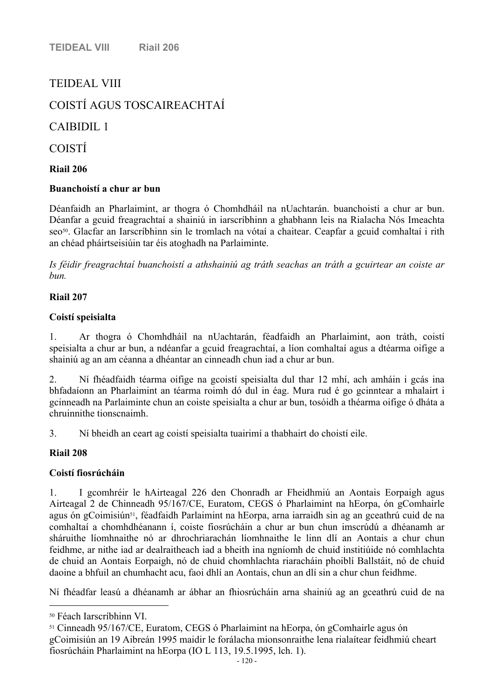# TEIDEAL VIII

# COISTÍ AGUS TOSCAIREACHTAÍ

# CAIBIDIL 1

COISTÍ

**Riail 206**

## **Buanchoistí a chur ar bun**

Déanfaidh an Pharlaimint, ar thogra ó Chomhdháil na nUachtarán. buanchoistí a chur ar bun. Déanfar a gcuid freagrachtaí a shainiú in iarscríbhinn a ghabhann leis na Rialacha Nós Imeachta seo<sup>50</sup>. Glacfar an Iarscríbhinn sin le tromlach na vótaí a chaitear. Ceapfar a gcuid comhaltaí i rith an chéad pháirtseisiúin tar éis atoghadh na Parlaiminte.

*Is féidir freagrachtaí buanchoistí a athshainiú ag tráth seachas an tráth a gcuirtear an coiste ar bun.*

## **Riail 207**

## **Coistí speisialta**

1. Ar thogra ó Chomhdháil na nUachtarán, féadfaidh an Pharlaimint, aon tráth, coistí speisialta a chur ar bun, a ndéanfar a gcuid freagrachtaí, a líon comhaltaí agus a dtéarma oifige a shainiú ag an am céanna a dhéantar an cinneadh chun iad a chur ar bun.

2. Ní fhéadfaidh téarma oifige na gcoistí speisialta dul thar 12 mhí, ach amháin i gcás ina bhfadaíonn an Pharlaimint an téarma roimh dó dul in éag. Mura rud é go gcinntear a mhalairt i gcinneadh na Parlaiminte chun an coiste speisialta a chur ar bun, tosóidh a théarma oifige ó dháta a chruinnithe tionscnaimh.

3. Ní bheidh an ceart ag coistí speisialta tuairimí a thabhairt do choistí eile.

# **Riail 208**

# **Coistí fiosrúcháin**

1. I gcomhréir le hAirteagal 226 den Chonradh ar Fheidhmiú an Aontais Eorpaigh agus Airteagal 2 de Chinneadh 95/167/CE, Euratom, CEGS ó Pharlaimint na hEorpa, ón gComhairle agus ón gCoimisiún<sup>51</sup>, féadfaidh Parlaimint na hEorpa, arna iarraidh sin ag an gceathrú cuid de na comhaltaí a chomhdhéanann í, coiste fiosrúcháin a chur ar bun chun imscrúdú a dhéanamh ar sháruithe líomhnaithe nó ar dhrochriarachán líomhnaithe le linn dlí an Aontais a chur chun feidhme, ar nithe iad ar dealraitheach iad a bheith ina ngníomh de chuid institiúide nó comhlachta de chuid an Aontais Eorpaigh, nó de chuid chomhlachta riaracháin phoiblí Ballstáit, nó de chuid daoine a bhfuil an chumhacht acu, faoi dhlí an Aontais, chun an dlí sin a chur chun feidhme.

Ní fhéadfar leasú a dhéanamh ar ábhar an fhiosrúcháin arna shainiú ag an gceathrú cuid de na

<sup>50</sup> Féach Iarscríbhinn VI.

<sup>51</sup> Cinneadh 95/167/CE, Euratom, CEGS ó Pharlaimint na hEorpa, ón gComhairle agus ón gCoimisiún an 19 Aibreán 1995 maidir le forálacha mionsonraithe lena rialaítear feidhmiú cheart fiosrúcháin Pharlaimint na hEorpa (IO L 113, 19.5.1995, lch. 1).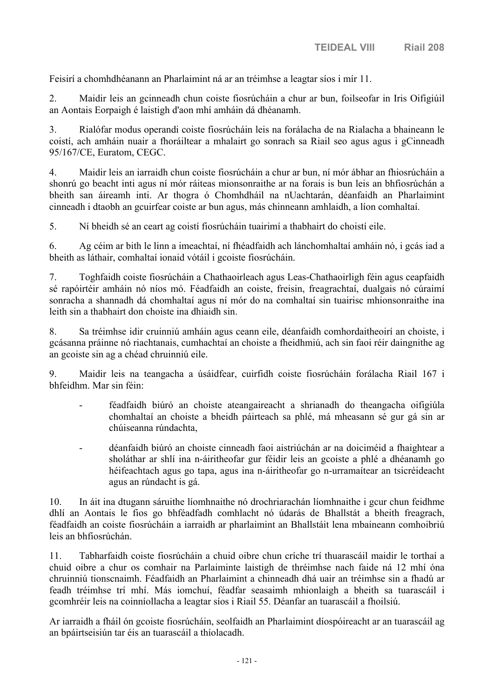Feisirí a chomhdhéanann an Pharlaimint ná ar an tréimhse a leagtar síos i mír 11.

2. Maidir leis an gcinneadh chun coiste fiosrúcháin a chur ar bun, foilseofar in Iris Oifigiúil an Aontais Eorpaigh é laistigh d'aon mhí amháin dá dhéanamh.

3. Rialófar modus operandi coiste fiosrúcháin leis na forálacha de na Rialacha a bhaineann le coistí, ach amháin nuair a fhoráiltear a mhalairt go sonrach sa Riail seo agus agus i gCinneadh 95/167/CE, Euratom, CEGC.

4. Maidir leis an iarraidh chun coiste fiosrúcháin a chur ar bun, ní mór ábhar an fhiosrúcháin a shonrú go beacht inti agus ní mór ráiteas mionsonraithe ar na forais is bun leis an bhfiosrúchán a bheith san áireamh inti. Ar thogra ó Chomhdháil na nUachtarán, déanfaidh an Pharlaimint cinneadh i dtaobh an gcuirfear coiste ar bun agus, más chinneann amhlaidh, a líon comhaltaí.

5. Ní bheidh sé an ceart ag coistí fiosrúcháin tuairimí a thabhairt do choistí eile.

6. Ag céim ar bith le linn a imeachtaí, ní fhéadfaidh ach lánchomhaltaí amháin nó, i gcás iad a bheith as láthair, comhaltaí ionaid vótáil i gcoiste fiosrúcháin.

7. Toghfaidh coiste fiosrúcháin a Chathaoirleach agus Leas-Chathaoirligh féin agus ceapfaidh sé rapóirtéir amháin nó níos mó. Féadfaidh an coiste, freisin, freagrachtaí, dualgais nó cúraimí sonracha a shannadh dá chomhaltaí agus ní mór do na comhaltaí sin tuairisc mhionsonraithe ina leith sin a thabhairt don choiste ina dhiaidh sin.

8. Sa tréimhse idir cruinniú amháin agus ceann eile, déanfaidh comhordaitheoirí an choiste, i gcásanna práinne nó riachtanais, cumhachtaí an choiste a fheidhmiú, ach sin faoi réir daingnithe ag an gcoiste sin ag a chéad chruinniú eile.

9. Maidir leis na teangacha a úsáidfear, cuirfidh coiste fiosrúcháin forálacha Riail 167 i bhfeidhm. Mar sin féin:

- féadfaidh biúró an choiste ateangaireacht a shrianadh do theangacha oifigiúla chomhaltaí an choiste a bheidh páirteach sa phlé, má mheasann sé gur gá sin ar chúiseanna rúndachta,
- déanfaidh biúró an choiste cinneadh faoi aistriúchán ar na doiciméid a fhaightear a sholáthar ar shlí ina n-áiritheofar gur féidir leis an gcoiste a phlé a dhéanamh go héifeachtach agus go tapa, agus ina n-áiritheofar go n-urramaítear an tsicréideacht agus an rúndacht is gá.

10. In áit ina dtugann sáruithe líomhnaithe nó drochriarachán líomhnaithe i gcur chun feidhme dhlí an Aontais le fios go bhféadfadh comhlacht nó údarás de Bhallstát a bheith freagrach, féadfaidh an coiste fiosrúcháin a iarraidh ar pharlaimint an Bhallstáit lena mbaineann comhoibriú leis an bhfiosrúchán.

11. Tabharfaidh coiste fiosrúcháin a chuid oibre chun críche trí thuarascáil maidir le torthaí a chuid oibre a chur os comhair na Parlaiminte laistigh de thréimhse nach faide ná 12 mhí óna chruinniú tionscnaimh. Féadfaidh an Pharlaimint a chinneadh dhá uair an tréimhse sin a fhadú ar feadh tréimhse trí mhí. Más iomchuí, féadfar seasaimh mhionlaigh a bheith sa tuarascáil i gcomhréir leis na coinníollacha a leagtar síos i Riail 55. Déanfar an tuarascáil a fhoilsiú.

Ar iarraidh a fháil ón gcoiste fiosrúcháin, seolfaidh an Pharlaimint díospóireacht ar an tuarascáil ag an bpáirtseisiún tar éis an tuarascáil a thíolacadh.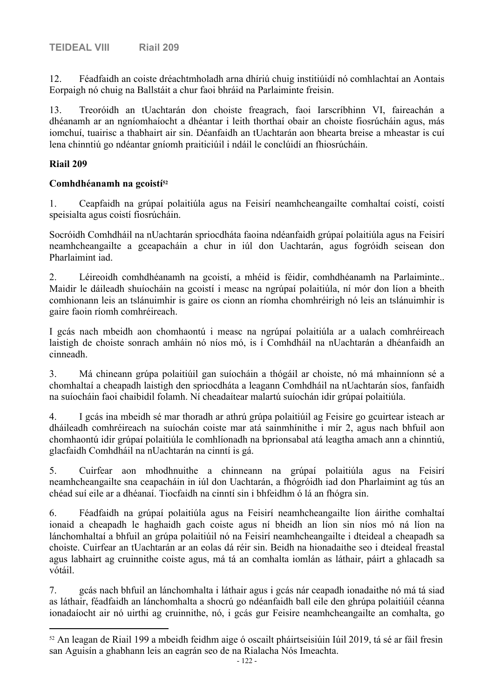12. Féadfaidh an coiste dréachtmholadh arna dhíriú chuig institiúidí nó comhlachtaí an Aontais Eorpaigh nó chuig na Ballstáit a chur faoi bhráid na Parlaiminte freisin.

13. Treoróidh an tUachtarán don choiste freagrach, faoi Iarscríbhinn VI, faireachán a dhéanamh ar an ngníomhaíocht a dhéantar i leith thorthaí obair an choiste fiosrúcháin agus, más iomchuí, tuairisc a thabhairt air sin. Déanfaidh an tUachtarán aon bhearta breise a mheastar is cuí lena chinntiú go ndéantar gníomh praiticiúil i ndáil le conclúidí an fhiosrúcháin.

#### **Riail 209**

#### **Comhdhéanamh na gcoistí<sup>52</sup>**

1. Ceapfaidh na grúpaí polaitiúla agus na Feisirí neamhcheangailte comhaltaí coistí, coistí speisialta agus coistí fiosrúcháin.

Socróidh Comhdháil na nUachtarán spriocdháta faoina ndéanfaidh grúpaí polaitiúla agus na Feisirí neamhcheangailte a gceapacháin a chur in iúl don Uachtarán, agus fogróidh seisean don Pharlaimint iad.

2. Léireoidh comhdhéanamh na gcoistí, a mhéid is féidir, comhdhéanamh na Parlaiminte.. Maidir le dáileadh shuíocháin na gcoistí i measc na ngrúpaí polaitiúla, ní mór don líon a bheith comhionann leis an tslánuimhir is gaire os cionn an ríomha chomhréirigh nó leis an tslánuimhir is gaire faoin ríomh comhréireach.

I gcás nach mbeidh aon chomhaontú i measc na ngrúpaí polaitiúla ar a ualach comhréireach laistigh de choiste sonrach amháin nó níos mó, is í Comhdháil na nUachtarán a dhéanfaidh an cinneadh.

3. Má chineann grúpa polaitiúil gan suíocháin a thógáil ar choiste, nó má mhainníonn sé a chomhaltaí a cheapadh laistigh den spriocdháta a leagann Comhdháil na nUachtarán síos, fanfaidh na suíocháin faoi chaibidil folamh. Ní cheadaítear malartú suíochán idir grúpaí polaitiúla.

4. I gcás ina mbeidh sé mar thoradh ar athrú grúpa polaitiúil ag Feisire go gcuirtear isteach ar dháileadh comhréireach na suíochán coiste mar atá sainmhínithe i mír 2, agus nach bhfuil aon chomhaontú idir grúpaí polaitiúla le comhlíonadh na bprionsabal atá leagtha amach ann a chinntiú, glacfaidh Comhdháil na nUachtarán na cinntí is gá.

5. Cuirfear aon mhodhnuithe a chinneann na grúpaí polaitiúla agus na Feisirí neamhcheangailte sna ceapacháin in iúl don Uachtarán, a fhógróidh iad don Pharlaimint ag tús an chéad suí eile ar a dhéanaí. Tiocfaidh na cinntí sin i bhfeidhm ó lá an fhógra sin.

6. Féadfaidh na grúpaí polaitiúla agus na Feisirí neamhcheangailte líon áirithe comhaltaí ionaid a cheapadh le haghaidh gach coiste agus ní bheidh an líon sin níos mó ná líon na lánchomhaltaí a bhfuil an grúpa polaitiúil nó na Feisirí neamhcheangailte i dteideal a cheapadh sa choiste. Cuirfear an tUachtarán ar an eolas dá réir sin. Beidh na hionadaithe seo i dteideal freastal agus labhairt ag cruinnithe coiste agus, má tá an comhalta iomlán as láthair, páirt a ghlacadh sa vótáil.

7. gcás nach bhfuil an lánchomhalta i láthair agus i gcás nár ceapadh ionadaithe nó má tá siad as láthair, féadfaidh an lánchomhalta a shocrú go ndéanfaidh ball eile den ghrúpa polaitiúil céanna ionadaíocht air nó uirthi ag cruinnithe, nó, i gcás gur Feisire neamhcheangailte an comhalta, go

<sup>52</sup> An leagan de Riail 199 a mbeidh feidhm aige ó oscailt pháirtseisiúin Iúil 2019, tá sé ar fáil fresin san Aguisín a ghabhann leis an eagrán seo de na Rialacha Nós Imeachta.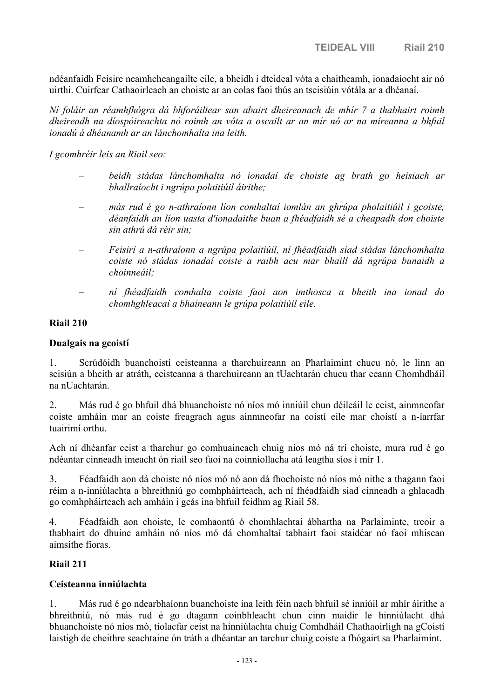ndéanfaidh Feisire neamhcheangailte eile, a bheidh i dteideal vóta a chaitheamh, ionadaíocht air nó uirthi. Cuirfear Cathaoirleach an choiste ar an eolas faoi thús an tseisiúin vótála ar a dhéanaí.

*Ní foláir an réamhfhógra dá bhforáiltear san abairt dheireanach de mhír 7 a thabhairt roimh dheireadh na díospóireachta nó roimh an vóta a oscailt ar an mír nó ar na míreanna a bhfuil ionadú á dhéanamh ar an lánchomhalta ina leith.*

*I gcomhréir leis an Riail seo:*

- *beidh stádas lánchomhalta nó ionadaí de choiste ag brath go heisiach ar bhallraíocht i ngrúpa polaitiúil áirithe;*
- *más rud é go n-athraíonn líon comhaltaí iomlán an ghrúpa pholaitiúil i gcoiste, déanfaidh an líon uasta d'ionadaithe buan a fhéadfaidh sé a cheapadh don choiste sin athrú dá réir sin;*
- *Feisirí a n-athraíonn a ngrúpa polaitiúil, ní fhéadfaidh siad stádas lánchomhalta coiste nó stádas ionadaí coiste a raibh acu mar bhaill dá ngrúpa bunaidh a choinneáil;*
- *ní fhéadfaidh comhalta coiste faoi aon imthosca a bheith ina ionad do chomhghleacaí a bhaineann le grúpa polaitiúil eile.*

#### **Riail 210**

#### **Dualgais na gcoistí**

1. Scrúdóidh buanchoistí ceisteanna a tharchuireann an Pharlaimint chucu nó, le linn an seisiún a bheith ar atráth, ceisteanna a tharchuireann an tUachtarán chucu thar ceann Chomhdháil na nUachtarán.

2. Más rud é go bhfuil dhá bhuanchoiste nó níos mó inniúil chun déileáil le ceist, ainmneofar coiste amháin mar an coiste freagrach agus ainmneofar na coistí eile mar choistí a n-iarrfar tuairimí orthu.

Ach ní dhéanfar ceist a tharchur go comhuaineach chuig níos mó ná trí choiste, mura rud é go ndéantar cinneadh imeacht ón riail seo faoi na coinníollacha atá leagtha síos i mír 1.

3. Féadfaidh aon dá choiste nó níos mó nó aon dá fhochoiste nó níos mó nithe a thagann faoi réim a n-inniúlachta a bhreithniú go comhpháirteach, ach ní fhéadfaidh siad cinneadh a ghlacadh go comhpháirteach ach amháin i gcás ina bhfuil feidhm ag Riail 58.

4. Féadfaidh aon choiste, le comhaontú ó chomhlachtaí ábhartha na Parlaiminte, treoir a thabhairt do dhuine amháin nó níos mó dá chomhaltaí tabhairt faoi staidéar nó faoi mhisean aimsithe fíoras.

#### **Riail 211**

#### **Ceisteanna inniúlachta**

1. Más rud é go ndearbhaíonn buanchoiste ina leith féin nach bhfuil sé inniúil ar mhír áirithe a bhreithniú, nó más rud é go dtagann coinbhleacht chun cinn maidir le hinniúlacht dhá bhuanchoiste nó níos mó, tíolacfar ceist na hinniúlachta chuig Comhdháil Chathaoirligh na gCoistí laistigh de cheithre seachtaine ón tráth a dhéantar an tarchur chuig coiste a fhógairt sa Pharlaimint.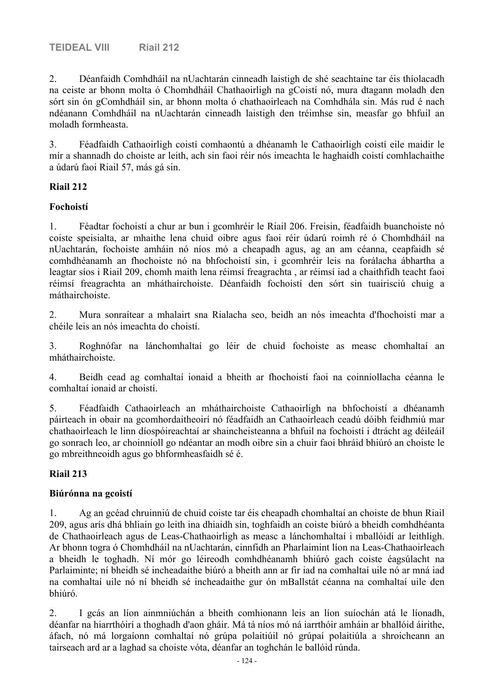2. Déanfaidh Comhdháil na nUachtarán cinneadh laistigh de shé seachtaine tar éis thíolacadh na ceiste ar bhonn molta ó Chomhdháil Chathaoirligh na gCoistí nó, mura dtagann moladh den sórt sin ón gComhdháil sin, ar bhonn molta ó chathaoirleach na Comhdhála sin. Más rud é nach ndéanann Comhdháil na nUachtarán cinneadh laistigh den tréimhse sin, measfar go bhfuil an moladh formheasta.

3. Féadfaidh Cathaoirligh coistí comhaontú a dhéanamh le Cathaoirligh coistí eile maidir le mír a shannadh do choiste ar leith, ach sin faoi réir nós imeachta le haghaidh coistí comhlachaithe a údarú faoi Riail 57, más gá sin.

## **Riail 212**

#### **Fochoistí**

1. Féadtar fochoistí a chur ar bun i gcomhréir le Riail 206. Freisin, féadfaidh buanchoiste nó coiste speisialta, ar mhaithe lena chuid oibre agus faoi réir údarú roimh ré ó Chomhdháil na nUachtarán, fochoiste amháin nó níos mó a cheapadh agus, ag an am céanna, ceapfaidh sé comhdhéanamh an fhochoiste nó na bhfochoistí sin, i gcomhréir leis na forálacha ábhartha a leagtar síos i Riail 209, chomh maith lena réimsí freagrachta , ar réimsí iad a chaithfidh teacht faoi réimsí freagrachta an mháthairchoiste. Déanfaidh fochoistí den sórt sin tuairisciú chuig a máthairchoiste.

2. Mura sonraítear a mhalairt sna Rialacha seo, beidh an nós imeachta d'fhochoistí mar a chéile leis an nós imeachta do choistí.

3. Roghnófar na lánchomhaltaí go léir de chuid fochoiste as measc chomhaltaí an mháthairchoiste.

4. Beidh cead ag comhaltaí ionaid a bheith ar fhochoistí faoi na coinníollacha céanna le comhaltaí ionaid ar choistí.

5. Féadfaidh Cathaoirleach an mháthairchoiste Cathaoirligh na bhfochoistí a dhéanamh páirteach in obair na gcomhordaitheoirí nó féadfaidh an Cathaoirleach ceadú dóibh feidhmiú mar chathaoirleach le linn díospóireachtaí ar shaincheisteanna a bhfuil na fochoistí i dtrácht ag déileáil go sonrach leo, ar choinníoll go ndéantar an modh oibre sin a chuir faoi bhráid bhiúró an choiste le go mbreithneoidh agus go bhformheasfaidh sé é.

# **Riail 213**

#### **Biúrónna na gcoistí**

1. Ag an gcéad chruinniú de chuid coiste tar éis cheapadh chomhaltaí an choiste de bhun Riail 209, agus arís dhá bhliain go leith ina dhiaidh sin, toghfaidh an coiste biúró a bheidh comhdhéanta de Chathaoirleach agus de Leas-Chathaoirligh as measc a lánchomhaltaí i mballóidí ar leithligh. Ar bhonn togra ó Chomhdháil na nUachtarán, cinnfidh an Pharlaimint líon na Leas-Chathaoirleach a bheidh le toghadh. Ní mór go léireodh comhdhéanamh bhiúró gach coiste éagsúlacht na Parlaiminte; ní bheidh sé incheadaithe biúró a bheith ann ar fir iad na comhaltaí uile nó ar mná iad na comhaltaí uile nó ní bheidh sé incheadaithe gur ón mBallstát céanna na comhaltaí uile den bhiúró.

2. I gcás an líon ainmniúchán a bheith comhionann leis an líon suíochán atá le líonadh, déanfar na hiarrthóirí a thoghadh d'aon gháir. Má tá níos mó ná iarrthóir amháin ar bhallóid áirithe, áfach, nó má lorgaíonn comhaltaí nó grúpa polaitiúil nó grúpaí polaitiúla a shroicheann an tairseach ard ar a laghad sa choiste vóta, déanfar an toghchán le ballóid rúnda.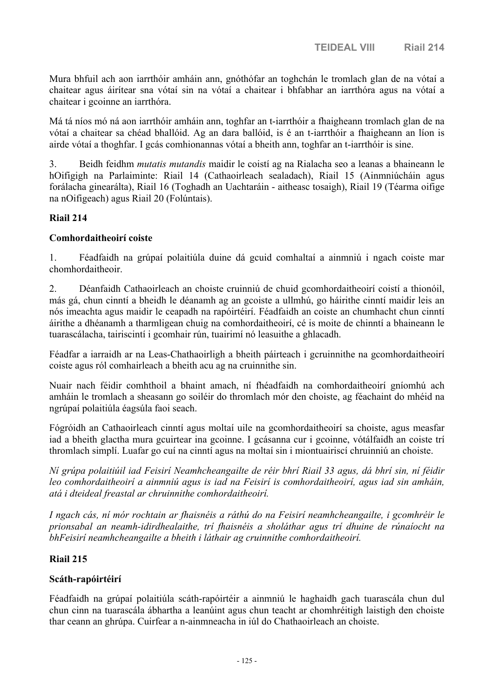Mura bhfuil ach aon iarrthóir amháin ann, gnóthófar an toghchán le tromlach glan de na vótaí a chaitear agus áirítear sna vótaí sin na vótaí a chaitear i bhfabhar an iarrthóra agus na vótaí a chaitear i gcoinne an iarrthóra.

Má tá níos mó ná aon iarrthóir amháin ann, toghfar an t-iarrthóir a fhaigheann tromlach glan de na vótaí a chaitear sa chéad bhallóid. Ag an dara ballóid, is é an t-iarrthóir a fhaigheann an líon is airde vótaí a thoghfar. I gcás comhionannas vótaí a bheith ann, toghfar an t-iarrthóir is sine.

3. Beidh feidhm *mutatis mutandis* maidir le coistí ag na Rialacha seo a leanas a bhaineann le hOifigigh na Parlaiminte: Riail 14 (Cathaoirleach sealadach), Riail 15 (Ainmniúcháin agus forálacha ginearálta), Riail 16 (Toghadh an Uachtaráin - aitheasc tosaigh), Riail 19 (Téarma oifige na nOifigeach) agus Riail 20 (Folúntais).

#### **Riail 214**

#### **Comhordaitheoirí coiste**

1. Féadfaidh na grúpaí polaitiúla duine dá gcuid comhaltaí a ainmniú i ngach coiste mar chomhordaitheoir.

2. Déanfaidh Cathaoirleach an choiste cruinniú de chuid gcomhordaitheoirí coistí a thionóil, más gá, chun cinntí a bheidh le déanamh ag an gcoiste a ullmhú, go háirithe cinntí maidir leis an nós imeachta agus maidir le ceapadh na rapóirtéirí. Féadfaidh an coiste an chumhacht chun cinntí áirithe a dhéanamh a tharmligean chuig na comhordaitheoirí, cé is moite de chinntí a bhaineann le tuarascálacha, tairiscintí i gcomhair rún, tuairimí nó leasuithe a ghlacadh.

Féadfar a iarraidh ar na Leas-Chathaoirligh a bheith páirteach i gcruinnithe na gcomhordaitheoirí coiste agus ról comhairleach a bheith acu ag na cruinnithe sin.

Nuair nach féidir comhthoil a bhaint amach, ní fhéadfaidh na comhordaitheoirí gníomhú ach amháin le tromlach a sheasann go soiléir do thromlach mór den choiste, ag féachaint do mhéid na ngrúpaí polaitiúla éagsúla faoi seach.

Fógróidh an Cathaoirleach cinntí agus moltaí uile na gcomhordaitheoirí sa choiste, agus measfar iad a bheith glactha mura gcuirtear ina gcoinne. I gcásanna cur i gcoinne, vótálfaidh an coiste trí thromlach simplí. Luafar go cuí na cinntí agus na moltaí sin i miontuairiscí chruinniú an choiste.

*Ní grúpa polaitiúil iad Feisirí Neamhcheangailte de réir bhrí Riail 33 agus, dá bhrí sin, ní féidir leo comhordaitheoirí a ainmniú agus is iad na Feisirí is comhordaitheoirí, agus iad sin amháin, atá i dteideal freastal ar chruinnithe comhordaitheoirí.*

*I ngach cás, ní mór rochtain ar fhaisnéis a ráthú do na Feisirí neamhcheangailte, i gcomhréir le prionsabal an neamh-idirdhealaithe, trí fhaisnéis a sholáthar agus trí dhuine de rúnaíocht na bhFeisirí neamhcheangailte a bheith i láthair ag cruinnithe comhordaitheoirí.*

#### **Riail 215**

#### **Scáth-rapóirtéirí**

Féadfaidh na grúpaí polaitiúla scáth-rapóirtéir a ainmniú le haghaidh gach tuarascála chun dul chun cinn na tuarascála ábhartha a leanúint agus chun teacht ar chomhréitigh laistigh den choiste thar ceann an ghrúpa. Cuirfear a n-ainmneacha in iúl do Chathaoirleach an choiste.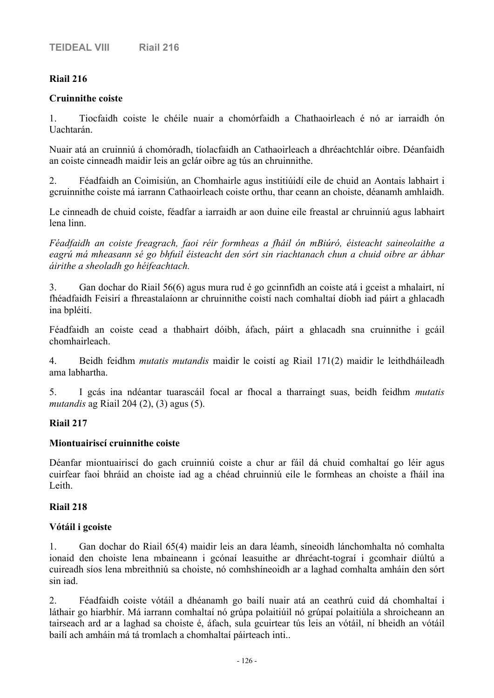## **Riail 216**

#### **Cruinnithe coiste**

1. Tiocfaidh coiste le chéile nuair a chomórfaidh a Chathaoirleach é nó ar iarraidh ón Uachtarán.

Nuair atá an cruinniú á chomóradh, tíolacfaidh an Cathaoirleach a dhréachtchlár oibre. Déanfaidh an coiste cinneadh maidir leis an gclár oibre ag tús an chruinnithe.

2. Féadfaidh an Coimisiún, an Chomhairle agus institiúidí eile de chuid an Aontais labhairt i gcruinnithe coiste má iarrann Cathaoirleach coiste orthu, thar ceann an choiste, déanamh amhlaidh.

Le cinneadh de chuid coiste, féadfar a iarraidh ar aon duine eile freastal ar chruinniú agus labhairt lena linn.

*Féadfaidh an coiste freagrach, faoi réir formheas a fháil ón mBiúró, éisteacht saineolaithe a eagrú má mheasann sé go bhfuil éisteacht den sórt sin riachtanach chun a chuid oibre ar ábhar áirithe a sheoladh go héifeachtach.*

3. Gan dochar do Riail 56(6) agus mura rud é go gcinnfidh an coiste atá i gceist a mhalairt, ní fhéadfaidh Feisirí a fhreastalaíonn ar chruinnithe coistí nach comhaltaí díobh iad páirt a ghlacadh ina bpléití.

Féadfaidh an coiste cead a thabhairt dóibh, áfach, páirt a ghlacadh sna cruinnithe i gcáil chomhairleach.

4. Beidh feidhm *mutatis mutandis* maidir le coistí ag Riail 171(2) maidir le leithdháileadh ama labhartha.

5. I gcás ina ndéantar tuarascáil focal ar fhocal a tharraingt suas, beidh feidhm *mutatis mutandis* ag Riail 204 (2), (3) agus (5).

#### **Riail 217**

#### **Miontuairiscí cruinnithe coiste**

Déanfar miontuairiscí do gach cruinniú coiste a chur ar fáil dá chuid comhaltaí go léir agus cuirfear faoi bhráid an choiste iad ag a chéad chruinniú eile le formheas an choiste a fháil ina Leith.

#### **Riail 218**

#### **Vótáil i gcoiste**

1. Gan dochar do Riail 65(4) maidir leis an dara léamh, síneoidh lánchomhalta nó comhalta ionaid den choiste lena mbaineann i gcónaí leasuithe ar dhréacht-tograí i gcomhair diúltú a cuireadh síos lena mbreithniú sa choiste, nó comhshíneoidh ar a laghad comhalta amháin den sórt sin iad.

2. Féadfaidh coiste vótáil a dhéanamh go bailí nuair atá an ceathrú cuid dá chomhaltaí i láthair go hiarbhír. Má iarrann comhaltaí nó grúpa polaitiúil nó grúpaí polaitiúla a shroicheann an tairseach ard ar a laghad sa choiste é, áfach, sula gcuirtear tús leis an vótáil, ní bheidh an vótáil bailí ach amháin má tá tromlach a chomhaltaí páirteach inti..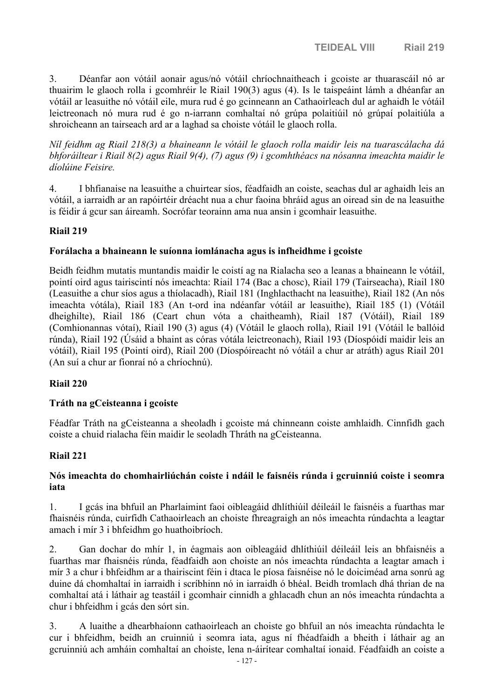3. Déanfar aon vótáil aonair agus/nó vótáil chríochnaitheach i gcoiste ar thuarascáil nó ar thuairim le glaoch rolla i gcomhréir le Riail 190(3) agus (4). Is le taispeáint lámh a dhéanfar an vótáil ar leasuithe nó vótáil eile, mura rud é go gcinneann an Cathaoirleach dul ar aghaidh le vótáil leictreonach nó mura rud é go n-iarrann comhaltaí nó grúpa polaitiúil nó grúpaí polaitiúla a shroicheann an tairseach ard ar a laghad sa choiste vótáil le glaoch rolla.

*Níl feidhm ag Riail 218(3) a bhaineann le vótáil le glaoch rolla maidir leis na tuarascálacha dá bhforáiltear i Riail 8(2) agus Riail 9(4), (7) agus (9) i gcomhthéacs na nósanna imeachta maidir le díolúine Feisire.*

4. I bhfianaise na leasuithe a chuirtear síos, féadfaidh an coiste, seachas dul ar aghaidh leis an vótáil, a iarraidh ar an rapóirtéir dréacht nua a chur faoina bhráid agus an oiread sin de na leasuithe is féidir á gcur san áireamh. Socrófar teorainn ama nua ansin i gcomhair leasuithe.

## **Riail 219**

#### **Forálacha a bhaineann le suíonna iomlánacha agus is infheidhme i gcoiste**

Beidh feidhm mutatis muntandis maidir le coistí ag na Rialacha seo a leanas a bhaineann le vótáil, pointí oird agus tairiscintí nós imeachta: Riail 174 (Bac a chosc), Riail 179 (Tairseacha), Riail 180 (Leasuithe a chur síos agus a thíolacadh), Riail 181 (Inghlacthacht na leasuithe), Riail 182 (An nós imeachta vótála), Riail 183 (An t-ord ina ndéanfar vótáil ar leasuithe), Riail 185 (1) (Vótáil dheighilte), Riail 186 (Ceart chun vóta a chaitheamh), Riail 187 (Vótáil), Riail 189 (Comhionannas vótaí), Riail 190 (3) agus (4) (Vótáil le glaoch rolla), Riail 191 (Vótáil le ballóid rúnda), Riail 192 (Úsáid a bhaint as córas vótála leictreonach), Riail 193 (Díospóidí maidir leis an vótáil), Riail 195 (Pointí oird), Riail 200 (Díospóireacht nó vótáil a chur ar atráth) agus Riail 201 (An suí a chur ar fionraí nó a chríochnú).

#### **Riail 220**

#### **Tráth na gCeisteanna i gcoiste**

Féadfar Tráth na gCeisteanna a sheoladh i gcoiste má chinneann coiste amhlaidh. Cinnfidh gach coiste a chuid rialacha féin maidir le seoladh Thráth na gCeisteanna.

#### **Riail 221**

#### **Nós imeachta do chomhairliúchán coiste i ndáil le faisnéis rúnda i gcruinniú coiste i seomra iata**

1. I gcás ina bhfuil an Pharlaimint faoi oibleagáid dhlíthiúil déileáil le faisnéis a fuarthas mar fhaisnéis rúnda, cuirfidh Cathaoirleach an choiste fhreagraigh an nós imeachta rúndachta a leagtar amach i mír 3 i bhfeidhm go huathoibríoch.

2. Gan dochar do mhír 1, in éagmais aon oibleagáid dhlíthiúil déileáil leis an bhfaisnéis a fuarthas mar fhaisnéis rúnda, féadfaidh aon choiste an nós imeachta rúndachta a leagtar amach i mír 3 a chur i bhfeidhm ar a thairiscint féin i dtaca le píosa faisnéise nó le doiciméad arna sonrú ag duine dá chomhaltaí in iarraidh i scríbhinn nó in iarraidh ó bhéal. Beidh tromlach dhá thrian de na comhaltaí atá i láthair ag teastáil i gcomhair cinnidh a ghlacadh chun an nós imeachta rúndachta a chur i bhfeidhm i gcás den sórt sin.

3. A luaithe a dhearbhaíonn cathaoirleach an choiste go bhfuil an nós imeachta rúndachta le cur i bhfeidhm, beidh an cruinniú i seomra iata, agus ní fhéadfaidh a bheith i láthair ag an gcruinniú ach amháin comhaltaí an choiste, lena n-áirítear comhaltaí ionaid. Féadfaidh an coiste a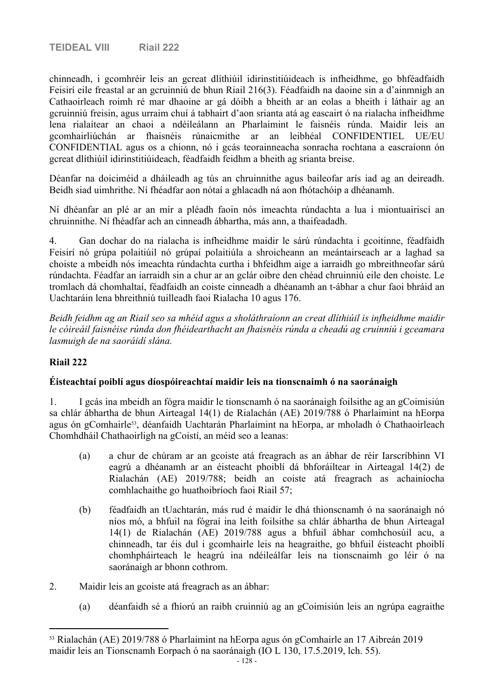chinneadh, i gcomhréir leis an gcreat dlíthiúil idirinstitiúideach is infheidhme, go bhféadfaidh Feisirí eile freastal ar an gcruinniú de bhun Riail 216(3). Féadfaidh na daoine sin a d'ainmnigh an Cathaoirleach roimh ré mar dhaoine ar gá dóibh a bheith ar an eolas a bheith i láthair ag an gcruinniú freisin, agus urraim chuí á tabhairt d'aon srianta atá ag eascairt ó na rialacha infheidhme lena rialaítear an chaoi a ndéileálann an Pharlaimint le faisnéis rúnda. Maidir leis an gcomhairliúchán ar fhaisnéis rúnaicmithe ar an leibhéal CONFIDENTIEL UE/EU CONFIDENTIAL agus os a chionn, nó i gcás teorainneacha sonracha rochtana a eascraíonn ón gcreat dlíthiúil idirinstitiúideach, féadfaidh feidhm a bheith ag srianta breise.

Déanfar na doiciméid a dháileadh ag tús an chruinnithe agus baileofar arís iad ag an deireadh. Beidh siad uimhrithe. Ní fhéadfar aon nótaí a ghlacadh ná aon fhótachóip a dhéanamh.

Ní dhéanfar an plé ar an mír a pléadh faoin nós imeachta rúndachta a lua i miontuairiscí an chruinnithe. Ní fhéadfar ach an cinneadh ábhartha, más ann, a thaifeadadh.

4. Gan dochar do na rialacha is infheidhme maidir le sárú rúndachta i gcoitinne, féadfaidh Feisirí nó grúpa polaitiúil nó grúpaí polaitiúla a shroicheann an meántairseach ar a laghad sa choiste a mbeidh nós imeachta rúndachta curtha i bhfeidhm aige a iarraidh go mbreithneofar sárú rúndachta. Féadfar an iarraidh sin a chur ar an gclár oibre den chéad chruinniú eile den choiste. Le tromlach dá chomhaltaí, féadfaidh an coiste cinneadh a dhéanamh an t-ábhar a chur faoi bhráid an Uachtaráin lena bhreithniú tuilleadh faoi Rialacha 10 agus 176.

*Beidh feidhm ag an Riail seo sa mhéid agus a sholáthraíonn an creat dlíthiúil is infheidhme maidir le cóireáil faisnéise rúnda don fhéidearthacht an fhaisnéis rúnda a cheadú ag cruinniú i gceamara lasmuigh de na saoráidí slána.*

#### **Riail 222**

#### **Éisteachtaí poiblí agus díospóireachtaí maidir leis na tionscnaimh ó na saoránaigh**

1. I gcás ina mbeidh an fógra maidir le tionscnamh ó na saoránaigh foilsithe ag an gCoimisiún sa chlár ábhartha de bhun Airteagal 14(1) de Rialachán (AE) 2019/788 ó Pharlaimint na hEorpa agus ón gComhairle53, déanfaidh Uachtarán Pharlaimint na hEorpa, ar mholadh ó Chathaoirleach Chomhdháil Chathaoirligh na gCoistí, an méid seo a leanas:

- (a) a chur de chúram ar an gcoiste atá freagrach as an ábhar de réir Iarscríbhinn VI eagrú a dhéanamh ar an éisteacht phoiblí dá bhforáiltear in Airteagal 14(2) de Rialachán (AE) 2019/788; beidh an coiste atá freagrach as achainíocha comhlachaithe go huathoibríoch faoi Riail 57;
- (b) féadfaidh an tUachtarán, más rud é maidir le dhá thionscnamh ó na saoránaigh nó níos mó, a bhfuil na fógraí ina leith foilsithe sa chlár ábhartha de bhun Airteagal 14(1) de Rialachán (AE) 2019/788 agus a bhfuil ábhar comhchosúil acu, a chinneadh, tar éis dul i gcomhairle leis na heagraithe, go bhfuil éisteacht phoiblí chomhpháirteach le heagrú ina ndéileálfar leis na tionscnaimh go léir ó na saoránaigh ar bhonn cothrom.
- 2. Maidir leis an gcoiste atá freagrach as an ábhar:
	- (a) déanfaidh sé a fhíorú an raibh cruinniú ag an gCoimisiún leis an ngrúpa eagraithe

<sup>53</sup> Rialachán (AE) 2019/788 ó Pharlaimint na hEorpa agus ón gComhairle an 17 Aibreán 2019 maidir leis an Tionscnamh Eorpach ó na saoránaigh (IO L 130, 17.5.2019, lch. 55).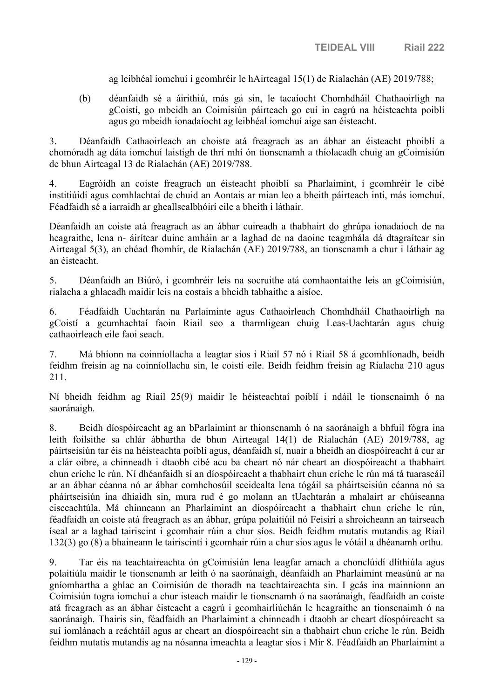ag leibhéal iomchuí i gcomhréir le hAirteagal 15(1) de Rialachán (AE) 2019/788;

(b) déanfaidh sé a áirithiú, más gá sin, le tacaíocht Chomhdháil Chathaoirligh na gCoistí, go mbeidh an Coimisiún páirteach go cuí in eagrú na héisteachta poiblí agus go mbeidh ionadaíocht ag leibhéal iomchuí aige san éisteacht.

3. Déanfaidh Cathaoirleach an choiste atá freagrach as an ábhar an éisteacht phoiblí a chomóradh ag dáta iomchuí laistigh de thrí mhí ón tionscnamh a thíolacadh chuig an gCoimisiún de bhun Airteagal 13 de Rialachán (AE) 2019/788.

4. Eagróidh an coiste freagrach an éisteacht phoiblí sa Pharlaimint, i gcomhréir le cibé institiúidí agus comhlachtaí de chuid an Aontais ar mian leo a bheith páirteach inti, más iomchuí. Féadfaidh sé a iarraidh ar gheallsealbhóirí eile a bheith i láthair.

Déanfaidh an coiste atá freagrach as an ábhar cuireadh a thabhairt do ghrúpa ionadaíoch de na heagraithe, lena n- áirítear duine amháin ar a laghad de na daoine teagmhála dá dtagraítear sin Airteagal 5(3), an chéad fhomhír, de Rialachán (AE) 2019/788, an tionscnamh a chur i láthair ag an éisteacht.

5. Déanfaidh an Biúró, i gcomhréir leis na socruithe atá comhaontaithe leis an gCoimisiún, rialacha a ghlacadh maidir leis na costais a bheidh tabhaithe a aisíoc.

6. Féadfaidh Uachtarán na Parlaiminte agus Cathaoirleach Chomhdháil Chathaoirligh na gCoistí a gcumhachtaí faoin Riail seo a tharmligean chuig Leas-Uachtarán agus chuig cathaoirleach eile faoi seach.

7. Má bhíonn na coinníollacha a leagtar síos i Riail 57 nó i Riail 58 á gcomhlíonadh, beidh feidhm freisin ag na coinníollacha sin, le coistí eile. Beidh feidhm freisin ag Rialacha 210 agus 211.

Ní bheidh feidhm ag Riail 25(9) maidir le héisteachtaí poiblí i ndáil le tionscnaimh ó na saoránaigh.

8. Beidh díospóireacht ag an bParlaimint ar thionscnamh ó na saoránaigh a bhfuil fógra ina leith foilsithe sa chlár ábhartha de bhun Airteagal 14(1) de Rialachán (AE) 2019/788, ag páirtseisiún tar éis na héisteachta poiblí agus, déanfaidh sí, nuair a bheidh an díospóireacht á cur ar a clár oibre, a chinneadh i dtaobh cibé acu ba cheart nó nár cheart an díospóireacht a thabhairt chun críche le rún. Ní dhéanfaidh sí an díospóireacht a thabhairt chun críche le rún má tá tuarascáil ar an ábhar céanna nó ar ábhar comhchosúil sceidealta lena tógáil sa pháirtseisiún céanna nó sa pháirtseisiún ina dhiaidh sin, mura rud é go molann an tUachtarán a mhalairt ar chúiseanna eisceachtúla. Má chinneann an Pharlaimint an díospóireacht a thabhairt chun críche le rún, féadfaidh an coiste atá freagrach as an ábhar, grúpa polaitiúil nó Feisirí a shroicheann an tairseach íseal ar a laghad tairiscint i gcomhair rúin a chur síos. Beidh feidhm mutatis mutandis ag Riail 132(3) go (8) a bhaineann le tairiscintí i gcomhair rúin a chur síos agus le vótáil a dhéanamh orthu.

9. Tar éis na teachtaireachta ón gCoimisiún lena leagfar amach a chonclúidí dlíthiúla agus polaitiúla maidir le tionscnamh ar leith ó na saoránaigh, déanfaidh an Pharlaimint measúnú ar na gníomhartha a ghlac an Coimisiún de thoradh na teachtaireachta sin. I gcás ina mainníonn an Coimisiún togra iomchuí a chur isteach maidir le tionscnamh ó na saoránaigh, féadfaidh an coiste atá freagrach as an ábhar éisteacht a eagrú i gcomhairliúchán le heagraithe an tionscnaimh ó na saoránaigh. Thairis sin, féadfaidh an Pharlaimint a chinneadh i dtaobh ar cheart díospóireacht sa suí iomlánach a reáchtáil agus ar cheart an díospóireacht sin a thabhairt chun críche le rún. Beidh feidhm mutatis mutandis ag na nósanna imeachta a leagtar síos i Mír 8. Féadfaidh an Pharlaimint a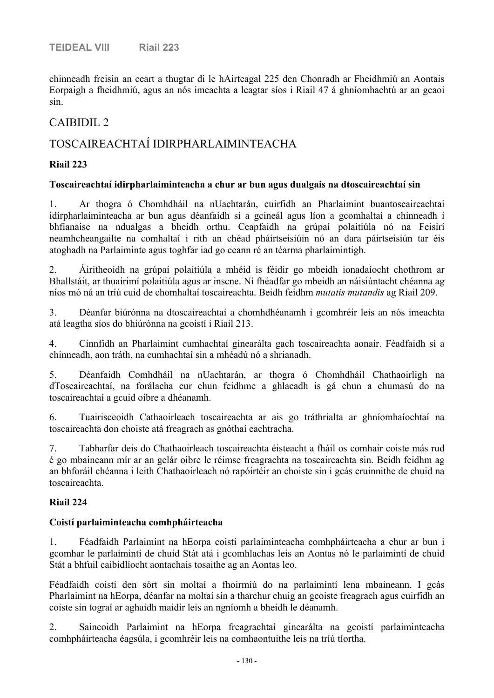chinneadh freisin an ceart a thugtar di le hAirteagal 225 den Chonradh ar Fheidhmiú an Aontais Eorpaigh a fheidhmiú, agus an nós imeachta a leagtar síos i Riail 47 á ghníomhachtú ar an gcaoi sin.

# CAIBIDIL 2

# TOSCAIREACHTAÍ IDIRPHARLAIMINTEACHA

#### **Riail 223**

#### **Toscaireachtaí idirpharlaiminteacha a chur ar bun agus dualgais na dtoscaireachtaí sin**

1. Ar thogra ó Chomhdháil na nUachtarán, cuirfidh an Pharlaimint buantoscaireachtaí idirpharlaiminteacha ar bun agus déanfaidh sí a gcineál agus líon a gcomhaltaí a chinneadh i bhfianaise na ndualgas a bheidh orthu. Ceapfaidh na grúpaí polaitiúla nó na Feisirí neamhcheangailte na comhaltaí i rith an chéad pháirtseisiúin nó an dara páirtseisiún tar éis atoghadh na Parlaiminte agus toghfar iad go ceann ré an téarma pharlaimintigh.

2. Áiritheoidh na grúpaí polaitiúla a mhéid is féidir go mbeidh ionadaíocht chothrom ar Bhallstáit, ar thuairimí polaitiúla agus ar inscne. Ní fhéadfar go mbeidh an náisiúntacht chéanna ag níos mó ná an tríú cuid de chomhaltaí toscaireachta. Beidh feidhm *mutatis mutandis* ag Riail 209.

3. Déanfar biúrónna na dtoscaireachtaí a chomhdhéanamh i gcomhréir leis an nós imeachta atá leagtha síos do bhiúrónna na gcoistí i Riail 213.

4. Cinnfidh an Pharlaimint cumhachtaí ginearálta gach toscaireachta aonair. Féadfaidh sí a chinneadh, aon tráth, na cumhachtaí sin a mhéadú nó a shrianadh.

5. Déanfaidh Comhdháil na nUachtarán, ar thogra ó Chomhdháil Chathaoirligh na dToscaireachtaí, na forálacha cur chun feidhme a ghlacadh is gá chun a chumasú do na toscaireachtaí a gcuid oibre a dhéanamh.

6. Tuairisceoidh Cathaoirleach toscaireachta ar ais go tráthrialta ar ghníomhaíochtaí na toscaireachta don choiste atá freagrach as gnóthaí eachtracha.

7. Tabharfar deis do Chathaoirleach toscaireachta éisteacht a fháil os comhair coiste más rud é go mbaineann mír ar an gclár oibre le réimse freagrachta na toscaireachta sin. Beidh feidhm ag an bhforáil chéanna i leith Chathaoirleach nó rapóirtéir an choiste sin i gcás cruinnithe de chuid na toscaireachta.

#### **Riail 224**

#### **Coistí parlaiminteacha comhpháirteacha**

1. Féadfaidh Parlaimint na hEorpa coistí parlaiminteacha comhpháirteacha a chur ar bun i gcomhar le parlaimintí de chuid Stát atá i gcomhlachas leis an Aontas nó le parlaimintí de chuid Stát a bhfuil caibidlíocht aontachais tosaithe ag an Aontas leo.

Féadfaidh coistí den sórt sin moltaí a fhoirmiú do na parlaimintí lena mbaineann. I gcás Pharlaimint na hEorpa, déanfar na moltaí sin a tharchur chuig an gcoiste freagrach agus cuirfidh an coiste sin tograí ar aghaidh maidir leis an ngníomh a bheidh le déanamh.

2. Saineoidh Parlaimint na hEorpa freagrachtaí ginearálta na gcoistí parlaiminteacha comhpháirteacha éagsúla, i gcomhréir leis na comhaontuithe leis na tríú tíortha.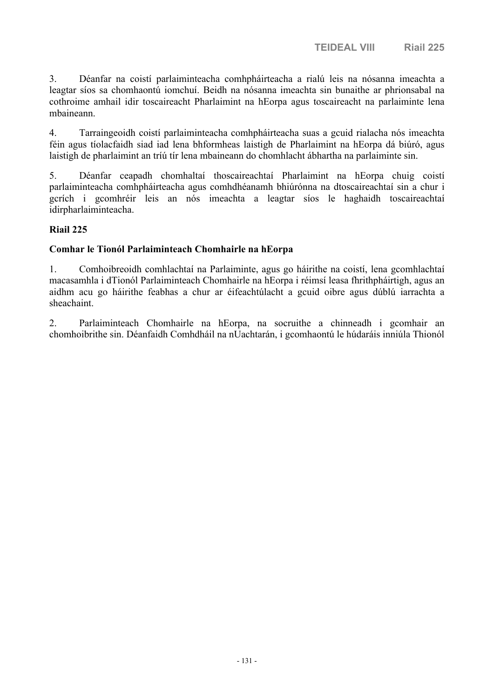3. Déanfar na coistí parlaiminteacha comhpháirteacha a rialú leis na nósanna imeachta a leagtar síos sa chomhaontú iomchuí. Beidh na nósanna imeachta sin bunaithe ar phrionsabal na cothroime amhail idir toscaireacht Pharlaimint na hEorpa agus toscaireacht na parlaiminte lena mbaineann.

4. Tarraingeoidh coistí parlaiminteacha comhpháirteacha suas a gcuid rialacha nós imeachta féin agus tíolacfaidh siad iad lena bhformheas laistigh de Pharlaimint na hEorpa dá biúró, agus laistigh de pharlaimint an tríú tír lena mbaineann do chomhlacht ábhartha na parlaiminte sin.

5. Déanfar ceapadh chomhaltaí thoscaireachtaí Pharlaimint na hEorpa chuig coistí parlaiminteacha comhpháirteacha agus comhdhéanamh bhiúrónna na dtoscaireachtaí sin a chur i gcrích i gcomhréir leis an nós imeachta a leagtar síos le haghaidh toscaireachtaí idirpharlaiminteacha.

## **Riail 225**

## **Comhar le Tionól Parlaiminteach Chomhairle na hEorpa**

1. Comhoibreoidh comhlachtaí na Parlaiminte, agus go háirithe na coistí, lena gcomhlachtaí macasamhla i dTionól Parlaiminteach Chomhairle na hEorpa i réimsí leasa fhrithpháirtigh, agus an aidhm acu go háirithe feabhas a chur ar éifeachtúlacht a gcuid oibre agus dúblú iarrachta a sheachaint.

2. Parlaiminteach Chomhairle na hEorpa, na socruithe a chinneadh i gcomhair an chomhoibrithe sin. Déanfaidh Comhdháil na nUachtarán, i gcomhaontú le húdaráis inniúla Thionól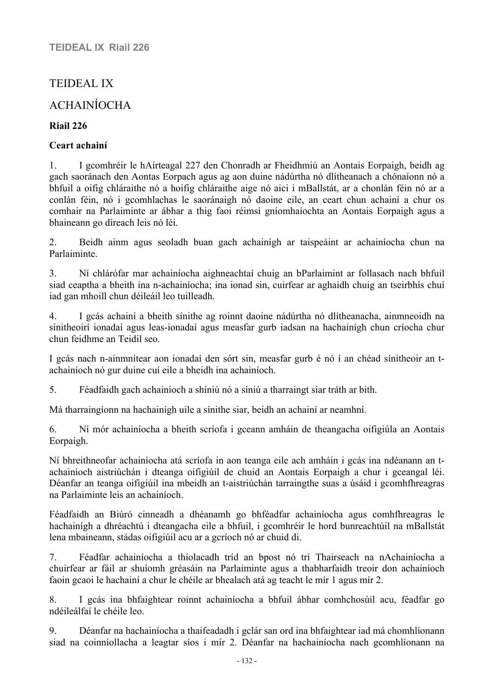# TEIDEAL IX

# ACHAINÍOCHA

## **Riail 226**

## **Ceart achainí**

1. I gcomhréir le hAirteagal 227 den Chonradh ar Fheidhmiú an Aontais Eorpaigh, beidh ag gach saoránach den Aontas Eorpach agus ag aon duine nádúrtha nó dlítheanach a chónaíonn nó a bhfuil a oifig chláraithe nó a hoifig chláraithe aige nó aici i mBallstát, ar a chonlán féin nó ar a conlán féin, nó i gcomhlachas le saoránaigh nó daoine eile, an ceart chun achainí a chur os comhair na Parlaiminte ar ábhar a thig faoi réimsí gníomhaíochta an Aontais Eorpaigh agus a bhaineann go díreach leis nó léi.

2. Beidh ainm agus seoladh buan gach achainígh ar taispeáint ar achainíocha chun na Parlaiminte.

3. Ní chlárófar mar achainíocha aighneachtaí chuig an bParlaimint ar follasach nach bhfuil siad ceaptha a bheith ina n-achainíocha; ina ionad sin, cuirfear ar aghaidh chuig an tseirbhís chuí iad gan mhoill chun déileáil leo tuilleadh.

4. I gcás achainí a bheith sínithe ag roinnt daoine nádúrtha nó dlítheanacha, ainmneoidh na sínitheoirí ionadaí agus leas-ionadaí agus measfar gurb iadsan na hachainígh chun críocha chur chun feidhme an Teidil seo.

I gcás nach n-ainmnítear aon ionadaí den sórt sin, measfar gurb é nó í an chéad sínitheoir an tachainíoch nó gur duine cuí eile a bheidh ina achainíoch.

5. Féadfaidh gach achainíoch a shíniú nó a síniú a tharraingt siar tráth ar bith.

Má tharraingíonn na hachainígh uile a sínithe siar, beidh an achainí ar neamhní.

6. Ní mór achainíocha a bheith scríofa i gceann amháin de theangacha oifigiúla an Aontais Eorpaigh.

Ní bhreithneofar achainíocha atá scríofa in aon teanga eile ach amháin i gcás ina ndéanann an tachainíoch aistriúchán i dteanga oifigiúil de chuid an Aontais Eorpaigh a chur i gceangal léi. Déanfar an teanga oifigiúil ina mbeidh an t-aistriúchán tarraingthe suas a úsáid i gcomhfhreagras na Parlaiminte leis an achainíoch.

Féadfaidh an Biúró cinneadh a dhéanamh go bhféadfar achainíocha agus comhfhreagras le hachainígh a dhréachtú i dteangacha eile a bhfuil, i gcomhréir le hord bunreachtúil na mBallstát lena mbaineann, stádas oifigiúil acu ar a gcríoch nó ar chuid di.

7. Féadfar achainíocha a thíolacadh tríd an bpost nó trí Thairseach na nAchainíocha a chuirfear ar fáil ar shuíomh gréasáin na Parlaiminte agus a thabharfaidh treoir don achainíoch faoin gcaoi le hachainí a chur le chéile ar bhealach atá ag teacht le mír 1 agus mír 2.

8. I gcás ina bhfaightear roinnt achainíocha a bhfuil ábhar comhchosúil acu, féadfar go ndéileálfaí le chéile leo.

9. Déanfar na hachainíocha a thaifeadadh i gclár san ord ina bhfaightear iad má chomhlíonann siad na coinníollacha a leagtar síos i mír 2. Déanfar na hachainíocha nach gcomhlíonann na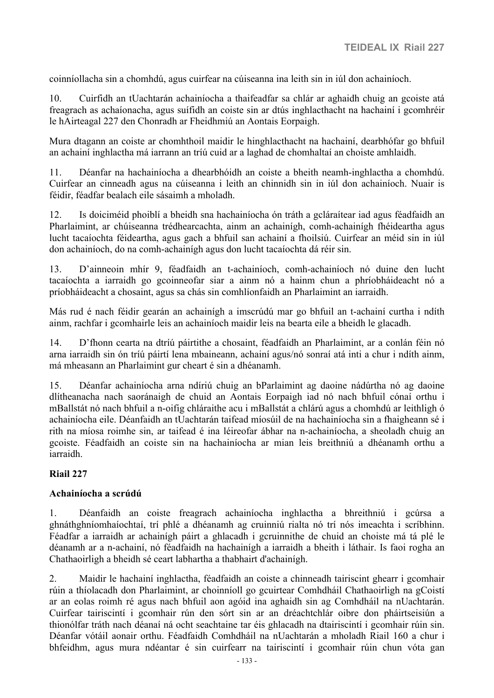coinníollacha sin a chomhdú, agus cuirfear na cúiseanna ina leith sin in iúl don achainíoch.

10. Cuirfidh an tUachtarán achainíocha a thaifeadfar sa chlár ar aghaidh chuig an gcoiste atá freagrach as achaíonacha, agus suífidh an coiste sin ar dtús inghlacthacht na hachainí i gcomhréir le hAirteagal 227 den Chonradh ar Fheidhmiú an Aontais Eorpaigh.

Mura dtagann an coiste ar chomhthoil maidir le hinghlacthacht na hachainí, dearbhófar go bhfuil an achainí inghlactha má iarrann an tríú cuid ar a laghad de chomhaltaí an choiste amhlaidh.

11. Déanfar na hachainíocha a dhearbhóidh an coiste a bheith neamh-inghlactha a chomhdú. Cuirfear an cinneadh agus na cúiseanna i leith an chinnidh sin in iúl don achainíoch. Nuair is féidir, féadfar bealach eile sásaimh a mholadh.

12. Is doiciméid phoiblí a bheidh sna hachainíocha ón tráth a gcláraítear iad agus féadfaidh an Pharlaimint, ar chúiseanna trédhearcachta, ainm an achainígh, comh-achainígh fhéideartha agus lucht tacaíochta féideartha, agus gach a bhfuil san achainí a fhoilsiú. Cuirfear an méid sin in iúl don achainíoch, do na comh-achainígh agus don lucht tacaíochta dá réir sin.

13. D'ainneoin mhír 9, féadfaidh an t-achainíoch, comh-achainíoch nó duine den lucht tacaíochta a iarraidh go gcoinneofar siar a ainm nó a hainm chun a phríobháideacht nó a príobháideacht a chosaint, agus sa chás sin comhlíonfaidh an Pharlaimint an iarraidh.

Más rud é nach féidir gearán an achainígh a imscrúdú mar go bhfuil an t-achainí curtha i ndíth ainm, rachfar i gcomhairle leis an achainíoch maidir leis na bearta eile a bheidh le glacadh.

14. D'fhonn cearta na dtríú páirtithe a chosaint, féadfaidh an Pharlaimint, ar a conlán féin nó arna iarraidh sin ón tríú páirtí lena mbaineann, achainí agus/nó sonraí atá inti a chur i ndíth ainm, má mheasann an Pharlaimint gur cheart é sin a dhéanamh.

15. Déanfar achainíocha arna ndíriú chuig an bParlaimint ag daoine nádúrtha nó ag daoine dlítheanacha nach saoránaigh de chuid an Aontais Eorpaigh iad nó nach bhfuil cónaí orthu i mBallstát nó nach bhfuil a n-oifig chláraithe acu i mBallstát a chlárú agus a chomhdú ar leithligh ó achainíocha eile. Déanfaidh an tUachtarán taifead míosúil de na hachainíocha sin a fhaigheann sé i rith na míosa roimhe sin, ar taifead é ina léireofar ábhar na n-achainíocha, a sheoladh chuig an gcoiste. Féadfaidh an coiste sin na hachainíocha ar mian leis breithniú a dhéanamh orthu a iarraidh.

#### **Riail 227**

#### **Achainíocha a scrúdú**

1. Déanfaidh an coiste freagrach achainíocha inghlactha a bhreithniú i gcúrsa a ghnáthghníomhaíochtaí, trí phlé a dhéanamh ag cruinniú rialta nó trí nós imeachta i scríbhinn. Féadfar a iarraidh ar achainígh páirt a ghlacadh i gcruinnithe de chuid an choiste má tá plé le déanamh ar a n-achainí, nó féadfaidh na hachainígh a iarraidh a bheith i láthair. Is faoi rogha an Chathaoirligh a bheidh sé ceart labhartha a thabhairt d'achainígh.

2. Maidir le hachainí inghlactha, féadfaidh an coiste a chinneadh tairiscint ghearr i gcomhair rúin a thíolacadh don Pharlaimint, ar choinníoll go gcuirtear Comhdháil Chathaoirligh na gCoistí ar an eolas roimh ré agus nach bhfuil aon agóid ina aghaidh sin ag Comhdháil na nUachtarán. Cuirfear tairiscintí i gcomhair rún den sórt sin ar an dréachtchlár oibre don pháirtseisiún a thionólfar tráth nach déanaí ná ocht seachtaine tar éis ghlacadh na dtairiscintí i gcomhair rúin sin. Déanfar vótáil aonair orthu. Féadfaidh Comhdháil na nUachtarán a mholadh Riail 160 a chur i bhfeidhm, agus mura ndéantar é sin cuirfearr na tairiscintí i gcomhair rúin chun vóta gan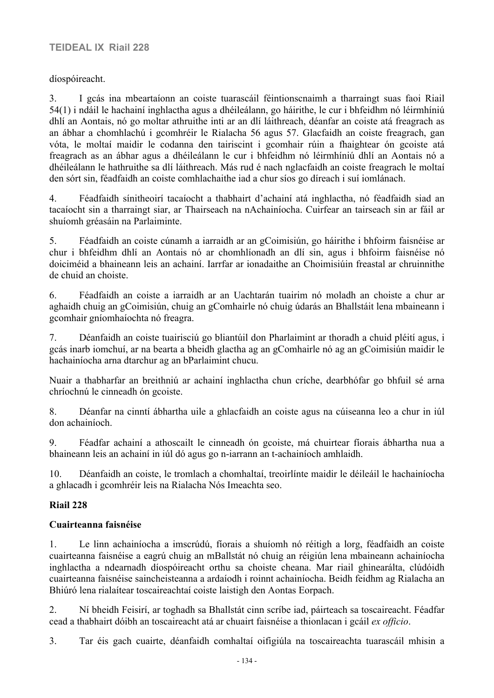díospóireacht.

3. I gcás ina mbeartaíonn an coiste tuarascáil féintionscnaimh a tharraingt suas faoi Riail 54(1) i ndáil le hachainí inghlactha agus a dhéileálann, go háirithe, le cur i bhfeidhm nó léirmhíniú dhlí an Aontais, nó go moltar athruithe inti ar an dlí láithreach, déanfar an coiste atá freagrach as an ábhar a chomhlachú i gcomhréir le Rialacha 56 agus 57. Glacfaidh an coiste freagrach, gan vóta, le moltaí maidir le codanna den tairiscint i gcomhair rúin a fhaightear ón gcoiste atá freagrach as an ábhar agus a dhéileálann le cur i bhfeidhm nó léirmhíniú dhlí an Aontais nó a dhéileálann le hathruithe sa dlí láithreach. Más rud é nach nglacfaidh an coiste freagrach le moltaí den sórt sin, féadfaidh an coiste comhlachaithe iad a chur síos go díreach i suí iomlánach.

4. Féadfaidh sínitheoirí tacaíocht a thabhairt d'achainí atá inghlactha, nó féadfaidh siad an tacaíocht sin a tharraingt siar, ar Thairseach na nAchainíocha. Cuirfear an tairseach sin ar fáil ar shuíomh gréasáin na Parlaiminte.

5. Féadfaidh an coiste cúnamh a iarraidh ar an gCoimisiún, go háirithe i bhfoirm faisnéise ar chur i bhfeidhm dhlí an Aontais nó ar chomhlíonadh an dlí sin, agus i bhfoirm faisnéise nó doiciméid a bhaineann leis an achainí. Iarrfar ar ionadaithe an Choimisiúin freastal ar chruinnithe de chuid an choiste.

6. Féadfaidh an coiste a iarraidh ar an Uachtarán tuairim nó moladh an choiste a chur ar aghaidh chuig an gCoimisiún, chuig an gComhairle nó chuig údarás an Bhallstáit lena mbaineann i gcomhair gníomhaíochta nó freagra.

7. Déanfaidh an coiste tuairisciú go bliantúil don Pharlaimint ar thoradh a chuid pléití agus, i gcás inarb iomchuí, ar na bearta a bheidh glactha ag an gComhairle nó ag an gCoimisiún maidir le hachainíocha arna dtarchur ag an bParlaimint chucu.

Nuair a thabharfar an breithniú ar achainí inghlactha chun críche, dearbhófar go bhfuil sé arna chríochnú le cinneadh ón gcoiste.

8. Déanfar na cinntí ábhartha uile a ghlacfaidh an coiste agus na cúiseanna leo a chur in iúl don achainíoch.

9. Féadfar achainí a athoscailt le cinneadh ón gcoiste, má chuirtear fíorais ábhartha nua a bhaineann leis an achainí in iúl dó agus go n-iarrann an t-achainíoch amhlaidh.

10. Déanfaidh an coiste, le tromlach a chomhaltaí, treoirlínte maidir le déileáil le hachainíocha a ghlacadh i gcomhréir leis na Rialacha Nós Imeachta seo.

# **Riail 228**

# **Cuairteanna faisnéise**

1. Le linn achainíocha a imscrúdú, fíorais a shuíomh nó réitigh a lorg, féadfaidh an coiste cuairteanna faisnéise a eagrú chuig an mBallstát nó chuig an réigiún lena mbaineann achainíocha inghlactha a ndearnadh díospóireacht orthu sa choiste cheana. Mar riail ghinearálta, clúdóidh cuairteanna faisnéise saincheisteanna a ardaíodh i roinnt achainíocha. Beidh feidhm ag Rialacha an Bhiúró lena rialaítear toscaireachtaí coiste laistigh den Aontas Eorpach.

2. Ní bheidh Feisirí, ar toghadh sa Bhallstát cinn scríbe iad, páirteach sa toscaireacht. Féadfar cead a thabhairt dóibh an toscaireacht atá ar chuairt faisnéise a thionlacan i gcáil *ex officio*.

3. Tar éis gach cuairte, déanfaidh comhaltaí oifigiúla na toscaireachta tuarascáil mhisin a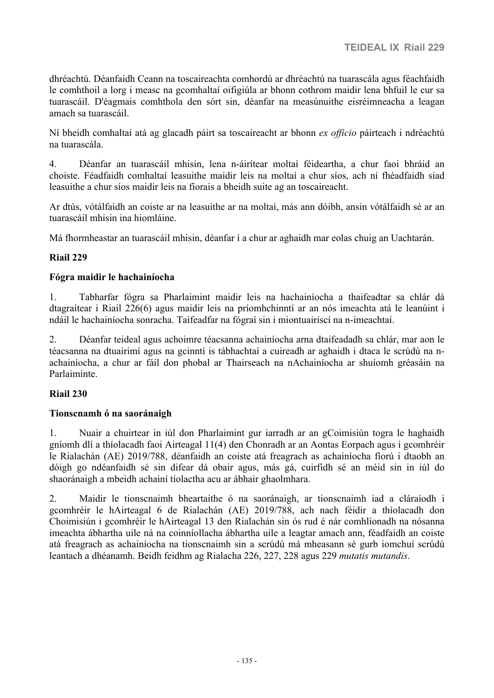dhréachtú. Déanfaidh Ceann na toscaireachta comhordú ar dhréachtú na tuarascála agus féachfaidh le comhthoil a lorg i measc na gcomhaltaí oifigiúla ar bhonn cothrom maidir lena bhfuil le cur sa tuarascáil. D'éagmais comhthola den sórt sin, déanfar na measúnuithe eisréimneacha a leagan amach sa tuarascáil.

Ní bheidh comhaltaí atá ag glacadh páirt sa toscaireacht ar bhonn *ex officio* páirteach i ndréachtú na tuarascála.

4. Déanfar an tuarascáil mhisin, lena n-áirítear moltaí féideartha, a chur faoi bhráid an choiste. Féadfaidh comhaltaí leasuithe maidir leis na moltaí a chur síos, ach ní fhéadfaidh siad leasuithe a chur síos maidir leis na fíorais a bheidh suite ag an toscaireacht.

Ar dtús, vótálfaidh an coiste ar na leasuithe ar na moltaí, más ann dóibh, ansin vótálfaidh sé ar an tuarascáil mhisin ina hiomláine.

Má fhormheastar an tuarascáil mhisin, déanfar í a chur ar aghaidh mar eolas chuig an Uachtarán.

#### **Riail 229**

#### **Fógra maidir le hachainíocha**

1. Tabharfar fógra sa Pharlaimint maidir leis na hachainíocha a thaifeadtar sa chlár dá dtagraítear i Riail 226(6) agus maidir leis na príomhchinntí ar an nós imeachta atá le leanúint i ndáil le hachainíocha sonracha. Taifeadfar na fógraí sin i miontuairiscí na n-imeachtaí.

2. Déanfar teideal agus achoimre téacsanna achainíocha arna dtaifeadadh sa chlár, mar aon le téacsanna na dtuairimí agus na gcinntí is tábhachtaí a cuireadh ar aghaidh i dtaca le scrúdú na nachainíocha, a chur ar fáil don phobal ar Thairseach na nAchainíocha ar shuíomh gréasáin na Parlaiminte.

#### **Riail 230**

#### **Tionscnamh ó na saoránaigh**

1. Nuair a chuirtear in iúl don Pharlaimint gur iarradh ar an gCoimisiún togra le haghaidh gníomh dlí a thíolacadh faoi Airteagal 11(4) den Chonradh ar an Aontas Eorpach agus i gcomhréir le Rialachán (AE) 2019/788, déanfaidh an coiste atá freagrach as achainíocha fíorú i dtaobh an dóigh go ndéanfaidh sé sin difear dá obair agus, más gá, cuirfidh sé an méid sin in iúl do shaoránaigh a mbeidh achainí tíolactha acu ar ábhair ghaolmhara.

2. Maidir le tionscnaimh bheartaithe ó na saoránaigh, ar tionscnaimh iad a cláraíodh i gcomhréir le hAirteagal 6 de Rialachán (AE) 2019/788, ach nach féidir a thíolacadh don Choimisiún i gcomhréir le hAirteagal 13 den Rialachán sin ós rud é nár comhlíonadh na nósanna imeachta ábhartha uile ná na coinníollacha ábhartha uile a leagtar amach ann, féadfaidh an coiste atá freagrach as achainíocha na tionscnaimh sin a scrúdú má mheasann sé gurb iomchuí scrúdú leantach a dhéanamh. Beidh feidhm ag Rialacha 226, 227, 228 agus 229 *mutatis mutandis*.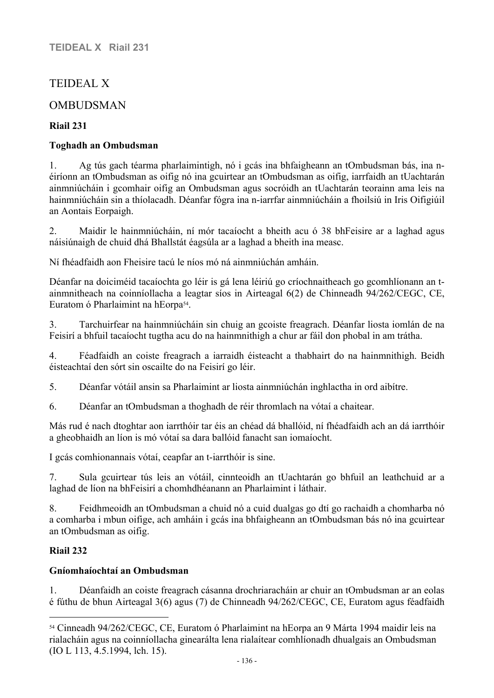# TEIDEAL X

# **OMBUDSMAN**

## **Riail 231**

#### **Toghadh an Ombudsman**

1. Ag tús gach téarma pharlaimintigh, nó i gcás ina bhfaigheann an tOmbudsman bás, ina néiríonn an tOmbudsman as oifig nó ina gcuirtear an tOmbudsman as oifig, iarrfaidh an tUachtarán ainmniúcháin i gcomhair oifig an Ombudsman agus socróidh an tUachtarán teorainn ama leis na hainmniúcháin sin a thíolacadh. Déanfar fógra ina n-iarrfar ainmniúcháin a fhoilsiú in Iris Oifigiúil an Aontais Eorpaigh.

2. Maidir le hainmniúcháin, ní mór tacaíocht a bheith acu ó 38 bhFeisire ar a laghad agus náisiúnaigh de chuid dhá Bhallstát éagsúla ar a laghad a bheith ina measc.

Ní fhéadfaidh aon Fheisire tacú le níos mó ná ainmniúchán amháin.

Déanfar na doiciméid tacaíochta go léir is gá lena léiriú go críochnaitheach go gcomhlíonann an tainmnitheach na coinníollacha a leagtar síos in Airteagal 6(2) de Chinneadh 94/262/CEGC, CE, Euratom ó Pharlaimint na hEorpa<sup>54</sup>.

3. Tarchuirfear na hainmniúcháin sin chuig an gcoiste freagrach. Déanfar liosta iomlán de na Feisirí a bhfuil tacaíocht tugtha acu do na hainmnithigh a chur ar fáil don phobal in am trátha.

4. Féadfaidh an coiste freagrach a iarraidh éisteacht a thabhairt do na hainmnithigh. Beidh éisteachtaí den sórt sin oscailte do na Feisirí go léir.

5. Déanfar vótáil ansin sa Pharlaimint ar liosta ainmniúchán inghlactha in ord aibítre.

6. Déanfar an tOmbudsman a thoghadh de réir thromlach na vótaí a chaitear.

Más rud é nach dtoghtar aon iarrthóir tar éis an chéad dá bhallóid, ní fhéadfaidh ach an dá iarrthóir a gheobhaidh an líon is mó vótaí sa dara ballóid fanacht san iomaíocht.

I gcás comhionannais vótaí, ceapfar an t-iarrthóir is sine.

7. Sula gcuirtear tús leis an vótáil, cinnteoidh an tUachtarán go bhfuil an leathchuid ar a laghad de líon na bhFeisirí a chomhdhéanann an Pharlaimint i láthair.

8. Feidhmeoidh an tOmbudsman a chuid nó a cuid dualgas go dtí go rachaidh a chomharba nó a comharba i mbun oifige, ach amháin i gcás ina bhfaigheann an tOmbudsman bás nó ina gcuirtear an tOmbudsman as oifig.

# **Riail 232**

#### **Gníomhaíochtaí an Ombudsman**

1. Déanfaidh an coiste freagrach cásanna drochriaracháin ar chuir an tOmbudsman ar an eolas é fúthu de bhun Airteagal 3(6) agus (7) de Chinneadh 94/262/CEGC, CE, Euratom agus féadfaidh

<sup>54</sup> Cinneadh 94/262/CEGC, CE, Euratom ó Pharlaimint na hEorpa an 9 Márta 1994 maidir leis na rialacháin agus na coinníollacha ginearálta lena rialaítear comhlíonadh dhualgais an Ombudsman (IO L 113, 4.5.1994, lch. 15).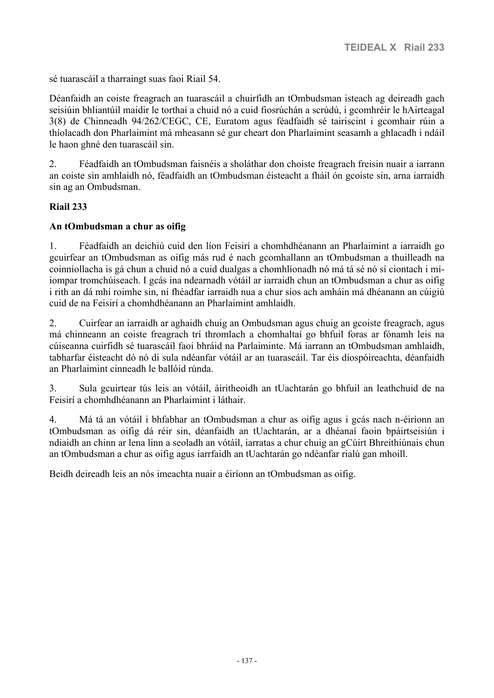sé tuarascáil a tharraingt suas faoi Riail 54.

Déanfaidh an coiste freagrach an tuarascáil a chuirfidh an tOmbudsman isteach ag deireadh gach seisiúin bhliantúil maidir le torthaí a chuid nó a cuid fiosrúchán a scrúdú, i gcomhréir le hAirteagal 3(8) de Chinneadh 94/262/CEGC, CE, Euratom agus féadfaidh sé tairiscint i gcomhair rúin a thíolacadh don Pharlaimint má mheasann sé gur cheart don Pharlaimint seasamh a ghlacadh i ndáil le haon ghné den tuarascáil sin.

2. Féadfaidh an tOmbudsman faisnéis a sholáthar don choiste freagrach freisin nuair a iarrann an coiste sin amhlaidh nó, féadfaidh an tOmbudsman éisteacht a fháil ón gcoiste sin, arna iarraidh sin ag an Ombudsman.

#### **Riail 233**

#### **An tOmbudsman a chur as oifig**

1. Féadfaidh an deichiú cuid den líon Feisirí a chomhdhéanann an Pharlaimint a iarraidh go gcuirfear an tOmbudsman as oifig más rud é nach gcomhallann an tOmbudsman a thuilleadh na coinníollacha is gá chun a chuid nó a cuid dualgas a chomhlíonadh nó má tá sé nó sí ciontach i míiompar tromchúiseach. I gcás ina ndearnadh vótáil ar iarraidh chun an tOmbudsman a chur as oifig i rith an dá mhí roimhe sin, ní fhéadfar iarraidh nua a chur síos ach amháin má dhéanann an cúigiú cuid de na Feisirí a chomhdhéanann an Pharlaimint amhlaidh.

2. Cuirfear an iarraidh ar aghaidh chuig an Ombudsman agus chuig an gcoiste freagrach, agus má chinneann an coiste freagrach trí thromlach a chomhaltaí go bhfuil foras ar fónamh leis na cúiseanna cuirfidh sé tuarascáil faoi bhráid na Parlaiminte. Má iarrann an tOmbudsman amhlaidh, tabharfar éisteacht dó nó di sula ndéanfar vótáil ar an tuarascáil. Tar éis díospóireachta, déanfaidh an Pharlaimint cinneadh le ballóid rúnda.

3. Sula gcuirtear tús leis an vótáil, áiritheoidh an tUachtarán go bhfuil an leathchuid de na Feisirí a chomhdhéanann an Pharlaimint i láthair.

4. Má tá an vótáil i bhfabhar an tOmbudsman a chur as oifig agus i gcás nach n-éiríonn an tOmbudsman as oifig dá réir sin, déanfaidh an tUachtarán, ar a dhéanaí faoin bpáirtseisiún i ndiaidh an chinn ar lena linn a seoladh an vótáil, iarratas a chur chuig an gCúirt Bhreithiúnais chun an tOmbudsman a chur as oifig agus iarrfaidh an tUachtarán go ndéanfar rialú gan mhoill.

Beidh deireadh leis an nós imeachta nuair a éiríonn an tOmbudsman as oifig.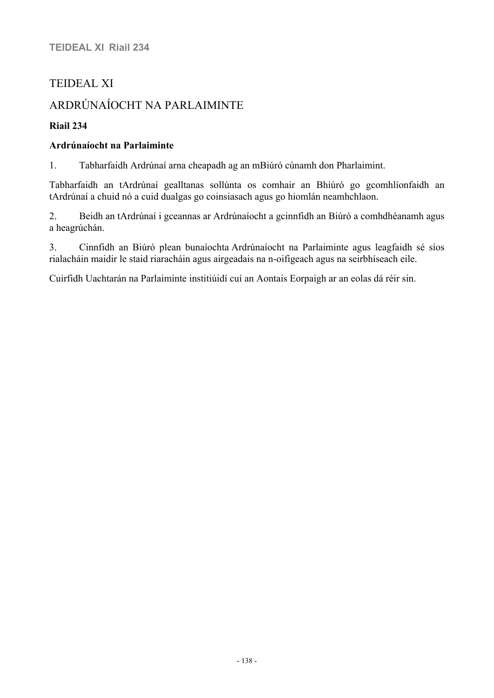# TEIDEAL XI

# ARDRÚNAÍOCHT NA PARLAIMINTE

#### **Riail 234**

#### **Ardrúnaíocht na Parlaiminte**

1. Tabharfaidh Ardrúnaí arna cheapadh ag an mBiúró cúnamh don Pharlaimint.

Tabharfaidh an tArdrúnaí gealltanas sollúnta os comhair an Bhiúró go gcomhlíonfaidh an tArdrúnaí a chuid nó a cuid dualgas go coinsiasach agus go hiomlán neamhchlaon.

2. Beidh an tArdrúnaí i gceannas ar Ardrúnaíocht a gcinnfidh an Biúró a comhdhéanamh agus a heagrúchán.

3. Cinnfidh an Biúró plean bunaíochta Ardrúnaíocht na Parlaiminte agus leagfaidh sé síos rialacháin maidir le staid riaracháin agus airgeadais na n-oifigeach agus na seirbhíseach eile.

Cuirfidh Uachtarán na Parlaiminte institiúidí cuí an Aontais Eorpaigh ar an eolas dá réir sin.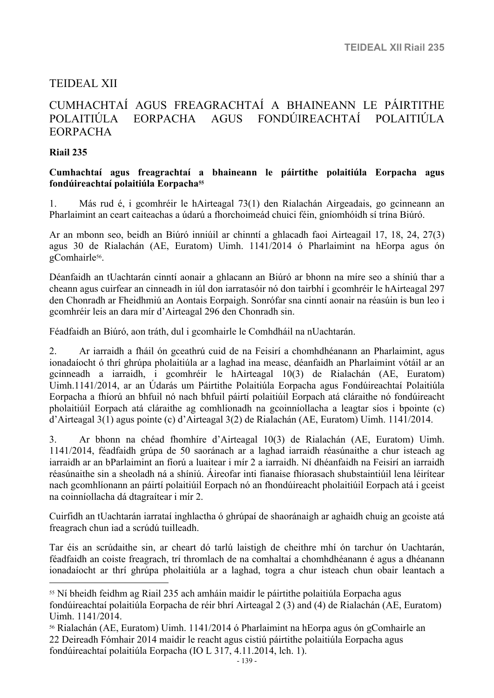# TEIDEAL XII

# CUMHACHTAÍ AGUS FREAGRACHTAÍ A BHAINEANN LE PÁIRTITHE POLAITIÚLA EORPACHA AGUS FONDÚIREACHTAÍ POLAITIÚLA EORPACHA

#### **Riail 235**

#### **Cumhachtaí agus freagrachtaí a bhaineann le páirtithe polaitiúla Eorpacha agus fondúireachtaí polaitiúla Eorpacha<sup>55</sup>**

1. Más rud é, i gcomhréir le hAirteagal 73(1) den Rialachán Airgeadais, go gcinneann an Pharlaimint an ceart caiteachas a údarú a fhorchoimeád chuici féin, gníomhóidh sí trína Biúró.

Ar an mbonn seo, beidh an Biúró inniúil ar chinntí a ghlacadh faoi Airteagail 17, 18, 24, 27(3) agus 30 de Rialachán (AE, Euratom) Uimh. 1141/2014 ó Pharlaimint na hEorpa agus ón gComhairle<sup>56</sup>.

Déanfaidh an tUachtarán cinntí aonair a ghlacann an Biúró ar bhonn na míre seo a shíniú thar a cheann agus cuirfear an cinneadh in iúl don iarratasóir nó don tairbhí i gcomhréir le hAirteagal 297 den Chonradh ar Fheidhmiú an Aontais Eorpaigh. Sonrófar sna cinntí aonair na réasúin is bun leo i gcomhréir leis an dara mír d'Airteagal 296 den Chonradh sin.

Féadfaidh an Biúró, aon tráth, dul i gcomhairle le Comhdháil na nUachtarán.

2. Ar iarraidh a fháil ón gceathrú cuid de na Feisirí a chomhdhéanann an Pharlaimint, agus ionadaíocht ó thrí ghrúpa pholaitiúla ar a laghad ina measc, déanfaidh an Pharlaimint vótáil ar an gcinneadh a iarraidh, i gcomhréir le hAirteagal 10(3) de Rialachán (AE, Euratom) Uimh.1141/2014, ar an Údarás um Páirtithe Polaitiúla Eorpacha agus Fondúireachtaí Polaitiúla Eorpacha a fhíorú an bhfuil nó nach bhfuil páirtí polaitiúil Eorpach atá cláraithe nó fondúireacht pholaitiúil Eorpach atá cláraithe ag comhlíonadh na gcoinníollacha a leagtar síos i bpointe (c) d'Airteagal 3(1) agus pointe (c) d'Airteagal 3(2) de Rialachán (AE, Euratom) Uimh. 1141/2014.

3. Ar bhonn na chéad fhomhíre d'Airteagal 10(3) de Rialachán (AE, Euratom) Uimh. 1141/2014, féadfaidh grúpa de 50 saoránach ar a laghad iarraidh réasúnaithe a chur isteach ag iarraidh ar an bParlaimint an fíorú a luaitear i mír 2 a iarraidh. Ní dhéanfaidh na Feisirí an iarraidh réasúnaithe sin a sheoladh ná a shíniú. Áireofar inti fianaise fhíorasach shubstaintiúil lena léirítear nach gcomhlíonann an páirtí polaitiúil Eorpach nó an fhondúireacht pholaitiúil Eorpach atá i gceist na coinníollacha dá dtagraítear i mír 2.

Cuirfidh an tUachtarán iarrataí inghlactha ó ghrúpaí de shaoránaigh ar aghaidh chuig an gcoiste atá freagrach chun iad a scrúdú tuilleadh.

Tar éis an scrúdaithe sin, ar cheart dó tarlú laistigh de cheithre mhí ón tarchur ón Uachtarán, féadfaidh an coiste freagrach, trí thromlach de na comhaltaí a chomhdhéanann é agus a dhéanann ionadaíocht ar thrí ghrúpa pholaitiúla ar a laghad, togra a chur isteach chun obair leantach a

<sup>55</sup> Ní bheidh feidhm ag Riail 235 ach amháin maidir le páirtithe polaitiúla Eorpacha agus fondúireachtaí polaitiúla Eorpacha de réir bhrí Airteagal 2 (3) and (4) de Rialachán (AE, Euratom) Uimh. 1141/2014.

<sup>56</sup> Rialachán (AE, Euratom) Uimh. 1141/2014 ó Pharlaimint na hEorpa agus ón gComhairle an 22 Deireadh Fómhair 2014 maidir le reacht agus cistiú páirtithe polaitiúla Eorpacha agus fondúireachtaí polaitiúla Eorpacha (IO L 317, 4.11.2014, lch. 1).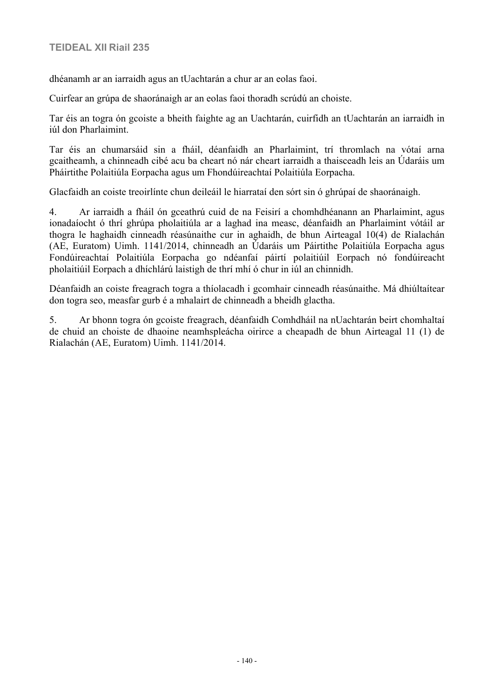#### **TEIDEAL XII Riail 235**

dhéanamh ar an iarraidh agus an tUachtarán a chur ar an eolas faoi.

Cuirfear an grúpa de shaoránaigh ar an eolas faoi thoradh scrúdú an choiste.

Tar éis an togra ón gcoiste a bheith faighte ag an Uachtarán, cuirfidh an tUachtarán an iarraidh in iúl don Pharlaimint.

Tar éis an chumarsáid sin a fháil, déanfaidh an Pharlaimint, trí thromlach na vótaí arna gcaitheamh, a chinneadh cibé acu ba cheart nó nár cheart iarraidh a thaisceadh leis an Údaráis um Pháirtithe Polaitiúla Eorpacha agus um Fhondúireachtaí Polaitiúla Eorpacha.

Glacfaidh an coiste treoirlínte chun deileáil le hiarrataí den sórt sin ó ghrúpaí de shaoránaigh.

4. Ar iarraidh a fháil ón gceathrú cuid de na Feisirí a chomhdhéanann an Pharlaimint, agus ionadaíocht ó thrí ghrúpa pholaitiúla ar a laghad ina measc, déanfaidh an Pharlaimint vótáil ar thogra le haghaidh cinneadh réasúnaithe cur in aghaidh, de bhun Airteagal 10(4) de Rialachán (AE, Euratom) Uimh. 1141/2014, chinneadh an Údaráis um Páirtithe Polaitiúla Eorpacha agus Fondúireachtaí Polaitiúla Eorpacha go ndéanfaí páirtí polaitiúil Eorpach nó fondúireacht pholaitiúil Eorpach a dhíchlárú laistigh de thrí mhí ó chur in iúl an chinnidh.

Déanfaidh an coiste freagrach togra a thíolacadh i gcomhair cinneadh réasúnaithe. Má dhiúltaítear don togra seo, measfar gurb é a mhalairt de chinneadh a bheidh glactha.

5. Ar bhonn togra ón gcoiste freagrach, déanfaidh Comhdháil na nUachtarán beirt chomhaltaí de chuid an choiste de dhaoine neamhspleácha oirirce a cheapadh de bhun Airteagal 11 (1) de Rialachán (AE, Euratom) Uimh. 1141/2014.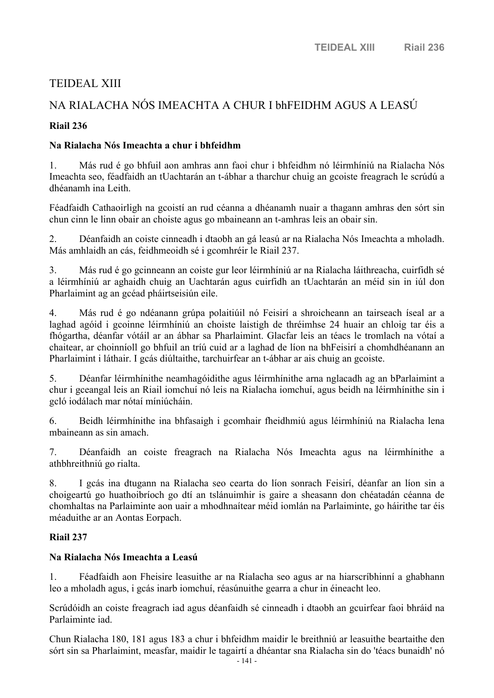# TEIDEAL XIII

# NA RIALACHA NÓS IMEACHTA A CHUR I bhFEIDHM AGUS A LEASÚ

## **Riail 236**

#### **Na Rialacha Nós Imeachta a chur i bhfeidhm**

1. Más rud é go bhfuil aon amhras ann faoi chur i bhfeidhm nó léirmhíniú na Rialacha Nós Imeachta seo, féadfaidh an tUachtarán an t-ábhar a tharchur chuig an gcoiste freagrach le scrúdú a dhéanamh ina Leith.

Féadfaidh Cathaoirligh na gcoistí an rud céanna a dhéanamh nuair a thagann amhras den sórt sin chun cinn le linn obair an choiste agus go mbaineann an t-amhras leis an obair sin.

2. Déanfaidh an coiste cinneadh i dtaobh an gá leasú ar na Rialacha Nós Imeachta a mholadh. Más amhlaidh an cás, feidhmeoidh sé i gcomhréir le Riail 237.

3. Más rud é go gcinneann an coiste gur leor léirmhíniú ar na Rialacha láithreacha, cuirfidh sé a léirmhíniú ar aghaidh chuig an Uachtarán agus cuirfidh an tUachtarán an méid sin in iúl don Pharlaimint ag an gcéad pháirtseisiún eile.

4. Más rud é go ndéanann grúpa polaitiúil nó Feisirí a shroicheann an tairseach íseal ar a laghad agóid i gcoinne léirmhíniú an choiste laistigh de thréimhse 24 huair an chloig tar éis a fhógartha, déanfar vótáil ar an ábhar sa Pharlaimint. Glacfar leis an téacs le tromlach na vótaí a chaitear, ar choinníoll go bhfuil an tríú cuid ar a laghad de líon na bhFeisirí a chomhdhéanann an Pharlaimint i láthair. I gcás diúltaithe, tarchuirfear an t-ábhar ar ais chuig an gcoiste.

5. Déanfar léirmhínithe neamhagóidithe agus léirmhínithe arna nglacadh ag an bParlaimint a chur i gceangal leis an Riail iomchuí nó leis na Rialacha iomchuí, agus beidh na léirmhínithe sin i gcló iodálach mar nótaí míniúcháin.

6. Beidh léirmhínithe ina bhfasaigh i gcomhair fheidhmiú agus léirmhíniú na Rialacha lena mbaineann as sin amach.

7. Déanfaidh an coiste freagrach na Rialacha Nós Imeachta agus na léirmhínithe a athbhreithniú go rialta.

8. I gcás ina dtugann na Rialacha seo cearta do líon sonrach Feisirí, déanfar an líon sin a choigeartú go huathoibríoch go dtí an tslánuimhir is gaire a sheasann don chéatadán céanna de chomhaltas na Parlaiminte aon uair a mhodhnaítear méid iomlán na Parlaiminte, go háirithe tar éis méaduithe ar an Aontas Eorpach.

#### **Riail 237**

#### **Na Rialacha Nós Imeachta a Leasú**

1. Féadfaidh aon Fheisire leasuithe ar na Rialacha seo agus ar na hiarscríbhinní a ghabhann leo a mholadh agus, i gcás inarb iomchuí, réasúnuithe gearra a chur in éineacht leo.

Scrúdóidh an coiste freagrach iad agus déanfaidh sé cinneadh i dtaobh an gcuirfear faoi bhráid na Parlaiminte iad.

Chun Rialacha 180, 181 agus 183 a chur i bhfeidhm maidir le breithniú ar leasuithe beartaithe den sórt sin sa Pharlaimint, measfar, maidir le tagairtí a dhéantar sna Rialacha sin do 'téacs bunaidh' nó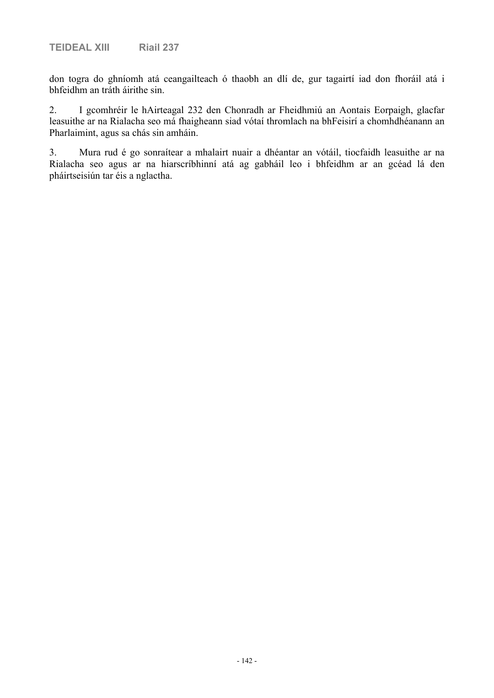don togra do ghníomh atá ceangailteach ó thaobh an dlí de, gur tagairtí iad don fhoráil atá i bhfeidhm an tráth áirithe sin.

2. I gcomhréir le hAirteagal 232 den Chonradh ar Fheidhmiú an Aontais Eorpaigh, glacfar leasuithe ar na Rialacha seo má fhaigheann siad vótaí thromlach na bhFeisirí a chomhdhéanann an Pharlaimint, agus sa chás sin amháin.

3. Mura rud é go sonraítear a mhalairt nuair a dhéantar an vótáil, tiocfaidh leasuithe ar na Rialacha seo agus ar na hiarscríbhinní atá ag gabháil leo i bhfeidhm ar an gcéad lá den pháirtseisiún tar éis a nglactha.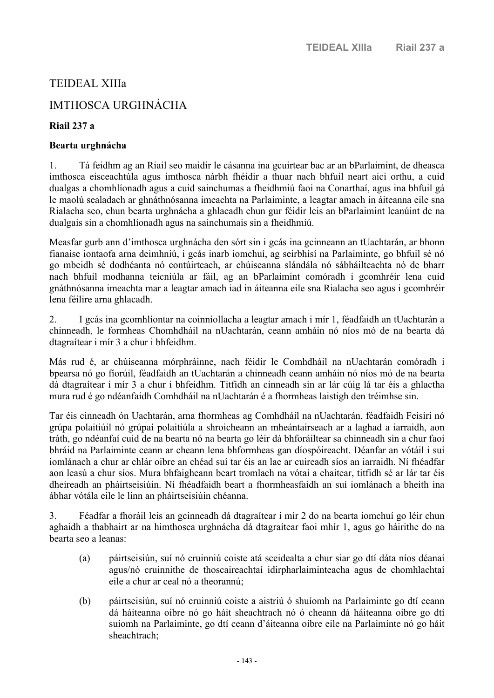# TEIDEAL XIIIa

# IMTHOSCA URGHNÁCHA

## **Riail 237 a**

#### **Bearta urghnácha**

1. Tá feidhm ag an Riail seo maidir le cásanna ina gcuirtear bac ar an bParlaimint, de dheasca imthosca eisceachtúla agus imthosca nárbh fhéidir a thuar nach bhfuil neart aici orthu, a cuid dualgas a chomhlíonadh agus a cuid sainchumas a fheidhmiú faoi na Conarthaí, agus ina bhfuil gá le maolú sealadach ar ghnáthnósanna imeachta na Parlaiminte, a leagtar amach in áiteanna eile sna Rialacha seo, chun bearta urghnácha a ghlacadh chun gur féidir leis an bParlaimint leanúint de na dualgais sin a chomhlíonadh agus na sainchumais sin a fheidhmiú.

Measfar gurb ann d'imthosca urghnácha den sórt sin i gcás ina gcinneann an tUachtarán, ar bhonn fianaise iontaofa arna deimhniú, i gcás inarb iomchuí, ag seirbhísí na Parlaiminte, go bhfuil sé nó go mbeidh sé dodhéanta nó contúirteach, ar chúiseanna slándála nó sábháilteachta nó de bharr nach bhfuil modhanna teicniúla ar fáil, ag an bParlaimint comóradh i gcomhréir lena cuid gnáthnósanna imeachta mar a leagtar amach iad in áiteanna eile sna Rialacha seo agus i gcomhréir lena féilire arna ghlacadh.

2. I gcás ina gcomhlíontar na coinníollacha a leagtar amach i mír 1, féadfaidh an tUachtarán a chinneadh, le formheas Chomhdháil na nUachtarán, ceann amháin nó níos mó de na bearta dá dtagraítear i mír 3 a chur i bhfeidhm.

Más rud é, ar chúiseanna mórphráinne, nach féidir le Comhdháil na nUachtarán comóradh i bpearsa nó go fíorúil, féadfaidh an tUachtarán a chinneadh ceann amháin nó níos mó de na bearta dá dtagraítear i mír 3 a chur i bhfeidhm. Titfidh an cinneadh sin ar lár cúig lá tar éis a ghlactha mura rud é go ndéanfaidh Comhdháil na nUachtarán é a fhormheas laistigh den tréimhse sin.

Tar éis cinneadh ón Uachtarán, arna fhormheas ag Comhdháil na nUachtarán, féadfaidh Feisirí nó grúpa polaitiúil nó grúpaí polaitiúla a shroicheann an mheántairseach ar a laghad a iarraidh, aon tráth, go ndéanfaí cuid de na bearta nó na bearta go léir dá bhforáiltear sa chinneadh sin a chur faoi bhráid na Parlaiminte ceann ar cheann lena bhformheas gan díospóireacht. Déanfar an vótáil i suí iomlánach a chur ar chlár oibre an chéad suí tar éis an lae ar cuireadh síos an iarraidh. Ní fhéadfar aon leasú a chur síos. Mura bhfaigheann beart tromlach na vótaí a chaitear, titfidh sé ar lár tar éis dheireadh an pháirtseisiúin. Ní fhéadfaidh beart a fhormheasfaidh an suí iomlánach a bheith ina ábhar vótála eile le linn an pháirtseisiúin chéanna.

3. Féadfar a fhoráil leis an gcinneadh dá dtagraítear i mír 2 do na bearta iomchuí go léir chun aghaidh a thabhairt ar na himthosca urghnácha dá dtagraítear faoi mhír 1, agus go háirithe do na bearta seo a leanas:

- (a) páirtseisiún, suí nó cruinniú coiste atá sceidealta a chur siar go dtí dáta níos déanaí agus/nó cruinnithe de thoscaireachtaí idirpharlaiminteacha agus de chomhlachtaí eile a chur ar ceal nó a theorannú;
- (b) páirtseisiún, suí nó cruinniú coiste a aistriú ó shuíomh na Parlaiminte go dtí ceann dá háiteanna oibre nó go háit sheachtrach nó ó cheann dá háiteanna oibre go dtí suíomh na Parlaiminte, go dtí ceann d'áiteanna oibre eile na Parlaiminte nó go háit sheachtrach;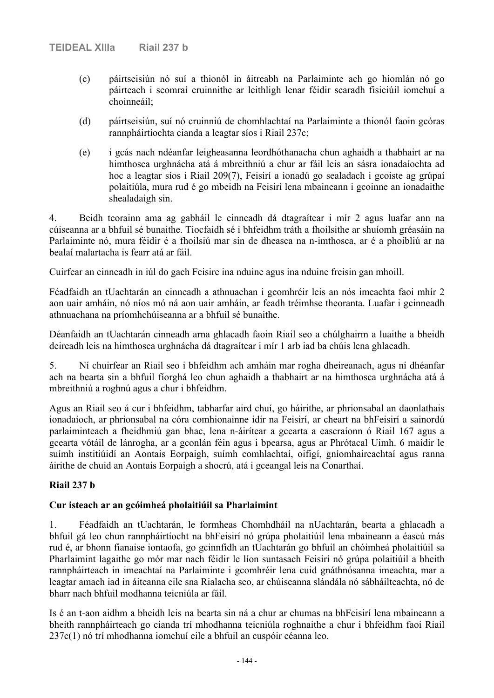- (c) páirtseisiún nó suí a thionól in áitreabh na Parlaiminte ach go hiomlán nó go páirteach i seomraí cruinnithe ar leithligh lenar féidir scaradh fisiciúil iomchuí a choinneáil;
- (d) páirtseisiún, suí nó cruinniú de chomhlachtaí na Parlaiminte a thionól faoin gcóras rannpháirtíochta cianda a leagtar síos i Riail 237c;
- (e) i gcás nach ndéanfar leigheasanna leordhóthanacha chun aghaidh a thabhairt ar na himthosca urghnácha atá á mbreithniú a chur ar fáil leis an sásra ionadaíochta ad hoc a leagtar síos i Riail 209(7), Feisirí a ionadú go sealadach i gcoiste ag grúpaí polaitiúla, mura rud é go mbeidh na Feisirí lena mbaineann i gcoinne an ionadaithe shealadaigh sin.

4. Beidh teorainn ama ag gabháil le cinneadh dá dtagraítear i mír 2 agus luafar ann na cúiseanna ar a bhfuil sé bunaithe. Tiocfaidh sé i bhfeidhm tráth a fhoilsithe ar shuíomh gréasáin na Parlaiminte nó, mura féidir é a fhoilsiú mar sin de dheasca na n-imthosca, ar é a phoibliú ar na bealaí malartacha is fearr atá ar fáil.

Cuirfear an cinneadh in iúl do gach Feisire ina nduine agus ina nduine freisin gan mhoill.

Féadfaidh an tUachtarán an cinneadh a athnuachan i gcomhréir leis an nós imeachta faoi mhír 2 aon uair amháin, nó níos mó ná aon uair amháin, ar feadh tréimhse theoranta. Luafar i gcinneadh athnuachana na príomhchúiseanna ar a bhfuil sé bunaithe.

Déanfaidh an tUachtarán cinneadh arna ghlacadh faoin Riail seo a chúlghairm a luaithe a bheidh deireadh leis na himthosca urghnácha dá dtagraítear i mír 1 arb iad ba chúis lena ghlacadh.

5. Ní chuirfear an Riail seo i bhfeidhm ach amháin mar rogha dheireanach, agus ní dhéanfar ach na bearta sin a bhfuil fíorghá leo chun aghaidh a thabhairt ar na himthosca urghnácha atá á mbreithniú a roghnú agus a chur i bhfeidhm.

Agus an Riail seo á cur i bhfeidhm, tabharfar aird chuí, go háirithe, ar phrionsabal an daonlathais ionadaíoch, ar phrionsabal na córa comhionainne idir na Feisirí, ar cheart na bhFeisirí a sainordú parlaiminteach a fheidhmiú gan bhac, lena n-áirítear a gcearta a eascraíonn ó Riail 167 agus a gcearta vótáil de lánrogha, ar a gconlán féin agus i bpearsa, agus ar Phrótacal Uimh. 6 maidir le suímh institiúidí an Aontais Eorpaigh, suímh comhlachtaí, oifigí, gníomhaireachtaí agus ranna áirithe de chuid an Aontais Eorpaigh a shocrú, atá i gceangal leis na Conarthaí.

#### **Riail 237 b**

#### **Cur isteach ar an gcóimheá pholaitiúil sa Pharlaimint**

1. Féadfaidh an tUachtarán, le formheas Chomhdháil na nUachtarán, bearta a ghlacadh a bhfuil gá leo chun rannpháirtíocht na bhFeisirí nó grúpa pholaitiúil lena mbaineann a éascú más rud é, ar bhonn fianaise iontaofa, go gcinnfidh an tUachtarán go bhfuil an chóimheá pholaitiúil sa Pharlaimint lagaithe go mór mar nach féidir le líon suntasach Feisirí nó grúpa polaitiúil a bheith rannpháirteach in imeachtaí na Parlaiminte i gcomhréir lena cuid gnáthnósanna imeachta, mar a leagtar amach iad in áiteanna eile sna Rialacha seo, ar chúiseanna slándála nó sábháilteachta, nó de bharr nach bhfuil modhanna teicniúla ar fáil.

Is é an t-aon aidhm a bheidh leis na bearta sin ná a chur ar chumas na bhFeisirí lena mbaineann a bheith rannpháirteach go cianda trí mhodhanna teicniúla roghnaithe a chur i bhfeidhm faoi Riail 237c(1) nó trí mhodhanna iomchuí eile a bhfuil an cuspóir céanna leo.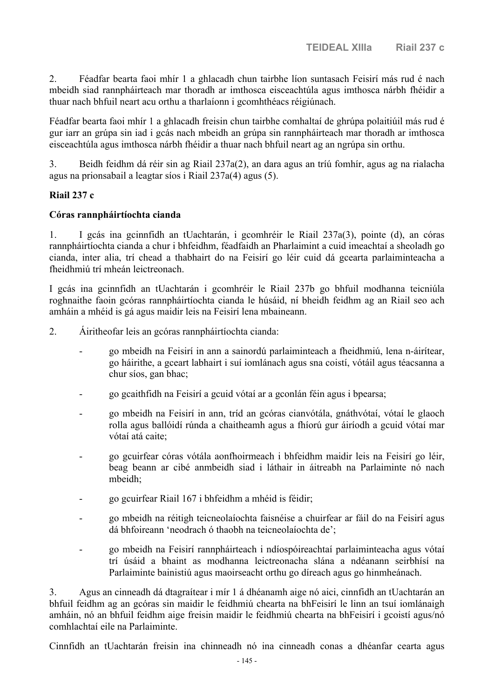2. Féadfar bearta faoi mhír 1 a ghlacadh chun tairbhe líon suntasach Feisirí más rud é nach mbeidh siad rannpháirteach mar thoradh ar imthosca eisceachtúla agus imthosca nárbh fhéidir a thuar nach bhfuil neart acu orthu a tharlaíonn i gcomhthéacs réigiúnach.

Féadfar bearta faoi mhír 1 a ghlacadh freisin chun tairbhe comhaltaí de ghrúpa polaitiúil más rud é gur iarr an grúpa sin iad i gcás nach mbeidh an grúpa sin rannpháirteach mar thoradh ar imthosca eisceachtúla agus imthosca nárbh fhéidir a thuar nach bhfuil neart ag an ngrúpa sin orthu.

3. Beidh feidhm dá réir sin ag Riail 237a(2), an dara agus an tríú fomhír, agus ag na rialacha agus na prionsabail a leagtar síos i Riail 237a(4) agus (5).

# **Riail 237 c**

# **Córas rannpháirtíochta cianda**

1. I gcás ina gcinnfidh an tUachtarán, i gcomhréir le Riail 237a(3), pointe (d), an córas rannpháirtíochta cianda a chur i bhfeidhm, féadfaidh an Pharlaimint a cuid imeachtaí a sheoladh go cianda, inter alia, trí chead a thabhairt do na Feisirí go léir cuid dá gcearta parlaiminteacha a fheidhmiú trí mheán leictreonach.

I gcás ina gcinnfidh an tUachtarán i gcomhréir le Riail 237b go bhfuil modhanna teicniúla roghnaithe faoin gcóras rannpháirtíochta cianda le húsáid, ní bheidh feidhm ag an Riail seo ach amháin a mhéid is gá agus maidir leis na Feisirí lena mbaineann.

- 2. Áiritheofar leis an gcóras rannpháirtíochta cianda:
	- go mbeidh na Feisirí in ann a sainordú parlaiminteach a fheidhmiú, lena n-áirítear, go háirithe, a gceart labhairt i suí iomlánach agus sna coistí, vótáil agus téacsanna a chur síos, gan bhac;
	- go gcaithfidh na Feisirí a gcuid vótaí ar a gconlán féin agus i bpearsa;
	- go mbeidh na Feisirí in ann, tríd an gcóras cianvótála, gnáthvótaí, vótaí le glaoch rolla agus ballóidí rúnda a chaitheamh agus a fhíorú gur áiríodh a gcuid vótaí mar vótaí atá caite;
	- go gcuirfear córas vótála aonfhoirmeach i bhfeidhm maidir leis na Feisirí go léir, beag beann ar cibé anmbeidh siad i láthair in áitreabh na Parlaiminte nó nach mbeidh;
	- go gcuirfear Riail 167 i bhfeidhm a mhéid is féidir;
	- go mbeidh na réitigh teicneolaíochta faisnéise a chuirfear ar fáil do na Feisirí agus dá bhfoireann 'neodrach ó thaobh na teicneolaíochta de';
	- go mbeidh na Feisirí rannpháirteach i ndíospóireachtaí parlaiminteacha agus vótaí trí úsáid a bhaint as modhanna leictreonacha slána a ndéanann seirbhísí na Parlaiminte bainistiú agus maoirseacht orthu go díreach agus go hinmheánach.

3. Agus an cinneadh dá dtagraítear i mír 1 á dhéanamh aige nó aici, cinnfidh an tUachtarán an bhfuil feidhm ag an gcóras sin maidir le feidhmiú chearta na bhFeisirí le linn an tsuí iomlánaigh amháin, nó an bhfuil feidhm aige freisin maidir le feidhmiú chearta na bhFeisirí i gcoistí agus/nó comhlachtaí eile na Parlaiminte.

Cinnfidh an tUachtarán freisin ina chinneadh nó ina cinneadh conas a dhéanfar cearta agus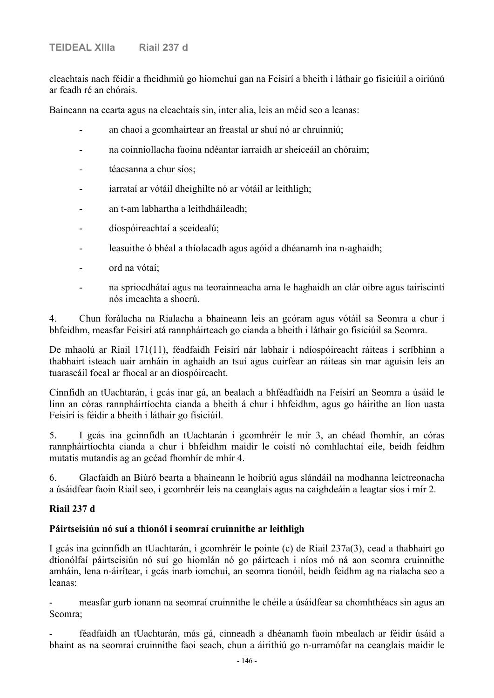cleachtais nach féidir a fheidhmiú go hiomchuí gan na Feisirí a bheith i láthair go fisiciúil a oiriúnú ar feadh ré an chórais.

Baineann na cearta agus na cleachtais sin, inter alia, leis an méid seo a leanas:

- an chaoi a gcomhairtear an freastal ar shuí nó ar chruinniú;
- na coinníollacha faoina ndéantar iarraidh ar sheiceáil an chóraim;
- téacsanna a chur síos;
- iarrataí ar vótáil dheighilte nó ar vótáil ar leithligh;
- an t-am labhartha a leithdháileadh;
- díospóireachtaí a sceidealú;
- leasuithe ó bhéal a thíolacadh agus agóid a dhéanamh ina n-aghaidh;
- ord na vótaí;
- na spriocdhátaí agus na teorainneacha ama le haghaidh an clár oibre agus tairiscintí nós imeachta a shocrú.

4. Chun forálacha na Rialacha a bhaineann leis an gcóram agus vótáil sa Seomra a chur i bhfeidhm, measfar Feisirí atá rannpháirteach go cianda a bheith i láthair go fisiciúil sa Seomra.

De mhaolú ar Riail 171(11), féadfaidh Feisirí nár labhair i ndíospóireacht ráiteas i scríbhinn a thabhairt isteach uair amháin in aghaidh an tsuí agus cuirfear an ráiteas sin mar aguisín leis an tuarascáil focal ar fhocal ar an díospóireacht.

Cinnfidh an tUachtarán, i gcás inar gá, an bealach a bhféadfaidh na Feisirí an Seomra a úsáid le linn an córas rannpháirtíochta cianda a bheith á chur i bhfeidhm, agus go háirithe an líon uasta Feisirí is féidir a bheith i láthair go fisiciúil.

5. I gcás ina gcinnfidh an tUachtarán i gcomhréir le mír 3, an chéad fhomhír, an córas rannpháirtíochta cianda a chur i bhfeidhm maidir le coistí nó comhlachtaí eile, beidh feidhm mutatis mutandis ag an gcéad fhomhír de mhír 4.

6. Glacfaidh an Biúró bearta a bhaineann le hoibriú agus slándáil na modhanna leictreonacha a úsáidfear faoin Riail seo, i gcomhréir leis na ceanglais agus na caighdeáin a leagtar síos i mír 2.

# **Riail 237 d**

#### **Páirtseisiún nó suí a thionól i seomraí cruinnithe ar leithligh**

I gcás ina gcinnfidh an tUachtarán, i gcomhréir le pointe (c) de Riail 237a(3), cead a thabhairt go dtionólfaí páirtseisiún nó suí go hiomlán nó go páirteach i níos mó ná aon seomra cruinnithe amháin, lena n-áirítear, i gcás inarb iomchuí, an seomra tionóil, beidh feidhm ag na rialacha seo a leanas:

- measfar gurb ionann na seomraí cruinnithe le chéile a úsáidfear sa chomhthéacs sin agus an Seomra;

- féadfaidh an tUachtarán, más gá, cinneadh a dhéanamh faoin mbealach ar féidir úsáid a bhaint as na seomraí cruinnithe faoi seach, chun a áirithiú go n-urramófar na ceanglais maidir le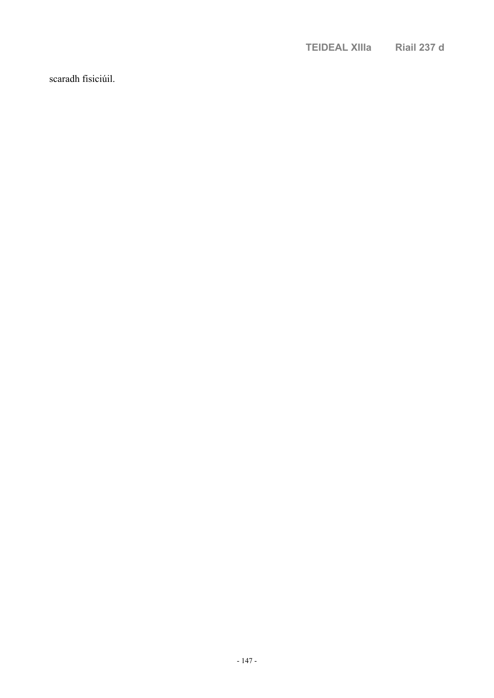scaradh fisiciúil.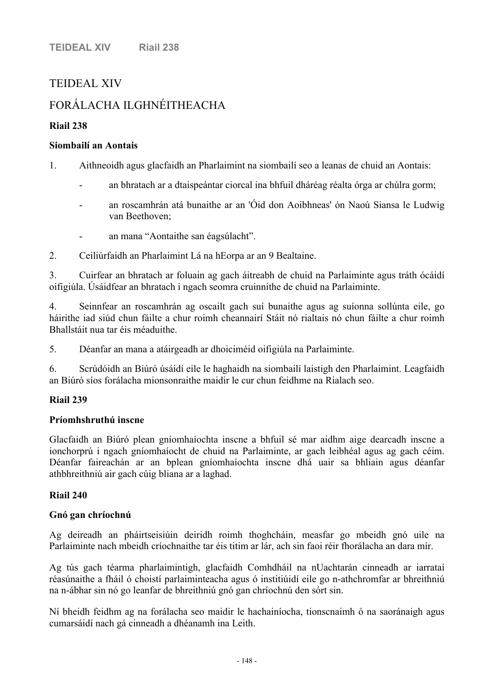# TEIDEAL XIV

# FORÁLACHA ILGHNÉITHEACHA

# **Riail 238**

# **Siombailí an Aontais**

1. Aithneoidh agus glacfaidh an Pharlaimint na siombailí seo a leanas de chuid an Aontais:

- an bhratach ar a dtaispeántar ciorcal ina bhfuil dháréag réalta órga ar chúlra gorm;
- an roscamhrán atá bunaithe ar an 'Óid don Aoibhneas' ón Naoú Siansa le Ludwig van Beethoven;
- an mana "Aontaithe san éagsúlacht".
- 2. Ceiliúrfaidh an Pharlaimint Lá na hEorpa ar an 9 Bealtaine.

3. Cuirfear an bhratach ar foluain ag gach áitreabh de chuid na Parlaiminte agus tráth ócáidí oifigiúla. Úsáidfear an bhratach i ngach seomra cruinnithe de chuid na Parlaiminte.

4. Seinnfear an roscamhrán ag oscailt gach suí bunaithe agus ag suíonna sollúnta eile, go háirithe iad siúd chun fáilte a chur roimh cheannairí Stáit nó rialtais nó chun fáilte a chur roimh Bhallstáit nua tar éis méaduithe.

5. Déanfar an mana a atáirgeadh ar dhoiciméid oifigiúla na Parlaiminte.

6. Scrúdóidh an Biúró úsáidí eile le haghaidh na siombailí laistigh den Pharlaimint. Leagfaidh an Biúró síos forálacha mionsonraithe maidir le cur chun feidhme na Rialach seo.

# **Riail 239**

# **Príomhshruthú inscne**

Glacfaidh an Biúró plean gníomhaíochta inscne a bhfuil sé mar aidhm aige dearcadh inscne a ionchorprú i ngach gníomhaíocht de chuid na Parlaiminte, ar gach leibhéal agus ag gach céim. Déanfar faireachán ar an bplean gníomhaíochta inscne dhá uair sa bhliain agus déanfar athbhreithniú air gach cúig bliana ar a laghad.

# **Riail 240**

# **Gnó gan chríochnú**

Ag deireadh an pháirtseisiúin deiridh roimh thoghcháin, measfar go mbeidh gnó uile na Parlaiminte nach mbeidh críochnaithe tar éis titim ar lár, ach sin faoi réir fhorálacha an dara mír.

Ag tús gach téarma pharlaimintigh, glacfaidh Comhdháil na nUachtarán cinneadh ar iarrataí réasúnaithe a fháil ó choistí parlaiminteacha agus ó institiúidí eile go n-athchromfar ar bhreithniú na n-ábhar sin nó go leanfar de bhreithniú gnó gan chríochnú den sórt sin.

Ní bheidh feidhm ag na forálacha seo maidir le hachainíocha, tionscnaimh ó na saoránaigh agus cumarsáidí nach gá cinneadh a dhéanamh ina Leith.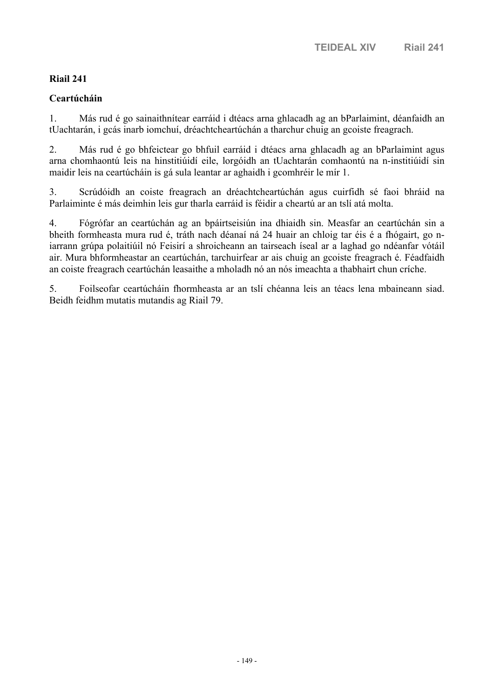# **Riail 241**

# **Ceartúcháin**

1. Más rud é go sainaithnítear earráid i dtéacs arna ghlacadh ag an bParlaimint, déanfaidh an tUachtarán, i gcás inarb iomchuí, dréachtcheartúchán a tharchur chuig an gcoiste freagrach.

2. Más rud é go bhfeictear go bhfuil earráid i dtéacs arna ghlacadh ag an bParlaimint agus arna chomhaontú leis na hinstitiúidí eile, lorgóidh an tUachtarán comhaontú na n-institiúidí sin maidir leis na ceartúcháin is gá sula leantar ar aghaidh i gcomhréir le mír 1.

3. Scrúdóidh an coiste freagrach an dréachtcheartúchán agus cuirfidh sé faoi bhráid na Parlaiminte é más deimhin leis gur tharla earráid is féidir a cheartú ar an tslí atá molta.

4. Fógrófar an ceartúchán ag an bpáirtseisiún ina dhiaidh sin. Measfar an ceartúchán sin a bheith formheasta mura rud é, tráth nach déanaí ná 24 huair an chloig tar éis é a fhógairt, go niarrann grúpa polaitiúil nó Feisirí a shroicheann an tairseach íseal ar a laghad go ndéanfar vótáil air. Mura bhformheastar an ceartúchán, tarchuirfear ar ais chuig an gcoiste freagrach é. Féadfaidh an coiste freagrach ceartúchán leasaithe a mholadh nó an nós imeachta a thabhairt chun críche.

5. Foilseofar ceartúcháin fhormheasta ar an tslí chéanna leis an téacs lena mbaineann siad. Beidh feidhm mutatis mutandis ag Riail 79.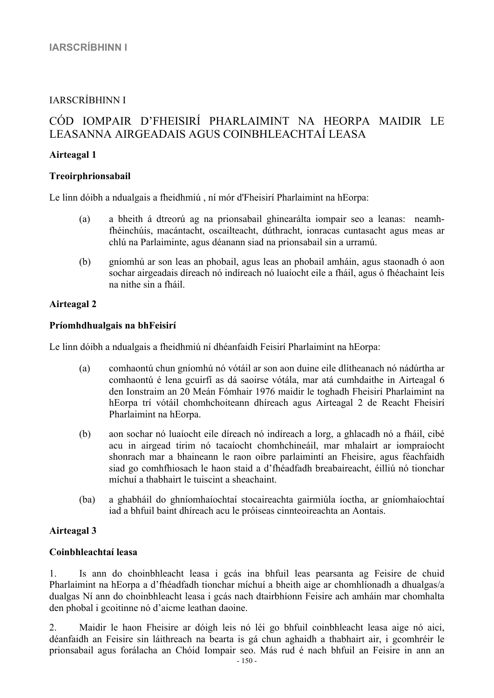# IARSCRÍBHINN I

# CÓD IOMPAIR D'FHEISIRÍ PHARLAIMINT NA HEORPA MAIDIR LE LEASANNA AIRGEADAIS AGUS COINBHLEACHTAÍ LEASA

#### **Airteagal 1**

#### **Treoirphrionsabail**

Le linn dóibh a ndualgais a fheidhmiú , ní mór d'Fheisirí Pharlaimint na hEorpa:

- (a) a bheith á dtreorú ag na prionsabail ghinearálta iompair seo a leanas: neamhfhéinchúis, macántacht, oscailteacht, dúthracht, ionracas cuntasacht agus meas ar chlú na Parlaiminte, agus déanann siad na prionsabail sin a urramú.
- (b) gníomhú ar son leas an phobail, agus leas an phobail amháin, agus staonadh ó aon sochar airgeadais díreach nó indíreach nó luaíocht eile a fháil, agus ó fhéachaint leis na nithe sin a fháil.

#### **Airteagal 2**

#### **Príomhdhualgais na bhFeisirí**

Le linn dóibh a ndualgais a fheidhmiú ní dhéanfaidh Feisirí Pharlaimint na hEorpa:

- (a) comhaontú chun gníomhú nó vótáil ar son aon duine eile dlítheanach nó nádúrtha ar comhaontú é lena gcuirfí as dá saoirse vótála, mar atá cumhdaithe in Airteagal 6 den Ionstraim an 20 Meán Fómhair 1976 maidir le toghadh Fheisirí Pharlaimint na hEorpa trí vótáil chomhchoiteann dhíreach agus Airteagal 2 de Reacht Fheisirí Pharlaimint na hEorpa.
- (b) aon sochar nó luaíocht eile díreach nó indíreach a lorg, a ghlacadh nó a fháil, cibé acu in airgead tirim nó tacaíocht chomhchineáil, mar mhalairt ar iompraíocht shonrach mar a bhaineann le raon oibre parlaimintí an Fheisire, agus féachfaidh siad go comhfhiosach le haon staid a d'fhéadfadh breabaireacht, éilliú nó tionchar míchuí a thabhairt le tuiscint a sheachaint.
- (ba) a ghabháil do ghníomhaíochtaí stocaireachta gairmiúla íoctha, ar gníomhaíochtaí iad a bhfuil baint dhíreach acu le próiseas cinnteoireachta an Aontais.

# **Airteagal 3**

#### **Coinbhleachtaí leasa**

1. Is ann do choinbhleacht leasa i gcás ina bhfuil leas pearsanta ag Feisire de chuid Pharlaimint na hEorpa a d'fhéadfadh tionchar míchuí a bheith aige ar chomhlíonadh a dhualgas/a dualgas Ní ann do choinbhleacht leasa i gcás nach dtairbhíonn Feisire ach amháin mar chomhalta den phobal i gcoitinne nó d'aicme leathan daoine.

2. Maidir le haon Fheisire ar dóigh leis nó léi go bhfuil coinbhleacht leasa aige nó aici, déanfaidh an Feisire sin láithreach na bearta is gá chun aghaidh a thabhairt air, i gcomhréir le prionsabail agus forálacha an Chóid Iompair seo. Más rud é nach bhfuil an Feisire in ann an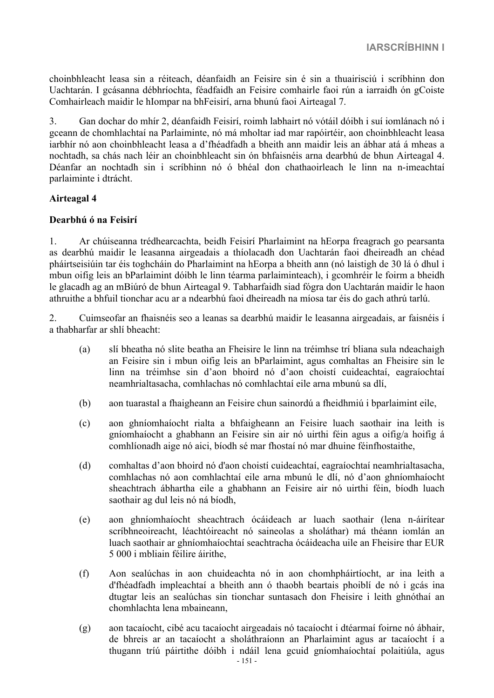choinbhleacht leasa sin a réiteach, déanfaidh an Feisire sin é sin a thuairisciú i scríbhinn don Uachtarán. I gcásanna débhríochta, féadfaidh an Feisire comhairle faoi rún a iarraidh ón gCoiste Comhairleach maidir le hIompar na bhFeisirí, arna bhunú faoi Airteagal 7.

3. Gan dochar do mhír 2, déanfaidh Feisirí, roimh labhairt nó vótáil dóibh i suí iomlánach nó i gceann de chomhlachtaí na Parlaiminte, nó má mholtar iad mar rapóirtéir, aon choinbhleacht leasa iarbhír nó aon choinbhleacht leasa a d'fhéadfadh a bheith ann maidir leis an ábhar atá á mheas a nochtadh, sa chás nach léir an choinbhleacht sin ón bhfaisnéis arna dearbhú de bhun Airteagal 4. Déanfar an nochtadh sin i scríbhinn nó ó bhéal don chathaoirleach le linn na n-imeachtaí parlaiminte i dtrácht.

# **Airteagal 4**

#### **Dearbhú ó na Feisirí**

1. Ar chúiseanna trédhearcachta, beidh Feisirí Pharlaimint na hEorpa freagrach go pearsanta as dearbhú maidir le leasanna airgeadais a thíolacadh don Uachtarán faoi dheireadh an chéad pháirtseisiúin tar éis toghcháin do Pharlaimint na hEorpa a bheith ann (nó laistigh de 30 lá ó dhul i mbun oifig leis an bParlaimint dóibh le linn téarma parlaiminteach), i gcomhréir le foirm a bheidh le glacadh ag an mBiúró de bhun Airteagal 9. Tabharfaidh siad fógra don Uachtarán maidir le haon athruithe a bhfuil tionchar acu ar a ndearbhú faoi dheireadh na míosa tar éis do gach athrú tarlú.

2. Cuimseofar an fhaisnéis seo a leanas sa dearbhú maidir le leasanna airgeadais, ar faisnéis í a thabharfar ar shlí bheacht:

- (a) slí bheatha nó slite beatha an Fheisire le linn na tréimhse trí bliana sula ndeachaigh an Feisire sin i mbun oifig leis an bParlaimint, agus comhaltas an Fheisire sin le linn na tréimhse sin d'aon bhoird nó d'aon choistí cuideachtaí, eagraíochtaí neamhrialtasacha, comhlachas nó comhlachtaí eile arna mbunú sa dlí,
- (b) aon tuarastal a fhaigheann an Feisire chun sainordú a fheidhmiú i bparlaimint eile,
- (c) aon ghníomhaíocht rialta a bhfaigheann an Feisire luach saothair ina leith is gníomhaíocht a ghabhann an Feisire sin air nó uirthi féin agus a oifig/a hoifig á comhlíonadh aige nó aici, bíodh sé mar fhostaí nó mar dhuine féinfhostaithe,
- (d) comhaltas d'aon bhoird nó d'aon choistí cuideachtaí, eagraíochtaí neamhrialtasacha, comhlachas nó aon comhlachtaí eile arna mbunú le dlí, nó d'aon ghníomhaíocht sheachtrach ábhartha eile a ghabhann an Feisire air nó uirthi féin, bíodh luach saothair ag dul leis nó ná bíodh,
- (e) aon ghníomhaíocht sheachtrach ócáideach ar luach saothair (lena n-áirítear scríbhneoireacht, léachtóireacht nó saineolas a sholáthar) má théann iomlán an luach saothair ar ghníomhaíochtaí seachtracha ócáideacha uile an Fheisire thar EUR 5 000 i mbliain féilire áirithe,
- (f) Aon sealúchas in aon chuideachta nó in aon chomhpháirtíocht, ar ina leith a d'fhéadfadh impleachtaí a bheith ann ó thaobh beartais phoiblí de nó i gcás ina dtugtar leis an sealúchas sin tionchar suntasach don Fheisire i leith ghnóthaí an chomhlachta lena mbaineann,
- (g) aon tacaíocht, cibé acu tacaíocht airgeadais nó tacaíocht i dtéarmaí foirne nó ábhair, de bhreis ar an tacaíocht a sholáthraíonn an Pharlaimint agus ar tacaíocht í a thugann tríú páirtithe dóibh i ndáil lena gcuid gníomhaíochtaí polaitiúla, agus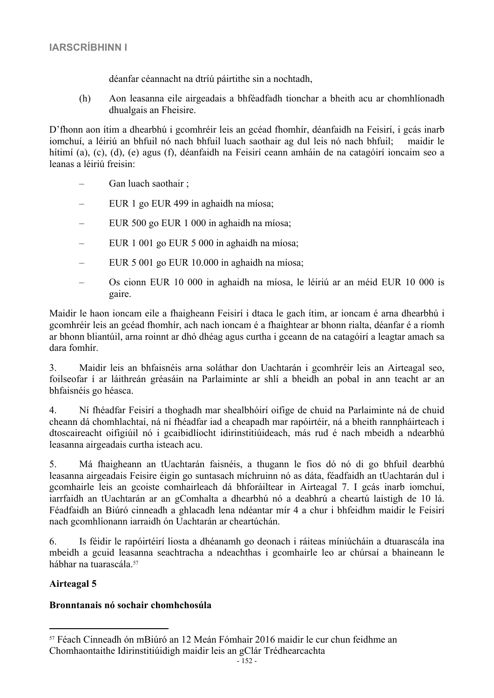déanfar céannacht na dtríú páirtithe sin a nochtadh,

(h) Aon leasanna eile airgeadais a bhféadfadh tionchar a bheith acu ar chomhlíonadh dhualgais an Fheisire.

D'fhonn aon ítim a dhearbhú i gcomhréir leis an gcéad fhomhír, déanfaidh na Feisirí, i gcás inarb iomchuí, a léiriú an bhfuil nó nach bhfuil luach saothair ag dul leis nó nach bhfuil; maidir le hítimí (a), (c), (d), (e) agus (f), déanfaidh na Feisirí ceann amháin de na catagóirí ioncaim seo a leanas a léiriú freisin:

- Gan luach saothair ;
- EUR 1 go EUR 499 in aghaidh na míosa;
- EUR 500 go EUR 1 000 in aghaidh na míosa;
- EUR 1 001 go EUR 5 000 in aghaidh na míosa;
- EUR 5 001 go EUR 10.000 in aghaidh na míosa;
- Os cionn EUR 10 000 in aghaidh na míosa, le léiriú ar an méid EUR 10 000 is gaire.

Maidir le haon ioncam eile a fhaigheann Feisirí i dtaca le gach ítim, ar ioncam é arna dhearbhú i gcomhréir leis an gcéad fhomhír, ach nach ioncam é a fhaightear ar bhonn rialta, déanfar é a ríomh ar bhonn bliantúil, arna roinnt ar dhó dhéag agus curtha i gceann de na catagóirí a leagtar amach sa dara fomhír.

3. Maidir leis an bhfaisnéis arna soláthar don Uachtarán i gcomhréir leis an Airteagal seo, foilseofar í ar láithreán gréasáin na Parlaiminte ar shlí a bheidh an pobal in ann teacht ar an bhfaisnéis go héasca.

4. Ní fhéadfar Feisirí a thoghadh mar shealbhóirí oifige de chuid na Parlaiminte ná de chuid cheann dá chomhlachtaí, ná ní fhéadfar iad a cheapadh mar rapóirtéir, ná a bheith rannpháirteach i dtoscaireacht oifigiúil nó i gcaibidlíocht idirinstitiúideach, más rud é nach mbeidh a ndearbhú leasanna airgeadais curtha isteach acu.

5. Má fhaigheann an tUachtarán faisnéis, a thugann le fios dó nó di go bhfuil dearbhú leasanna airgeadais Feisire éigin go suntasach míchruinn nó as dáta, féadfaidh an tUachtarán dul i gcomhairle leis an gcoiste comhairleach dá bhforáiltear in Airteagal 7. I gcás inarb iomchuí, iarrfaidh an tUachtarán ar an gComhalta a dhearbhú nó a deabhrú a cheartú laistigh de 10 lá. Féadfaidh an Biúró cinneadh a ghlacadh lena ndéantar mír 4 a chur i bhfeidhm maidir le Feisirí nach gcomhlíonann iarraidh ón Uachtarán ar cheartúchán.

6. Is féidir le rapóirtéirí liosta a dhéanamh go deonach i ráiteas míniúcháin a dtuarascála ina mbeidh a gcuid leasanna seachtracha a ndeachthas i gcomhairle leo ar chúrsaí a bhaineann le hábhar na tuarascála.<sup>57</sup>

# **Airteagal 5**

# **Bronntanais nó sochair chomhchosúla**

<sup>57</sup> Féach Cinneadh ón mBiúró an 12 Meán Fómhair 2016 maidir le cur chun feidhme an Chomhaontaithe Idirinstitiúidigh maidir leis an gClár Trédhearcachta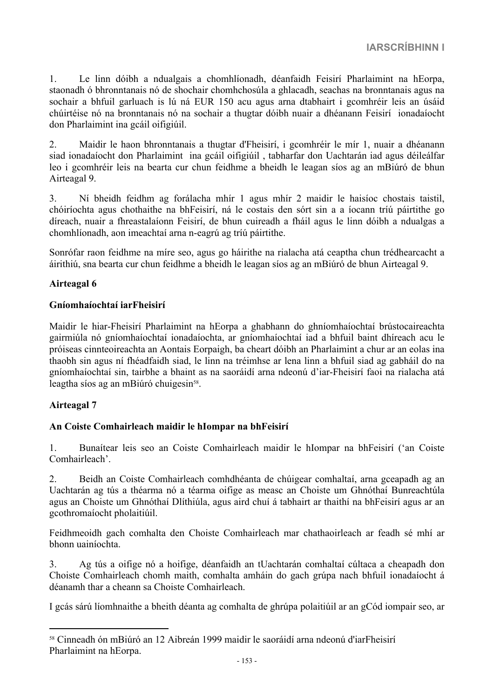1. Le linn dóibh a ndualgais a chomhlíonadh, déanfaidh Feisirí Pharlaimint na hEorpa, staonadh ó bhronntanais nó de shochair chomhchosúla a ghlacadh, seachas na bronntanais agus na sochair a bhfuil garluach is lú ná EUR 150 acu agus arna dtabhairt i gcomhréir leis an úsáid chúirtéise nó na bronntanais nó na sochair a thugtar dóibh nuair a dhéanann Feisirí ionadaíocht don Pharlaimint ina gcáil oifigiúil.

2. Maidir le haon bhronntanais a thugtar d'Fheisirí, i gcomhréir le mír 1, nuair a dhéanann siad ionadaíocht don Pharlaimint ina gcáil oifigiúil , tabharfar don Uachtarán iad agus déileálfar leo i gcomhréir leis na bearta cur chun feidhme a bheidh le leagan síos ag an mBiúró de bhun Airteagal 9.

3. Ní bheidh feidhm ag forálacha mhír 1 agus mhír 2 maidir le haisíoc chostais taistil, chóiríochta agus chothaithe na bhFeisirí, ná le costais den sórt sin a a íocann tríú páirtithe go díreach, nuair a fhreastalaíonn Feisirí, de bhun cuireadh a fháil agus le linn dóibh a ndualgas a chomhlíonadh, aon imeachtaí arna n-eagrú ag tríú páirtithe.

Sonrófar raon feidhme na míre seo, agus go háirithe na rialacha atá ceaptha chun trédhearcacht a áirithiú, sna bearta cur chun feidhme a bheidh le leagan síos ag an mBiúró de bhun Airteagal 9.

# **Airteagal 6**

#### **Gníomhaíochtaí iarFheisirí**

Maidir le hiar-Fheisirí Pharlaimint na hEorpa a ghabhann do ghníomhaíochtaí brústocaireachta gairmiúla nó gníomhaíochtaí ionadaíochta, ar gníomhaíochtaí iad a bhfuil baint dhíreach acu le próiseas cinnteoireachta an Aontais Eorpaigh, ba cheart dóibh an Pharlaimint a chur ar an eolas ina thaobh sin agus ní fhéadfaidh siad, le linn na tréimhse ar lena linn a bhfuil siad ag gabháil do na gníomhaíochtaí sin, tairbhe a bhaint as na saoráidí arna ndeonú d'iar-Fheisirí faoi na rialacha atá leagtha síos ag an mBiúró chuigesin<sup>58</sup>.

# **Airteagal 7**

# **An Coiste Comhairleach maidir le hIompar na bhFeisirí**

1. Bunaítear leis seo an Coiste Comhairleach maidir le hIompar na bhFeisirí ('an Coiste Comhairleach'.

2. Beidh an Coiste Comhairleach comhdhéanta de chúigear comhaltaí, arna gceapadh ag an Uachtarán ag tús a théarma nó a téarma oifige as measc an Choiste um Ghnóthaí Bunreachtúla agus an Choiste um Ghnóthaí Dlíthiúla, agus aird chuí á tabhairt ar thaithí na bhFeisirí agus ar an gcothromaíocht pholaitiúil.

Feidhmeoidh gach comhalta den Choiste Comhairleach mar chathaoirleach ar feadh sé mhí ar bhonn uainíochta.

3. Ag tús a oifige nó a hoifige, déanfaidh an tUachtarán comhaltaí cúltaca a cheapadh don Choiste Comhairleach chomh maith, comhalta amháin do gach grúpa nach bhfuil ionadaíocht á déanamh thar a cheann sa Choiste Comhairleach.

I gcás sárú líomhnaithe a bheith déanta ag comhalta de ghrúpa polaitiúil ar an gCód iompair seo, ar

<sup>58</sup> Cinneadh ón mBiúró an 12 Aibreán 1999 maidir le saoráidí arna ndeonú d'iarFheisirí Pharlaimint na hEorpa.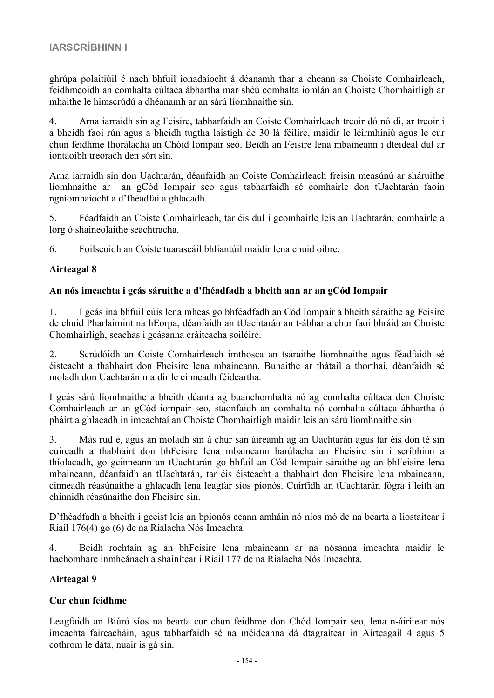ghrúpa polaitiúil é nach bhfuil ionadaíocht á déanamh thar a cheann sa Choiste Comhairleach, feidhmeoidh an comhalta cúltaca ábhartha mar shéú comhalta iomlán an Choiste Chomhairligh ar mhaithe le himscrúdú a dhéanamh ar an sárú líomhnaithe sin.

4. Arna iarraidh sin ag Feisire, tabharfaidh an Coiste Comhairleach treoir dó nó di, ar treoir í a bheidh faoi rún agus a bheidh tugtha laistigh de 30 lá féilire, maidir le léirmhíniú agus le cur chun feidhme fhorálacha an Chóid Iompair seo. Beidh an Feisire lena mbaineann i dteideal dul ar iontaoibh treorach den sórt sin.

Arna iarraidh sin don Uachtarán, déanfaidh an Coiste Comhairleach freisin measúnú ar sháruithe líomhnaithe ar an gCód Iompair seo agus tabharfaidh sé comhairle don tUachtarán faoin ngníomhaíocht a d'fhéadfaí a ghlacadh.

5. Féadfaidh an Coiste Comhairleach, tar éis dul i gcomhairle leis an Uachtarán, comhairle a lorg ó shaineolaithe seachtracha.

6. Foilseoidh an Coiste tuarascáil bhliantúil maidir lena chuid oibre.

# **Airteagal 8**

# **An nós imeachta i gcás sáruithe a d'fhéadfadh a bheith ann ar an gCód Iompair**

1. I gcás ina bhfuil cúis lena mheas go bhféadfadh an Cód Iompair a bheith sáraithe ag Feisire de chuid Pharlaimint na hEorpa, déanfaidh an tUachtarán an t-ábhar a chur faoi bhráid an Choiste Chomhairligh, seachas i gcásanna cráiteacha soiléire.

2. Scrúdóidh an Coiste Comhairleach imthosca an tsáraithe líomhnaithe agus féadfaidh sé éisteacht a thabhairt don Fheisire lena mbaineann. Bunaithe ar thátail a thorthaí, déanfaidh sé moladh don Uachtarán maidir le cinneadh féideartha.

I gcás sárú líomhnaithe a bheith déanta ag buanchomhalta nó ag comhalta cúltaca den Choiste Comhairleach ar an gCód iompair seo, staonfaidh an comhalta nó comhalta cúltaca ábhartha ó pháirt a ghlacadh in imeachtaí an Choiste Chomhairligh maidir leis an sárú líomhnaithe sin

3. Más rud é, agus an moladh sin á chur san áireamh ag an Uachtarán agus tar éis don té sin cuireadh a thabhairt don bhFeisire lena mbaineann barúlacha an Fheisire sin i scríbhinn a thíolacadh, go gcinneann an tUachtarán go bhfuil an Cód Iompair sáraithe ag an bhFeisire lena mbaineann, déanfaidh an tUachtarán, tar éis éisteacht a thabhairt don Fheisire lena mbaineann, cinneadh réasúnaithe a ghlacadh lena leagfar síos pionós. Cuirfidh an tUachtarán fógra i leith an chinnidh réasúnaithe don Fheisire sin.

D'fhéadfadh a bheith i gceist leis an bpionós ceann amháin nó níos mó de na bearta a liostaítear i Riail 176(4) go (6) de na Rialacha Nós Imeachta.

4. Beidh rochtain ag an bhFeisire lena mbaineann ar na nósanna imeachta maidir le hachomharc inmheánach a shainítear i Riail 177 de na Rialacha Nós Imeachta.

# **Airteagal 9**

# **Cur chun feidhme**

Leagfaidh an Biúró síos na bearta cur chun feidhme don Chód Iompair seo, lena n-áirítear nós imeachta faireacháin, agus tabharfaidh sé na méideanna dá dtagraítear in Airteagail 4 agus 5 cothrom le dáta, nuair is gá sin.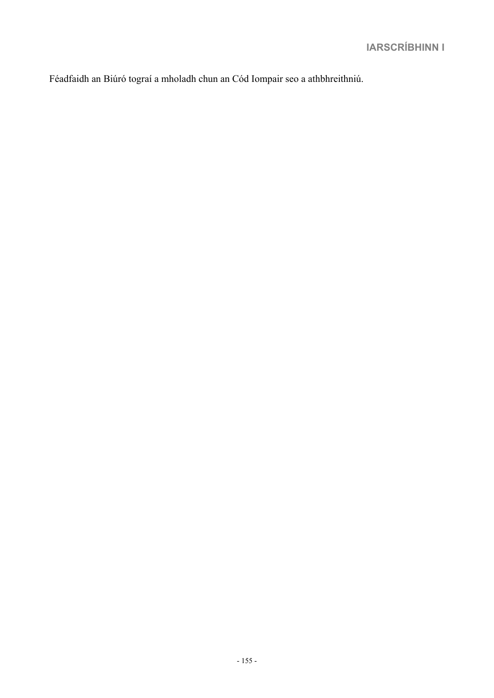Féadfaidh an Biúró tograí a mholadh chun an Cód Iompair seo a athbhreithniú.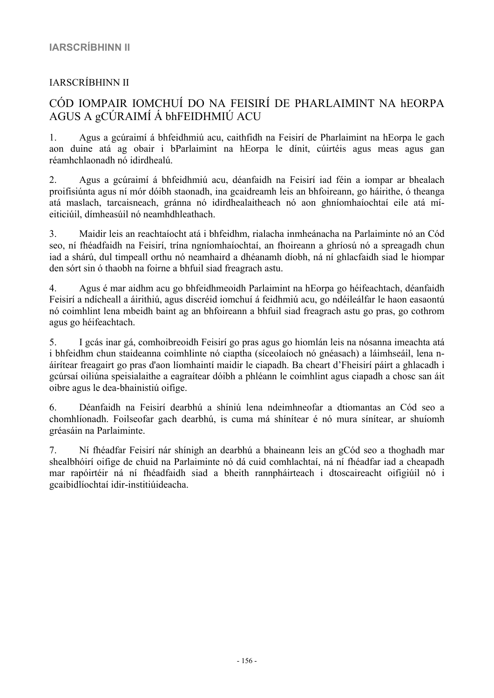# IARSCRÍBHINN II

# CÓD IOMPAIR IOMCHUÍ DO NA FEISIRÍ DE PHARLAIMINT NA hEORPA AGUS A gCÚRAIMÍ Á bhFEIDHMIÚ ACU

1. Agus a gcúraimí á bhfeidhmiú acu, caithfidh na Feisirí de Pharlaimint na hEorpa le gach aon duine atá ag obair i bParlaimint na hEorpa le dínit, cúirtéis agus meas agus gan réamhchlaonadh nó idirdhealú.

2. Agus a gcúraimí á bhfeidhmiú acu, déanfaidh na Feisirí iad féin a iompar ar bhealach proifisiúnta agus ní mór dóibh staonadh, ina gcaidreamh leis an bhfoireann, go háirithe, ó theanga atá maslach, tarcaisneach, gránna nó idirdhealaitheach nó aon ghníomhaíochtaí eile atá míeiticiúil, dímheasúil nó neamhdhleathach.

3. Maidir leis an reachtaíocht atá i bhfeidhm, rialacha inmheánacha na Parlaiminte nó an Cód seo, ní fhéadfaidh na Feisirí, trína ngníomhaíochtaí, an fhoireann a ghríosú nó a spreagadh chun iad a shárú, dul timpeall orthu nó neamhaird a dhéanamh díobh, ná ní ghlacfaidh siad le hiompar den sórt sin ó thaobh na foirne a bhfuil siad freagrach astu.

4. Agus é mar aidhm acu go bhfeidhmeoidh Parlaimint na hEorpa go héifeachtach, déanfaidh Feisirí a ndícheall a áirithiú, agus discréid iomchuí á feidhmiú acu, go ndéileálfar le haon easaontú nó coimhlint lena mbeidh baint ag an bhfoireann a bhfuil siad freagrach astu go pras, go cothrom agus go héifeachtach.

5. I gcás inar gá, comhoibreoidh Feisirí go pras agus go hiomlán leis na nósanna imeachta atá i bhfeidhm chun staideanna coimhlinte nó ciaptha (síceolaíoch nó gnéasach) a láimhseáil, lena náirítear freagairt go pras d'aon líomhaintí maidir le ciapadh. Ba cheart d'Fheisirí páirt a ghlacadh i gcúrsaí oiliúna speisialaithe a eagraítear dóibh a phléann le coimhlint agus ciapadh a chosc san áit oibre agus le dea-bhainistiú oifige.

6. Déanfaidh na Feisirí dearbhú a shíniú lena ndeimhneofar a dtiomantas an Cód seo a chomhlíonadh. Foilseofar gach dearbhú, is cuma má shínítear é nó mura sínítear, ar shuíomh gréasáin na Parlaiminte.

7. Ní fhéadfar Feisirí nár shínigh an dearbhú a bhaineann leis an gCód seo a thoghadh mar shealbhóirí oifige de chuid na Parlaiminte nó dá cuid comhlachtaí, ná ní fhéadfar iad a cheapadh mar rapóirtéir ná ní fhéadfaidh siad a bheith rannpháirteach i dtoscaireacht oifigiúil nó i gcaibidlíochtaí idir-institiúideacha.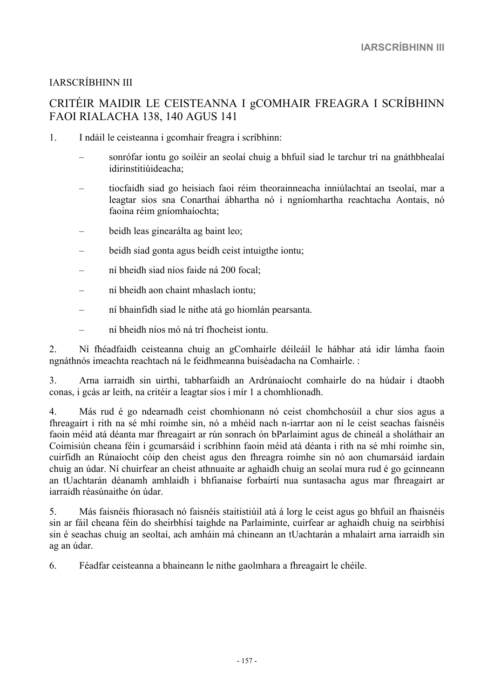# IARSCRÍBHINN III

# CRITÉIR MAIDIR LE CEISTEANNA I gCOMHAIR FREAGRA I SCRÍBHINN FAOI RIALACHA 138, 140 AGUS 141

- 1. I ndáil le ceisteanna i gcomhair freagra i scríbhinn:
	- sonrófar iontu go soiléir an seolaí chuig a bhfuil siad le tarchur trí na gnáthbhealaí idirinstitiúideacha;
	- tiocfaidh siad go heisiach faoi réim theorainneacha inniúlachtaí an tseolaí, mar a leagtar síos sna Conarthaí ábhartha nó i ngníomhartha reachtacha Aontais, nó faoina réim gníomhaíochta;
	- beidh leas ginearálta ag baint leo;
	- beidh siad gonta agus beidh ceist intuigthe iontu;
	- ní bheidh siad níos faide ná 200 focal;
	- ní bheidh aon chaint mhaslach iontu;
	- ní bhainfidh siad le nithe atá go hiomlán pearsanta.
	- ní bheidh níos mó ná trí fhocheist iontu.

2. Ní fhéadfaidh ceisteanna chuig an gComhairle déileáil le hábhar atá idir lámha faoin ngnáthnós imeachta reachtach ná le feidhmeanna buiséadacha na Comhairle. :

3. Arna iarraidh sin uirthi, tabharfaidh an Ardrúnaíocht comhairle do na húdair i dtaobh conas, i gcás ar leith, na critéir a leagtar síos i mír 1 a chomhlíonadh.

4. Más rud é go ndearnadh ceist chomhionann nó ceist chomhchosúil a chur síos agus a fhreagairt i rith na sé mhí roimhe sin, nó a mhéid nach n-iarrtar aon ní le ceist seachas faisnéis faoin méid atá déanta mar fhreagairt ar rún sonrach ón bParlaimint agus de chineál a sholáthair an Coimisiún cheana féin i gcumarsáid i scríbhinn faoin méid atá déanta i rith na sé mhí roimhe sin, cuirfidh an Rúnaíocht cóip den cheist agus den fhreagra roimhe sin nó aon chumarsáid iardain chuig an údar. Ní chuirfear an cheist athnuaite ar aghaidh chuig an seolaí mura rud é go gcinneann an tUachtarán déanamh amhlaidh i bhfianaise forbairtí nua suntasacha agus mar fhreagairt ar iarraidh réasúnaithe ón údar.

5. Más faisnéis fhíorasach nó faisnéis staitistiúil atá á lorg le ceist agus go bhfuil an fhaisnéis sin ar fáil cheana féin do sheirbhísí taighde na Parlaiminte, cuirfear ar aghaidh chuig na seirbhísí sin é seachas chuig an seoltaí, ach amháin má chineann an tUachtarán a mhalairt arna iarraidh sin ag an údar.

6. Féadfar ceisteanna a bhaineann le nithe gaolmhara a fhreagairt le chéile.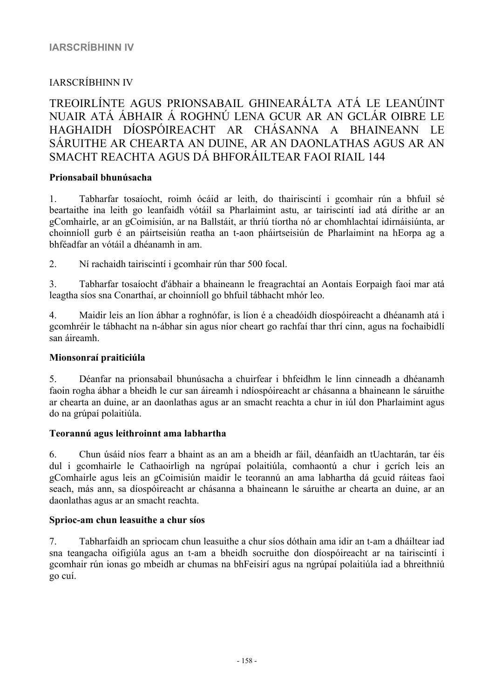# **IARSCRÍBHINN IV**

# IARSCRÍBHINN IV

# TREOIRLÍNTE AGUS PRIONSABAIL GHINEARÁLTA ATÁ LE LEANÚINT NUAIR ATÁ ÁBHAIR Á ROGHNÚ LENA GCUR AR AN GCLÁR OIBRE LE HAGHAIDH DÍOSPÓIREACHT AR CHÁSANNA A BHAINEANN LE SÁRUITHE AR CHEARTA AN DUINE, AR AN DAONLATHAS AGUS AR AN SMACHT REACHTA AGUS DÁ BHFORÁILTEAR FAOI RIAIL 144

# **Prionsabail bhunúsacha**

1. Tabharfar tosaíocht, roimh ócáid ar leith, do thairiscintí i gcomhair rún a bhfuil sé beartaithe ina leith go leanfaidh vótáil sa Pharlaimint astu, ar tairiscintí iad atá dírithe ar an gComhairle, ar an gCoimisiún, ar na Ballstáit, ar thríú tíortha nó ar chomhlachtaí idirnáisiúnta, ar choinníoll gurb é an páirtseisiún reatha an t-aon pháirtseisiún de Pharlaimint na hEorpa ag a bhféadfar an vótáil a dhéanamh in am.

2. Ní rachaidh tairiscintí i gcomhair rún thar 500 focal.

3. Tabharfar tosaíocht d'ábhair a bhaineann le freagrachtaí an Aontais Eorpaigh faoi mar atá leagtha síos sna Conarthaí, ar choinníoll go bhfuil tábhacht mhór leo.

4. Maidir leis an líon ábhar a roghnófar, is líon é a cheadóidh díospóireacht a dhéanamh atá i gcomhréir le tábhacht na n-ábhar sin agus níor cheart go rachfaí thar thrí cinn, agus na fochaibidlí san áireamh.

# **Mionsonraí praiticiúla**

5. Déanfar na prionsabail bhunúsacha a chuirfear i bhfeidhm le linn cinneadh a dhéanamh faoin rogha ábhar a bheidh le cur san áireamh i ndíospóireacht ar chásanna a bhaineann le sáruithe ar chearta an duine, ar an daonlathas agus ar an smacht reachta a chur in iúl don Pharlaimint agus do na grúpaí polaitiúla.

# **Teorannú agus leithroinnt ama labhartha**

6. Chun úsáid níos fearr a bhaint as an am a bheidh ar fáil, déanfaidh an tUachtarán, tar éis dul i gcomhairle le Cathaoirligh na ngrúpaí polaitiúla, comhaontú a chur i gcrích leis an gComhairle agus leis an gCoimisiún maidir le teorannú an ama labhartha dá gcuid ráiteas faoi seach, más ann, sa díospóireacht ar chásanna a bhaineann le sáruithe ar chearta an duine, ar an daonlathas agus ar an smacht reachta.

# **Sprioc-am chun leasuithe a chur síos**

7. Tabharfaidh an spriocam chun leasuithe a chur síos dóthain ama idir an t-am a dháiltear iad sna teangacha oifigiúla agus an t-am a bheidh socruithe don díospóireacht ar na tairiscintí i gcomhair rún ionas go mbeidh ar chumas na bhFeisirí agus na ngrúpaí polaitiúla iad a bhreithniú go cuí.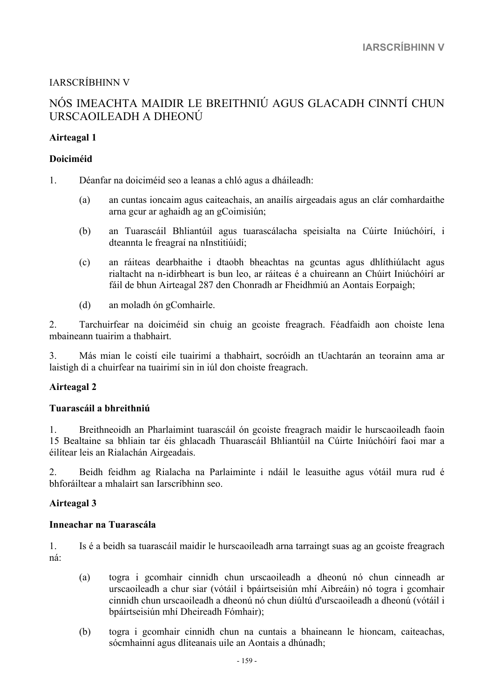# IARSCRÍBHINN V

# NÓS IMEACHTA MAIDIR LE BREITHNIÚ AGUS GLACADH CINNTÍ CHUN URSCAOILEADH A DHEONÚ

# **Airteagal 1**

# **Doiciméid**

- 1. Déanfar na doiciméid seo a leanas a chló agus a dháileadh:
	- (a) an cuntas ioncaim agus caiteachais, an anailís airgeadais agus an clár comhardaithe arna gcur ar aghaidh ag an gCoimisiún;
	- (b) an Tuarascáil Bhliantúil agus tuarascálacha speisialta na Cúirte Iniúchóirí, i dteannta le freagraí na nInstitiúidí;
	- (c) an ráiteas dearbhaithe i dtaobh bheachtas na gcuntas agus dhlíthiúlacht agus rialtacht na n-idirbheart is bun leo, ar ráiteas é a chuireann an Chúirt Iniúchóirí ar fáil de bhun Airteagal 287 den Chonradh ar Fheidhmiú an Aontais Eorpaigh;
	- (d) an moladh ón gComhairle.

2. Tarchuirfear na doiciméid sin chuig an gcoiste freagrach. Féadfaidh aon choiste lena mbaineann tuairim a thabhairt.

3. Más mian le coistí eile tuairimí a thabhairt, socróidh an tUachtarán an teorainn ama ar laistigh di a chuirfear na tuairimí sin in iúl don choiste freagrach.

# **Airteagal 2**

# **Tuarascáil a bhreithniú**

1. Breithneoidh an Pharlaimint tuarascáil ón gcoiste freagrach maidir le hurscaoileadh faoin 15 Bealtaine sa bhliain tar éis ghlacadh Thuarascáil Bhliantúil na Cúirte Iniúchóirí faoi mar a éilítear leis an Rialachán Airgeadais.

2. Beidh feidhm ag Rialacha na Parlaiminte i ndáil le leasuithe agus vótáil mura rud é bhforáiltear a mhalairt san Iarscríbhinn seo.

# **Airteagal 3**

# **Inneachar na Tuarascála**

1. Is é a beidh sa tuarascáil maidir le hurscaoileadh arna tarraingt suas ag an gcoiste freagrach ná:

- (a) togra i gcomhair cinnidh chun urscaoileadh a dheonú nó chun cinneadh ar urscaoileadh a chur siar (vótáil i bpáirtseisiún mhí Aibreáin) nó togra i gcomhair cinnidh chun urscaoileadh a dheonú nó chun diúltú d'urscaoileadh a dheonú (vótáil i bpáirtseisiún mhí Dheireadh Fómhair);
- (b) togra i gcomhair cinnidh chun na cuntais a bhaineann le hioncam, caiteachas, sócmhainní agus dliteanais uile an Aontais a dhúnadh;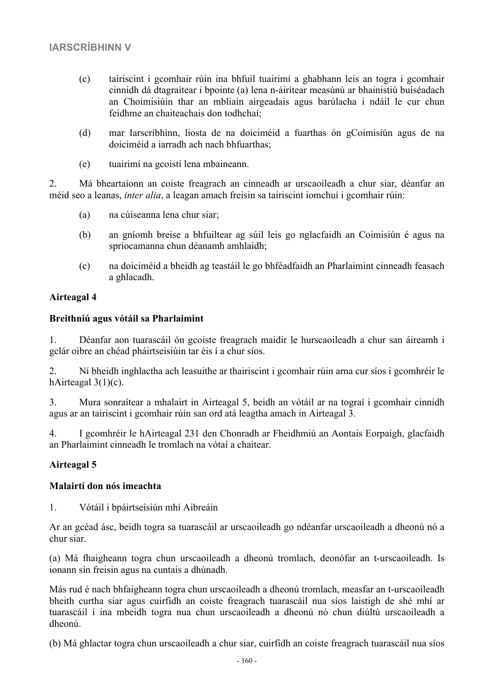- (c) tairiscint i gcomhair rúin ina bhfuil tuairimí a ghabhann leis an togra i gcomhair cinnidh dá dtagraítear i bpointe (a) lena n-áirítear measúnú ar bhainistiú buiséadach an Choimisiúin thar an mbliain airgeadais agus barúlacha i ndáil le cur chun feidhme an chaiteachais don todhchaí;
- (d) mar Iarscríbhinn, liosta de na doiciméid a fuarthas ón gCoimisiún agus de na doiciméid a iarradh ach nach bhfuarthas;
- (e) tuairimí na gcoistí lena mbaineann.

2. Má bheartaíonn an coiste freagrach an cinneadh ar urscaoileadh a chur siar, déanfar an méid seo a leanas, *inter alia*, a leagan amach freisin sa tairiscint iomchuí i gcomhair rúin:

- (a) na cúiseanna lena chur siar;
- (b) an gníomh breise a bhfuiltear ag súil leis go nglacfaidh an Coimisiún é agus na spriocamanna chun déanamh amhlaidh;
- (c) na doiciméid a bheidh ag teastáil le go bhféadfaidh an Pharlaimint cinneadh feasach a ghlacadh.

#### **Airteagal 4**

#### **Breithniú agus vótáil sa Pharlaimint**

1. Déanfar aon tuarascáil ón gcoiste freagrach maidir le hurscaoileadh a chur san áireamh i gclár oibre an chéad pháirtseisiúin tar éis í a chur síos.

2. Ní bheidh inghlactha ach leasuithe ar thairiscint i gcomhair rúin arna cur síos i gcomhréir le hAirteagal 3(1)(c).

3. Mura sonraítear a mhalairt in Airteagal 5, beidh an vótáil ar na tograí i gcomhair cinnidh agus ar an tairiscint i gcomhair rúin san ord atá leagtha amach in Airteagal 3.

4. I gcomhréir le hAirteagal 231 den Chonradh ar Fheidhmiú an Aontais Eorpaigh, glacfaidh an Pharlaimint cinneadh le tromlach na vótaí a chaitear.

# **Airteagal 5**

# **Malairtí don nós imeachta**

1. Vótáil i bpáirtseisiún mhí Aibreáin

Ar an gcéad ásc, beidh togra sa tuarascáil ar urscaoileadh go ndéanfar urscaoileadh a dheonú nó a chur siar.

(a) Má fhaigheann togra chun urscaoileadh a dheonú tromlach, deonófar an t-urscaoileadh. Is ionann sin freisin agus na cuntais a dhúnadh.

Más rud é nach bhfaigheann togra chun urscaoileadh a dheonú tromlach, measfar an t-urscaoileadh bheith curtha siar agus cuirfidh an coiste freagrach tuarascáil nua síos laistigh de shé mhí ar tuarascáil í ina mbeidh togra nua chun urscaoileadh a dheonú nó chun diúltú urscaoileadh a dheonú.

(b) Má ghlactar togra chun urscaoileadh a chur siar, cuirfidh an coiste freagrach tuarascáil nua síos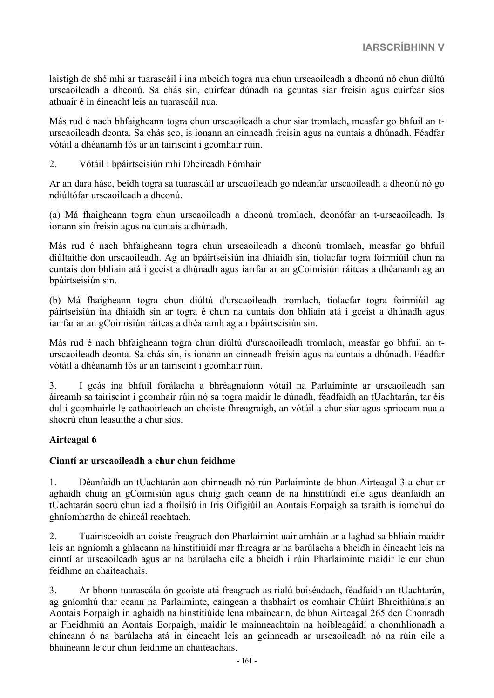laistigh de shé mhí ar tuarascáil í ina mbeidh togra nua chun urscaoileadh a dheonú nó chun diúltú urscaoileadh a dheonú. Sa chás sin, cuirfear dúnadh na gcuntas siar freisin agus cuirfear síos athuair é in éineacht leis an tuarascáil nua.

Más rud é nach bhfaigheann togra chun urscaoileadh a chur siar tromlach, measfar go bhfuil an turscaoileadh deonta. Sa chás seo, is ionann an cinneadh freisin agus na cuntais a dhúnadh. Féadfar vótáil a dhéanamh fós ar an tairiscint i gcomhair rúin.

2. Vótáil i bpáirtseisiún mhí Dheireadh Fómhair

Ar an dara hásc, beidh togra sa tuarascáil ar urscaoileadh go ndéanfar urscaoileadh a dheonú nó go ndiúltófar urscaoileadh a dheonú.

(a) Má fhaigheann togra chun urscaoileadh a dheonú tromlach, deonófar an t-urscaoileadh. Is ionann sin freisin agus na cuntais a dhúnadh.

Más rud é nach bhfaigheann togra chun urscaoileadh a dheonú tromlach, measfar go bhfuil diúltaithe don urscaoileadh. Ag an bpáirtseisiún ina dhiaidh sin, tíolacfar togra foirmiúil chun na cuntais don bhliain atá i gceist a dhúnadh agus iarrfar ar an gCoimisiún ráiteas a dhéanamh ag an bpáirtseisiún sin.

(b) Má fhaigheann togra chun diúltú d'urscaoileadh tromlach, tíolacfar togra foirmiúil ag páirtseisiún ina dhiaidh sin ar togra é chun na cuntais don bhliain atá i gceist a dhúnadh agus iarrfar ar an gCoimisiún ráiteas a dhéanamh ag an bpáirtseisiún sin.

Más rud é nach bhfaigheann togra chun diúltú d'urscaoileadh tromlach, measfar go bhfuil an turscaoileadh deonta. Sa chás sin, is ionann an cinneadh freisin agus na cuntais a dhúnadh. Féadfar vótáil a dhéanamh fós ar an tairiscint i gcomhair rúin.

3. I gcás ina bhfuil forálacha a bhréagnaíonn vótáil na Parlaiminte ar urscaoileadh san áireamh sa tairiscint i gcomhair rúin nó sa togra maidir le dúnadh, féadfaidh an tUachtarán, tar éis dul i gcomhairle le cathaoirleach an choiste fhreagraigh, an vótáil a chur siar agus spriocam nua a shocrú chun leasuithe a chur síos.

# **Airteagal 6**

#### **Cinntí ar urscaoileadh a chur chun feidhme**

1. Déanfaidh an tUachtarán aon chinneadh nó rún Parlaiminte de bhun Airteagal 3 a chur ar aghaidh chuig an gCoimisiún agus chuig gach ceann de na hinstitiúidí eile agus déanfaidh an tUachtarán socrú chun iad a fhoilsiú in Iris Oifigiúil an Aontais Eorpaigh sa tsraith is iomchuí do ghníomhartha de chineál reachtach.

2. Tuairisceoidh an coiste freagrach don Pharlaimint uair amháin ar a laghad sa bhliain maidir leis an ngníomh a ghlacann na hinstitiúidí mar fhreagra ar na barúlacha a bheidh in éineacht leis na cinntí ar urscaoileadh agus ar na barúlacha eile a bheidh i rúin Pharlaiminte maidir le cur chun feidhme an chaiteachais.

3. Ar bhonn tuarascála ón gcoiste atá freagrach as rialú buiséadach, féadfaidh an tUachtarán, ag gníomhú thar ceann na Parlaiminte, caingean a thabhairt os comhair Chúirt Bhreithiúnais an Aontais Eorpaigh in aghaidh na hinstitiúide lena mbaineann, de bhun Airteagal 265 den Chonradh ar Fheidhmiú an Aontais Eorpaigh, maidir le mainneachtain na hoibleagáidí a chomhlíonadh a chineann ó na barúlacha atá in éineacht leis an gcinneadh ar urscaoileadh nó na rúin eile a bhaineann le cur chun feidhme an chaiteachais.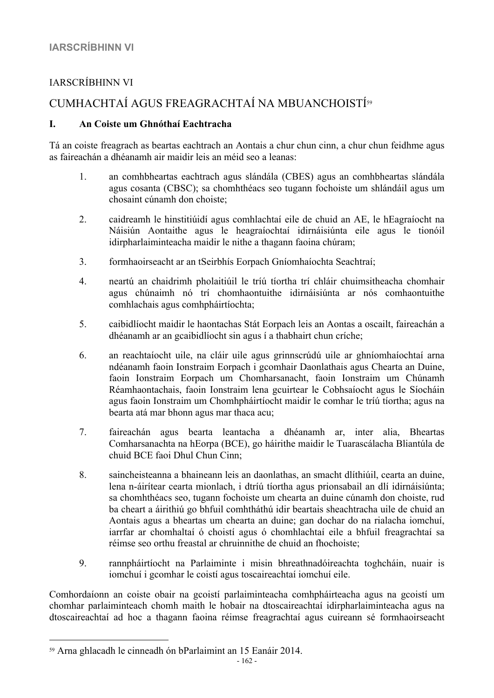# IARSCRÍBHINN VI

# CUMHACHTAÍ AGUS FREAGRACHTAÍ NA MBUANCHOISTÍ<sup>59</sup>

# **I. An Coiste um Ghnóthaí Eachtracha**

Tá an coiste freagrach as beartas eachtrach an Aontais a chur chun cinn, a chur chun feidhme agus as faireachán a dhéanamh air maidir leis an méid seo a leanas:

- 1. an comhbheartas eachtrach agus slándála (CBES) agus an comhbheartas slándála agus cosanta (CBSC); sa chomhthéacs seo tugann fochoiste um shlándáil agus um chosaint cúnamh don choiste;
- 2. caidreamh le hinstitiúidí agus comhlachtaí eile de chuid an AE, le hEagraíocht na Náisiún Aontaithe agus le heagraíochtaí idirnáisiúnta eile agus le tionóil idirpharlaiminteacha maidir le nithe a thagann faoina chúram;
- 3. formhaoirseacht ar an tSeirbhís Eorpach Gníomhaíochta Seachtraí;
- 4. neartú an chaidrimh pholaitiúil le tríú tíortha trí chláir chuimsitheacha chomhair agus chúnaimh nó trí chomhaontuithe idirnáisiúnta ar nós comhaontuithe comhlachais agus comhpháirtíochta;
- 5. caibidlíocht maidir le haontachas Stát Eorpach leis an Aontas a oscailt, faireachán a dhéanamh ar an gcaibidlíocht sin agus í a thabhairt chun críche;
- 6. an reachtaíocht uile, na cláir uile agus grinnscrúdú uile ar ghníomhaíochtaí arna ndéanamh faoin Ionstraim Eorpach i gcomhair Daonlathais agus Chearta an Duine, faoin Ionstraim Eorpach um Chomharsanacht, faoin Ionstraim um Chúnamh Réamhaontachais, faoin Ionstraim lena gcuirtear le Cobhsaíocht agus le Síocháin agus faoin Ionstraim um Chomhpháirtíocht maidir le comhar le tríú tíortha; agus na bearta atá mar bhonn agus mar thaca acu;
- 7. faireachán agus bearta leantacha a dhéanamh ar, inter alia, Bheartas Comharsanachta na hEorpa (BCE), go háirithe maidir le Tuarascálacha Bliantúla de chuid BCE faoi Dhul Chun Cinn;
- 8. saincheisteanna a bhaineann leis an daonlathas, an smacht dlíthiúil, cearta an duine, lena n-áirítear cearta mionlach, i dtríú tíortha agus prionsabail an dlí idirnáisiúnta; sa chomhthéacs seo, tugann fochoiste um chearta an duine cúnamh don choiste, rud ba cheart a áirithiú go bhfuil comhtháthú idir beartais sheachtracha uile de chuid an Aontais agus a bheartas um chearta an duine; gan dochar do na rialacha iomchuí, iarrfar ar chomhaltaí ó choistí agus ó chomhlachtaí eile a bhfuil freagrachtaí sa réimse seo orthu freastal ar chruinnithe de chuid an fhochoiste;
- 9. rannpháirtíocht na Parlaiminte i misin bhreathnadóireachta toghcháin, nuair is iomchuí i gcomhar le coistí agus toscaireachtaí iomchuí eile.

Comhordaíonn an coiste obair na gcoistí parlaiminteacha comhpháirteacha agus na gcoistí um chomhar parlaiminteach chomh maith le hobair na dtoscaireachtaí idirpharlaiminteacha agus na dtoscaireachtaí ad hoc a thagann faoina réimse freagrachtaí agus cuireann sé formhaoirseacht

<sup>59</sup> Arna ghlacadh le cinneadh ón bParlaimint an 15 Eanáir 2014.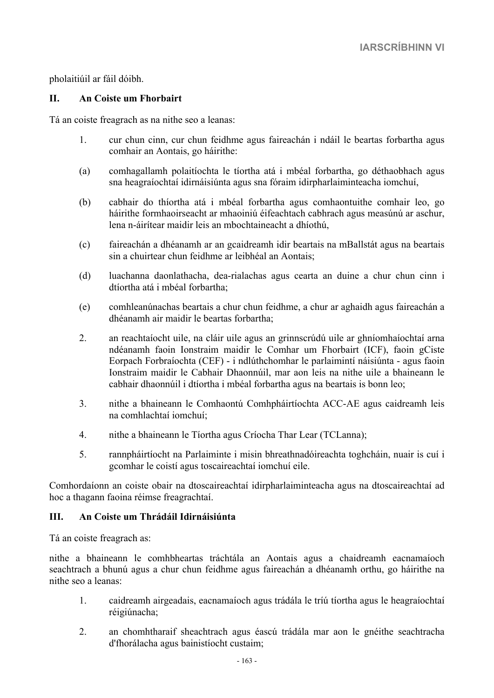pholaitiúil ar fáil dóibh.

# **II. An Coiste um Fhorbairt**

Tá an coiste freagrach as na nithe seo a leanas:

- 1. cur chun cinn, cur chun feidhme agus faireachán i ndáil le beartas forbartha agus comhair an Aontais, go háirithe:
- (a) comhagallamh polaitíochta le tíortha atá i mbéal forbartha, go déthaobhach agus sna heagraíochtaí idirnáisiúnta agus sna fóraim idirpharlaiminteacha iomchuí,
- (b) cabhair do thíortha atá i mbéal forbartha agus comhaontuithe comhair leo, go háirithe formhaoirseacht ar mhaoiniú éifeachtach cabhrach agus measúnú ar aschur, lena n-áirítear maidir leis an mbochtaineacht a dhíothú,
- (c) faireachán a dhéanamh ar an gcaidreamh idir beartais na mBallstát agus na beartais sin a chuirtear chun feidhme ar leibhéal an Aontais;
- (d) luachanna daonlathacha, dea-rialachas agus cearta an duine a chur chun cinn i dtíortha atá i mbéal forbartha;
- (e) comhleanúnachas beartais a chur chun feidhme, a chur ar aghaidh agus faireachán a dhéanamh air maidir le beartas forbartha;
- 2. an reachtaíocht uile, na cláir uile agus an grinnscrúdú uile ar ghníomhaíochtaí arna ndéanamh faoin Ionstraim maidir le Comhar um Fhorbairt (ICF), faoin gCiste Eorpach Forbraíochta (CEF) - i ndlúthchomhar le parlaimintí náisiúnta - agus faoin Ionstraim maidir le Cabhair Dhaonnúil, mar aon leis na nithe uile a bhaineann le cabhair dhaonnúil i dtíortha i mbéal forbartha agus na beartais is bonn leo;
- 3. nithe a bhaineann le Comhaontú Comhpháirtíochta ACC-AE agus caidreamh leis na comhlachtaí iomchuí;
- 4. nithe a bhaineann le Tíortha agus Críocha Thar Lear (TCLanna);
- 5. rannpháirtíocht na Parlaiminte i misin bhreathnadóireachta toghcháin, nuair is cuí i gcomhar le coistí agus toscaireachtaí iomchuí eile.

Comhordaíonn an coiste obair na dtoscaireachtaí idirpharlaiminteacha agus na dtoscaireachtaí ad hoc a thagann faoina réimse freagrachtaí.

# **III. An Coiste um Thrádáil Idirnáisiúnta**

Tá an coiste freagrach as:

nithe a bhaineann le comhbheartas tráchtála an Aontais agus a chaidreamh eacnamaíoch seachtrach a bhunú agus a chur chun feidhme agus faireachán a dhéanamh orthu, go háirithe na nithe seo a leanas:

- 1. caidreamh airgeadais, eacnamaíoch agus trádála le tríú tíortha agus le heagraíochtaí réigiúnacha;
- 2. an chomhtharaif sheachtrach agus éascú trádála mar aon le gnéithe seachtracha d'fhorálacha agus bainistíocht custaim;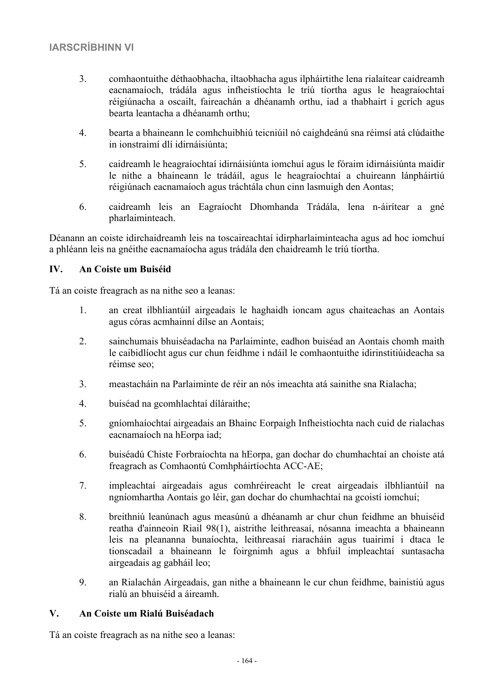- 3. comhaontuithe déthaobhacha, iltaobhacha agus ilpháirtithe lena rialaítear caidreamh eacnamaíoch, trádála agus infheistíochta le tríú tíortha agus le heagraíochtaí réigiúnacha a oscailt, faireachán a dhéanamh orthu, iad a thabhairt i gcrích agus bearta leantacha a dhéanamh orthu;
- 4. bearta a bhaineann le comhchuibhiú teicniúil nó caighdeánú sna réimsí atá clúdaithe in ionstraimí dlí idirnáisiúnta;
- 5. caidreamh le heagraíochtaí idirnáisiúnta iomchuí agus le fóraim idirnáisiúnta maidir le nithe a bhaineann le trádáil, agus le heagraíochtaí a chuireann lánpháirtiú réigiúnach eacnamaíoch agus tráchtála chun cinn lasmuigh den Aontas;
- 6. caidreamh leis an Eagraíocht Dhomhanda Trádála, lena n-áirítear a gné pharlaiminteach.

Déanann an coiste idirchaidreamh leis na toscaireachtaí idirpharlaiminteacha agus ad hoc iomchuí a phléann leis na gnéithe eacnamaíocha agus trádála den chaidreamh le tríú tíortha.

# **IV. An Coiste um Buiséid**

Tá an coiste freagrach as na nithe seo a leanas:

- 1. an creat ilbhliantúil airgeadais le haghaidh ioncam agus chaiteachas an Aontais agus córas acmhainní dílse an Aontais;
- 2. sainchumais bhuiséadacha na Parlaiminte, eadhon buiséad an Aontais chomh maith le caibidlíocht agus cur chun feidhme i ndáil le comhaontuithe idirinstitiúideacha sa réimse seo;
- 3. meastacháin na Parlaiminte de réir an nós imeachta atá sainithe sna Rialacha;
- 4. buiséad na gcomhlachtaí díláraithe;
- 5. gníomhaíochtaí airgeadais an Bhainc Eorpaigh Infheistíochta nach cuid de rialachas eacnamaíoch na hEorpa iad;
- 6. buiséadú Chiste Forbraíochta na hEorpa, gan dochar do chumhachtaí an choiste atá freagrach as Comhaontú Comhpháirtíochta ACC-AE;
- 7. impleachtaí airgeadais agus comhréireacht le creat airgeadais ilbhliantúil na ngníomhartha Aontais go léir, gan dochar do chumhachtaí na gcoistí iomchuí;
- 8. breithniú leanúnach agus measúnú a dhéanamh ar chur chun feidhme an bhuiséid reatha d'ainneoin Riail 98(1), aistrithe leithreasaí, nósanna imeachta a bhaineann leis na pleananna bunaíochta, leithreasaí riaracháin agus tuairimí i dtaca le tionscadail a bhaineann le foirgnimh agus a bhfuil impleachtaí suntasacha airgeadais ag gabháil leo;
- 9. an Rialachán Airgeadais, gan nithe a bhaineann le cur chun feidhme, bainistiú agus rialú an bhuiséid a áireamh.

#### **V. An Coiste um Rialú Buiséadach**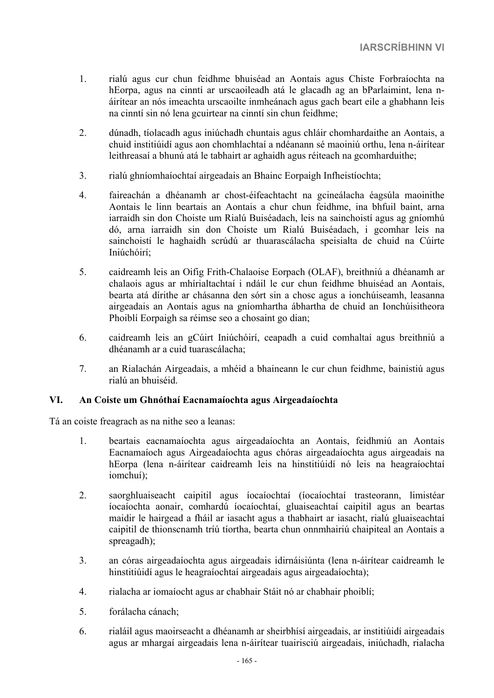- 1. rialú agus cur chun feidhme bhuiséad an Aontais agus Chiste Forbraíochta na hEorpa, agus na cinntí ar urscaoileadh atá le glacadh ag an bParlaimint, lena náirítear an nós imeachta urscaoilte inmheánach agus gach beart eile a ghabhann leis na cinntí sin nó lena gcuirtear na cinntí sin chun feidhme;
- 2. dúnadh, tíolacadh agus iniúchadh chuntais agus chláir chomhardaithe an Aontais, a chuid institiúidí agus aon chomhlachtaí a ndéanann sé maoiniú orthu, lena n-áirítear leithreasaí a bhunú atá le tabhairt ar aghaidh agus réiteach na gcomharduithe;
- 3. rialú ghníomhaíochtaí airgeadais an Bhainc Eorpaigh Infheistíochta;
- 4. faireachán a dhéanamh ar chost-éifeachtacht na gcineálacha éagsúla maoinithe Aontais le linn beartais an Aontais a chur chun feidhme, ina bhfuil baint, arna iarraidh sin don Choiste um Rialú Buiséadach, leis na sainchoistí agus ag gníomhú dó, arna iarraidh sin don Choiste um Rialú Buiséadach, i gcomhar leis na sainchoistí le haghaidh scrúdú ar thuarascálacha speisialta de chuid na Cúirte Iniúchóirí;
- 5. caidreamh leis an Oifig Frith-Chalaoise Eorpach (OLAF), breithniú a dhéanamh ar chalaois agus ar mhírialtachtaí i ndáil le cur chun feidhme bhuiséad an Aontais, bearta atá dírithe ar chásanna den sórt sin a chosc agus a ionchúiseamh, leasanna airgeadais an Aontais agus na gníomhartha ábhartha de chuid an Ionchúisitheora Phoiblí Eorpaigh sa réimse seo a chosaint go dian;
- 6. caidreamh leis an gCúirt Iniúchóirí, ceapadh a cuid comhaltaí agus breithniú a dhéanamh ar a cuid tuarascálacha;
- 7. an Rialachán Airgeadais, a mhéid a bhaineann le cur chun feidhme, bainistiú agus rialú an bhuiséid.

# **VI. An Coiste um Ghnóthaí Eacnamaíochta agus Airgeadaíochta**

- 1. beartais eacnamaíochta agus airgeadaíochta an Aontais, feidhmiú an Aontais Eacnamaíoch agus Airgeadaíochta agus chóras airgeadaíochta agus airgeadais na hEorpa (lena n-áirítear caidreamh leis na hinstitiúidí nó leis na heagraíochtaí iomchuí);
- 2. saorghluaiseacht caipitil agus íocaíochtaí (íocaíochtaí trasteorann, limistéar íocaíochta aonair, comhardú íocaíochtaí, gluaiseachtaí caipitil agus an beartas maidir le hairgead a fháil ar iasacht agus a thabhairt ar iasacht, rialú gluaiseachtaí caipitil de thionscnamh tríú tíortha, bearta chun onnmhairiú chaipiteal an Aontais a spreagadh);
- 3. an córas airgeadaíochta agus airgeadais idirnáisiúnta (lena n-áirítear caidreamh le hinstitiúidí agus le heagraíochtaí airgeadais agus airgeadaíochta);
- 4. rialacha ar iomaíocht agus ar chabhair Stáit nó ar chabhair phoiblí;
- 5. forálacha cánach;
- 6. rialáil agus maoirseacht a dhéanamh ar sheirbhísí airgeadais, ar institiúidí airgeadais agus ar mhargaí airgeadais lena n-áirítear tuairisciú airgeadais, iniúchadh, rialacha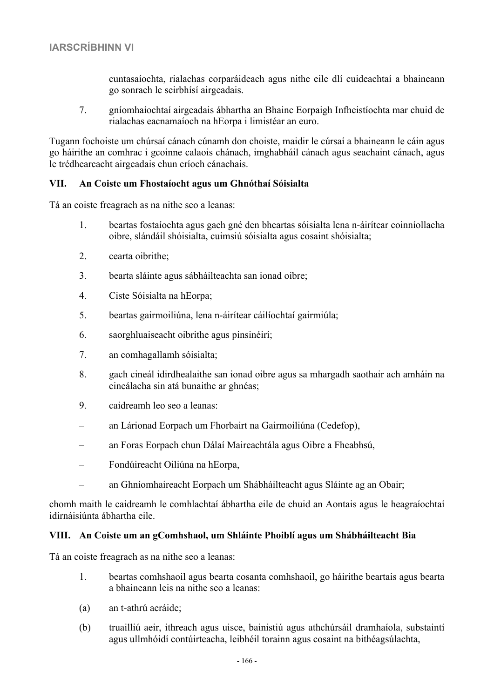cuntasaíochta, rialachas corparáideach agus nithe eile dlí cuideachtaí a bhaineann go sonrach le seirbhísí airgeadais.

7. gníomhaíochtaí airgeadais ábhartha an Bhainc Eorpaigh Infheistíochta mar chuid de rialachas eacnamaíoch na hEorpa i limistéar an euro.

Tugann fochoiste um chúrsaí cánach cúnamh don choiste, maidir le cúrsaí a bhaineann le cáin agus go háirithe an comhrac i gcoinne calaois chánach, imghabháil cánach agus seachaint cánach, agus le trédhearcacht airgeadais chun críoch cánachais.

# **VII. An Coiste um Fhostaíocht agus um Ghnóthaí Sóisialta**

Tá an coiste freagrach as na nithe seo a leanas:

- 1. beartas fostaíochta agus gach gné den bheartas sóisialta lena n-áirítear coinníollacha oibre, slándáil shóisialta, cuimsiú sóisialta agus cosaint shóisialta;
- 2. cearta oibrithe;
- 3. bearta sláinte agus sábháilteachta san ionad oibre;
- 4. Ciste Sóisialta na hEorpa;
- 5. beartas gairmoiliúna, lena n-áirítear cáilíochtaí gairmiúla;
- 6. saorghluaiseacht oibrithe agus pinsinéirí;
- 7. an comhagallamh sóisialta;
- 8. gach cineál idirdhealaithe san ionad oibre agus sa mhargadh saothair ach amháin na cineálacha sin atá bunaithe ar ghnéas;
- 9. caidreamh leo seo a leanas:
- an Lárionad Eorpach um Fhorbairt na Gairmoiliúna (Cedefop),
- an Foras Eorpach chun Dálaí Maireachtála agus Oibre a Fheabhsú,
- Fondúireacht Oiliúna na hEorpa,
- an Ghníomhaireacht Eorpach um Shábháilteacht agus Sláinte ag an Obair;

chomh maith le caidreamh le comhlachtaí ábhartha eile de chuid an Aontais agus le heagraíochtaí idirnáisiúnta ábhartha eile.

# **VIII. An Coiste um an gComhshaol, um Shláinte Phoiblí agus um Shábháilteacht Bia**

- 1. beartas comhshaoil agus bearta cosanta comhshaoil, go háirithe beartais agus bearta a bhaineann leis na nithe seo a leanas:
- (a) an t-athrú aeráide;
- (b) truailliú aeir, ithreach agus uisce, bainistiú agus athchúrsáil dramhaíola, substaintí agus ullmhóidí contúirteacha, leibhéil torainn agus cosaint na bithéagsúlachta,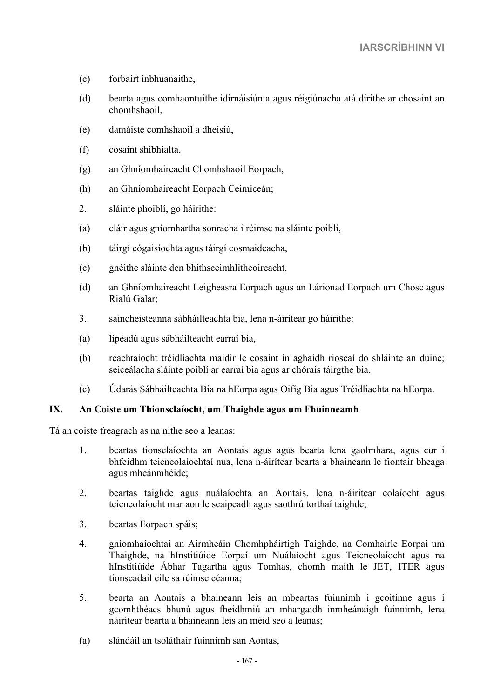- (c) forbairt inbhuanaithe,
- (d) bearta agus comhaontuithe idirnáisiúnta agus réigiúnacha atá dírithe ar chosaint an chomhshaoil,
- (e) damáiste comhshaoil a dheisiú,
- (f) cosaint shibhialta,
- (g) an Ghníomhaireacht Chomhshaoil Eorpach,
- (h) an Ghníomhaireacht Eorpach Ceimiceán;
- 2. sláinte phoiblí, go háirithe:
- (a) cláir agus gníomhartha sonracha i réimse na sláinte poiblí,
- (b) táirgí cógaisíochta agus táirgí cosmaideacha,
- (c) gnéithe sláinte den bhithsceimhlitheoireacht,
- (d) an Ghníomhaireacht Leigheasra Eorpach agus an Lárionad Eorpach um Chosc agus Rialú Galar;
- 3. saincheisteanna sábháilteachta bia, lena n-áirítear go háirithe:
- (a) lipéadú agus sábháilteacht earraí bia,
- (b) reachtaíocht tréidliachta maidir le cosaint in aghaidh rioscaí do shláinte an duine; seiceálacha sláinte poiblí ar earraí bia agus ar chórais táirgthe bia,
- (c) Údarás Sábháilteachta Bia na hEorpa agus Oifig Bia agus Tréidliachta na hEorpa.

#### **IX. An Coiste um Thionsclaíocht, um Thaighde agus um Fhuinneamh**

- 1. beartas tionsclaíochta an Aontais agus agus bearta lena gaolmhara, agus cur i bhfeidhm teicneolaíochtaí nua, lena n-áirítear bearta a bhaineann le fiontair bheaga agus mheánmhéide;
- 2. beartas taighde agus nuálaíochta an Aontais, lena n-áirítear eolaíocht agus teicneolaíocht mar aon le scaipeadh agus saothrú torthaí taighde;
- 3. beartas Eorpach spáis;
- 4. gníomhaíochtaí an Airmheáin Chomhpháirtigh Taighde, na Comhairle Eorpaí um Thaighde, na hInstitiúide Eorpaí um Nuálaíocht agus Teicneolaíocht agus na hInstitiúide Ábhar Tagartha agus Tomhas, chomh maith le JET, ITER agus tionscadail eile sa réimse céanna;
- 5. bearta an Aontais a bhaineann leis an mbeartas fuinnimh i gcoitinne agus i gcomhthéacs bhunú agus fheidhmiú an mhargaidh inmheánaigh fuinnimh, lena náirítear bearta a bhaineann leis an méid seo a leanas;
- (a) slándáil an tsoláthair fuinnimh san Aontas,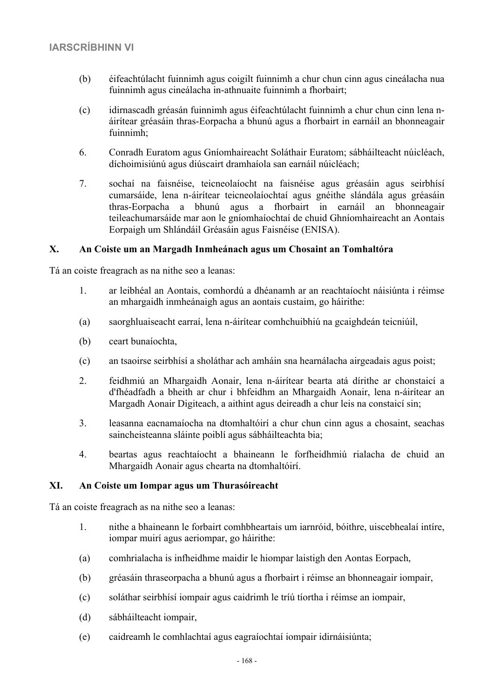- (b) éifeachtúlacht fuinnimh agus coigilt fuinnimh a chur chun cinn agus cineálacha nua fuinnimh agus cineálacha in-athnuaite fuinnimh a fhorbairt;
- (c) idirnascadh gréasán fuinnimh agus éifeachtúlacht fuinnimh a chur chun cinn lena náirítear gréasáin thras-Eorpacha a bhunú agus a fhorbairt in earnáil an bhonneagair fuinnimh;
- 6. Conradh Euratom agus Gníomhaireacht Soláthair Euratom; sábháilteacht núicléach, díchoimisiúnú agus diúscairt dramhaíola san earnáil núicléach;
- 7. sochaí na faisnéise, teicneolaíocht na faisnéise agus gréasáin agus seirbhísí cumarsáide, lena n-áirítear teicneolaíochtaí agus gnéithe slándála agus gréasáin thras-Eorpacha a bhunú agus a fhorbairt in earnáil an bhonneagair teileachumarsáide mar aon le gníomhaíochtaí de chuid Ghníomhaireacht an Aontais Eorpaigh um Shlándáil Gréasáin agus Faisnéise (ENISA).

# **X. An Coiste um an Margadh Inmheánach agus um Chosaint an Tomhaltóra**

Tá an coiste freagrach as na nithe seo a leanas:

- 1. ar leibhéal an Aontais, comhordú a dhéanamh ar an reachtaíocht náisiúnta i réimse an mhargaidh inmheánaigh agus an aontais custaim, go háirithe:
- (a) saorghluaiseacht earraí, lena n-áirítear comhchuibhiú na gcaighdeán teicniúil,
- (b) ceart bunaíochta,
- (c) an tsaoirse seirbhísí a sholáthar ach amháin sna hearnálacha airgeadais agus poist;
- 2. feidhmiú an Mhargaidh Aonair, lena n-áirítear bearta atá dírithe ar chonstaicí a d'fhéadfadh a bheith ar chur i bhfeidhm an Mhargaidh Aonair, lena n-áirítear an Margadh Aonair Digiteach, a aithint agus deireadh a chur leis na constaicí sin;
- 3. leasanna eacnamaíocha na dtomhaltóirí a chur chun cinn agus a chosaint, seachas saincheisteanna sláinte poiblí agus sábháilteachta bia;
- 4. beartas agus reachtaíocht a bhaineann le forfheidhmiú rialacha de chuid an Mhargaidh Aonair agus chearta na dtomhaltóirí.

# **XI. An Coiste um Iompar agus um Thurasóireacht**

- 1. nithe a bhaineann le forbairt comhbheartais um iarnróid, bóithre, uiscebhealaí intíre, iompar muirí agus aeriompar, go háirithe:
- (a) comhrialacha is infheidhme maidir le hiompar laistigh den Aontas Eorpach,
- (b) gréasáin thraseorpacha a bhunú agus a fhorbairt i réimse an bhonneagair iompair,
- (c) soláthar seirbhísí iompair agus caidrimh le tríú tíortha i réimse an iompair,
- (d) sábháilteacht iompair,
- (e) caidreamh le comhlachtaí agus eagraíochtaí iompair idirnáisiúnta;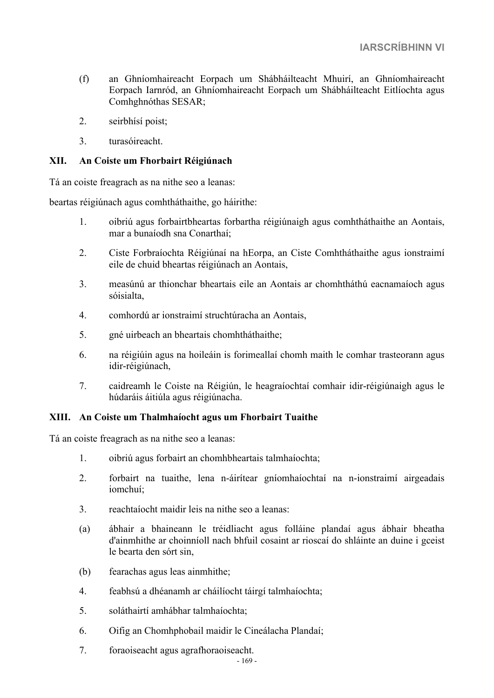- (f) an Ghníomhaireacht Eorpach um Shábháilteacht Mhuirí, an Ghníomhaireacht Eorpach Iarnród, an Ghníomhaireacht Eorpach um Shábháilteacht Eitlíochta agus Comhghnóthas SESAR;
- 2. seirbhísí poist;
- 3. turasóireacht.

# **XII. An Coiste um Fhorbairt Réigiúnach**

Tá an coiste freagrach as na nithe seo a leanas:

beartas réigiúnach agus comhtháthaithe, go háirithe:

- 1. oibriú agus forbairtbheartas forbartha réigiúnaigh agus comhtháthaithe an Aontais, mar a bunaíodh sna Conarthaí;
- 2. Ciste Forbraíochta Réigiúnaí na hEorpa, an Ciste Comhtháthaithe agus ionstraimí eile de chuid bheartas réigiúnach an Aontais,
- 3. measúnú ar thionchar bheartais eile an Aontais ar chomhtháthú eacnamaíoch agus sóisialta,
- 4. comhordú ar ionstraimí struchtúracha an Aontais,
- 5. gné uirbeach an bheartais chomhtháthaithe;
- 6. na réigiúin agus na hoileáin is forimeallaí chomh maith le comhar trasteorann agus idir-réigiúnach,
- 7. caidreamh le Coiste na Réigiún, le heagraíochtaí comhair idir-réigiúnaigh agus le húdaráis áitiúla agus réigiúnacha.

# **XIII. An Coiste um Thalmhaíocht agus um Fhorbairt Tuaithe**

- 1. oibriú agus forbairt an chomhbheartais talmhaíochta;
- 2. forbairt na tuaithe, lena n-áirítear gníomhaíochtaí na n-ionstraimí airgeadais iomchuí;
- 3. reachtaíocht maidir leis na nithe seo a leanas:
- (a) ábhair a bhaineann le tréidliacht agus folláine plandaí agus ábhair bheatha d'ainmhithe ar choinníoll nach bhfuil cosaint ar rioscaí do shláinte an duine i gceist le bearta den sórt sin,
- (b) fearachas agus leas ainmhithe;
- 4. feabhsú a dhéanamh ar cháilíocht táirgí talmhaíochta;
- 5. soláthairtí amhábhar talmhaíochta;
- 6. Oifig an Chomhphobail maidir le Cineálacha Plandaí;
- 7. foraoiseacht agus agrafhoraoiseacht.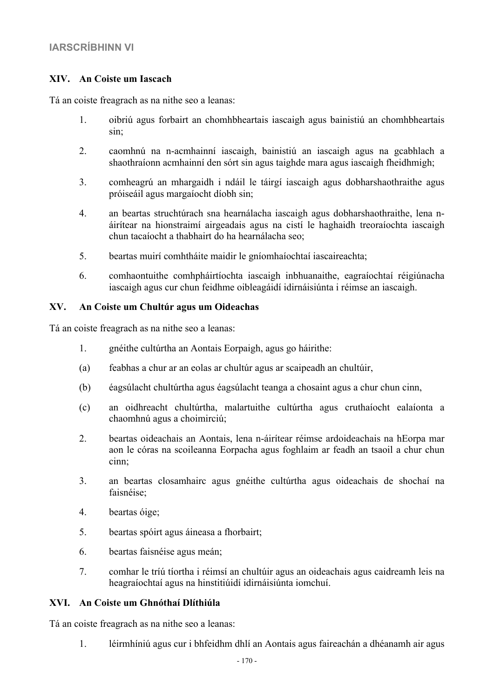# **XIV. An Coiste um Iascach**

Tá an coiste freagrach as na nithe seo a leanas:

- 1. oibriú agus forbairt an chomhbheartais iascaigh agus bainistiú an chomhbheartais sin;
- 2. caomhnú na n-acmhainní iascaigh, bainistiú an iascaigh agus na gcabhlach a shaothraíonn acmhainní den sórt sin agus taighde mara agus iascaigh fheidhmigh;
- 3. comheagrú an mhargaidh i ndáil le táirgí iascaigh agus dobharshaothraithe agus próiseáil agus margaíocht díobh sin;
- 4. an beartas struchtúrach sna hearnálacha iascaigh agus dobharshaothraithe, lena náirítear na hionstraimí airgeadais agus na cistí le haghaidh treoraíochta iascaigh chun tacaíocht a thabhairt do ha hearnálacha seo;
- 5. beartas muirí comhtháite maidir le gníomhaíochtaí iascaireachta;
- 6. comhaontuithe comhpháirtíochta iascaigh inbhuanaithe, eagraíochtaí réigiúnacha iascaigh agus cur chun feidhme oibleagáidí idirnáisiúnta i réimse an iascaigh.

# **XV. An Coiste um Chultúr agus um Oideachas**

Tá an coiste freagrach as na nithe seo a leanas:

- 1. gnéithe cultúrtha an Aontais Eorpaigh, agus go háirithe:
- (a) feabhas a chur ar an eolas ar chultúr agus ar scaipeadh an chultúir,
- (b) éagsúlacht chultúrtha agus éagsúlacht teanga a chosaint agus a chur chun cinn,
- (c) an oidhreacht chultúrtha, malartuithe cultúrtha agus cruthaíocht ealaíonta a chaomhnú agus a choimirciú;
- 2. beartas oideachais an Aontais, lena n-áirítear réimse ardoideachais na hEorpa mar aon le córas na scoileanna Eorpacha agus foghlaim ar feadh an tsaoil a chur chun cinn;
- 3. an beartas closamhairc agus gnéithe cultúrtha agus oideachais de shochaí na faisnéise;
- 4. beartas óige;
- 5. beartas spóirt agus áineasa a fhorbairt;
- 6. beartas faisnéise agus meán;
- 7. comhar le tríú tíortha i réimsí an chultúir agus an oideachais agus caidreamh leis na heagraíochtaí agus na hinstitiúidí idirnáisiúnta iomchuí.

# **XVI. An Coiste um Ghnóthaí Dlíthiúla**

Tá an coiste freagrach as na nithe seo a leanas:

1. léirmhíniú agus cur i bhfeidhm dhlí an Aontais agus faireachán a dhéanamh air agus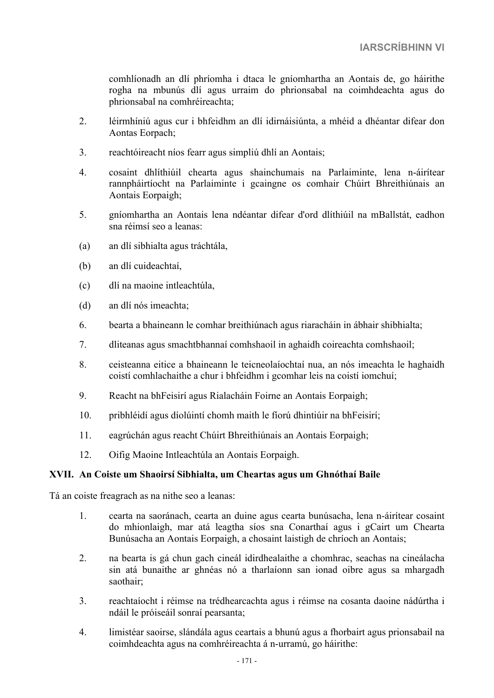comhlíonadh an dlí phríomha i dtaca le gníomhartha an Aontais de, go háirithe rogha na mbunús dlí agus urraim do phrionsabal na coimhdeachta agus do phrionsabal na comhréireachta;

- 2. léirmhíniú agus cur i bhfeidhm an dlí idirnáisiúnta, a mhéid a dhéantar difear don Aontas Eorpach;
- 3. reachtóireacht níos fearr agus simpliú dhlí an Aontais;
- 4. cosaint dhlíthiúil chearta agus shainchumais na Parlaiminte, lena n-áirítear rannpháirtíocht na Parlaiminte i gcaingne os comhair Chúirt Bhreithiúnais an Aontais Eorpaigh;
- 5. gníomhartha an Aontais lena ndéantar difear d'ord dlíthiúil na mBallstát, eadhon sna réimsí seo a leanas:
- (a) an dlí sibhialta agus tráchtála,
- (b) an dlí cuideachtaí,
- (c) dlí na maoine intleachtúla,
- (d) an dlí nós imeachta;
- 6. bearta a bhaineann le comhar breithiúnach agus riaracháin in ábhair shibhialta;
- 7. dliteanas agus smachtbhannaí comhshaoil in aghaidh coireachta comhshaoil;
- 8. ceisteanna eitice a bhaineann le teicneolaíochtaí nua, an nós imeachta le haghaidh coistí comhlachaithe a chur i bhfeidhm i gcomhar leis na coistí iomchuí;
- 9. Reacht na bhFeisirí agus Rialacháin Foirne an Aontais Eorpaigh;
- 10. pribhléidí agus díolúintí chomh maith le fíorú dhintiúir na bhFeisirí;
- 11. eagrúchán agus reacht Chúirt Bhreithiúnais an Aontais Eorpaigh;
- 12. Oifig Maoine Intleachtúla an Aontais Eorpaigh.

#### **XVII. An Coiste um Shaoirsí Sibhialta, um Cheartas agus um Ghnóthaí Baile**

- 1. cearta na saoránach, cearta an duine agus cearta bunúsacha, lena n-áirítear cosaint do mhionlaigh, mar atá leagtha síos sna Conarthaí agus i gCairt um Chearta Bunúsacha an Aontais Eorpaigh, a chosaint laistigh de chríoch an Aontais;
- 2. na bearta is gá chun gach cineál idirdhealaithe a chomhrac, seachas na cineálacha sin atá bunaithe ar ghnéas nó a tharlaíonn san ionad oibre agus sa mhargadh saothair;
- 3. reachtaíocht i réimse na trédhearcachta agus i réimse na cosanta daoine nádúrtha i ndáil le próiseáil sonraí pearsanta;
- 4. limistéar saoirse, slándála agus ceartais a bhunú agus a fhorbairt agus prionsabail na coimhdeachta agus na comhréireachta á n-urramú, go háirithe: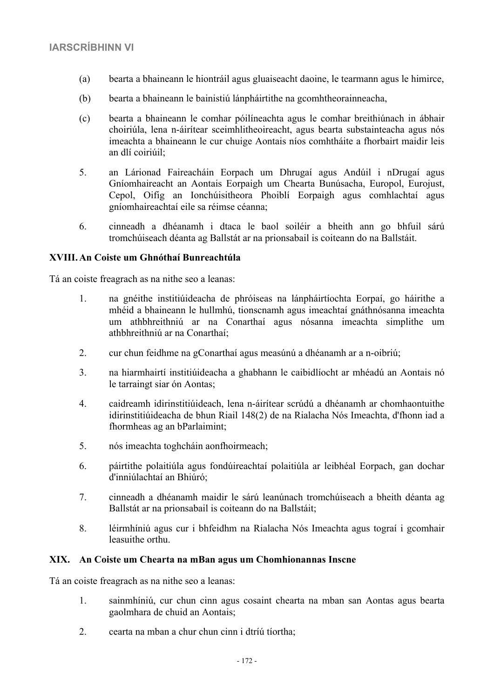- (a) bearta a bhaineann le hiontráil agus gluaiseacht daoine, le tearmann agus le himirce,
- (b) bearta a bhaineann le bainistiú lánpháirtithe na gcomhtheorainneacha,
- (c) bearta a bhaineann le comhar póilíneachta agus le comhar breithiúnach in ábhair choiriúla, lena n-áirítear sceimhlitheoireacht, agus bearta substainteacha agus nós imeachta a bhaineann le cur chuige Aontais níos comhtháite a fhorbairt maidir leis an dlí coiriúil;
- 5. an Lárionad Faireacháin Eorpach um Dhrugaí agus Andúil i nDrugaí agus Gníomhaireacht an Aontais Eorpaigh um Chearta Bunúsacha, Europol, Eurojust, Cepol, Oifig an Ionchúisitheora Phoiblí Eorpaigh agus comhlachtaí agus gníomhaireachtaí eile sa réimse céanna;
- 6. cinneadh a dhéanamh i dtaca le baol soiléir a bheith ann go bhfuil sárú tromchúiseach déanta ag Ballstát ar na prionsabail is coiteann do na Ballstáit.

#### **XVIII. An Coiste um Ghnóthaí Bunreachtúla**

Tá an coiste freagrach as na nithe seo a leanas:

- 1. na gnéithe institiúideacha de phróiseas na lánpháirtíochta Eorpaí, go háirithe a mhéid a bhaineann le hullmhú, tionscnamh agus imeachtaí gnáthnósanna imeachta um athbhreithniú ar na Conarthaí agus nósanna imeachta simplithe um athbhreithniú ar na Conarthaí;
- 2. cur chun feidhme na gConarthaí agus measúnú a dhéanamh ar a n-oibriú;
- 3. na hiarmhairtí institiúideacha a ghabhann le caibidlíocht ar mhéadú an Aontais nó le tarraingt siar ón Aontas;
- 4. caidreamh idirinstitiúideach, lena n-áirítear scrúdú a dhéanamh ar chomhaontuithe idirinstitiúideacha de bhun Riail 148(2) de na Rialacha Nós Imeachta, d'fhonn iad a fhormheas ag an bParlaimint;
- 5. nós imeachta toghcháin aonfhoirmeach;
- 6. páirtithe polaitiúla agus fondúireachtaí polaitiúla ar leibhéal Eorpach, gan dochar d'inniúlachtaí an Bhiúró;
- 7. cinneadh a dhéanamh maidir le sárú leanúnach tromchúiseach a bheith déanta ag Ballstát ar na prionsabail is coiteann do na Ballstáit;
- 8. léirmhíniú agus cur i bhfeidhm na Rialacha Nós Imeachta agus tograí i gcomhair leasuithe orthu.

#### **XIX. An Coiste um Chearta na mBan agus um Chomhionannas Inscne**

- 1. sainmhíniú, cur chun cinn agus cosaint chearta na mban san Aontas agus bearta gaolmhara de chuid an Aontais;
- 2. cearta na mban a chur chun cinn i dtríú tíortha;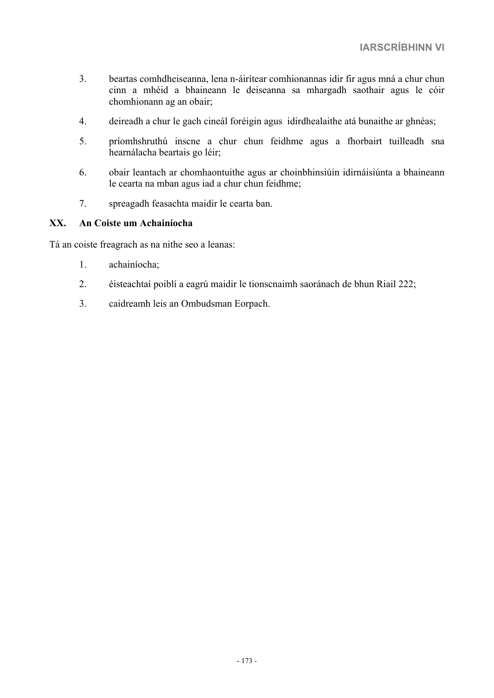- 3. beartas comhdheiseanna, lena n-áirítear comhionannas idir fir agus mná a chur chun cinn a mhéid a bhaineann le deiseanna sa mhargadh saothair agus le cóir chomhionann ag an obair;
- 4. deireadh a chur le gach cineál foréigin agus idirdhealaithe atá bunaithe ar ghnéas;
- 5. príomhshruthú inscne a chur chun feidhme agus a fhorbairt tuilleadh sna hearnálacha beartais go léir;
- 6. obair leantach ar chomhaontuithe agus ar choinbhinsiúin idirnáisiúnta a bhaineann le cearta na mban agus iad a chur chun feidhme;
- 7. spreagadh feasachta maidir le cearta ban.

# **XX. An Coiste um Achainíocha**

- 1. achainíocha;
- 2. éisteachtaí poiblí a eagrú maidir le tionscnaimh saoránach de bhun Riail 222;
- 3. caidreamh leis an Ombudsman Eorpach.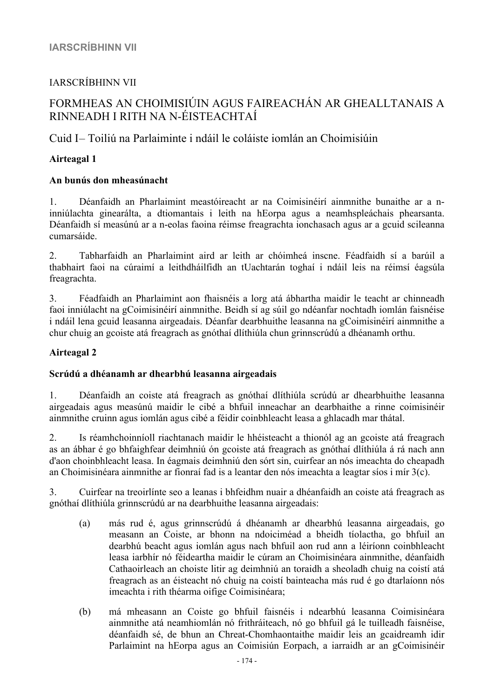# **IARSCRÍBHINN VII**

# IARSCRÍBHINN VII

# FORMHEAS AN CHOIMISIÚIN AGUS FAIREACHÁN AR GHEALLTANAIS A RINNEADH I RITH NA N-ÉISTEACHTAÍ

# Cuid I– Toiliú na Parlaiminte i ndáil le coláiste iomlán an Choimisiúin

# **Airteagal 1**

# **An bunús don mheasúnacht**

1. Déanfaidh an Pharlaimint meastóireacht ar na Coimisinéirí ainmnithe bunaithe ar a ninniúlachta ginearálta, a dtiomantais i leith na hEorpa agus a neamhspleáchais phearsanta. Déanfaidh sí measúnú ar a n-eolas faoina réimse freagrachta ionchasach agus ar a gcuid scileanna cumarsáide.

2. Tabharfaidh an Pharlaimint aird ar leith ar chóimheá inscne. Féadfaidh sí a barúil a thabhairt faoi na cúraimí a leithdháilfidh an tUachtarán toghaí i ndáil leis na réimsí éagsúla freagrachta.

3. Féadfaidh an Pharlaimint aon fhaisnéis a lorg atá ábhartha maidir le teacht ar chinneadh faoi inniúlacht na gCoimisinéirí ainmnithe. Beidh sí ag súil go ndéanfar nochtadh iomlán faisnéise i ndáil lena gcuid leasanna airgeadais. Déanfar dearbhuithe leasanna na gCoimisinéirí ainmnithe a chur chuig an gcoiste atá freagrach as gnóthaí dlíthiúla chun grinnscrúdú a dhéanamh orthu.

# **Airteagal 2**

# **Scrúdú a dhéanamh ar dhearbhú leasanna airgeadais**

1. Déanfaidh an coiste atá freagrach as gnóthaí dlíthiúla scrúdú ar dhearbhuithe leasanna airgeadais agus measúnú maidir le cibé a bhfuil inneachar an dearbhaithe a rinne coimisinéir ainmnithe cruinn agus iomlán agus cibé a féidir coinbhleacht leasa a ghlacadh mar thátal.

2. Is réamhchoinníoll riachtanach maidir le hhéisteacht a thionól ag an gcoiste atá freagrach as an ábhar é go bhfaighfear deimhniú ón gcoiste atá freagrach as gnóthaí dlíthiúla á rá nach ann d'aon choinbhleacht leasa. In éagmais deimhniú den sórt sin, cuirfear an nós imeachta do cheapadh an Choimisinéara ainmnithe ar fionraí fad is a leantar den nós imeachta a leagtar síos i mír 3(c).

3. Cuirfear na treoirlínte seo a leanas i bhfeidhm nuair a dhéanfaidh an coiste atá freagrach as gnóthaí dlíthiúla grinnscrúdú ar na dearbhuithe leasanna airgeadais:

- (a) más rud é, agus grinnscrúdú á dhéanamh ar dhearbhú leasanna airgeadais, go measann an Coiste, ar bhonn na ndoiciméad a bheidh tíolactha, go bhfuil an dearbhú beacht agus iomlán agus nach bhfuil aon rud ann a léiríonn coinbhleacht leasa iarbhír nó féideartha maidir le cúram an Choimisinéara ainmnithe, déanfaidh Cathaoirleach an choiste litir ag deimhniú an toraidh a sheoladh chuig na coistí atá freagrach as an éisteacht nó chuig na coistí bainteacha más rud é go dtarlaíonn nós imeachta i rith théarma oifige Coimisinéara;
- (b) má mheasann an Coiste go bhfuil faisnéis i ndearbhú leasanna Coimisinéara ainmnithe atá neamhiomlán nó frithráiteach, nó go bhfuil gá le tuilleadh faisnéise, déanfaidh sé, de bhun an Chreat-Chomhaontaithe maidir leis an gcaidreamh idir Parlaimint na hEorpa agus an Coimisiún Eorpach, a iarraidh ar an gCoimisinéir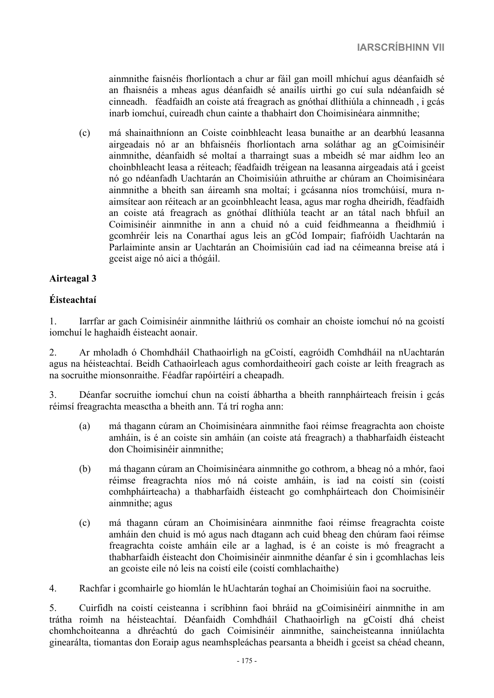ainmnithe faisnéis fhorlíontach a chur ar fáil gan moill mhíchuí agus déanfaidh sé an fhaisnéis a mheas agus déanfaidh sé anailís uirthi go cuí sula ndéanfaidh sé cinneadh. féadfaidh an coiste atá freagrach as gnóthaí dlíthiúla a chinneadh , i gcás inarb iomchuí, cuireadh chun cainte a thabhairt don Choimisinéara ainmnithe;

(c) má shainaithníonn an Coiste coinbhleacht leasa bunaithe ar an dearbhú leasanna airgeadais nó ar an bhfaisnéis fhorlíontach arna soláthar ag an gCoimisinéir ainmnithe, déanfaidh sé moltaí a tharraingt suas a mbeidh sé mar aidhm leo an choinbhleacht leasa a réiteach; féadfaidh tréigean na leasanna airgeadais atá i gceist nó go ndéanfadh Uachtarán an Choimisiúin athruithe ar chúram an Choimisinéara ainmnithe a bheith san áireamh sna moltaí; i gcásanna níos tromchúisí, mura naimsítear aon réiteach ar an gcoinbhleacht leasa, agus mar rogha dheiridh, féadfaidh an coiste atá freagrach as gnóthaí dlíthiúla teacht ar an tátal nach bhfuil an Coimisinéir ainmnithe in ann a chuid nó a cuid feidhmeanna a fheidhmiú i gcomhréir leis na Conarthaí agus leis an gCód Iompair; fiafróidh Uachtarán na Parlaiminte ansin ar Uachtarán an Choimisiúin cad iad na céimeanna breise atá i gceist aige nó aici a thógáil.

# **Airteagal 3**

# **Éisteachtaí**

1. Iarrfar ar gach Coimisinéir ainmnithe láithriú os comhair an choiste iomchuí nó na gcoistí iomchuí le haghaidh éisteacht aonair.

2. Ar mholadh ó Chomhdháil Chathaoirligh na gCoistí, eagróidh Comhdháil na nUachtarán agus na héisteachtaí. Beidh Cathaoirleach agus comhordaitheoirí gach coiste ar leith freagrach as na socruithe mionsonraithe. Féadfar rapóirtéirí a cheapadh.

3. Déanfar socruithe iomchuí chun na coistí ábhartha a bheith rannpháirteach freisin i gcás réimsí freagrachta measctha a bheith ann. Tá trí rogha ann:

- (a) má thagann cúram an Choimisinéara ainmnithe faoi réimse freagrachta aon choiste amháin, is é an coiste sin amháin (an coiste atá freagrach) a thabharfaidh éisteacht don Choimisinéir ainmnithe;
- (b) má thagann cúram an Choimisinéara ainmnithe go cothrom, a bheag nó a mhór, faoi réimse freagrachta níos mó ná coiste amháin, is iad na coistí sin (coistí comhpháirteacha) a thabharfaidh éisteacht go comhpháirteach don Choimisinéir ainmnithe; agus
- (c) má thagann cúram an Choimisinéara ainmnithe faoi réimse freagrachta coiste amháin den chuid is mó agus nach dtagann ach cuid bheag den chúram faoi réimse freagrachta coiste amháin eile ar a laghad, is é an coiste is mó freagracht a thabharfaidh éisteacht don Choimisinéir ainmnithe déanfar é sin i gcomhlachas leis an gcoiste eile nó leis na coistí eile (coistí comhlachaithe)

4. Rachfar i gcomhairle go hiomlán le hUachtarán toghaí an Choimisiúin faoi na socruithe.

5. Cuirfidh na coistí ceisteanna i scríbhinn faoi bhráid na gCoimisinéirí ainmnithe in am trátha roimh na héisteachtaí. Déanfaidh Comhdháil Chathaoirligh na gCoistí dhá cheist chomhchoiteanna a dhréachtú do gach Coimisinéir ainmnithe, saincheisteanna inniúlachta ginearálta, tiomantas don Eoraip agus neamhspleáchas pearsanta a bheidh i gceist sa chéad cheann,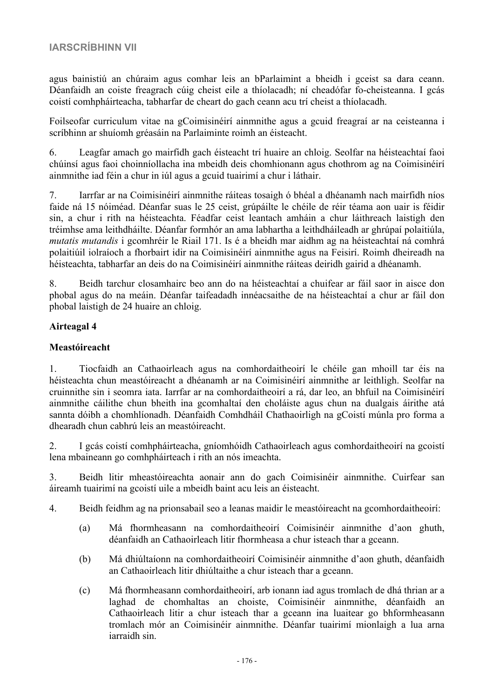agus bainistiú an chúraim agus comhar leis an bParlaimint a bheidh i gceist sa dara ceann. Déanfaidh an coiste freagrach cúig cheist eile a thíolacadh; ní cheadófar fo-cheisteanna. I gcás coistí comhpháirteacha, tabharfar de cheart do gach ceann acu trí cheist a thíolacadh.

Foilseofar curriculum vitae na gCoimisinéirí ainmnithe agus a gcuid freagraí ar na ceisteanna i scríbhinn ar shuíomh gréasáin na Parlaiminte roimh an éisteacht.

6. Leagfar amach go mairfidh gach éisteacht trí huaire an chloig. Seolfar na héisteachtaí faoi chúinsí agus faoi choinníollacha ina mbeidh deis chomhionann agus chothrom ag na Coimisinéirí ainmnithe iad féin a chur in iúl agus a gcuid tuairimí a chur i láthair.

7. Iarrfar ar na Coimisinéirí ainmnithe ráiteas tosaigh ó bhéal a dhéanamh nach mairfidh níos faide ná 15 nóiméad. Déanfar suas le 25 ceist, grúpáilte le chéile de réir téama aon uair is féidir sin, a chur i rith na héisteachta. Féadfar ceist leantach amháin a chur láithreach laistigh den tréimhse ama leithdháilte. Déanfar formhór an ama labhartha a leithdháileadh ar ghrúpaí polaitiúla, *mutatis mutandis* i gcomhréir le Riail 171. Is é a bheidh mar aidhm ag na héisteachtaí ná comhrá polaitiúil iolraíoch a fhorbairt idir na Coimisinéirí ainmnithe agus na Feisirí. Roimh dheireadh na héisteachta, tabharfar an deis do na Coimisinéirí ainmnithe ráiteas deiridh gairid a dhéanamh.

8. Beidh tarchur closamhairc beo ann do na héisteachtaí a chuifear ar fáil saor in aisce don phobal agus do na meáin. Déanfar taifeadadh innéacsaithe de na héisteachtaí a chur ar fáil don phobal laistigh de 24 huaire an chloig.

# **Airteagal 4**

# **Meastóireacht**

1. Tiocfaidh an Cathaoirleach agus na comhordaitheoirí le chéile gan mhoill tar éis na héisteachta chun meastóireacht a dhéanamh ar na Coimisinéirí ainmnithe ar leithligh. Seolfar na cruinnithe sin i seomra iata. Iarrfar ar na comhordaitheoirí a rá, dar leo, an bhfuil na Coimisinéirí ainmnithe cáilithe chun bheith ina gcomhaltaí den choláiste agus chun na dualgais áirithe atá sannta dóibh a chomhlíonadh. Déanfaidh Comhdháil Chathaoirligh na gCoistí múnla pro forma a dhearadh chun cabhrú leis an meastóireacht.

2. I gcás coistí comhpháirteacha, gníomhóidh Cathaoirleach agus comhordaitheoirí na gcoistí lena mbaineann go comhpháirteach i rith an nós imeachta.

3. Beidh litir mheastóireachta aonair ann do gach Coimisinéir ainmnithe. Cuirfear san áireamh tuairimí na gcoistí uile a mbeidh baint acu leis an éisteacht.

4. Beidh feidhm ag na prionsabail seo a leanas maidir le meastóireacht na gcomhordaitheoirí:

- (a) Má fhormheasann na comhordaitheoirí Coimisinéir ainmnithe d'aon ghuth, déanfaidh an Cathaoirleach litir fhormheasa a chur isteach thar a gceann.
- (b) Má dhiúltaíonn na comhordaitheoirí Coimisinéir ainmnithe d'aon ghuth, déanfaidh an Cathaoirleach litir dhiúltaithe a chur isteach thar a gceann.
- (c) Má fhormheasann comhordaitheoirí, arb ionann iad agus tromlach de dhá thrian ar a laghad de chomhaltas an choiste, Coimisinéir ainmnithe, déanfaidh an Cathaoirleach litir a chur isteach thar a gceann ina luaitear go bhformheasann tromlach mór an Coimisinéir ainmnithe. Déanfar tuairimí mionlaigh a lua arna iarraidh sin.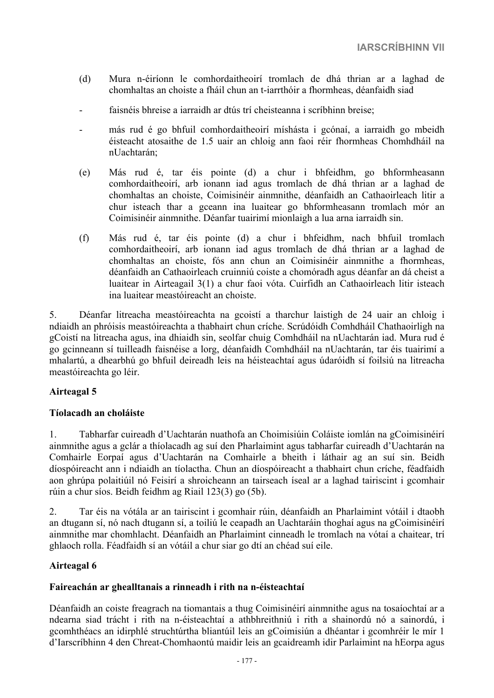- (d) Mura n-éiríonn le comhordaitheoirí tromlach de dhá thrian ar a laghad de chomhaltas an choiste a fháil chun an t-iarrthóir a fhormheas, déanfaidh siad
- faisnéis bhreise a iarraidh ar dtús trí cheisteanna i scríbhinn breise;
- más rud é go bhfuil comhordaitheoirí míshásta i gcónaí, a iarraidh go mbeidh éisteacht atosaithe de 1.5 uair an chloig ann faoi réir fhormheas Chomhdháil na nUachtarán;
- (e) Más rud é, tar éis pointe (d) a chur i bhfeidhm, go bhformheasann comhordaitheoirí, arb ionann iad agus tromlach de dhá thrian ar a laghad de chomhaltas an choiste, Coimisinéir ainmnithe, déanfaidh an Cathaoirleach litir a chur isteach thar a gceann ina luaitear go bhformheasann tromlach mór an Coimisinéir ainmnithe. Déanfar tuairimí mionlaigh a lua arna iarraidh sin.
- (f) Más rud é, tar éis pointe (d) a chur i bhfeidhm, nach bhfuil tromlach comhordaitheoirí, arb ionann iad agus tromlach de dhá thrian ar a laghad de chomhaltas an choiste, fós ann chun an Coimisinéir ainmnithe a fhormheas, déanfaidh an Cathaoirleach cruinniú coiste a chomóradh agus déanfar an dá cheist a luaitear in Airteagail 3(1) a chur faoi vóta. Cuirfidh an Cathaoirleach litir isteach ina luaitear meastóireacht an choiste.

5. Déanfar litreacha meastóireachta na gcoistí a tharchur laistigh de 24 uair an chloig i ndiaidh an phróisis meastóireachta a thabhairt chun críche. Scrúdóidh Comhdháil Chathaoirligh na gCoistí na litreacha agus, ina dhiaidh sin, seolfar chuig Comhdháil na nUachtarán iad. Mura rud é go gcinneann sí tuilleadh faisnéise a lorg, déanfaidh Comhdháil na nUachtarán, tar éis tuairimí a mhalartú, a dhearbhú go bhfuil deireadh leis na héisteachtaí agus údaróidh sí foilsiú na litreacha meastóireachta go léir.

# **Airteagal 5**

# **Tíolacadh an choláiste**

1. Tabharfar cuireadh d'Uachtarán nuathofa an Choimisiúin Coláiste iomlán na gCoimisinéirí ainmnithe agus a gclár a thíolacadh ag suí den Pharlaimint agus tabharfar cuireadh d'Uachtarán na Comhairle Eorpaí agus d'Uachtarán na Comhairle a bheith i láthair ag an suí sin. Beidh díospóireacht ann i ndiaidh an tíolactha. Chun an díospóireacht a thabhairt chun críche, féadfaidh aon ghrúpa polaitiúil nó Feisirí a shroicheann an tairseach íseal ar a laghad tairiscint i gcomhair rúin a chur síos. Beidh feidhm ag Riail 123(3) go (5b).

2. Tar éis na vótála ar an tairiscint i gcomhair rúin, déanfaidh an Pharlaimint vótáil i dtaobh an dtugann sí, nó nach dtugann sí, a toiliú le ceapadh an Uachtaráin thoghaí agus na gCoimisinéirí ainmnithe mar chomhlacht. Déanfaidh an Pharlaimint cinneadh le tromlach na vótaí a chaitear, trí ghlaoch rolla. Féadfaidh sí an vótáil a chur siar go dtí an chéad suí eile.

# **Airteagal 6**

# **Faireachán ar ghealltanais a rinneadh i rith na n-éisteachtaí**

Déanfaidh an coiste freagrach na tiomantais a thug Coimisinéirí ainmnithe agus na tosaíochtaí ar a ndearna siad trácht i rith na n-éisteachtaí a athbhreithniú i rith a shainordú nó a sainordú, i gcomhthéacs an idirphlé struchtúrtha bliantúil leis an gCoimisiún a dhéantar i gcomhréir le mír 1 d'Iarscríbhinn 4 den Chreat-Chomhaontú maidir leis an gcaidreamh idir Parlaimint na hEorpa agus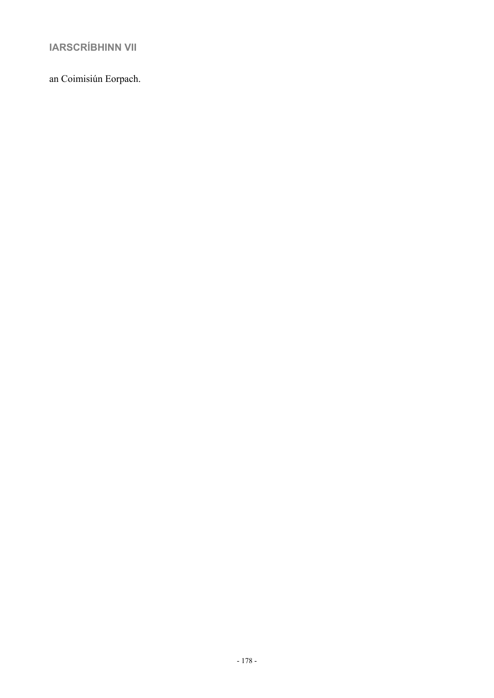# **IARSCRÍBHINN VII**

an Coimisiún Eorpach.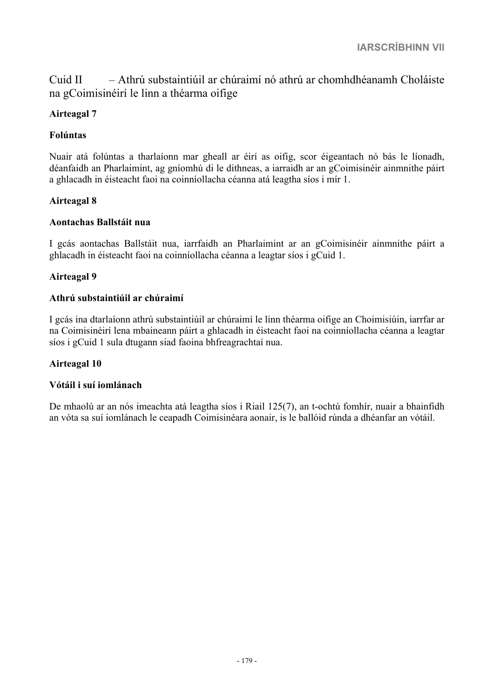Cuid II – Athrú substaintiúil ar chúraimí nó athrú ar chomhdhéanamh Choláiste na gCoimisinéirí le linn a théarma oifige

# **Airteagal 7**

# **Folúntas**

Nuair atá folúntas a tharlaíonn mar gheall ar éirí as oifig, scor éigeantach nó bás le líonadh, déanfaidh an Pharlaimint, ag gníomhú di le dithneas, a iarraidh ar an gCoimisinéir ainmnithe páirt a ghlacadh in éisteacht faoi na coinníollacha céanna atá leagtha síos i mír 1.

# **Airteagal 8**

# **Aontachas Ballstáit nua**

I gcás aontachas Ballstáit nua, iarrfaidh an Pharlaimint ar an gCoimisinéir ainmnithe páirt a ghlacadh in éisteacht faoi na coinníollacha céanna a leagtar síos i gCuid 1.

# **Airteagal 9**

# **Athrú substaintiúil ar chúraimí**

I gcás ina dtarlaíonn athrú substaintiúil ar chúraimí le linn théarma oifige an Choimisiúin, iarrfar ar na Coimisinéirí lena mbaineann páirt a ghlacadh in éisteacht faoi na coinníollacha céanna a leagtar síos i gCuid 1 sula dtugann siad faoina bhfreagrachtaí nua.

# **Airteagal 10**

# **Vótáil i suí iomlánach**

De mhaolú ar an nós imeachta atá leagtha síos i Riail 125(7), an t-ochtú fomhír, nuair a bhainfidh an vóta sa suí iomlánach le ceapadh Coimisinéara aonair, is le ballóid rúnda a dhéanfar an vótáil.